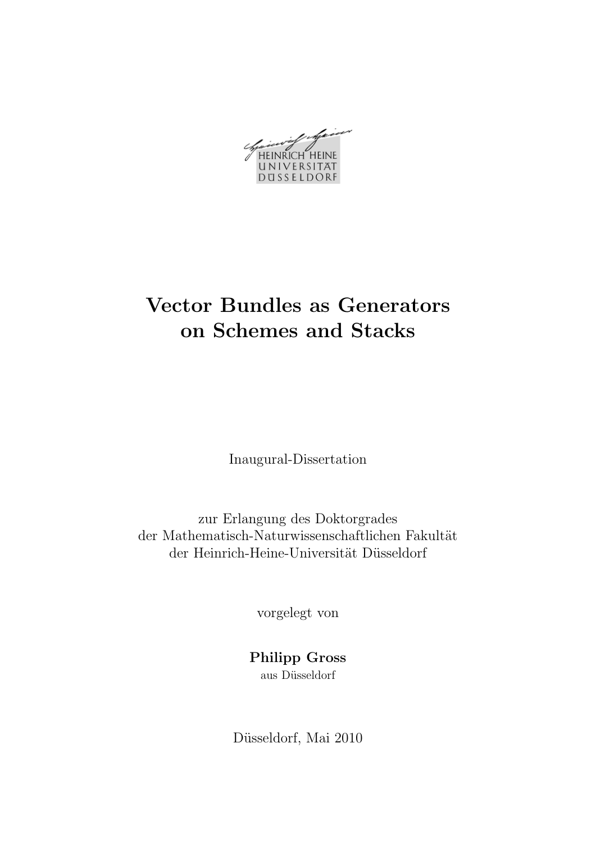HEINRICH HEINE UNIVERSITAT DUSSELDORF

# Vector Bundles as Generators on Schemes and Stacks

Inaugural-Dissertation

zur Erlangung des Doktorgrades der Mathematisch-Naturwissenschaftlichen Fakultät der Heinrich-Heine-Universität Düsseldorf

vorgelegt von

# Philipp Gross aus Düsseldorf

Düsseldorf, Mai 2010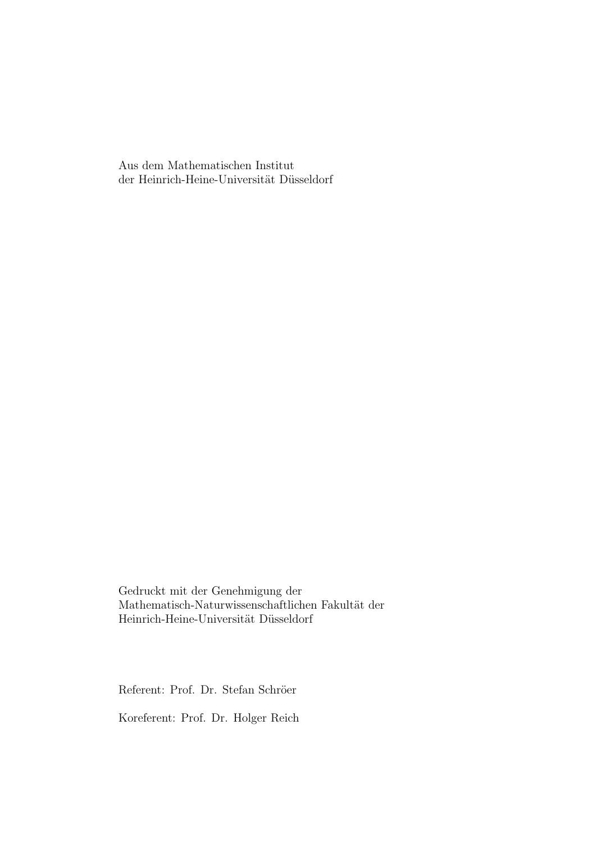Aus dem Mathematischen Institut der Heinrich-Heine-Universität Düsseldorf

Gedruckt mit der Genehmigung der Mathematisch-Naturwissenschaftlichen Fakultät der Heinrich-Heine-Universität Düsseldorf

Referent: Prof. Dr. Stefan Schröer

Koreferent: Prof. Dr. Holger Reich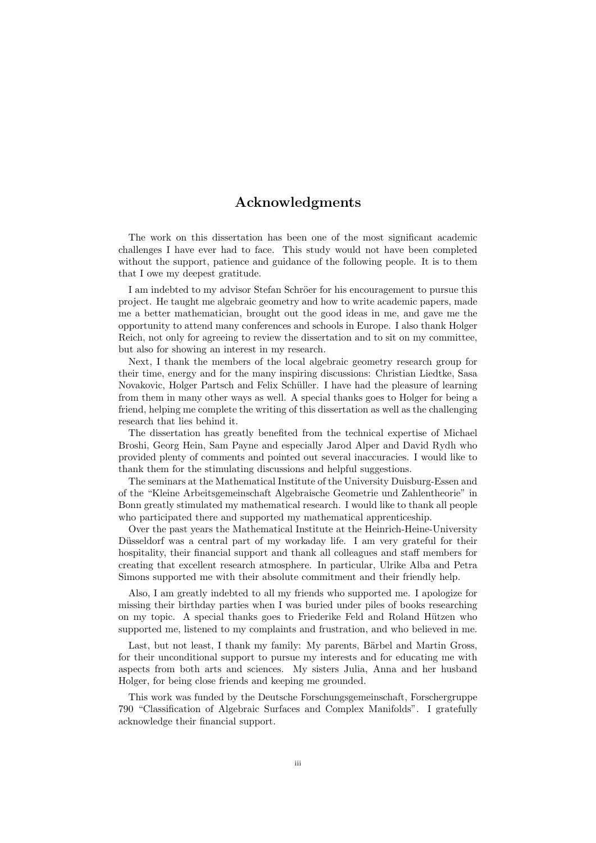## Acknowledgments

The work on this dissertation has been one of the most significant academic challenges I have ever had to face. This study would not have been completed without the support, patience and guidance of the following people. It is to them that I owe my deepest gratitude.

I am indebted to my advisor Stefan Schröer for his encouragement to pursue this project. He taught me algebraic geometry and how to write academic papers, made me a better mathematician, brought out the good ideas in me, and gave me the opportunity to attend many conferences and schools in Europe. I also thank Holger Reich, not only for agreeing to review the dissertation and to sit on my committee, but also for showing an interest in my research.

Next, I thank the members of the local algebraic geometry research group for their time, energy and for the many inspiring discussions: Christian Liedtke, Sasa Novakovic, Holger Partsch and Felix Schüller. I have had the pleasure of learning from them in many other ways as well. A special thanks goes to Holger for being a friend, helping me complete the writing of this dissertation as well as the challenging research that lies behind it.

The dissertation has greatly benefited from the technical expertise of Michael Broshi, Georg Hein, Sam Payne and especially Jarod Alper and David Rydh who provided plenty of comments and pointed out several inaccuracies. I would like to thank them for the stimulating discussions and helpful suggestions.

The seminars at the Mathematical Institute of the University Duisburg-Essen and of the "Kleine Arbeitsgemeinschaft Algebraische Geometrie und Zahlentheorie" in Bonn greatly stimulated my mathematical research. I would like to thank all people who participated there and supported my mathematical apprenticeship.

Over the past years the Mathematical Institute at the Heinrich-Heine-University Düsseldorf was a central part of my workaday life. I am very grateful for their hospitality, their financial support and thank all colleagues and staff members for creating that excellent research atmosphere. In particular, Ulrike Alba and Petra Simons supported me with their absolute commitment and their friendly help.

Also, I am greatly indebted to all my friends who supported me. I apologize for missing their birthday parties when I was buried under piles of books researching on my topic. A special thanks goes to Friederike Feld and Roland Hützen who supported me, listened to my complaints and frustration, and who believed in me.

Last, but not least, I thank my family: My parents, Bärbel and Martin Gross, for their unconditional support to pursue my interests and for educating me with aspects from both arts and sciences. My sisters Julia, Anna and her husband Holger, for being close friends and keeping me grounded.

This work was funded by the Deutsche Forschungsgemeinschaft, Forschergruppe 790 "Classification of Algebraic Surfaces and Complex Manifolds". I gratefully acknowledge their financial support.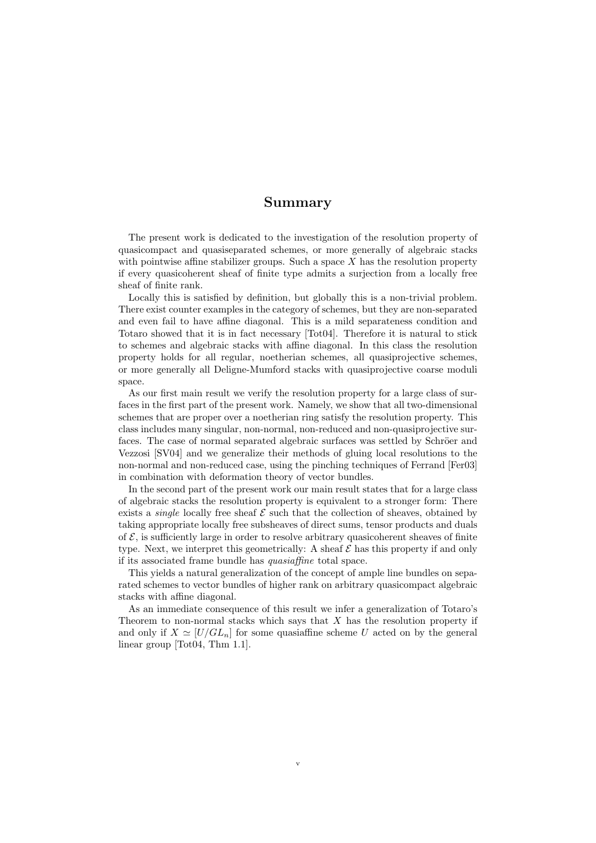## Summary

The present work is dedicated to the investigation of the resolution property of quasicompact and quasiseparated schemes, or more generally of algebraic stacks with pointwise affine stabilizer groups. Such a space  $X$  has the resolution property if every quasicoherent sheaf of finite type admits a surjection from a locally free sheaf of finite rank.

Locally this is satisfied by definition, but globally this is a non-trivial problem. There exist counter examples in the category of schemes, but they are non-separated and even fail to have affine diagonal. This is a mild separateness condition and Totaro showed that it is in fact necessary [Tot04]. Therefore it is natural to stick to schemes and algebraic stacks with affine diagonal. In this class the resolution property holds for all regular, noetherian schemes, all quasiprojective schemes, or more generally all Deligne-Mumford stacks with quasiprojective coarse moduli space.

As our first main result we verify the resolution property for a large class of surfaces in the first part of the present work. Namely, we show that all two-dimensional schemes that are proper over a noetherian ring satisfy the resolution property. This class includes many singular, non-normal, non-reduced and non-quasiprojective surfaces. The case of normal separated algebraic surfaces was settled by Schröer and Vezzosi [SV04] and we generalize their methods of gluing local resolutions to the non-normal and non-reduced case, using the pinching techniques of Ferrand [Fer03] in combination with deformation theory of vector bundles.

In the second part of the present work our main result states that for a large class of algebraic stacks the resolution property is equivalent to a stronger form: There exists a *single* locally free sheaf  $\mathcal E$  such that the collection of sheaves, obtained by taking appropriate locally free subsheaves of direct sums, tensor products and duals of  $\mathcal{E}$ , is sufficiently large in order to resolve arbitrary quasicoherent sheaves of finite type. Next, we interpret this geometrically: A sheaf  $\mathcal E$  has this property if and only if its associated frame bundle has quasiaffine total space.

This yields a natural generalization of the concept of ample line bundles on separated schemes to vector bundles of higher rank on arbitrary quasicompact algebraic stacks with affine diagonal.

As an immediate consequence of this result we infer a generalization of Totaro's Theorem to non-normal stacks which says that  $X$  has the resolution property if and only if  $X \simeq [U/GL_n]$  for some quasiaffine scheme U acted on by the general linear group [Tot04, Thm 1.1].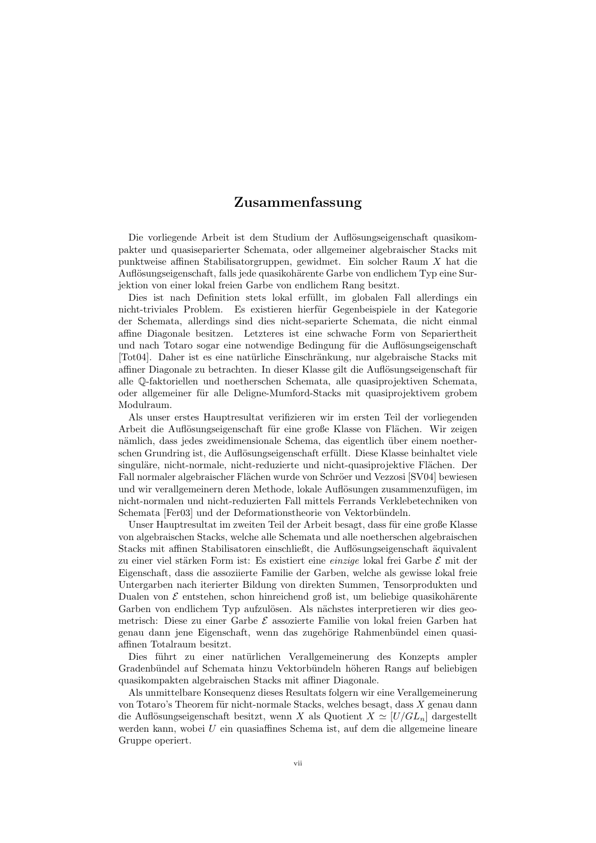## Zusammenfassung

Die vorliegende Arbeit ist dem Studium der Auflösungseigenschaft quasikompakter und quasiseparierter Schemata, oder allgemeiner algebraischer Stacks mit punktweise affinen Stabilisatorgruppen, gewidmet. Ein solcher Raum X hat die Auflösungseigenschaft, falls jede quasikohärente Garbe von endlichem Typ eine Surjektion von einer lokal freien Garbe von endlichem Rang besitzt.

Dies ist nach Definition stets lokal erfüllt, im globalen Fall allerdings ein nicht-triviales Problem. Es existieren hierfür Gegenbeispiele in der Kategorie der Schemata, allerdings sind dies nicht-separierte Schemata, die nicht einmal affine Diagonale besitzen. Letzteres ist eine schwache Form von Separiertheit und nach Totaro sogar eine notwendige Bedingung für die Auflösungseigenschaft [Tot04]. Daher ist es eine natürliche Einschränkung, nur algebraische Stacks mit affiner Diagonale zu betrachten. In dieser Klasse gilt die Auflösungseigenschaft für alle Q-faktoriellen und noetherschen Schemata, alle quasiprojektiven Schemata, oder allgemeiner für alle Deligne-Mumford-Stacks mit quasiprojektivem grobem Modulraum.

Als unser erstes Hauptresultat verifizieren wir im ersten Teil der vorliegenden Arbeit die Auflösungseigenschaft für eine große Klasse von Flächen. Wir zeigen nämlich, dass jedes zweidimensionale Schema, das eigentlich über einem noetherschen Grundring ist, die Auflösungseigenschaft erfüllt. Diese Klasse beinhaltet viele singuläre, nicht-normale, nicht-reduzierte und nicht-quasiprojektive Flächen. Der Fall normaler algebraischer Flächen wurde von Schröer und Vezzosi [SV04] bewiesen und wir verallgemeinern deren Methode, lokale Auflösungen zusammenzufügen, im nicht-normalen und nicht-reduzierten Fall mittels Ferrands Verklebetechniken von Schemata [Fer03] und der Deformationstheorie von Vektorbündeln.

Unser Hauptresultat im zweiten Teil der Arbeit besagt, dass für eine große Klasse von algebraischen Stacks, welche alle Schemata und alle noetherschen algebraischen Stacks mit affinen Stabilisatoren einschließt, die Auflösungseigenschaft äquivalent zu einer viel stärken Form ist: Es existiert eine *einzige* lokal frei Garbe  $\mathcal E$  mit der Eigenschaft, dass die assoziierte Familie der Garben, welche als gewisse lokal freie Untergarben nach iterierter Bildung von direkten Summen, Tensorprodukten und Dualen von  $\mathcal E$  entstehen, schon hinreichend groß ist, um beliebige quasikohärente Garben von endlichem Typ aufzulösen. Als nächstes interpretieren wir dies geometrisch: Diese zu einer Garbe  $\mathcal E$  assozierte Familie von lokal freien Garben hat genau dann jene Eigenschaft, wenn das zugehörige Rahmenbündel einen quasiaffinen Totalraum besitzt.

Dies führt zu einer natürlichen Verallgemeinerung des Konzepts ampler Gradenbündel auf Schemata hinzu Vektorbündeln höheren Rangs auf beliebigen quasikompakten algebraischen Stacks mit affiner Diagonale.

Als unmittelbare Konsequenz dieses Resultats folgern wir eine Verallgemeinerung von Totaro's Theorem für nicht-normale Stacks, welches besagt, dass  $X$  genau dann die Auflösungseigenschaft besitzt, wenn X als Quotient  $X \simeq [U/GL_n]$  dargestellt werden kann, wobei U ein quasiaffines Schema ist, auf dem die allgemeine lineare Gruppe operiert.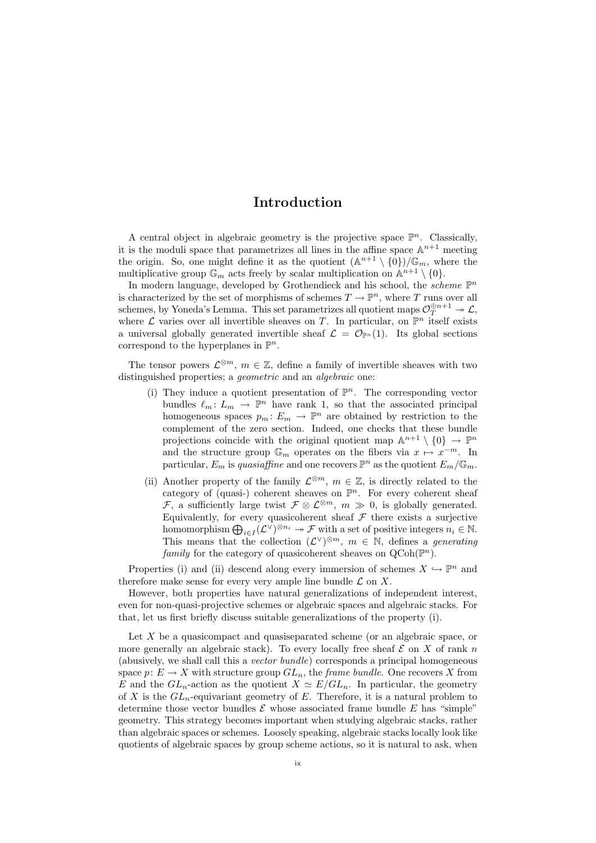# Introduction

A central object in algebraic geometry is the projective space  $\mathbb{P}^n$ . Classically, it is the moduli space that parametrizes all lines in the affine space  $\mathbb{A}^{n+1}$  meeting the origin. So, one might define it as the quotient  $(\mathbb{A}^{n+1} \setminus \{0\})/\mathbb{G}_m$ , where the multiplicative group  $\mathbb{G}_m$  acts freely by scalar multiplication on  $\mathbb{A}^{n+1} \setminus \{0\}.$ 

In modern language, developed by Grothendieck and his school, the *scheme*  $\mathbb{P}^n$ is characterized by the set of morphisms of schemes  $T \to \mathbb{P}^n$ , where T runs over all schemes, by Yoneda's Lemma. This set parametrizes all quotient maps  $\mathcal{O}_T^{\oplus n+1} \twoheadrightarrow \mathcal{L}$ , where  $\mathcal L$  varies over all invertible sheaves on T. In particular, on  $\mathbb P^n$  itself exists a universal globally generated invertible sheaf  $\mathcal{L} = \mathcal{O}_{\mathbb{P}^n}(1)$ . Its global sections correspond to the hyperplanes in  $\mathbb{P}^n$ .

The tensor powers  $\mathcal{L}^{\otimes m}$ ,  $m \in \mathbb{Z}$ , define a family of invertible sheaves with two distinguished properties; a *geometric* and an *algebraic* one:

- (i) They induce a quotient presentation of  $\mathbb{P}^n$ . The corresponding vector bundles  $\ell_m : L_m \to \mathbb{P}^n$  have rank 1, so that the associated principal homogeneous spaces  $p_m: E_m \to \mathbb{P}^n$  are obtained by restriction to the complement of the zero section. Indeed, one checks that these bundle projections coincide with the original quotient map  $\mathbb{A}^{n+1} \setminus \{0\} \to \mathbb{P}^n$ and the structure group  $\mathbb{G}_m$  operates on the fibers via  $x \mapsto x^{-m}$ . In particular,  $E_m$  is quasiaffine and one recovers  $\mathbb{P}^n$  as the quotient  $E_m/\mathbb{G}_m$ .
- (ii) Another property of the family  $\mathcal{L}^{\otimes m}$ ,  $m \in \mathbb{Z}$ , is directly related to the category of (quasi-) coherent sheaves on  $\mathbb{P}^n$ . For every coherent sheaf *F*, a sufficiently large twist  $\mathcal{F} \otimes \mathcal{L}^{\otimes m}$ ,  $m \gg 0$ , is globally generated. Equivalently, for every quasicoherent sheaf  $\mathcal F$  there exists a surjective homomorphism  $\bigoplus_{i\in I} (\mathcal{L}^{\vee})^{\otimes n_i} \to \mathcal{F}$  with a set of positive integers  $n_i \in \mathbb{N}$ . This means that the collection  $(\mathcal{L}^{\vee})^{\otimes m}$ ,  $m \in \mathbb{N}$ , defines a *generating* family for the category of quasicoherent sheaves on  $Q\text{Coh}(\mathbb{P}^n)$ .

Properties (i) and (ii) descend along every immersion of schemes  $X \hookrightarrow \mathbb{P}^n$  and therefore make sense for every very ample line bundle  $\mathcal L$  on X.

However, both properties have natural generalizations of independent interest, even for non-quasi-projective schemes or algebraic spaces and algebraic stacks. For that, let us first briefly discuss suitable generalizations of the property (i).

Let  $X$  be a quasicompact and quasiseparated scheme (or an algebraic space, or more generally an algebraic stack). To every locally free sheaf  $\mathcal E$  on X of rank n (abusively, we shall call this a vector bundle) corresponds a principal homogeneous space  $p: E \to X$  with structure group  $GL_n$ , the *frame bundle*. One recovers X from E and the  $GL_n$ -action as the quotient  $X \simeq E/GL_n$ . In particular, the geometry of X is the  $GL_n$ -equivariant geometry of E. Therefore, it is a natural problem to determine those vector bundles  $\mathcal E$  whose associated frame bundle  $E$  has "simple" geometry. This strategy becomes important when studying algebraic stacks, rather than algebraic spaces or schemes. Loosely speaking, algebraic stacks locally look like quotients of algebraic spaces by group scheme actions, so it is natural to ask, when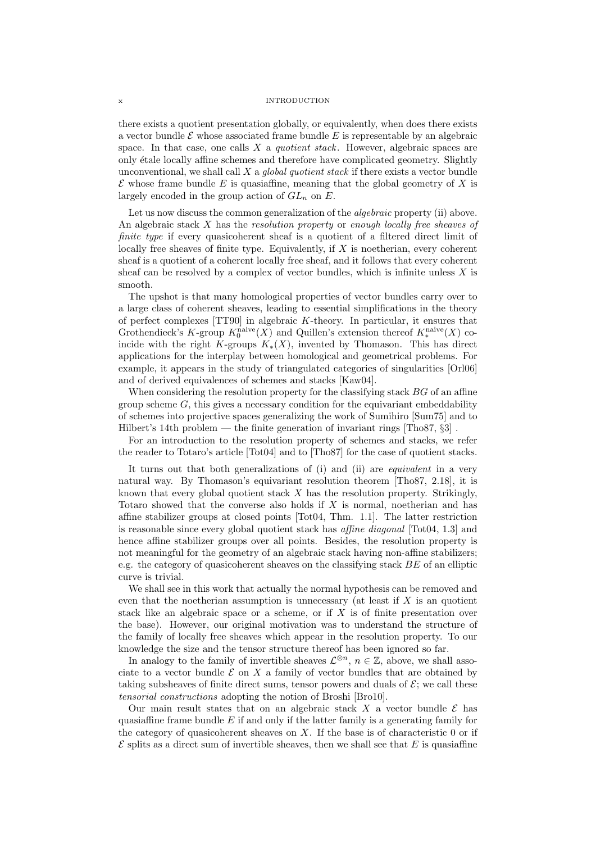### x INTRODUCTION

there exists a quotient presentation globally, or equivalently, when does there exists a vector bundle  $\mathcal E$  whose associated frame bundle  $E$  is representable by an algebraic space. In that case, one calls  $X$  a *quotient stack*. However, algebraic spaces are only ´etale locally affine schemes and therefore have complicated geometry. Slightly unconventional, we shall call  $X$  a *global quotient stack* if there exists a vector bundle  $\mathcal E$  whose frame bundle E is quasiaffine, meaning that the global geometry of X is largely encoded in the group action of  $GL_n$  on E.

Let us now discuss the common generalization of the *algebraic* property (ii) above. An algebraic stack  $X$  has the *resolution property* or enough locally free sheaves of finite type if every quasicoherent sheaf is a quotient of a filtered direct limit of locally free sheaves of finite type. Equivalently, if  $X$  is noetherian, every coherent sheaf is a quotient of a coherent locally free sheaf, and it follows that every coherent sheaf can be resolved by a complex of vector bundles, which is infinite unless  $X$  is smooth.

The upshot is that many homological properties of vector bundles carry over to a large class of coherent sheaves, leading to essential simplifications in the theory of perfect complexes  $[TT90]$  in algebraic K-theory. In particular, it ensures that Grothendieck's K-group  $K_0^{\text{naive}}(X)$  and Quillen's extension thereof  $K_*^{\text{naive}}(X)$  coincide with the right K-groups  $K_*(X)$ , invented by Thomason. This has direct applications for the interplay between homological and geometrical problems. For example, it appears in the study of triangulated categories of singularities [Orl06] and of derived equivalences of schemes and stacks [Kaw04].

When considering the resolution property for the classifying stack  $BG$  of an affine group scheme  $G$ , this gives a necessary condition for the equivariant embeddability of schemes into projective spaces generalizing the work of Sumihiro [Sum75] and to Hilbert's 14th problem — the finite generation of invariant rings  $[Tho87, \S3]$ .

For an introduction to the resolution property of schemes and stacks, we refer the reader to Totaro's article [Tot04] and to [Tho87] for the case of quotient stacks.

It turns out that both generalizations of  $(i)$  and  $(ii)$  are *equivalent* in a very natural way. By Thomason's equivariant resolution theorem [Tho87, 2.18], it is known that every global quotient stack  $X$  has the resolution property. Strikingly, Totaro showed that the converse also holds if X is normal, noetherian and has affine stabilizer groups at closed points [Tot04, Thm. 1.1]. The latter restriction is reasonable since every global quotient stack has affine diagonal [Tot04, 1.3] and hence affine stabilizer groups over all points. Besides, the resolution property is not meaningful for the geometry of an algebraic stack having non-affine stabilizers; e.g. the category of quasicoherent sheaves on the classifying stack  $BE$  of an elliptic curve is trivial.

We shall see in this work that actually the normal hypothesis can be removed and even that the noetherian assumption is unnecessary (at least if  $X$  is an quotient stack like an algebraic space or a scheme, or if X is of finite presentation over the base). However, our original motivation was to understand the structure of the family of locally free sheaves which appear in the resolution property. To our knowledge the size and the tensor structure thereof has been ignored so far.

In analogy to the family of invertible sheaves  $\mathcal{L}^{\otimes n}$ ,  $n \in \mathbb{Z}$ , above, we shall associate to a vector bundle  $\mathcal E$  on  $X$  a family of vector bundles that are obtained by taking subsheaves of finite direct sums, tensor powers and duals of  $\mathcal{E}$ ; we call these tensorial constructions adopting the notion of Broshi [Bro10].

Our main result states that on an algebraic stack X a vector bundle  $\mathcal E$  has quasiaffine frame bundle  $E$  if and only if the latter family is a generating family for the category of quasicoherent sheaves on  $X$ . If the base is of characteristic 0 or if  $\mathcal E$  splits as a direct sum of invertible sheaves, then we shall see that E is quasiaffine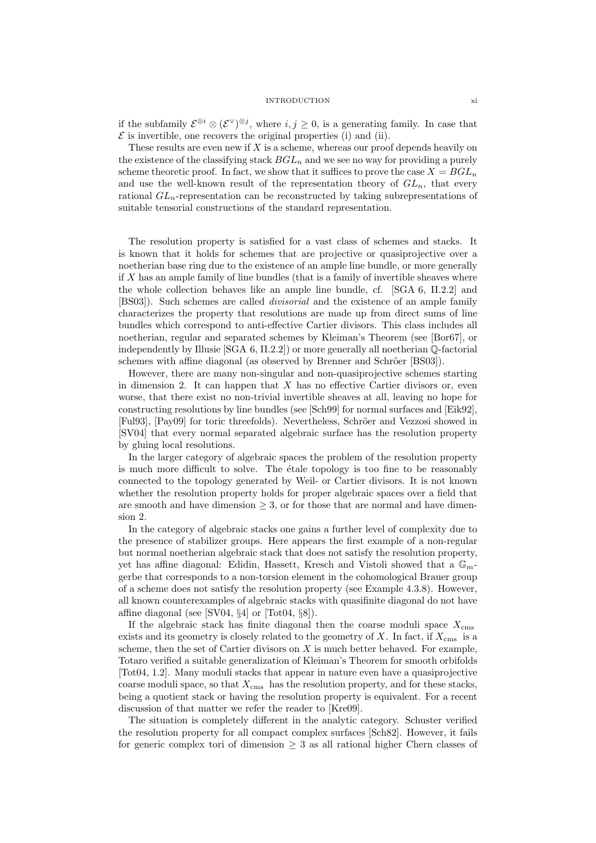#### INTRODUCTION xi

if the subfamily  $\mathcal{E}^{\otimes i} \otimes (\mathcal{E}^{\vee})^{\otimes j}$ , where  $i, j \ge 0$ , is a generating family. In case that  $\mathcal E$  is invertible, one recovers the original properties (i) and (ii).

These results are even new if  $X$  is a scheme, whereas our proof depends heavily on the existence of the classifying stack  $BGL_n$  and we see no way for providing a purely scheme theoretic proof. In fact, we show that it suffices to prove the case  $X = BGL_n$ and use the well-known result of the representation theory of  $GL_n$ , that every rational  $GL_n$ -representation can be reconstructed by taking subrepresentations of suitable tensorial constructions of the standard representation.

The resolution property is satisfied for a vast class of schemes and stacks. It is known that it holds for schemes that are projective or quasiprojective over a noetherian base ring due to the existence of an ample line bundle, or more generally if  $X$  has an ample family of line bundles (that is a family of invertible sheaves where the whole collection behaves like an ample line bundle, cf. [SGA 6, II.2.2] and [BS03]). Such schemes are called divisorial and the existence of an ample family characterizes the property that resolutions are made up from direct sums of line bundles which correspond to anti-effective Cartier divisors. This class includes all noetherian, regular and separated schemes by Kleiman's Theorem (see [Bor67], or independently by Illusie [SGA 6, II.2.2]) or more generally all noetherian Q-factorial schemes with affine diagonal (as observed by Brenner and Schröer [BS03]).

However, there are many non-singular and non-quasiprojective schemes starting in dimension 2. It can happen that  $X$  has no effective Cartier divisors or, even worse, that there exist no non-trivial invertible sheaves at all, leaving no hope for constructing resolutions by line bundles (see [Sch99] for normal surfaces and [Eik92], [Ful93], [Pay09] for toric threefolds]. Nevertheless, Schröer and Vezzosi showed in [SV04] that every normal separated algebraic surface has the resolution property by gluing local resolutions.

In the larger category of algebraic spaces the problem of the resolution property is much more difficult to solve. The  $\acute{e}$ tale topology is too fine to be reasonably connected to the topology generated by Weil- or Cartier divisors. It is not known whether the resolution property holds for proper algebraic spaces over a field that are smooth and have dimension  $\geq$  3, or for those that are normal and have dimension 2.

In the category of algebraic stacks one gains a further level of complexity due to the presence of stabilizer groups. Here appears the first example of a non-regular but normal noetherian algebraic stack that does not satisfy the resolution property, yet has affine diagonal: Edidin, Hassett, Kresch and Vistoli showed that a  $\mathbb{G}_m$ gerbe that corresponds to a non-torsion element in the cohomological Brauer group of a scheme does not satisfy the resolution property (see Example 4.3.8). However, all known counterexamples of algebraic stacks with quasifinite diagonal do not have affine diagonal (see [SV04, §4] or [Tot04, §8]).

If the algebraic stack has finite diagonal then the coarse moduli space  $X_{\rm cms}$ exists and its geometry is closely related to the geometry of  $X$ . In fact, if  $X_{\text{cms}}$  is a scheme, then the set of Cartier divisors on  $X$  is much better behaved. For example, Totaro verified a suitable generalization of Kleiman's Theorem for smooth orbifolds [Tot04, 1.2]. Many moduli stacks that appear in nature even have a quasiprojective coarse moduli space, so that  $X_{\rm cms}$  has the resolution property, and for these stacks, being a quotient stack or having the resolution property is equivalent. For a recent discussion of that matter we refer the reader to [Kre09].

The situation is completely different in the analytic category. Schuster verified the resolution property for all compact complex surfaces [Sch82]. However, it fails for generic complex tori of dimension  $\geq$  3 as all rational higher Chern classes of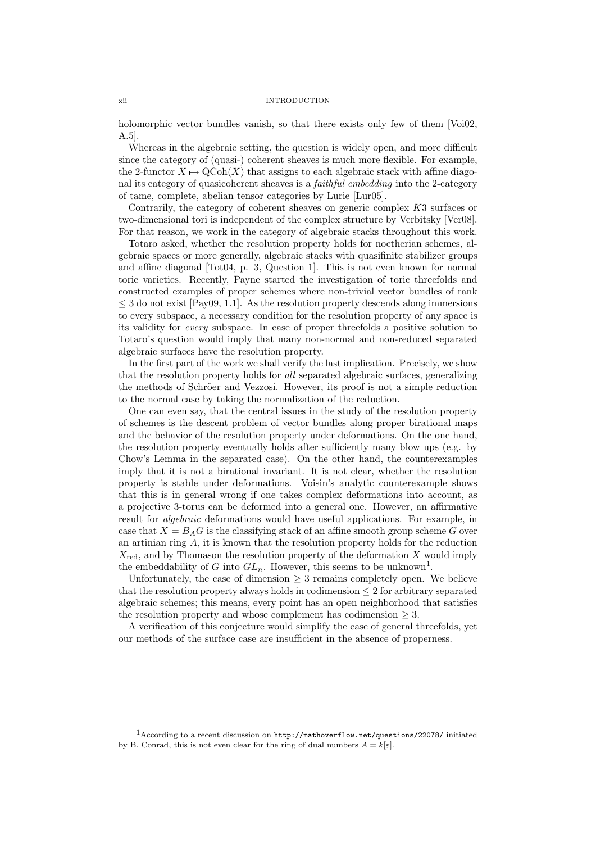#### xii INTRODUCTION

holomorphic vector bundles vanish, so that there exists only few of them [Voi02, A.5].

Whereas in the algebraic setting, the question is widely open, and more difficult since the category of (quasi-) coherent sheaves is much more flexible. For example, the 2-functor  $X \mapsto \text{QCoh}(X)$  that assigns to each algebraic stack with affine diagonal its category of quasicoherent sheaves is a faithful embedding into the 2-category of tame, complete, abelian tensor categories by Lurie [Lur05].

Contrarily, the category of coherent sheaves on generic complex K3 surfaces or two-dimensional tori is independent of the complex structure by Verbitsky [Ver08]. For that reason, we work in the category of algebraic stacks throughout this work.

Totaro asked, whether the resolution property holds for noetherian schemes, algebraic spaces or more generally, algebraic stacks with quasifinite stabilizer groups and affine diagonal [Tot04, p. 3, Question 1]. This is not even known for normal toric varieties. Recently, Payne started the investigation of toric threefolds and constructed examples of proper schemes where non-trivial vector bundles of rank  $\leq$  3 do not exist [Pay09, 1.1]. As the resolution property descends along immersions to every subspace, a necessary condition for the resolution property of any space is its validity for every subspace. In case of proper threefolds a positive solution to Totaro's question would imply that many non-normal and non-reduced separated algebraic surfaces have the resolution property.

In the first part of the work we shall verify the last implication. Precisely, we show that the resolution property holds for all separated algebraic surfaces, generalizing the methods of Schröer and Vezzosi. However, its proof is not a simple reduction to the normal case by taking the normalization of the reduction.

One can even say, that the central issues in the study of the resolution property of schemes is the descent problem of vector bundles along proper birational maps and the behavior of the resolution property under deformations. On the one hand, the resolution property eventually holds after sufficiently many blow ups (e.g. by Chow's Lemma in the separated case). On the other hand, the counterexamples imply that it is not a birational invariant. It is not clear, whether the resolution property is stable under deformations. Voisin's analytic counterexample shows that this is in general wrong if one takes complex deformations into account, as a projective 3-torus can be deformed into a general one. However, an affirmative result for algebraic deformations would have useful applications. For example, in case that  $X = B_A G$  is the classifying stack of an affine smooth group scheme G over an artinian ring A, it is known that the resolution property holds for the reduction  $X_{\text{red}}$ , and by Thomason the resolution property of the deformation X would imply the embeddability of G into  $GL_n$ . However, this seems to be unknown<sup>1</sup>.

Unfortunately, the case of dimension  $\geq$  3 remains completely open. We believe that the resolution property always holds in codimension  $\leq 2$  for arbitrary separated algebraic schemes; this means, every point has an open neighborhood that satisfies the resolution property and whose complement has codimension  $\geq 3$ .

A verification of this conjecture would simplify the case of general threefolds, yet our methods of the surface case are insufficient in the absence of properness.

<sup>1</sup>According to a recent discussion on http://mathoverflow.net/questions/22078/ initiated by B. Conrad, this is not even clear for the ring of dual numbers  $A = k[\varepsilon]$ .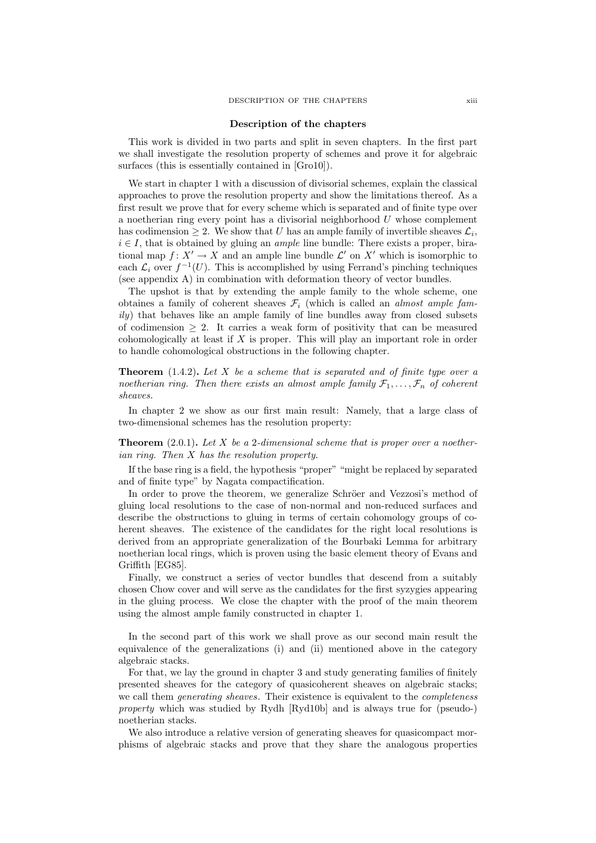### Description of the chapters

This work is divided in two parts and split in seven chapters. In the first part we shall investigate the resolution property of schemes and prove it for algebraic surfaces (this is essentially contained in [Gro10]).

We start in chapter 1 with a discussion of divisorial schemes, explain the classical approaches to prove the resolution property and show the limitations thereof. As a first result we prove that for every scheme which is separated and of finite type over a noetherian ring every point has a divisorial neighborhood  $U$  whose complement has codimension  $\geq 2$ . We show that U has an ample family of invertible sheaves  $\mathcal{L}_i$ ,  $i \in I$ , that is obtained by gluing an *ample* line bundle: There exists a proper, birational map  $f: X' \to X$  and an ample line bundle  $\mathcal{L}'$  on  $X'$  which is isomorphic to each  $\mathcal{L}_i$  over  $f^{-1}(U)$ . This is accomplished by using Ferrand's pinching techniques (see appendix A) in combination with deformation theory of vector bundles.

The upshot is that by extending the ample family to the whole scheme, one obtaines a family of coherent sheaves  $\mathcal{F}_i$  (which is called an *almost ample fam* $i\nu$ ) that behaves like an ample family of line bundles away from closed subsets of codimension  $\geq 2$ . It carries a weak form of positivity that can be measured cohomologically at least if X is proper. This will play an important role in order to handle cohomological obstructions in the following chapter.

**Theorem** (1.4.2). Let X be a scheme that is separated and of finite type over a noetherian ring. Then there exists an almost ample family  $\mathcal{F}_1, \ldots, \mathcal{F}_n$  of coherent sheaves.

In chapter 2 we show as our first main result: Namely, that a large class of two-dimensional schemes has the resolution property:

**Theorem** (2.0.1). Let X be a 2-dimensional scheme that is proper over a noetherian ring. Then X has the resolution property.

If the base ring is a field, the hypothesis "proper" "might be replaced by separated and of finite type" by Nagata compactification.

In order to prove the theorem, we generalize Schröer and Vezzosi's method of gluing local resolutions to the case of non-normal and non-reduced surfaces and describe the obstructions to gluing in terms of certain cohomology groups of coherent sheaves. The existence of the candidates for the right local resolutions is derived from an appropriate generalization of the Bourbaki Lemma for arbitrary noetherian local rings, which is proven using the basic element theory of Evans and Griffith [EG85].

Finally, we construct a series of vector bundles that descend from a suitably chosen Chow cover and will serve as the candidates for the first syzygies appearing in the gluing process. We close the chapter with the proof of the main theorem using the almost ample family constructed in chapter 1.

In the second part of this work we shall prove as our second main result the equivalence of the generalizations (i) and (ii) mentioned above in the category algebraic stacks.

For that, we lay the ground in chapter 3 and study generating families of finitely presented sheaves for the category of quasicoherent sheaves on algebraic stacks; we call them *generating sheaves*. Their existence is equivalent to the *completeness* property which was studied by Rydh [Ryd10b] and is always true for (pseudo-) noetherian stacks.

We also introduce a relative version of generating sheaves for quasicompact morphisms of algebraic stacks and prove that they share the analogous properties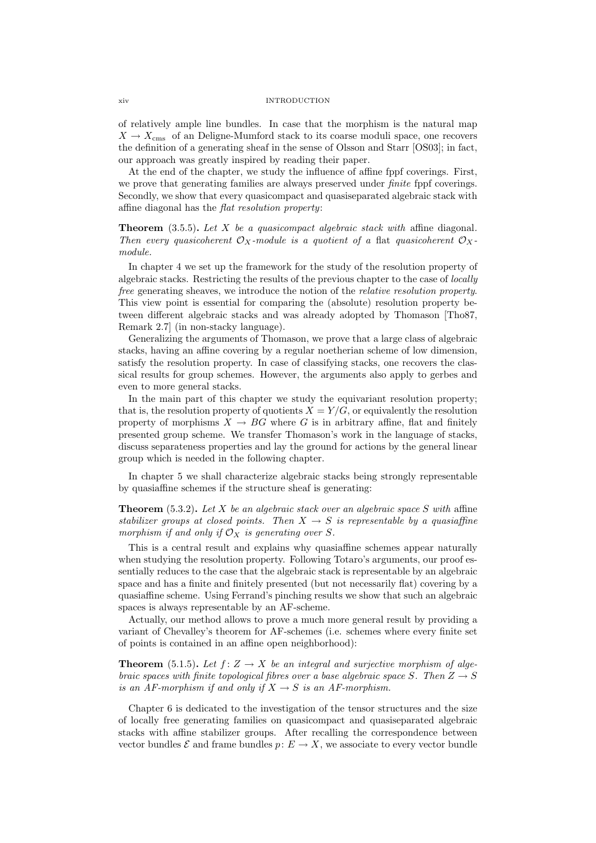of relatively ample line bundles. In case that the morphism is the natural map  $X \to X_{\text{cms}}$  of an Deligne-Mumford stack to its coarse moduli space, one recovers the definition of a generating sheaf in the sense of Olsson and Starr [OS03]; in fact, our approach was greatly inspired by reading their paper.

At the end of the chapter, we study the influence of affine fppf coverings. First, we prove that generating families are always preserved under *finite* fppf coverings. Secondly, we show that every quasicompact and quasiseparated algebraic stack with affine diagonal has the flat resolution property:

**Theorem** (3.5.5). Let X be a quasicompact algebraic stack with affine diagonal. Then every quasicoherent  $\mathcal{O}_X$ -module is a quotient of a flat quasicoherent  $\mathcal{O}_X$ module.

In chapter 4 we set up the framework for the study of the resolution property of algebraic stacks. Restricting the results of the previous chapter to the case of locally free generating sheaves, we introduce the notion of the relative resolution property. This view point is essential for comparing the (absolute) resolution property between different algebraic stacks and was already adopted by Thomason [Tho87, Remark 2.7] (in non-stacky language).

Generalizing the arguments of Thomason, we prove that a large class of algebraic stacks, having an affine covering by a regular noetherian scheme of low dimension, satisfy the resolution property. In case of classifying stacks, one recovers the classical results for group schemes. However, the arguments also apply to gerbes and even to more general stacks.

In the main part of this chapter we study the equivariant resolution property; that is, the resolution property of quotients  $X = Y/G$ , or equivalently the resolution property of morphisms  $X \to BG$  where G is in arbitrary affine, flat and finitely presented group scheme. We transfer Thomason's work in the language of stacks, discuss separateness properties and lay the ground for actions by the general linear group which is needed in the following chapter.

In chapter 5 we shall characterize algebraic stacks being strongly representable by quasiaffine schemes if the structure sheaf is generating:

**Theorem** (5.3.2). Let X be an algebraic stack over an algebraic space S with affine stabilizer groups at closed points. Then  $X \to S$  is representable by a quasiaffine morphism if and only if  $\mathcal{O}_X$  is generating over S.

This is a central result and explains why quasiaffine schemes appear naturally when studying the resolution property. Following Totaro's arguments, our proof essentially reduces to the case that the algebraic stack is representable by an algebraic space and has a finite and finitely presented (but not necessarily flat) covering by a quasiaffine scheme. Using Ferrand's pinching results we show that such an algebraic spaces is always representable by an AF-scheme.

Actually, our method allows to prove a much more general result by providing a variant of Chevalley's theorem for AF-schemes (i.e. schemes where every finite set of points is contained in an affine open neighborhood):

**Theorem** (5.1.5). Let  $f: Z \to X$  be an integral and surjective morphism of algebraic spaces with finite topological fibres over a base algebraic space S. Then  $Z \rightarrow S$ is an AF-morphism if and only if  $X \to S$  is an AF-morphism.

Chapter 6 is dedicated to the investigation of the tensor structures and the size of locally free generating families on quasicompact and quasiseparated algebraic stacks with affine stabilizer groups. After recalling the correspondence between vector bundles  $\mathcal E$  and frame bundles  $p: E \to X$ , we associate to every vector bundle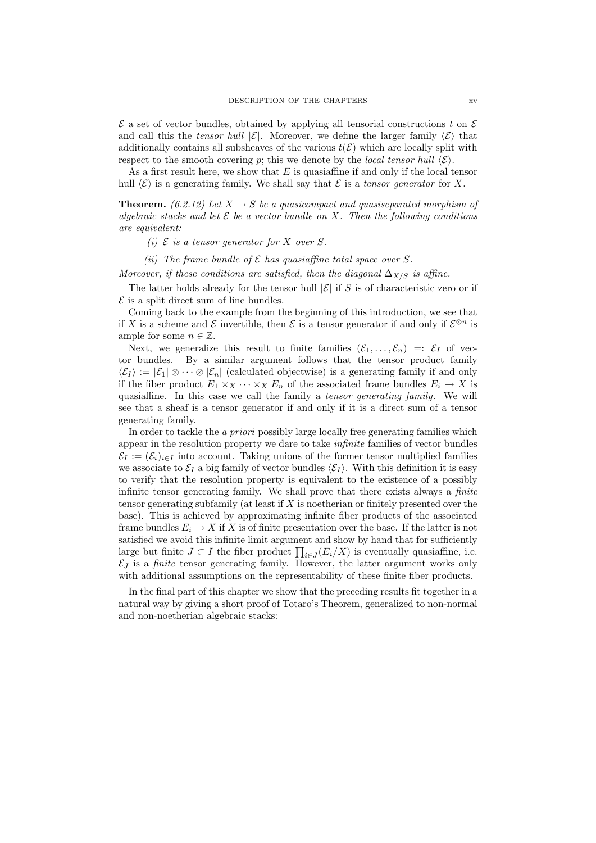$\mathcal E$  a set of vector bundles, obtained by applying all tensorial constructions t on  $\mathcal E$ and call this the tensor hull  $|\mathcal{E}|$ . Moreover, we define the larger family  $\langle \mathcal{E} \rangle$  that additionally contains all subsheaves of the various  $t(\mathcal{E})$  which are locally split with respect to the smooth covering p; this we denote by the *local tensor hull*  $\langle \mathcal{E} \rangle$ .

As a first result here, we show that  $E$  is quasiaffine if and only if the local tensor hull  $\langle \mathcal{E} \rangle$  is a generating family. We shall say that  $\mathcal E$  is a tensor generator for X.

**Theorem.** (6.2.12) Let  $X \to S$  be a quasicompact and quasiseparated morphism of algebraic stacks and let  $\mathcal E$  be a vector bundle on X. Then the following conditions are equivalent:

(i)  $\mathcal E$  is a tensor generator for X over S.

(ii) The frame bundle of  $\mathcal E$  has quasiaffine total space over S.

Moreover, if these conditions are satisfied, then the diagonal  $\Delta_{X/S}$  is affine.

The latter holds already for the tensor hull  $|\mathcal{E}|$  if S is of characteristic zero or if  $\mathcal E$  is a split direct sum of line bundles.

Coming back to the example from the beginning of this introduction, we see that if X is a scheme and E invertible, then E is a tensor generator if and only if  $\mathcal{E}^{\otimes n}$  is ample for some  $n \in \mathbb{Z}$ .

Next, we generalize this result to finite families  $(\mathcal{E}_1, \ldots, \mathcal{E}_n) =: \mathcal{E}_I$  of vector bundles. By a similar argument follows that the tensor product family  $\langle \mathcal{E}_I \rangle := |\mathcal{E}_1| \otimes \cdots \otimes |\mathcal{E}_n|$  (calculated objectwise) is a generating family if and only if the fiber product  $E_1 \times_X \cdots \times_X E_n$  of the associated frame bundles  $E_i \to X$  is quasiaffine. In this case we call the family a tensor generating family. We will see that a sheaf is a tensor generator if and only if it is a direct sum of a tensor generating family.

In order to tackle the *a priori* possibly large locally free generating families which appear in the resolution property we dare to take infinite families of vector bundles  $\mathcal{E}_I := (\mathcal{E}_i)_{i \in I}$  into account. Taking unions of the former tensor multiplied families we associate to  $\mathcal{E}_I$  a big family of vector bundles  $\langle \mathcal{E}_I \rangle$ . With this definition it is easy to verify that the resolution property is equivalent to the existence of a possibly infinite tensor generating family. We shall prove that there exists always a *finite* tensor generating subfamily (at least if  $X$  is noetherian or finitely presented over the base). This is achieved by approximating infinite fiber products of the associated frame bundles  $E_i \to X$  if X is of finite presentation over the base. If the latter is not satisfied we avoid this infinite limit argument and show by hand that for sufficiently large but finite  $J \subset I$  the fiber product  $\prod_{i \in J} (E_i/X)$  is eventually quasiaffine, i.e.  $\mathcal{E}_J$  is a *finite* tensor generating family. However, the latter argument works only with additional assumptions on the representability of these finite fiber products.

In the final part of this chapter we show that the preceding results fit together in a natural way by giving a short proof of Totaro's Theorem, generalized to non-normal and non-noetherian algebraic stacks: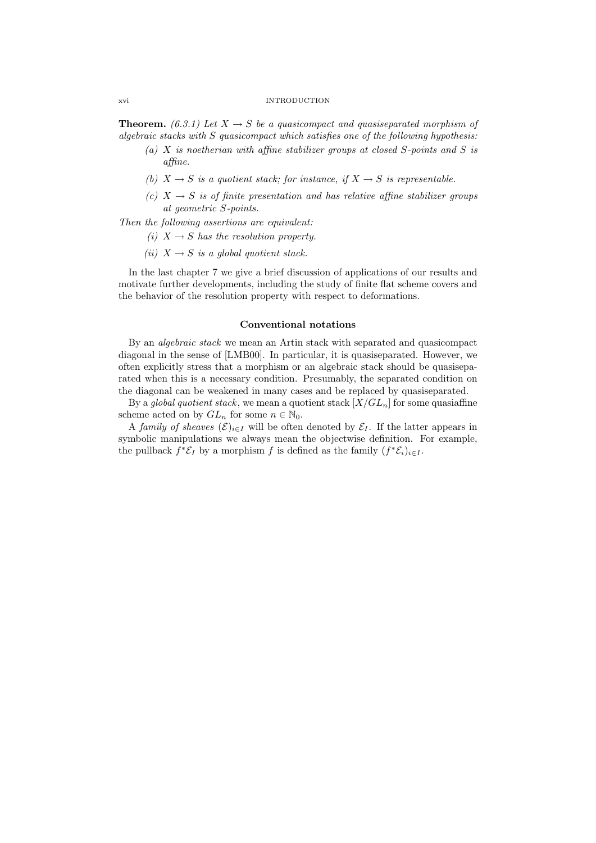#### xvi INTRODUCTION

**Theorem.** (6.3.1) Let  $X \to S$  be a quasicompact and quasiseparated morphism of algebraic stacks with S quasicompact which satisfies one of the following hypothesis:

- (a)  $X$  is noetherian with affine stabilizer groups at closed  $S$ -points and  $S$  is affine.
- (b)  $X \rightarrow S$  is a quotient stack; for instance, if  $X \rightarrow S$  is representable.
- (c)  $X \rightarrow S$  is of finite presentation and has relative affine stabilizer groups at geometric S-points.

Then the following assertions are equivalent:

- (i)  $X \rightarrow S$  has the resolution property.
- (ii)  $X \rightarrow S$  is a global quotient stack.

In the last chapter 7 we give a brief discussion of applications of our results and motivate further developments, including the study of finite flat scheme covers and the behavior of the resolution property with respect to deformations.

### Conventional notations

By an algebraic stack we mean an Artin stack with separated and quasicompact diagonal in the sense of [LMB00]. In particular, it is quasiseparated. However, we often explicitly stress that a morphism or an algebraic stack should be quasiseparated when this is a necessary condition. Presumably, the separated condition on the diagonal can be weakened in many cases and be replaced by quasiseparated.

By a global quotient stack, we mean a quotient stack  $[X/GL_n]$  for some quasiaffine scheme acted on by  $GL_n$  for some  $n \in \mathbb{N}_0$ .

A family of sheaves  $(\mathcal{E})_{i\in I}$  will be often denoted by  $\mathcal{E}_I$ . If the latter appears in symbolic manipulations we always mean the objectwise definition. For example, the pullback  $f^* \mathcal{E}_I$  by a morphism f is defined as the family  $(f^* \mathcal{E}_i)_{i \in I}$ .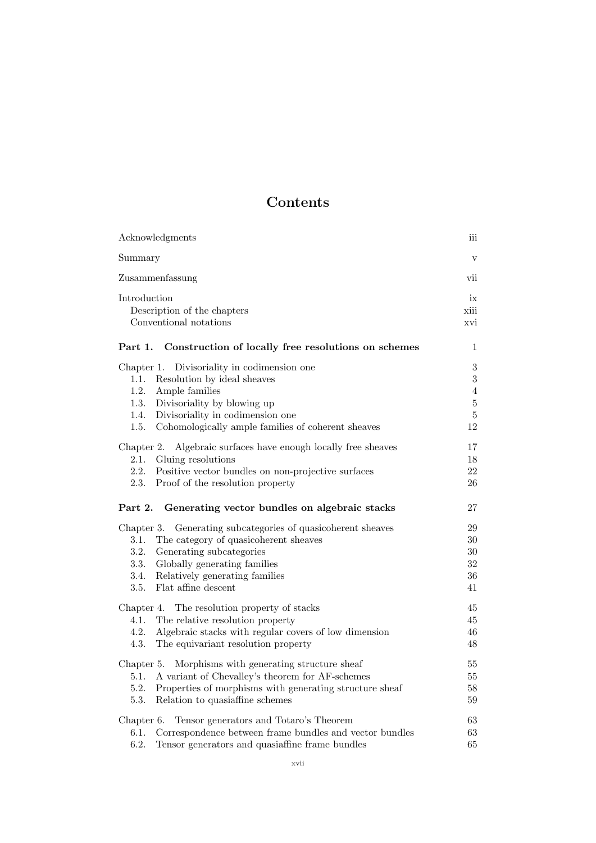# Contents

| Acknowledgments                                                                                                                                                                                                                                                       | ш                                                                    |
|-----------------------------------------------------------------------------------------------------------------------------------------------------------------------------------------------------------------------------------------------------------------------|----------------------------------------------------------------------|
| Summary                                                                                                                                                                                                                                                               | $\mathbf{V}$                                                         |
| Zusammenfassung                                                                                                                                                                                                                                                       | vii                                                                  |
| Introduction<br>Description of the chapters<br>Conventional notations                                                                                                                                                                                                 | ix<br>xiii<br>xvi                                                    |
| Part 1.<br>Construction of locally free resolutions on schemes                                                                                                                                                                                                        | 1                                                                    |
| Divisoriality in codimension one<br>Chapter 1.<br>1.1.<br>Resolution by ideal sheaves<br>1.2.<br>Ample families<br>1.3.<br>Divisoriality by blowing up<br>1.4.<br>Divisoriality in codimension one<br>1.5.<br>Cohomologically ample families of coherent sheaves      | $\sqrt{3}$<br>3<br>$\overline{4}$<br>$\bf 5$<br>$\overline{5}$<br>12 |
| Algebraic surfaces have enough locally free sheaves<br>Chapter 2.<br>Gluing resolutions<br>2.1.<br>2.2.<br>Positive vector bundles on non-projective surfaces<br>2.3.<br>Proof of the resolution property                                                             | 17<br>18<br>22<br>26                                                 |
| Part 2.<br>Generating vector bundles on algebraic stacks                                                                                                                                                                                                              | 27                                                                   |
| Generating subcategories of quasicoherent sheaves<br>Chapter 3.<br>The category of quasicoherent sheaves<br>3.1.<br>Generating subcategories<br>3.2.<br>3.3.<br>Globally generating families<br>3.4.<br>Relatively generating families<br>Flat affine descent<br>3.5. | 29<br>30<br>30<br>32<br>36<br>41                                     |
| The resolution property of stacks<br>Chapter 4.<br>4.1.<br>The relative resolution property<br>4.2.<br>Algebraic stacks with regular covers of low dimension<br>4.3.<br>The equivariant resolution property                                                           | 45<br>45<br>46<br>48                                                 |
| Morphisms with generating structure sheaf<br>Chapter 5.<br>A variant of Chevalley's theorem for AF-schemes<br>5.1.<br>5.2.<br>Properties of morphisms with generating structure sheaf<br>5.3.<br>Relation to quasiaffine schemes                                      | 55<br>55<br>58<br>59                                                 |
| Tensor generators and Totaro's Theorem<br>Chapter 6.<br>Correspondence between frame bundles and vector bundles<br>6.1.<br>6.2.<br>Tensor generators and quasiaffine frame bundles                                                                                    | 63<br>63<br>65                                                       |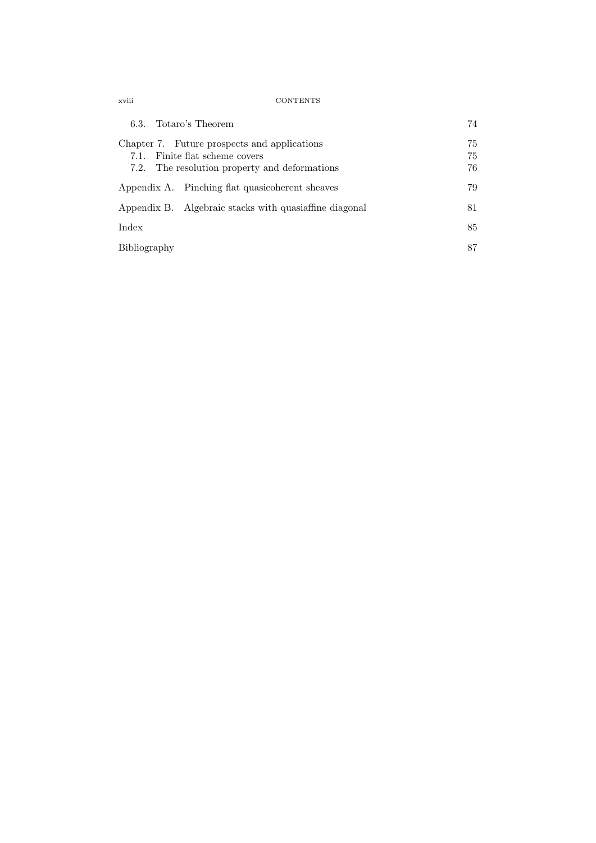xviii CONTENTS

| 6.3. Totaro's Theorem                                                                                                           | 74             |
|---------------------------------------------------------------------------------------------------------------------------------|----------------|
| Chapter 7. Future prospects and applications<br>7.1. Finite flat scheme covers<br>7.2. The resolution property and deformations | 75<br>75<br>76 |
| Appendix A. Pinching flat quasicoherent sheaves                                                                                 | 79             |
| Appendix B. Algebraic stacks with quasiaffine diagonal                                                                          | 81             |
| Index                                                                                                                           | 85             |
| Bibliography                                                                                                                    | 87             |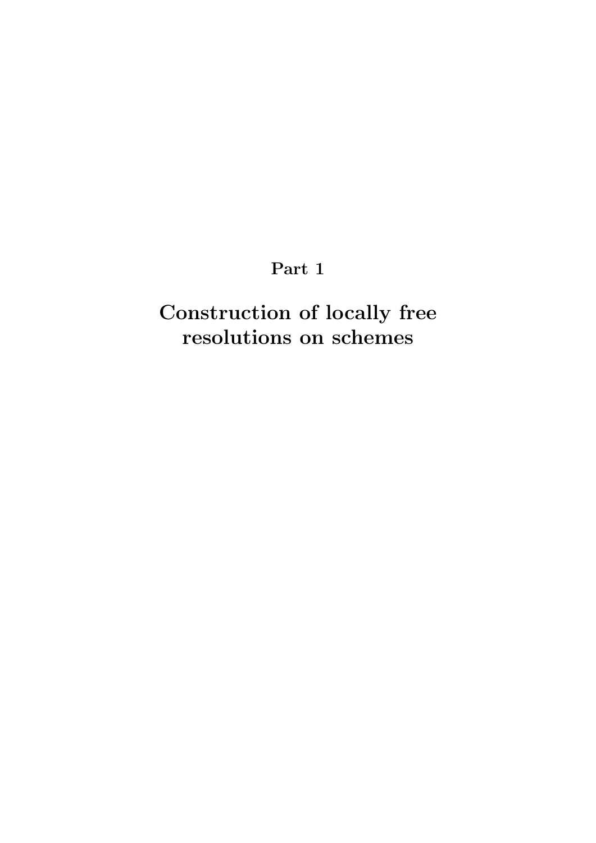# Part 1

# Construction of locally free resolutions on schemes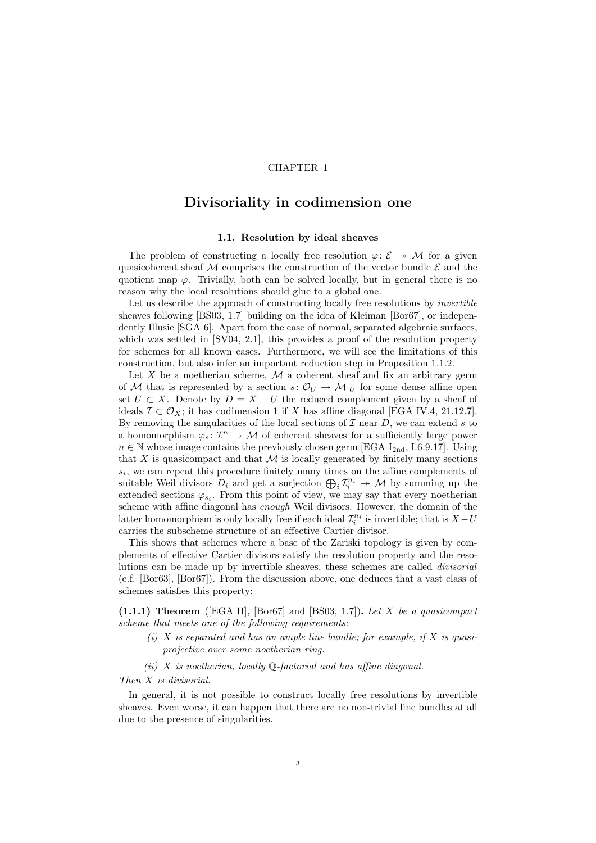### CHAPTER 1

## Divisoriality in codimension one

### 1.1. Resolution by ideal sheaves

The problem of constructing a locally free resolution  $\varphi: \mathcal{E} \to \mathcal{M}$  for a given quasicoherent sheaf  $M$  comprises the construction of the vector bundle  $\mathcal E$  and the quotient map  $\varphi$ . Trivially, both can be solved locally, but in general there is no reason why the local resolutions should glue to a global one.

Let us describe the approach of constructing locally free resolutions by *invertible* sheaves following [BS03, 1.7] building on the idea of Kleiman [Bor67], or independently Illusie [SGA 6]. Apart from the case of normal, separated algebraic surfaces, which was settled in [SV04, 2.1], this provides a proof of the resolution property for schemes for all known cases. Furthermore, we will see the limitations of this construction, but also infer an important reduction step in Proposition 1.1.2.

Let X be a noetherian scheme,  $M$  a coherent sheaf and fix an arbitrary germ of M that is represented by a section  $s: \mathcal{O}_U \to \mathcal{M}|_U$  for some dense affine open set  $U \subset X$ . Denote by  $D = X - U$  the reduced complement given by a sheaf of ideals  $\mathcal{I} \subset \mathcal{O}_X$ ; it has codimension 1 if X has affine diagonal [EGA IV.4, 21.12.7]. By removing the singularities of the local sections of  $\mathcal I$  near  $D$ , we can extend s to a homomorphism  $\varphi_s: \mathcal{I}^n \to \mathcal{M}$  of coherent sheaves for a sufficiently large power  $n \in \mathbb{N}$  whose image contains the previously chosen germ [EGA I<sub>2nd</sub>, I.6.9.17]. Using that  $X$  is quasicompact and that  $M$  is locally generated by finitely many sections  $s_i$ , we can repeat this procedure finitely many times on the affine complements of suitable Weil divisors  $D_i$  and get a surjection  $\bigoplus_i \mathcal{I}_i^{n_i} \to \mathcal{M}$  by summing up the extended sections  $\varphi_{s_i}$ . From this point of view, we may say that every noetherian scheme with affine diagonal has enough Weil divisors. However, the domain of the latter homomorphism is only locally free if each ideal  $\mathcal{I}_i^{n_i}$  is invertible; that is  $X-U$ carries the subscheme structure of an effective Cartier divisor.

This shows that schemes where a base of the Zariski topology is given by complements of effective Cartier divisors satisfy the resolution property and the resolutions can be made up by invertible sheaves; these schemes are called divisorial (c.f. [Bor63], [Bor67]). From the discussion above, one deduces that a vast class of schemes satisfies this property:

 $(1.1.1)$  Theorem ([EGA II], [Bor67] and [BS03, 1.7]). Let X be a quasicompact scheme that meets one of the following requirements:

(i)  $X$  is separated and has an ample line bundle; for example, if  $X$  is quasiprojective over some noetherian ring.

(ii)  $X$  is noetherian, locally  $\mathbb Q$ -factorial and has affine diagonal.

### Then X is divisorial.

In general, it is not possible to construct locally free resolutions by invertible sheaves. Even worse, it can happen that there are no non-trivial line bundles at all due to the presence of singularities.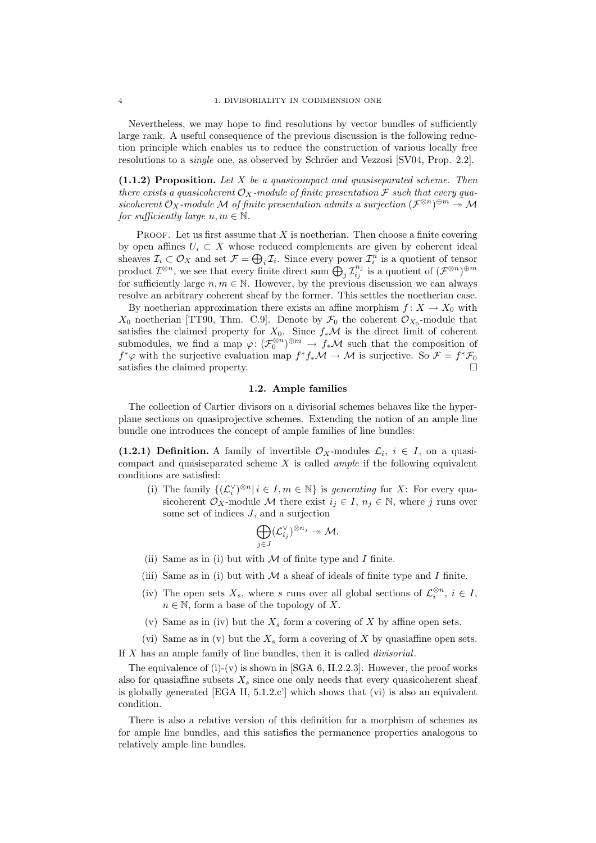Nevertheless, we may hope to find resolutions by vector bundles of sufficiently large rank. A useful consequence of the previous discussion is the following reduction principle which enables us to reduce the construction of various locally free resolutions to a *single* one, as observed by Schröer and Vezzosi [SV04, Prop. 2.2].

 $(1.1.2)$  Proposition. Let X be a quasicompact and quasiseparated scheme. Then there exists a quasicoherent  $\mathcal{O}_X$ -module of finite presentation  $\mathcal F$  such that every quasicoherent  $\mathcal{O}_X$ -module M of finite presentation admits a surjection  $(\mathcal{F}^{\otimes n})^{\oplus m} \to \mathcal{M}$ for sufficiently large  $n, m \in \mathbb{N}$ .

**PROOF.** Let us first assume that  $X$  is noetherian. Then choose a finite covering by open affines  $U_i \subset X$  whose reduced complements are given by coherent ideal sheaves  $\mathcal{I}_i \subset \mathcal{O}_X$  and set  $\mathcal{F} = \bigoplus_i \mathcal{I}_i$ . Since every power  $\mathcal{I}_i^n$  is a quotient of tensor product  $\mathcal{I}^{\otimes n}$ , we see that every finite direct sum  $\bigoplus_j \mathcal{I}_{i_j}^{n_j}$  $\sum_{i_j}^{n_j}$  is a quotient of  $(\mathcal{F}^{\otimes n})^{\oplus m}$ for sufficiently large  $n, m \in \mathbb{N}$ . However, by the previous discussion we can always resolve an arbitrary coherent sheaf by the former. This settles the noetherian case.

By noetherian approximation there exists an affine morphism  $f: X \to X_0$  with  $X_0$  noetherian [TT90, Thm. C.9]. Denote by  $\mathcal{F}_0$  the coherent  $\mathcal{O}_{X_0}$ -module that satisfies the claimed property for  $X_0$ . Since  $f_*\mathcal{M}$  is the direct limit of coherent submodules, we find a map  $\varphi: (\mathcal{F}_0^{\otimes n})^{\oplus m} \to f_*\mathcal{M}$  such that the composition of  $f^*\varphi$  with the surjective evaluation map  $f^*f_*\mathcal{M} \to \mathcal{M}$  is surjective. So  $\mathcal{F} = f^*\mathcal{F}_0$ satisfies the claimed property.

### 1.2. Ample families

The collection of Cartier divisors on a divisorial schemes behaves like the hyperplane sections on quasiprojective schemes. Extending the notion of an ample line bundle one introduces the concept of ample families of line bundles:

(1.2.1) Definition. A family of invertible  $\mathcal{O}_X$ -modules  $\mathcal{L}_i$ ,  $i \in I$ , on a quasicompact and quasiseparated scheme  $X$  is called *ample* if the following equivalent conditions are satisfied:

(i) The family  ${(\mathcal{L}_{i}^{\vee})^{\otimes n} | i \in I, m \in \mathbb{N}}$  is *generating* for X: For every quasicoherent  $\mathcal{O}_X$ -module M there exist  $i_j \in I$ ,  $n_j \in \mathbb{N}$ , where j runs over some set of indices J, and a surjection

$$
\bigoplus_{j\in J} (\mathcal{L}_{i_j}^{\vee})^{\otimes n_j} \twoheadrightarrow \mathcal{M}.
$$

- (ii) Same as in (i) but with  $M$  of finite type and I finite.
- (iii) Same as in (i) but with  $M$  a sheaf of ideals of finite type and  $I$  finite.
- (iv) The open sets  $X_s$ , where s runs over all global sections of  $\mathcal{L}_i^{\otimes n}$ ,  $i \in I$ ,  $n \in \mathbb{N}$ , form a base of the topology of X.
- (v) Same as in (iv) but the  $X_s$  form a covering of X by affine open sets.
- (vi) Same as in (v) but the  $X_s$  form a covering of X by quasiaffine open sets.

If X has an ample family of line bundles, then it is called divisorial.

The equivalence of  $(i)-(v)$  is shown in [SGA 6, II.2.2.3]. However, the proof works also for quasiaffine subsets  $X_s$  since one only needs that every quasicoherent sheaf is globally generated [EGA II, 5.1.2.c'] which shows that (vi) is also an equivalent condition.

There is also a relative version of this definition for a morphism of schemes as for ample line bundles, and this satisfies the permanence properties analogous to relatively ample line bundles.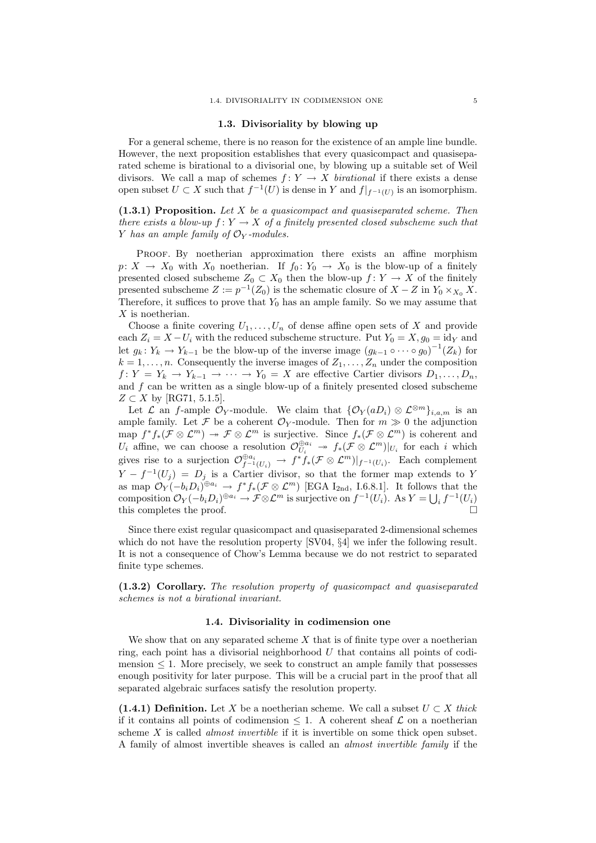### 1.3. Divisoriality by blowing up

For a general scheme, there is no reason for the existence of an ample line bundle. However, the next proposition establishes that every quasicompact and quasiseparated scheme is birational to a divisorial one, by blowing up a suitable set of Weil divisors. We call a map of schemes  $f: Y \to X$  birational if there exists a dense open subset  $U \subset X$  such that  $f^{-1}(U)$  is dense in Y and  $f|_{f^{-1}(U)}$  is an isomorphism.

 $(1.3.1)$  Proposition. Let X be a quasicompact and quasiseparated scheme. Then there exists a blow-up  $f: Y \to X$  of a finitely presented closed subscheme such that Y has an ample family of  $\mathcal{O}_Y$ -modules.

Proof. By noetherian approximation there exists an affine morphism  $p: X \to X_0$  with  $X_0$  noetherian. If  $f_0: Y_0 \to X_0$  is the blow-up of a finitely presented closed subscheme  $Z_0 \subset X_0$  then the blow-up  $f: Y \to X$  of the finitely presented subscheme  $Z := p^{-1}(Z_0)$  is the schematic closure of  $X - Z$  in  $Y_0 \times_{X_0} X$ . Therefore, it suffices to prove that  $Y_0$  has an ample family. So we may assume that X is noetherian.

Choose a finite covering  $U_1, \ldots, U_n$  of dense affine open sets of X and provide each  $Z_i = X - U_i$  with the reduced subscheme structure. Put  $Y_0 = X, g_0 = id_Y$  and let  $g_k: Y_k \to Y_{k-1}$  be the blow-up of the inverse image  $(g_{k-1} \circ \cdots \circ g_0)^{-1}(Z_k)$  for  $k = 1, \ldots, n$ . Consequently the inverse images of  $Z_1, \ldots, Z_n$  under the composition  $f: Y = Y_k \to Y_{k-1} \to \cdots \to Y_0 = X$  are effective Cartier divisors  $D_1, \ldots, D_n$ , and  $f$  can be written as a single blow-up of a finitely presented closed subscheme  $Z \subset X$  by [RG71, 5.1.5].

Let  $\mathcal L$  an f-ample  $\mathcal O_Y$ -module. We claim that  $\{\mathcal O_Y(aD_i)\otimes \mathcal L^{\otimes m}\}_{i,a,m}$  is an ample family. Let F be a coherent  $\mathcal{O}_Y$ -module. Then for  $m \gg 0$  the adjunction map  $f^*f_*(\mathcal{F} \otimes \mathcal{L}^m) \to \mathcal{F} \otimes \mathcal{L}^m$  is surjective. Since  $f_*(\mathcal{F} \otimes \mathcal{L}^m)$  is coherent and  $U_i$  affine, we can choose a resolution  $\mathcal{O}_{U_i}^{\oplus a_i} \twoheadrightarrow f_*(\mathcal{F} \otimes \mathcal{L}^m)|_{U_i}$  for each i which gives rise to a surjection  $\mathcal{O}_{f^{-1}(U_i)}^{\oplus a_i} \to f^*f_*(\mathcal{F} \otimes \mathcal{L}^m)|_{f^{-1}(U_i)}$ . Each complement  $Y - f^{-1}(U_j) = D_j$  is a Cartier divisor, so that the former map extends to Y as map  $\mathcal{O}_Y(-b_iD_i)^{\oplus a_i} \to f^*f_*(\mathcal{F} \otimes \mathcal{L}^m)$  [EGA I<sub>2nd</sub>, I.6.8.1]. It follows that the composition  $\mathcal{O}_Y(-b_i D_i)^{\oplus a_i} \to \mathcal{F} \otimes \mathcal{L}^m$  is surjective on  $f^{-1}(U_i)$ . As  $Y = \bigcup_i f^{-1}(U_i)$ this completes the proof.  $\Box$ 

Since there exist regular quasicompact and quasiseparated 2-dimensional schemes which do not have the resolution property [SV04,  $\S4$ ] we infer the following result. It is not a consequence of Chow's Lemma because we do not restrict to separated finite type schemes.

(1.3.2) Corollary. The resolution property of quasicompact and quasiseparated schemes is not a birational invariant.

### 1.4. Divisoriality in codimension one

We show that on any separated scheme  $X$  that is of finite type over a noetherian ring, each point has a divisorial neighborhood U that contains all points of codimension  $\leq 1$ . More precisely, we seek to construct an ample family that possesses enough positivity for later purpose. This will be a crucial part in the proof that all separated algebraic surfaces satisfy the resolution property.

(1.4.1) Definition. Let X be a noetherian scheme. We call a subset  $U \subset X$  thick if it contains all points of codimension  $\leq 1$ . A coherent sheaf  $\mathcal L$  on a noetherian scheme  $X$  is called *almost invertible* if it is invertible on some thick open subset. A family of almost invertible sheaves is called an almost invertible family if the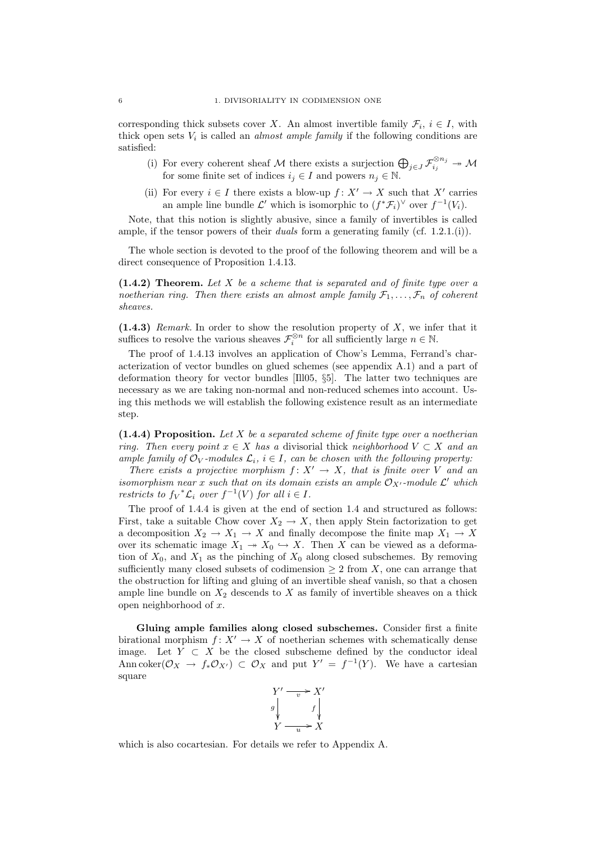corresponding thick subsets cover X. An almost invertible family  $\mathcal{F}_i$ ,  $i \in I$ , with thick open sets  $V_i$  is called an *almost ample family* if the following conditions are satisfied:

- (i) For every coherent sheaf M there exists a surjection  $\bigoplus_{j\in J} \mathcal{F}_{i_j}^{\otimes n_j} \to \mathcal{M}$ for some finite set of indices  $i_j \in I$  and powers  $n_j \in \mathbb{N}$ .
- (ii) For every  $i \in I$  there exists a blow-up  $f: X' \to X$  such that X' carries an ample line bundle  $\mathcal{L}'$  which is isomorphic to  $(f^*\mathcal{F}_i)^\vee$  over  $f^{-1}(V_i)$ .

Note, that this notion is slightly abusive, since a family of invertibles is called ample, if the tensor powers of their *duals* form a generating family (cf. 1.2.1.(i)).

The whole section is devoted to the proof of the following theorem and will be a direct consequence of Proposition 1.4.13.

 $(1.4.2)$  Theorem. Let X be a scheme that is separated and of finite type over a noetherian ring. Then there exists an almost ample family  $\mathcal{F}_1, \ldots, \mathcal{F}_n$  of coherent sheaves.

 $(1.4.3)$  Remark. In order to show the resolution property of X, we infer that it suffices to resolve the various sheaves  $\mathcal{F}_{i}^{\otimes n}$  for all sufficiently large  $n \in \mathbb{N}$ .

The proof of 1.4.13 involves an application of Chow's Lemma, Ferrand's characterization of vector bundles on glued schemes (see appendix A.1) and a part of deformation theory for vector bundles [Ill05, §5]. The latter two techniques are necessary as we are taking non-normal and non-reduced schemes into account. Using this methods we will establish the following existence result as an intermediate step.

 $(1.4.4)$  Proposition. Let X be a separated scheme of finite type over a noetherian ring. Then every point  $x \in X$  has a divisorial thick neighborhood  $V \subset X$  and an ample family of  $\mathcal{O}_V$ -modules  $\mathcal{L}_i$ ,  $i \in I$ , can be chosen with the following property:

There exists a projective morphism  $f: X' \to X$ , that is finite over V and an isomorphism near x such that on its domain exists an ample  $\mathcal{O}_{X'}$ -module  $\mathcal{L}'$  which restricts to  $f_V^* \mathcal{L}_i$  over  $f^{-1}(V)$  for all  $i \in I$ .

The proof of 1.4.4 is given at the end of section 1.4 and structured as follows: First, take a suitable Chow cover  $X_2 \to X$ , then apply Stein factorization to get a decomposition  $X_2 \to X_1 \to X$  and finally decompose the finite map  $X_1 \to X$ over its schematic image  $X_1 \rightarrow X_0 \hookrightarrow X$ . Then X can be viewed as a deformation of  $X_0$ , and  $X_1$  as the pinching of  $X_0$  along closed subschemes. By removing sufficiently many closed subsets of codimension  $\geq 2$  from X, one can arrange that the obstruction for lifting and gluing of an invertible sheaf vanish, so that a chosen ample line bundle on  $X_2$  descends to  $X$  as family of invertible sheaves on a thick open neighborhood of x.

Gluing ample families along closed subschemes. Consider first a finite birational morphism  $f: X' \to X$  of noetherian schemes with schematically dense image. Let  $Y \subset X$  be the closed subscheme defined by the conductor ideal Ann coker $(\mathcal{O}_X \to f_* \mathcal{O}_{X'}) \subset \mathcal{O}_X$  and put  $Y' = f^{-1}(Y)$ . We have a cartesian square



which is also cocartesian. For details we refer to Appendix A.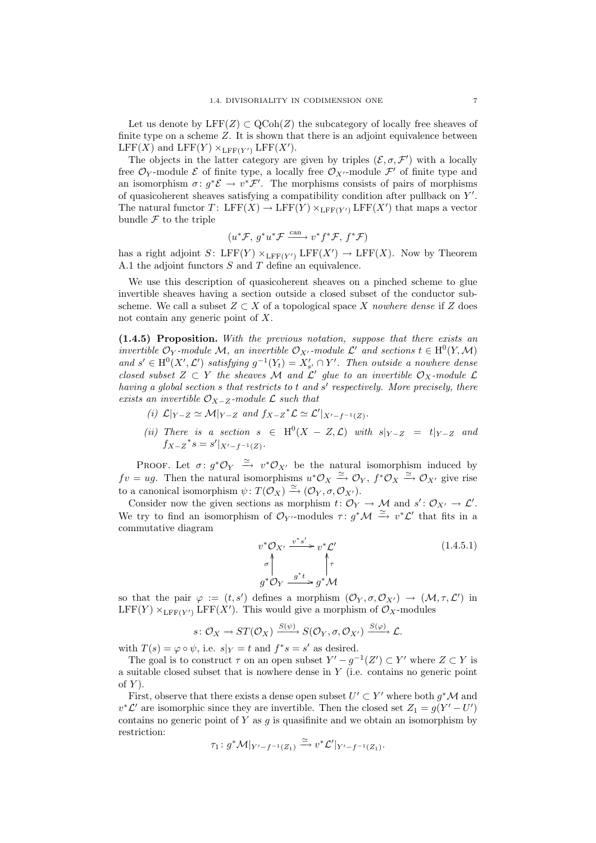Let us denote by  $LFF(Z) \subset QCoh(Z)$  the subcategory of locally free sheaves of finite type on a scheme  $Z$ . It is shown that there is an adjoint equivalence between LFF(X) and LFF(Y)  $\times_{\text{LFF}(Y')}$  LFF(X').

The objects in the latter category are given by triples  $(\mathcal{E}, \sigma, \mathcal{F}')$  with a locally free  $\mathcal{O}_Y$ -module  $\mathcal E$  of finite type, a locally free  $\mathcal{O}_{X'}$ -module  $\mathcal F'$  of finite type and an isomorphism  $\sigma: g^*\mathcal{E} \to v^*\mathcal{F}'$ . The morphisms consists of pairs of morphisms of quasicoherent sheaves satisfying a compatibility condition after pullback on  $Y'$ . The natural functor  $T: \text{ LFF}(X) \to \text{ LFF}(Y) \times_{\text{ LFF}(Y')} \text{ LFF}(X')$  that maps a vector bundle  $\mathcal F$  to the triple

$$
(u^* \mathcal{F}, g^* u^* \mathcal{F} \xrightarrow{\text{can}} v^* f^* \mathcal{F}, f^* \mathcal{F})
$$

has a right adjoint  $S: \text{LFF}(Y) \times_{\text{LFF}(Y')} \text{LFF}(X') \to \text{LFF}(X)$ . Now by Theorem A.1 the adjoint functors S and T define an equivalence.

We use this description of quasicoherent sheaves on a pinched scheme to glue invertible sheaves having a section outside a closed subset of the conductor subscheme. We call a subset  $Z \subset X$  of a topological space X nowhere dense if Z does not contain any generic point of X.

 $(1.4.5)$  Proposition. With the previous notation, suppose that there exists an invertible  $\mathcal{O}_Y$ -module M, an invertible  $\mathcal{O}_{X'}$ -module  $\mathcal{L}'$  and sections  $t \in H^0(Y, \mathcal{M})$ and  $s' \in H^0(X', \mathcal{L}')$  satisfying  $g^{-1}(Y_t) = X'_{s'} \cap Y'$ . Then outside a nowhere dense closed subset  $Z \subset Y$  the sheaves M and  $\mathcal{L}'$  glue to an invertible  $\mathcal{O}_X$ -module  $\mathcal{L}$ having a global section  $s$  that restricts to  $t$  and  $s'$  respectively. More precisely, there exists an invertible  $\mathcal{O}_{X-Z}$ -module  $\mathcal L$  such that

- (i)  $\mathcal{L}|_{Y-Z} \simeq \mathcal{M}|_{Y-Z}$  and  $f_{X-Z}^* \mathcal{L} \simeq \mathcal{L}'|_{X'-f^{-1}(Z)}$ .
- (ii) There is a section  $s \in H^0(X Z, \mathcal{L})$  with  $s|_{Y-Z} = t|_{Y-Z}$  and  $f_{X-Z}^*s = s'|_{X'-f^{-1}(Z)}.$

PROOF. Let  $\sigma: g^*\mathcal{O}_Y \stackrel{\simeq}{\to} v^*\mathcal{O}_{X'}$  be the natural isomorphism induced by  $fv = ug$ . Then the natural isomorphisms  $u^*\mathcal{O}_X \xrightarrow{\simeq} \mathcal{O}_Y$ ,  $f^*\mathcal{O}_X \xrightarrow{\simeq} \mathcal{O}_{X'}$  give rise to a canonical isomorphism  $\psi \colon T(\mathcal{O}_X) \xrightarrow{\simeq} (\mathcal{O}_Y, \sigma, \mathcal{O}_{X}).$ 

Consider now the given sections as morphism  $t: \mathcal{O}_Y \to \mathcal{M}$  and  $s': \mathcal{O}_{X'} \to \mathcal{L}'$ . We try to find an isomorphism of  $\mathcal{O}_{Y'}$ -modules  $\tau: g^*\mathcal{M} \stackrel{\simeq}{\to} v^*\mathcal{L}'$  that fits in a commutative diagram

$$
v^* \mathcal{O}_{X'} \xrightarrow{v^* s'} v^* \mathcal{L'}
$$
  
\n
$$
\sigma \uparrow \qquad \qquad \uparrow \tau
$$
  
\n
$$
g^* \mathcal{O}_Y \xrightarrow{g^* t} g^* \mathcal{M}
$$
\n(1.4.5.1)

so that the pair  $\varphi := (t, s')$  defines a morphism  $(\mathcal{O}_Y, \sigma, \mathcal{O}_{X'}) \to (\mathcal{M}, \tau, \mathcal{L}')$  in  $LFF(Y) \times_{LFF(Y')} LFF(X')$ . This would give a morphism of  $\mathcal{O}_X$ -modules

$$
s\colon \mathcal{O}_X\to ST(\mathcal{O}_X)\xrightarrow{S(\psi)}S(\mathcal{O}_Y,\sigma,\mathcal{O}_{X'})\xrightarrow{S(\varphi)}\mathcal{L}.
$$

with  $T(s) = \varphi \circ \psi$ , i.e.  $s|_Y = t$  and  $f^*s = s'$  as desired.

The goal is to construct  $\tau$  on an open subset  $Y' - g^{-1}(Z') \subset Y'$  where  $Z \subset Y$  is a suitable closed subset that is nowhere dense in Y (i.e. contains no generic point of  $Y$ ).

First, observe that there exists a dense open subset  $U' \subset Y'$  where both  $g^* \mathcal{M}$  and  $v^*\mathcal{L}'$  are isomorphic since they are invertible. Then the closed set  $Z_1 = g(Y' - U')$ contains no generic point of  $Y$  as  $g$  is quasifinite and we obtain an isomorphism by restriction:

$$
\tau_1\colon g^*\mathcal{M}|_{Y'-f^{-1}(Z_1)} \xrightarrow{\simeq} v^*\mathcal{L}'|_{Y'-f^{-1}(Z_1)}.
$$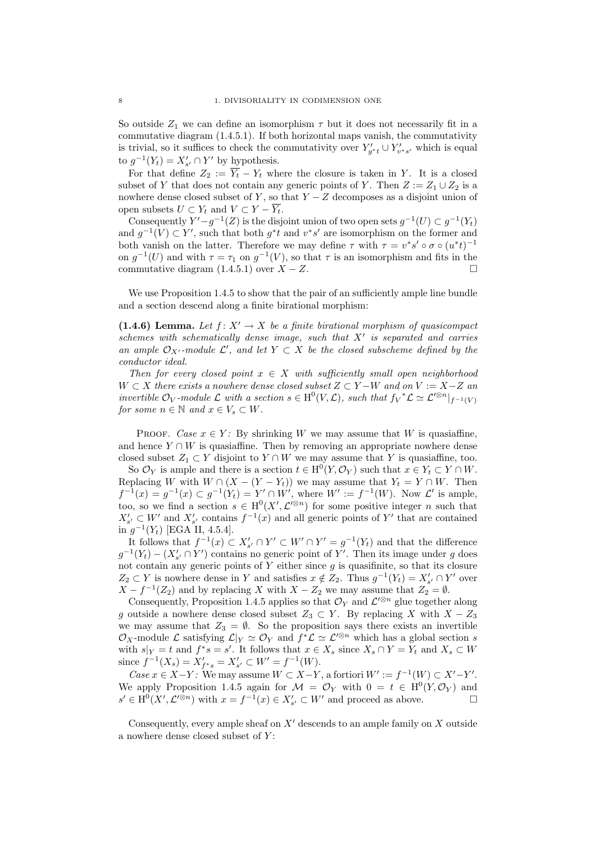So outside  $Z_1$  we can define an isomorphism  $\tau$  but it does not necessarily fit in a commutative diagram (1.4.5.1). If both horizontal maps vanish, the commutativity is trivial, so it suffices to check the commutativity over  $Y'_{g^*t} \cup Y'_{v^*s'}$  which is equal to  $g^{-1}(Y_t) = X'_{s'} \cap Y'$  by hypothesis.

For that define  $Z_2 := \overline{Y_t} - Y_t$  where the closure is taken in Y. It is a closed subset of Y that does not contain any generic points of Y. Then  $Z := Z_1 \cup Z_2$  is a nowhere dense closed subset of Y, so that  $Y - Z$  decomposes as a disjoint union of open subsets  $U \subset Y_t$  and  $V \subset Y - \overline{Y_t}$ .

Consequently  $Y'-g^{-1}(Z)$  is the disjoint union of two open sets  $g^{-1}(U) \subset g^{-1}(Y_t)$ and  $g^{-1}(V) \subset Y'$ , such that both  $g^*t$  and  $v^*s'$  are isomorphism on the former and both vanish on the latter. Therefore we may define  $\tau$  with  $\tau = v^* s' \circ \sigma \circ (u^* t)^{-1}$ on  $g^{-1}(U)$  and with  $\tau = \tau_1$  on  $g^{-1}(V)$ , so that  $\tau$  is an isomorphism and fits in the commutative diagram  $(1.4.5.1)$  over  $X - Z$ .

We use Proposition 1.4.5 to show that the pair of an sufficiently ample line bundle and a section descend along a finite birational morphism:

(1.4.6) Lemma. Let  $f: X' \to X$  be a finite birational morphism of quasicompact schemes with schematically dense image, such that  $X'$  is separated and carries an ample  $\mathcal{O}_{X'}$ -module  $\mathcal{L}'$ , and let  $Y \subset X$  be the closed subscheme defined by the conductor ideal.

Then for every closed point  $x \in X$  with sufficiently small open neighborhood  $W \subset X$  there exists a nowhere dense closed subset  $Z \subset Y - W$  and on  $V := X - Z$  and invertible  $\mathcal{O}_V$ -module  $\mathcal L$  with a section  $s \in H^0(V, \mathcal L)$ , such that  $f_V^* \mathcal L \simeq \mathcal L'^{\otimes n}|_{f^{-1}(V)}$ for some  $n \in \mathbb{N}$  and  $x \in V_s \subset W$ .

PROOF. Case  $x \in Y$ : By shrinking W we may assume that W is quasiaffine, and hence  $Y \cap W$  is quasiaffine. Then by removing an appropriate nowhere dense closed subset  $Z_1 \subset Y$  disjoint to  $Y \cap W$  we may assume that Y is quasiaffine, too.

So  $\mathcal{O}_Y$  is ample and there is a section  $t \in H^0(Y, \mathcal{O}_Y)$  such that  $x \in Y_t \subset Y \cap W$ . Replacing W with  $W \cap (X - (Y - Y_t))$  we may assume that  $Y_t = Y \cap W$ . Then  $f^{-1}(x) = g^{-1}(x) \subset g^{-1}(Y_t) = Y' \cap W'$ , where  $W' := f^{-1}(W)$ . Now  $\mathcal{L}'$  is ample, too, so we find a section  $s \in H^0(X', \mathcal{L}'^{\otimes n})$  for some positive integer n such that  $X'_{s'} \subset W'$  and  $X'_{s'}$  contains  $f^{-1}(x)$  and all generic points of Y' that are contained in  $g^{-1}(Y_t)$  [EGA II, 4.5.4].

It follows that  $f^{-1}(x) \subset X'_{s'} \cap Y' \subset W' \cap Y' = g^{-1}(Y_t)$  and that the difference  $g^{-1}(Y_t) - (X'_{s'} \cap Y')$  contains no generic point of Y'. Then its image under g does not contain any generic points of  $Y$  either since  $q$  is quasifinite, so that its closure  $Z_2$  ⊂ Y is nowhere dense in Y and satisfies  $x \notin Z_2$ . Thus  $g^{-1}(Y_t) = X'_{s'} \cap Y'$  over  $X - f^{-1}(Z_2)$  and by replacing X with  $X - Z_2$  we may assume that  $Z_2 = \emptyset$ .

Consequently, Proposition 1.4.5 applies so that  $\mathcal{O}_Y$  and  $\mathcal{L}'^{\otimes n}$  glue together along g outside a nowhere dense closed subset  $Z_3 \subset Y$ . By replacing X with  $X - Z_3$ we may assume that  $Z_3 = \emptyset$ . So the proposition says there exists an invertible  $\mathcal{O}_X$ -module L satisfying  $\mathcal{L}|_Y \simeq \mathcal{O}_Y$  and  $f^*\mathcal{L} \simeq \mathcal{L}'^{\otimes n}$  which has a global section s with  $s|_Y = t$  and  $f^*s = s'$ . It follows that  $x \in X_s$  since  $X_s \cap Y = Y_t$  and  $X_s \subset W$ since  $f^{-1}(X_s) = X'_{f^*s} = X'_{s'} \subset W' = f^{-1}(W)$ .

*Case*  $x \in X-Y$ : We may assume  $W \subset X-Y$ , a fortiori  $W' := f^{-1}(W) \subset X'-Y'$ . We apply Proposition 1.4.5 again for  $\mathcal{M} = \mathcal{O}_Y$  with  $0 = t \in H^0(Y, \mathcal{O}_Y)$  and  $s' \in H^0(X', \mathcal{L}'^{\otimes n})$  with  $x = f^{-1}(x) \in X'_{s'} \subset W'$  and proceed as above.

Consequently, every ample sheaf on  $X'$  descends to an ample family on X outside a nowhere dense closed subset of Y :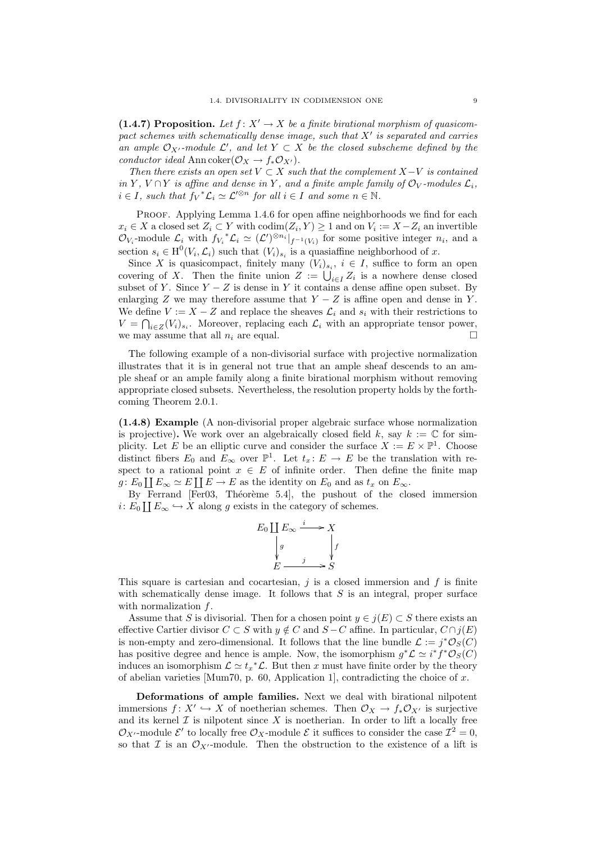(1.4.7) Proposition. Let  $f: X' \to X$  be a finite birational morphism of quasicompact schemes with schematically dense image, such that  $X'$  is separated and carries an ample  $\mathcal{O}_{X'}$ -module  $\mathcal{L}'$ , and let  $Y \subset X$  be the closed subscheme defined by the conductor ideal Ann coker $(\mathcal{O}_X \to f_* \mathcal{O}_{X'})$ .

Then there exists an open set  $V \subset X$  such that the complement  $X-V$  is contained in Y,  $V \cap Y$  is affine and dense in Y, and a finite ample family of  $\mathcal{O}_V$ -modules  $\mathcal{L}_i$ ,  $i \in I$ , such that  $f_V^* \mathcal{L}_i \simeq \mathcal{L}'^{\otimes n}$  for all  $i \in I$  and some  $n \in \mathbb{N}$ .

PROOF. Applying Lemma 1.4.6 for open affine neighborhoods we find for each  $x_i \in X$  a closed set  $Z_i \subset Y$  with  $\operatorname{codim}(Z_i, Y) \geq 1$  and on  $V_i := X - Z_i$  an invertible  $\mathcal{O}_{V_i}$ -module  $\mathcal{L}_i$  with  $f_{V_i}^* \mathcal{L}_i \simeq (\mathcal{L}')^{\otimes n_i}|_{f^{-1}(V_i)}$  for some positive integer  $n_i$ , and a section  $s_i \in H^0(V_i, \mathcal{L}_i)$  such that  $(V_i)_{s_i}$  is a quasiaffine neighborhood of x.

Since X is quasicompact, finitely many  $(V_i)_{s_i}$ ,  $i \in I$ , suffice to form an open covering of X. Then the finite union  $Z := \bigcup_{i \in I} Z_i$  is a nowhere dense closed subset of Y. Since  $Y - Z$  is dense in Y it contains a dense affine open subset. By enlarging Z we may therefore assume that  $Y - Z$  is affine open and dense in Y. We define  $V := X - Z$  and replace the sheaves  $\mathcal{L}_i$  and  $s_i$  with their restrictions to  $V = \bigcap_{i \in \mathbb{Z}} (V_i)_{s_i}$ . Moreover, replacing each  $\mathcal{L}_i$  with an appropriate tensor power, we may assume that all  $n_i$  are equal.

The following example of a non-divisorial surface with projective normalization illustrates that it is in general not true that an ample sheaf descends to an ample sheaf or an ample family along a finite birational morphism without removing appropriate closed subsets. Nevertheless, the resolution property holds by the forthcoming Theorem 2.0.1.

(1.4.8) Example (A non-divisorial proper algebraic surface whose normalization is projective). We work over an algebraically closed field k, say  $k := \mathbb{C}$  for simplicity. Let E be an elliptic curve and consider the surface  $X := E \times \mathbb{P}^1$ . Choose distinct fibers  $E_0$  and  $E_{\infty}$  over  $\mathbb{P}^1$ . Let  $t_x \colon E \to E$  be the translation with respect to a rational point  $x \in E$  of infinite order. Then define the finite map  $g: E_0 \coprod E_\infty \simeq E \coprod E \to E$  as the identity on  $E_0$  and as  $t_x$  on  $E_\infty$ .

By Ferrand [Fer03, Théorème 5.4], the pushout of the closed immersion  $i: E_0 \coprod E_\infty \hookrightarrow X$  along g exists in the category of schemes.

$$
E_0 \coprod_{j \atop k} E_{\infty} \xrightarrow{i} X
$$
  
\n
$$
\downarrow g
$$
  
\n
$$
E \xrightarrow{j} S
$$

This square is cartesian and cocartesian,  $j$  is a closed immersion and  $f$  is finite with schematically dense image. It follows that  $S$  is an integral, proper surface with normalization  $f$ .

Assume that S is divisorial. Then for a chosen point  $y \in j(E) \subset S$  there exists an effective Cartier divisor  $C \subset S$  with  $y \notin C$  and  $S - C$  affine. In particular,  $C \cap j(E)$ is non-empty and zero-dimensional. It follows that the line bundle  $\mathcal{L} := j^* \mathcal{O}_S(C)$ has positive degree and hence is ample. Now, the isomorphism  $g^*\mathcal{L} \simeq i^*f^*\mathcal{O}_S(C)$ induces an isomorphism  $\mathcal{L} \simeq t_x^* \mathcal{L}$ . But then x must have finite order by the theory of abelian varieties [Mum70, p. 60, Application 1], contradicting the choice of x.

Deformations of ample families. Next we deal with birational nilpotent immersions  $f: X' \hookrightarrow X$  of noetherian schemes. Then  $\mathcal{O}_X \to f_* \mathcal{O}_{X'}$  is surjective and its kernel  $\mathcal I$  is nilpotent since  $X$  is noetherian. In order to lift a locally free  $\mathcal{O}_{X'}$ -module  $\mathcal{E}'$  to locally free  $\mathcal{O}_X$ -module  $\mathcal{E}$  it suffices to consider the case  $\mathcal{I}^2 = 0$ , so that  $\mathcal I$  is an  $\mathcal O_{X'}$ -module. Then the obstruction to the existence of a lift is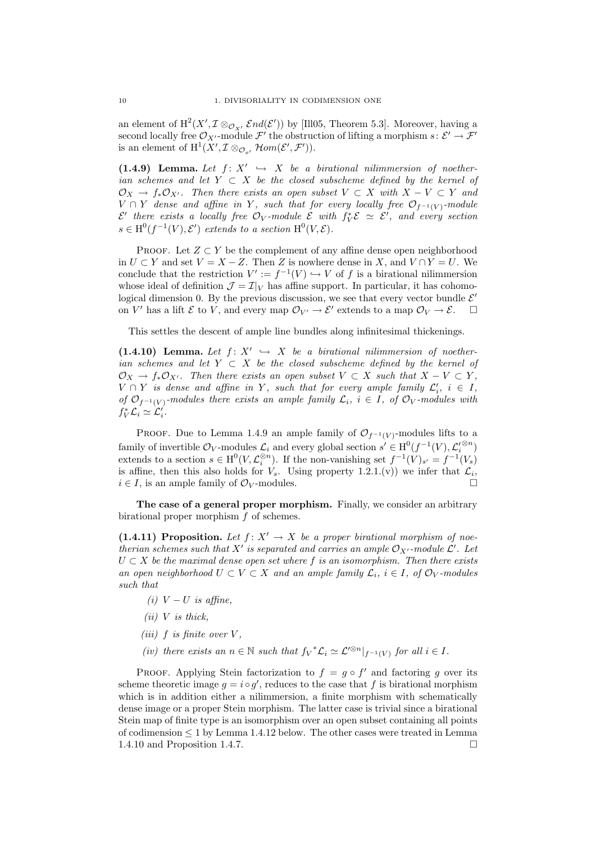an element of  $\text{H}^2(X',\mathcal{I}\otimes_{\mathcal{O}_{X'}}\mathcal{E}nd(\mathcal{E}'))$  by [Ill05, Theorem 5.3]. Moreover, having a second locally free  $\mathcal{O}_{X'}$ -module  $\mathcal{F}'$  the obstruction of lifting a morphism  $s: \mathcal{E}' \to \mathcal{F}'$ is an element of  $\mathrm{H}^1(X', \mathcal{I} \otimes_{\mathcal{O}_{x'}} \mathcal{H}om(\mathcal{E}', \mathcal{F}')).$ 

(1.4.9) Lemma. Let  $f: X' \hookrightarrow X$  be a birational nilimmersion of noetherian schemes and let  $Y \subset X$  be the closed subscheme defined by the kernel of  $\mathcal{O}_X \to f_*\mathcal{O}_{X'}$ . Then there exists an open subset  $V \subset X$  with  $X - V \subset Y$  and  $V \cap Y$  dense and affine in Y, such that for every locally free  $\mathcal{O}_{f^{-1}(V)}$ -module  $\mathcal{E}'$  there exists a locally free  $\mathcal{O}_V$ -module  $\mathcal{E}$  with  $f_V^*\mathcal{E} \simeq \mathcal{E}'$ , and every section  $s \in H^0(f^{-1}(V), \mathcal{E}')$  extends to a section  $H^0(V, \mathcal{E})$ .

PROOF. Let  $Z \subset Y$  be the complement of any affine dense open neighborhood in  $U \subset Y$  and set  $V = X - Z$ . Then Z is nowhere dense in X, and  $V \cap Y = U$ . We conclude that the restriction  $V' := f^{-1}(V) \hookrightarrow V$  of f is a birational nilimmersion whose ideal of definition  $\mathcal{J} = \mathcal{I}|_V$  has affine support. In particular, it has cohomological dimension 0. By the previous discussion, we see that every vector bundle  $\mathcal{E}'$ on V' has a lift  $\mathcal E$  to V, and every map  $\mathcal O_{V'} \to \mathcal E'$  extends to a map  $\mathcal O_V \to \mathcal E$ .  $\square$ 

This settles the descent of ample line bundles along infinitesimal thickenings.

(1.4.10) Lemma. Let  $f: X' \hookrightarrow X$  be a birational nilimmersion of noetherian schemes and let  $Y \subset X$  be the closed subscheme defined by the kernel of  $\mathcal{O}_X \to f_*\mathcal{O}_{X'}$ . Then there exists an open subset  $V \subset X$  such that  $X - V \subset Y$ ,  $V \cap Y$  is dense and affine in Y, such that for every ample family  $\mathcal{L}'_i$ ,  $i \in I$ , of  $\mathcal{O}_{f^{-1}(V)}$ -modules there exists an ample family  $\mathcal{L}_i$ ,  $i \in I$ , of  $\mathcal{O}_V$ -modules with  $f_V^* \mathcal{L}_i \simeq \mathcal{L}'_i.$ 

PROOF. Due to Lemma 1.4.9 an ample family of  $\mathcal{O}_{f^{-1}(V)}$ -modules lifts to a family of invertible  $\mathcal{O}_V$ -modules  $\mathcal{L}_i$  and every global section  $s' \in H^0(f^{-1}(V), \mathcal{L}'_i^{\otimes n})$ extends to a section  $s \in H^0(V, \mathcal{L}_i^{\otimes n})$ . If the non-vanishing set  $f^{-1}(V)_{s'} = f^{-1}(V_s)$ is affine, then this also holds for  $V_s$ . Using property 1.2.1.(v)) we infer that  $\mathcal{L}_i$ ,  $i \in I$ , is an ample family of  $\mathcal{O}_V$ -modules.

The case of a general proper morphism. Finally, we consider an arbitrary birational proper morphism f of schemes.

(1.4.11) Proposition. Let  $f: X' \to X$  be a proper birational morphism of noetherian schemes such that X' is separated and carries an ample  $\mathcal{O}_{X'}$ -module  $\mathcal{L}'$ . Let  $U \subset X$  be the maximal dense open set where f is an isomorphism. Then there exists an open neighborhood  $U \subset V \subset X$  and an ample family  $\mathcal{L}_i$ ,  $i \in I$ , of  $\mathcal{O}_V$ -modules such that

- (i)  $V-U$  is affine,
- $(ii)$  V is thick.
- (iii)  $f$  is finite over  $V$ ,
- (iv) there exists an  $n \in \mathbb{N}$  such that  $f_V^* \mathcal{L}_i \simeq \mathcal{L}'^{\otimes n}|_{f^{-1}(V)}$  for all  $i \in I$ .

PROOF. Applying Stein factorization to  $f = g \circ f'$  and factoring g over its scheme theoretic image  $g = i \circ g'$ , reduces to the case that f is birational morphism which is in addition either a nilimmersion, a finite morphism with schematically dense image or a proper Stein morphism. The latter case is trivial since a birational Stein map of finite type is an isomorphism over an open subset containing all points of codimension  $\leq 1$  by Lemma 1.4.12 below. The other cases were treated in Lemma 1.4.10 and Proposition 1.4.7.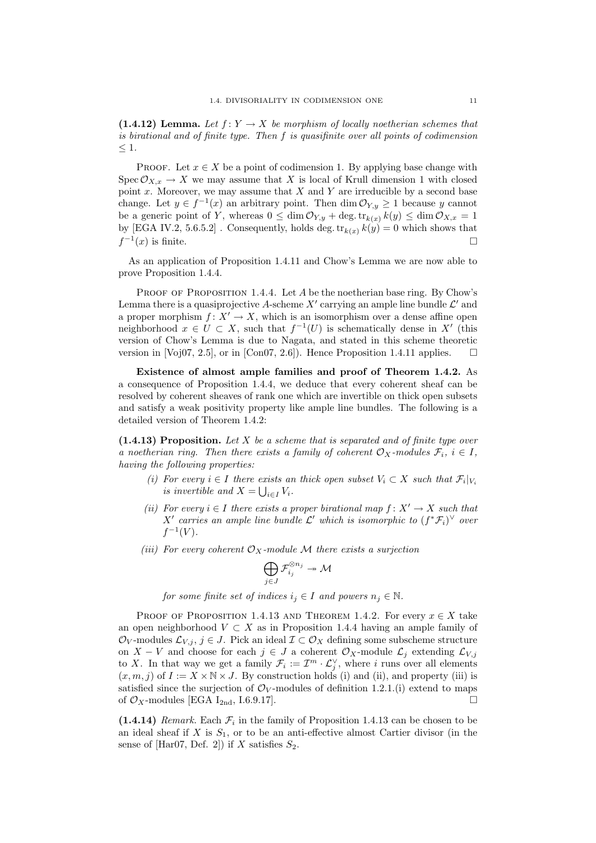(1.4.12) Lemma. Let  $f: Y \to X$  be morphism of locally noetherian schemes that is birational and of finite type. Then f is quasifinite over all points of codimension  $\leq 1$ .

PROOF. Let  $x \in X$  be a point of codimension 1. By applying base change with Spec  $\mathcal{O}_{X,x} \to X$  we may assume that X is local of Krull dimension 1 with closed point  $x$ . Moreover, we may assume that  $X$  and  $Y$  are irreducible by a second base change. Let  $y \in f^{-1}(x)$  an arbitrary point. Then  $\dim \mathcal{O}_{Y,y} \geq 1$  because y cannot be a generic point of Y, whereas  $0 \leq \dim \mathcal{O}_{Y,y} + \deg \cdot \text{tr}_{k(x)} k(y) \leq \dim \mathcal{O}_{X,x} = 1$ by [EGA IV.2, 5.6.5.2]. Consequently, holds deg.tr<sub>k(x)</sub>  $k(y) = 0$  which shows that  $f^{-1}(x)$  is finite.

As an application of Proposition 1.4.11 and Chow's Lemma we are now able to prove Proposition 1.4.4.

PROOF OF PROPOSITION 1.4.4. Let  $A$  be the noetherian base ring. By Chow's Lemma there is a quasiprojective A-scheme X' carrying an ample line bundle  $\mathcal{L}'$  and a proper morphism  $f: X' \to X$ , which is an isomorphism over a dense affine open neighborhood  $x \in U \subset X$ , such that  $f^{-1}(U)$  is schematically dense in X' (this version of Chow's Lemma is due to Nagata, and stated in this scheme theoretic version in [Voj07, 2.5], or in [Con07, 2.6]). Hence Proposition 1.4.11 applies.  $\square$ 

Existence of almost ample families and proof of Theorem 1.4.2. As a consequence of Proposition 1.4.4, we deduce that every coherent sheaf can be resolved by coherent sheaves of rank one which are invertible on thick open subsets and satisfy a weak positivity property like ample line bundles. The following is a detailed version of Theorem 1.4.2:

 $(1.4.13)$  Proposition. Let X be a scheme that is separated and of finite type over a noetherian ring. Then there exists a family of coherent  $\mathcal{O}_X$ -modules  $\mathcal{F}_i$ ,  $i \in I$ , having the following properties:

- (i) For every  $i \in I$  there exists an thick open subset  $V_i \subset X$  such that  $\mathcal{F}_i|_{V_i}$ is invertible and  $X = \bigcup_{i \in I} V_i$ .
- (ii) For every  $i \in I$  there exists a proper birational map  $f: X' \to X$  such that X' carries an ample line bundle  $\mathcal{L}'$  which is isomorphic to  $(f^*\mathcal{F}_i)^\vee$  over  $f^{-1}(V)$ .
- (iii) For every coherent  $\mathcal{O}_X$ -module M there exists a surjection

$$
\bigoplus_{j\in J}\mathcal{F}_{i_j}^{\otimes n_j}\twoheadrightarrow \mathcal{M}
$$

for some finite set of indices  $i_j \in I$  and powers  $n_j \in \mathbb{N}$ .

PROOF OF PROPOSITION 1.4.13 AND THEOREM 1.4.2. For every  $x \in X$  take an open neighborhood  $V \subset X$  as in Proposition 1.4.4 having an ample family of  $\mathcal{O}_V$ -modules  $\mathcal{L}_{V,j}, j \in J$ . Pick an ideal  $\mathcal{I} \subset \mathcal{O}_X$  defining some subscheme structure on  $X - V$  and choose for each  $j \in J$  a coherent  $\mathcal{O}_X$ -module  $\mathcal{L}_j$  extending  $\mathcal{L}_{V,j}$ to X. In that way we get a family  $\mathcal{F}_i := \mathcal{I}^m \cdot \mathcal{L}_j^{\vee}$ , where i runs over all elements  $(x, m, j)$  of  $I := X \times \mathbb{N} \times J$ . By construction holds (i) and (ii), and property (iii) is satisfied since the surjection of  $\mathcal{O}_V$ -modules of definition 1.2.1.(i) extend to maps of  $\mathcal{O}_X$ -modules [EGA I<sub>2nd</sub>, I.6.9.17].

 $(1.4.14)$  Remark. Each  $\mathcal{F}_i$  in the family of Proposition 1.4.13 can be chosen to be an ideal sheaf if X is  $S_1$ , or to be an anti-effective almost Cartier divisor (in the sense of [Har07, Def. 2]) if X satisfies  $S_2$ .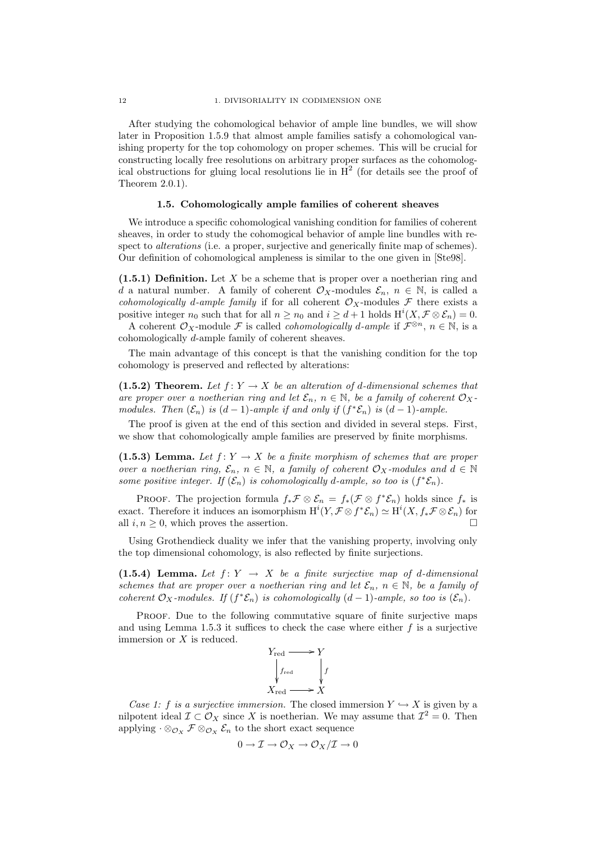After studying the cohomological behavior of ample line bundles, we will show later in Proposition 1.5.9 that almost ample families satisfy a cohomological vanishing property for the top cohomology on proper schemes. This will be crucial for constructing locally free resolutions on arbitrary proper surfaces as the cohomological obstructions for gluing local resolutions lie in  $H^2$  (for details see the proof of Theorem 2.0.1).

### 1.5. Cohomologically ample families of coherent sheaves

We introduce a specific cohomological vanishing condition for families of coherent sheaves, in order to study the cohomogical behavior of ample line bundles with respect to *alterations* (i.e. a proper, surjective and generically finite map of schemes). Our definition of cohomological ampleness is similar to the one given in [Ste98].

 $(1.5.1)$  Definition. Let X be a scheme that is proper over a noetherian ring and d a natural number. A family of coherent  $\mathcal{O}_X$ -modules  $\mathcal{E}_n$ ,  $n \in \mathbb{N}$ , is called a cohomologically d-ample family if for all coherent  $\mathcal{O}_X$ -modules F there exists a positive integer  $n_0$  such that for all  $n \geq n_0$  and  $i \geq d+1$  holds  $\mathrm{H}^i(X, \mathcal{F} \otimes \mathcal{E}_n) = 0$ .

A coherent  $\mathcal{O}_X$ -module F is called *cohomologically d-ample* if  $\mathcal{F}^{\otimes n}$ ,  $n \in \mathbb{N}$ , is a cohomologically d-ample family of coherent sheaves.

The main advantage of this concept is that the vanishing condition for the top cohomology is preserved and reflected by alterations:

(1.5.2) Theorem. Let  $f: Y \to X$  be an alteration of d-dimensional schemes that are proper over a noetherian ring and let  $\mathcal{E}_n$ ,  $n \in \mathbb{N}$ , be a family of coherent  $\mathcal{O}_X$ modules. Then  $(\mathcal{E}_n)$  is  $(d-1)$ -ample if and only if  $(f^*\mathcal{E}_n)$  is  $(d-1)$ -ample.

The proof is given at the end of this section and divided in several steps. First, we show that cohomologically ample families are preserved by finite morphisms.

(1.5.3) Lemma. Let  $f: Y \to X$  be a finite morphism of schemes that are proper over a noetherian ring,  $\mathcal{E}_n$ ,  $n \in \mathbb{N}$ , a family of coherent  $\mathcal{O}_X$ -modules and  $d \in \mathbb{N}$ some positive integer. If  $(\mathcal{E}_n)$  is cohomologically d-ample, so too is  $(f^*\mathcal{E}_n)$ .

PROOF. The projection formula  $f_*\mathcal{F} \otimes \mathcal{E}_n = f_*(\mathcal{F} \otimes f^*\mathcal{E}_n)$  holds since  $f_*$  is exact. Therefore it induces an isomorphism  $H^{i}(Y, \mathcal{F} \otimes f^* \mathcal{E}_n) \simeq H^{i}(X, f^* \mathcal{F} \otimes \mathcal{E}_n)$  for all  $i, n \geq 0$ , which proves the assertion.

Using Grothendieck duality we infer that the vanishing property, involving only the top dimensional cohomology, is also reflected by finite surjections.

(1.5.4) Lemma. Let  $f: Y \rightarrow X$  be a finite surjective map of d-dimensional schemes that are proper over a noetherian ring and let  $\mathcal{E}_n$ ,  $n \in \mathbb{N}$ , be a family of coherent  $\mathcal{O}_X$ -modules. If  $(f^*\mathcal{E}_n)$  is cohomologically  $(d-1)$ -ample, so too is  $(\mathcal{E}_n)$ .

PROOF. Due to the following commutative square of finite surjective maps and using Lemma 1.5.3 it suffices to check the case where either  $f$  is a surjective immersion or X is reduced.



Case 1: f is a surjective immersion. The closed immersion  $Y \hookrightarrow X$  is given by a nilpotent ideal  $\mathcal{I} \subset \mathcal{O}_X$  since X is noetherian. We may assume that  $\mathcal{I}^2 = 0$ . Then applying  $\cdot \otimes_{\mathcal{O}_X} \mathcal{F} \otimes_{\mathcal{O}_X} \mathcal{E}_n$  to the short exact sequence

$$
0 \to \mathcal{I} \to \mathcal{O}_X \to \mathcal{O}_X/\mathcal{I} \to 0
$$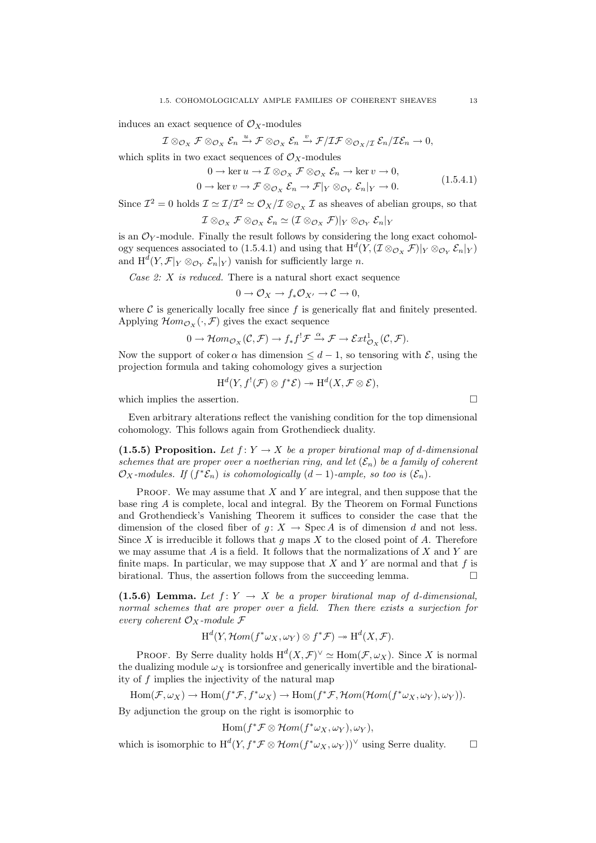induces an exact sequence of  $\mathcal{O}_X$ -modules

$$
\mathcal{I}\otimes_{\mathcal{O}_X}\mathcal{F}\otimes_{\mathcal{O}_X}\mathcal{E}_n\xrightarrow{u}\mathcal{F}\otimes_{\mathcal{O}_X}\mathcal{E}_n\xrightarrow{v}\mathcal{F}/\mathcal{IF}\otimes_{\mathcal{O}_X/\mathcal{I}}\mathcal{E}_n/\mathcal{IE}_n\to 0,
$$

which splits in two exact sequences of  $\mathcal{O}_X$ -modules

$$
0 \to \ker u \to \mathcal{I} \otimes_{\mathcal{O}_X} \mathcal{F} \otimes_{\mathcal{O}_X} \mathcal{E}_n \to \ker v \to 0,
$$
  
\n
$$
0 \to \ker v \to \mathcal{F} \otimes_{\mathcal{O}_X} \mathcal{E}_n \to \mathcal{F}|_Y \otimes_{\mathcal{O}_Y} \mathcal{E}_n|_Y \to 0.
$$
\n(1.5.4.1)

Since  $\mathcal{I}^2 = 0$  holds  $\mathcal{I} \simeq \mathcal{I}/\mathcal{I}^2 \simeq \mathcal{O}_X/\mathcal{I} \otimes_{\mathcal{O}_X} \mathcal{I}$  as sheaves of abelian groups, so that

$$
\mathcal{I}\otimes_{\mathcal{O}_X}\mathcal{F}\otimes_{\mathcal{O}_X}\mathcal{E}_n\simeq (\mathcal{I}\otimes_{\mathcal{O}_X}\mathcal{F})|_Y\otimes_{\mathcal{O}_Y}\mathcal{E}_n|_Y
$$

is an  $\mathcal{O}_Y$ -module. Finally the result follows by considering the long exact cohomology sequences associated to (1.5.4.1) and using that  $H^d(Y,(\mathcal{I}\otimes_{\mathcal{O}_X}\mathcal{F})|_Y\otimes_{\mathcal{O}_Y}\mathcal{E}_n|_Y)$ and  $\mathrm{H}^d(Y,\mathcal{F}|_Y\otimes_{\mathcal{O}_Y}\mathcal{E}_n|_Y)$  vanish for sufficiently large n.

Case  $2: X$  is reduced. There is a natural short exact sequence

$$
0 \to \mathcal{O}_X \to f_*\mathcal{O}_{X'} \to \mathcal{C} \to 0,
$$

where  $\mathcal C$  is generically locally free since  $f$  is generically flat and finitely presented. Applying  $\mathcal{H}om_{\mathcal{O}_X}(\cdot,\mathcal{F})$  gives the exact sequence

$$
0 \to \mathcal{H}om_{\mathcal{O}_X}(\mathcal{C}, \mathcal{F}) \to f_* f^! \mathcal{F} \xrightarrow{\alpha} \mathcal{F} \to \mathcal{E}xt^1_{\mathcal{O}_X}(\mathcal{C}, \mathcal{F}).
$$

Now the support of coker  $\alpha$  has dimension  $\leq d-1$ , so tensoring with  $\mathcal{E}$ , using the projection formula and taking cohomology gives a surjection

$$
\textnormal{H}^d(Y, f^!(\mathcal{F}) \otimes f^*\mathcal{E}) \twoheadrightarrow \textnormal{H}^d(X, \mathcal{F} \otimes \mathcal{E}),
$$

which implies the assertion.  $\hfill \square$ 

Even arbitrary alterations reflect the vanishing condition for the top dimensional cohomology. This follows again from Grothendieck duality.

(1.5.5) Proposition. Let  $f: Y \to X$  be a proper birational map of d-dimensional schemes that are proper over a noetherian ring, and let  $(\mathcal{E}_n)$  be a family of coherent  $\mathcal{O}_X$ -modules. If  $(f^*\mathcal{E}_n)$  is cohomologically  $(d-1)$ -ample, so too is  $(\mathcal{E}_n)$ .

**PROOF.** We may assume that X and Y are integral, and then suppose that the base ring A is complete, local and integral. By the Theorem on Formal Functions and Grothendieck's Vanishing Theorem it suffices to consider the case that the dimension of the closed fiber of  $g: X \to \text{Spec } A$  is of dimension d and not less. Since X is irreducible it follows that q maps X to the closed point of A. Therefore we may assume that  $A$  is a field. It follows that the normalizations of  $X$  and  $Y$  are finite maps. In particular, we may suppose that  $X$  and  $Y$  are normal and that  $f$  is birational. Thus, the assertion follows from the succeeding lemma.  $\Box$ 

(1.5.6) Lemma. Let  $f: Y \to X$  be a proper birational map of d-dimensional, normal schemes that are proper over a field. Then there exists a surjection for every coherent  $\mathcal{O}_X$ -module  $\mathcal F$ 

$$
H^d(Y, \mathcal{H}om(f^*\omega_X, \omega_Y) \otimes f^*\mathcal{F}) \to H^d(X, \mathcal{F}).
$$

PROOF. By Serre duality holds  $H^d(X, \mathcal{F})^{\vee} \simeq \text{Hom}(\mathcal{F}, \omega_X)$ . Since X is normal the dualizing module  $\omega_X$  is torsionfree and generically invertible and the birationality of f implies the injectivity of the natural map

$$
\text{Hom}(\mathcal{F},\omega_X) \to \text{Hom}(f^*\mathcal{F},f^*\omega_X) \to \text{Hom}(f^*\mathcal{F},\mathcal{H}om(\mathcal{H}om(f^*\omega_X,\omega_Y),\omega_Y)).
$$

By adjunction the group on the right is isomorphic to

 $\text{Hom}(f^*\mathcal{F}\otimes \mathcal{H}om(f^*\omega_X,\omega_Y),\omega_Y),$ 

which is isomorphic to  $H^d(Y, f^* \mathcal{F} \otimes \mathcal{H}om(f^* \omega_X, \omega_Y))^{\vee}$  using Serre duality.  $\square$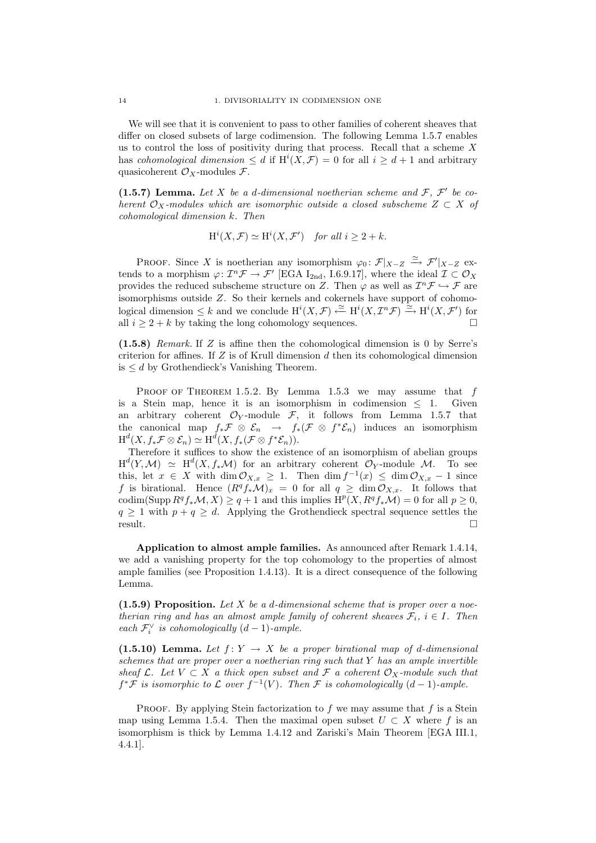We will see that it is convenient to pass to other families of coherent sheaves that differ on closed subsets of large codimension. The following Lemma 1.5.7 enables us to control the loss of positivity during that process. Recall that a scheme  $X$ has cohomological dimension  $\leq d$  if  $H^{i}(X,\mathcal{F})=0$  for all  $i \geq d+1$  and arbitrary quasicoherent  $\mathcal{O}_X$ -modules  $\mathcal{F}$ .

(1.5.7) Lemma. Let X be a d-dimensional noetherian scheme and  $\mathcal{F}, \mathcal{F}'$  be coherent  $\mathcal{O}_X$ -modules which are isomorphic outside a closed subscheme  $Z \subset X$  of cohomological dimension k. Then

$$
H^i(X, \mathcal{F}) \simeq H^i(X, \mathcal{F}')
$$
 for all  $i \geq 2 + k$ .

PROOF. Since X is noetherian any isomorphism  $\varphi_0: \mathcal{F}|_{X-Z} \xrightarrow{\simeq} \mathcal{F}'|_{X-Z}$  extends to a morphism  $\varphi: \mathcal{I}^n \mathcal{F} \to \mathcal{F}'$  [EGA I<sub>2nd</sub>, I.6.9.17], where the ideal  $\mathcal{I} \subset \mathcal{O}_X$ provides the reduced subscheme structure on Z. Then  $\varphi$  as well as  $\mathcal{I}^n \mathcal{F} \hookrightarrow \mathcal{F}$  are isomorphisms outside Z. So their kernels and cokernels have support of cohomological dimension  $\leq k$  and we conclude  $\text{H}^i(X,\mathcal{F}) \stackrel{\simeq}{\leftarrow} \text{H}^i(X,\mathcal{I}^n\mathcal{F}) \stackrel{\simeq}{\rightarrow} \text{H}^i(X,\mathcal{F}')$  for all  $i \geq 2 + k$  by taking the long cohomology sequences.

(1.5.8) Remark. If Z is affine then the cohomological dimension is 0 by Serre's criterion for affines. If  $Z$  is of Krull dimension  $d$  then its cohomological dimension is  $\leq d$  by Grothendieck's Vanishing Theorem.

PROOF OF THEOREM 1.5.2. By Lemma 1.5.3 we may assume that  $f$ is a Stein map, hence it is an isomorphism in codimension  $\leq 1$ . Given an arbitrary coherent  $\mathcal{O}_Y$ -module  $\mathcal{F}$ , it follows from Lemma 1.5.7 that the canonical map  $f_*\mathcal{F} \otimes \mathcal{E}_n \to f_*(\mathcal{F} \otimes f^*\mathcal{E}_n)$  induces an isomorphism  $\textnormal{H}^d(X, f_*\mathcal{F}\otimes\mathcal{E}_n)\simeq \textnormal{H}^d(X, f_*(\mathcal{F}\otimes f^*\mathcal{E}_n)).$ 

Therefore it suffices to show the existence of an isomorphism of abelian groups  $\text{H}^d(Y,\mathcal{M}) \simeq \text{H}^d(X,f_*\mathcal{M})$  for an arbitrary coherent  $\mathcal{O}_Y$ -module M. To see this, let  $x \in X$  with  $\dim \mathcal{O}_{X,x} \geq 1$ . Then  $\dim f^{-1}(x) \leq \dim \mathcal{O}_{X,x} - 1$  since f is birational. Hence  $(R^q f_* \mathcal{M})_x = 0$  for all  $q \geq \dim \mathcal{O}_{X,x}$ . It follows that codim(Supp  $R^q f_* \mathcal{M}, X$ )  $\geq q+1$  and this implies  $H^p(X, R^q f_* \mathcal{M}) = 0$  for all  $p \geq 0$ ,  $q \geq 1$  with  $p + q \geq d$ . Applying the Grothendieck spectral sequence settles the result.

Application to almost ample families. As announced after Remark 1.4.14, we add a vanishing property for the top cohomology to the properties of almost ample families (see Proposition 1.4.13). It is a direct consequence of the following Lemma.

 $(1.5.9)$  Proposition. Let X be a d-dimensional scheme that is proper over a noetherian ring and has an almost ample family of coherent sheaves  $\mathcal{F}_i$ ,  $i \in I$ . Then each  $\mathcal{F}_i^{\vee}$  is cohomologically  $(d-1)$ -ample.

(1.5.10) Lemma. Let  $f: Y \to X$  be a proper birational map of d-dimensional schemes that are proper over a noetherian ring such that  $Y$  has an ample invertible sheaf  $\mathcal{L}$ . Let  $V \subset X$  a thick open subset and  $\mathcal{F}$  a coherent  $\mathcal{O}_X$ -module such that  $f^* \mathcal{F}$  is isomorphic to  $\mathcal{L}$  over  $f^{-1}(V)$ . Then  $\mathcal{F}$  is cohomologically  $(d-1)$ -ample.

PROOF. By applying Stein factorization to  $f$  we may assume that  $f$  is a Stein map using Lemma 1.5.4. Then the maximal open subset  $U \subset X$  where f is an isomorphism is thick by Lemma 1.4.12 and Zariski's Main Theorem [EGA III.1, 4.4.1].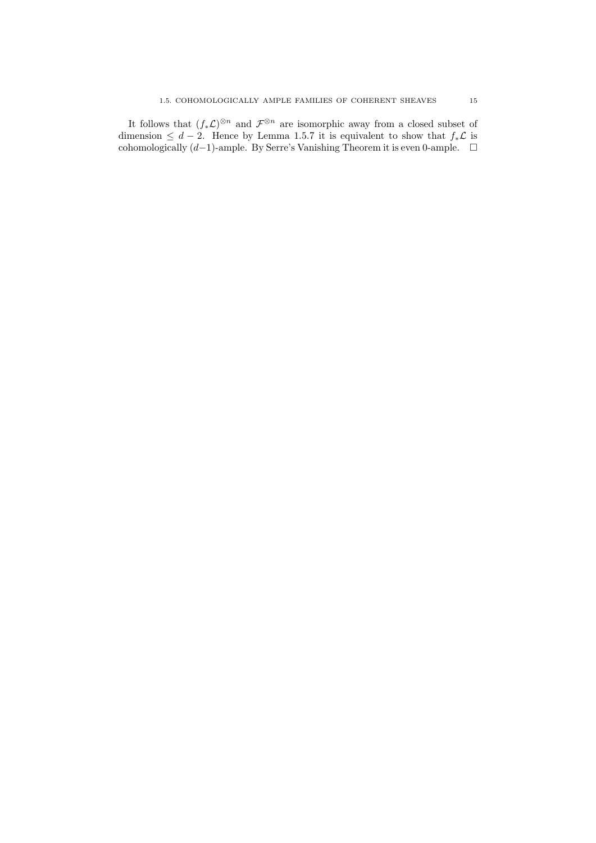It follows that  $(f_*\mathcal{L})^{\otimes n}$  and  $\mathcal{F}^{\otimes n}$  are isomorphic away from a closed subset of dimension  $\leq d-2$ . Hence by Lemma 1.5.7 it is equivalent to show that  $f_*\mathcal{L}$  is cohomologically  $(d-1)$ -ample. By Serre's Vanishing Theorem it is even 0-ample.  $□$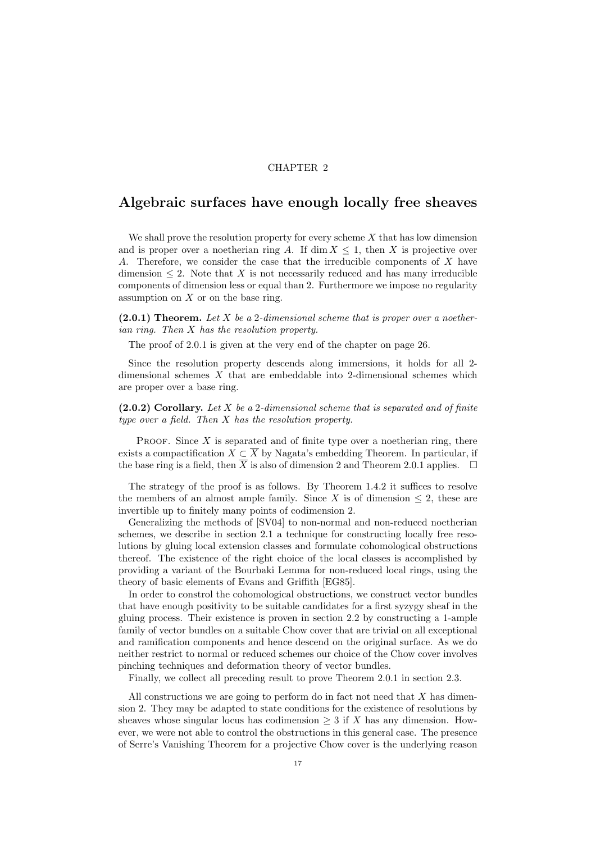### CHAPTER 2

# Algebraic surfaces have enough locally free sheaves

We shall prove the resolution property for every scheme  $X$  that has low dimension and is proper over a noetherian ring A. If dim  $X \leq 1$ , then X is projective over A. Therefore, we consider the case that the irreducible components of X have dimension  $\leq 2$ . Note that X is not necessarily reduced and has many irreducible components of dimension less or equal than 2. Furthermore we impose no regularity assumption on  $X$  or on the base ring.

 $(2.0.1)$  Theorem. Let X be a 2-dimensional scheme that is proper over a noetherian ring. Then X has the resolution property.

The proof of 2.0.1 is given at the very end of the chapter on page 26.

Since the resolution property descends along immersions, it holds for all 2 dimensional schemes  $X$  that are embeddable into 2-dimensional schemes which are proper over a base ring.

 $(2.0.2)$  Corollary. Let X be a 2-dimensional scheme that is separated and of finite type over a field. Then X has the resolution property.

PROOF. Since  $X$  is separated and of finite type over a noetherian ring, there exists a compactification  $X \subset \overline{X}$  by Nagata's embedding Theorem. In particular, if the base ring is a field, then  $\overline{X}$  is also of dimension 2 and Theorem 2.0.1 applies.  $\Box$ 

The strategy of the proof is as follows. By Theorem 1.4.2 it suffices to resolve the members of an almost ample family. Since X is of dimension  $\leq$  2, these are invertible up to finitely many points of codimension 2.

Generalizing the methods of [SV04] to non-normal and non-reduced noetherian schemes, we describe in section 2.1 a technique for constructing locally free resolutions by gluing local extension classes and formulate cohomological obstructions thereof. The existence of the right choice of the local classes is accomplished by providing a variant of the Bourbaki Lemma for non-reduced local rings, using the theory of basic elements of Evans and Griffith [EG85].

In order to constrol the cohomological obstructions, we construct vector bundles that have enough positivity to be suitable candidates for a first syzygy sheaf in the gluing process. Their existence is proven in section 2.2 by constructing a 1-ample family of vector bundles on a suitable Chow cover that are trivial on all exceptional and ramification components and hence descend on the original surface. As we do neither restrict to normal or reduced schemes our choice of the Chow cover involves pinching techniques and deformation theory of vector bundles.

Finally, we collect all preceding result to prove Theorem 2.0.1 in section 2.3.

All constructions we are going to perform do in fact not need that  $X$  has dimension 2. They may be adapted to state conditions for the existence of resolutions by sheaves whose singular locus has codimension  $\geq 3$  if X has any dimension. However, we were not able to control the obstructions in this general case. The presence of Serre's Vanishing Theorem for a projective Chow cover is the underlying reason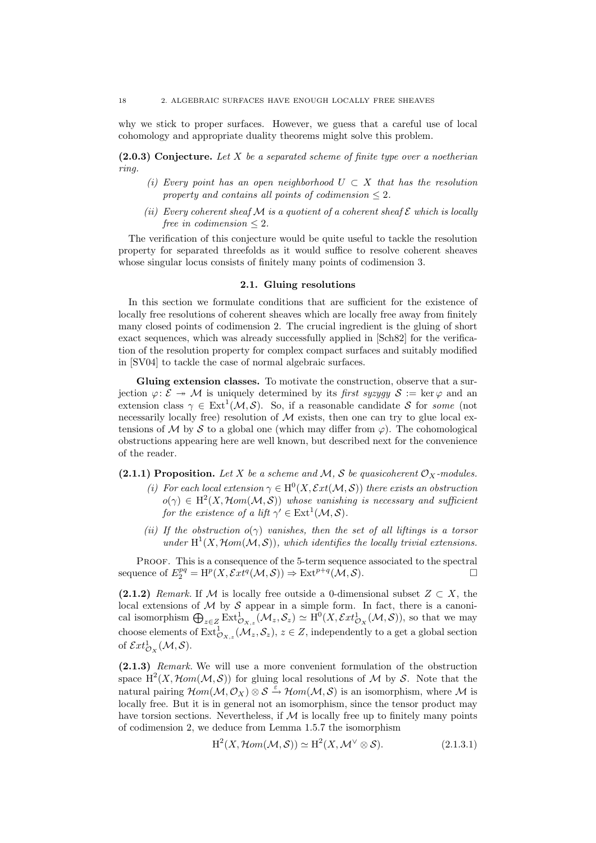why we stick to proper surfaces. However, we guess that a careful use of local cohomology and appropriate duality theorems might solve this problem.

 $(2.0.3)$  Conjecture. Let X be a separated scheme of finite type over a noetherian ring.

- (i) Every point has an open neighborhood  $U \subset X$  that has the resolution property and contains all points of codimension  $\leq 2$ .
- (ii) Every coherent sheaf M is a quotient of a coherent sheaf  $\mathcal E$  which is locally free in codimension  $\leq 2$ .

The verification of this conjecture would be quite useful to tackle the resolution property for separated threefolds as it would suffice to resolve coherent sheaves whose singular locus consists of finitely many points of codimension 3.

### 2.1. Gluing resolutions

In this section we formulate conditions that are sufficient for the existence of locally free resolutions of coherent sheaves which are locally free away from finitely many closed points of codimension 2. The crucial ingredient is the gluing of short exact sequences, which was already successfully applied in [Sch82] for the verification of the resolution property for complex compact surfaces and suitably modified in [SV04] to tackle the case of normal algebraic surfaces.

Gluing extension classes. To motivate the construction, observe that a surjection  $\varphi: \mathcal{E} \to \mathcal{M}$  is uniquely determined by its first syzygy  $\mathcal{S} := \ker \varphi$  and an extension class  $\gamma \in \text{Ext}^1(\mathcal{M}, \mathcal{S})$ . So, if a reasonable candidate S for some (not necessarily locally free) resolution of  $M$  exists, then one can try to glue local extensions of M by S to a global one (which may differ from  $\varphi$ ). The cohomological obstructions appearing here are well known, but described next for the convenience of the reader.

(2.1.1) Proposition. Let X be a scheme and M, S be quasicoherent  $\mathcal{O}_X$ -modules.

- (i) For each local extension  $\gamma \in H^0(X, \mathcal{E}xt(M, \mathcal{S}))$  there exists an obstruction  $o(\gamma) \in H^2(X, \mathcal{H}om(\mathcal{M}, \mathcal{S}))$  whose vanishing is necessary and sufficient for the existence of a lift  $\gamma' \in \text{Ext}^1(\mathcal{M}, \mathcal{S})$ .
- (ii) If the obstruction  $o(\gamma)$  vanishes, then the set of all liftings is a torsor under  $H^1(X, \mathcal{H}om(\mathcal{M}, \mathcal{S}))$ , which identifies the locally trivial extensions.

PROOF. This is a consequence of the 5-term sequence associated to the spectral sequence of  $E_2^{pq} = H^p(X, \mathcal{E}xt^q(\mathcal{M}, \mathcal{S})) \Rightarrow \text{Ext}^{p+q}(\mathcal{M}, \mathcal{S}).$ 

(2.1.2) Remark. If M is locally free outside a 0-dimensional subset  $Z \subset X$ , the local extensions of  $M$  by  $S$  appear in a simple form. In fact, there is a canonical isomorphism  $\bigoplus_{z\in Z} \text{Ext}^1_{\mathcal{O}_{X,z}}(\mathcal{M}_z, \mathcal{S}_z) \simeq \text{H}^0(X, \mathcal{E}xt^1_{\mathcal{O}_X}(\mathcal{M}, \mathcal{S}))$ , so that we may choose elements of  $\mathrm{Ext}^1_{\mathcal{O}_{X,z}}(\mathcal{M}_z, \mathcal{S}_z), z \in \mathbb{Z}$ , independently to a get a global section of  $\mathcal{E}xt^1_{\mathcal{O}_X}(\mathcal{M},\mathcal{S}).$ 

(2.1.3) Remark. We will use a more convenient formulation of the obstruction space  $H^2(X, \mathcal{H}om(\mathcal{M}, \mathcal{S}))$  for gluing local resolutions of M by S. Note that the natural pairing  $\mathcal{H}om(\mathcal{M}, \mathcal{O}_X) \otimes \mathcal{S} \stackrel{\varepsilon}{\rightarrow} \mathcal{H}om(\mathcal{M}, \mathcal{S})$  is an isomorphism, where M is locally free. But it is in general not an isomorphism, since the tensor product may have torsion sections. Nevertheless, if  $M$  is locally free up to finitely many points of codimension 2, we deduce from Lemma 1.5.7 the isomorphism

$$
H^2(X, \mathcal{H}om(\mathcal{M}, \mathcal{S})) \simeq H^2(X, \mathcal{M}^\vee \otimes \mathcal{S}).
$$
\n(2.1.3.1)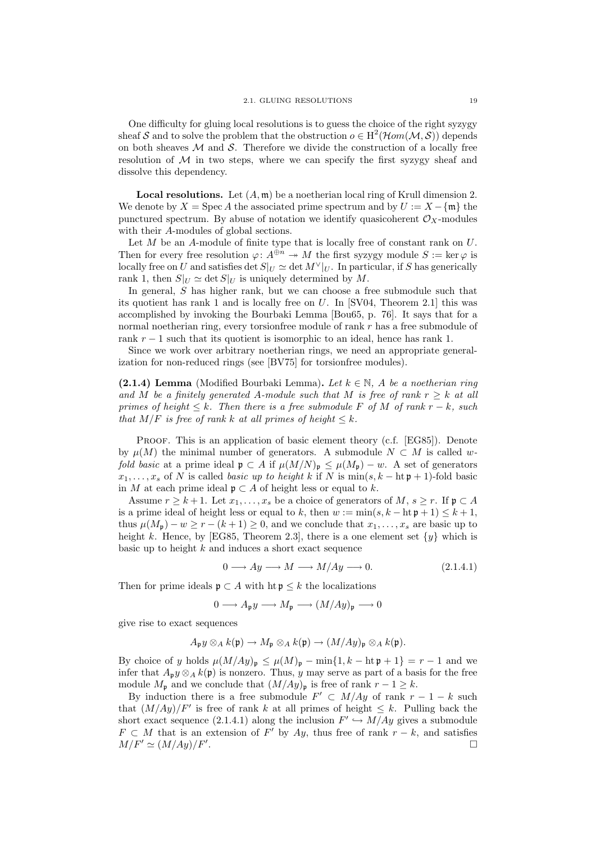One difficulty for gluing local resolutions is to guess the choice of the right syzygy sheaf S and to solve the problem that the obstruction  $o \in H^2(\mathcal{H}om(\mathcal{M}, \mathcal{S}))$  depends on both sheaves  $\mathcal M$  and  $\mathcal S$ . Therefore we divide the construction of a locally free resolution of  $\mathcal M$  in two steps, where we can specify the first syzygy sheaf and dissolve this dependency.

**Local resolutions.** Let  $(A, \mathfrak{m})$  be a noetherian local ring of Krull dimension 2. We denote by  $X = \text{Spec } A$  the associated prime spectrum and by  $U := X - \{\mathfrak{m}\}\)$  the punctured spectrum. By abuse of notation we identify quasicoherent  $\mathcal{O}_X$ -modules with their A-modules of global sections.

Let  $M$  be an  $A$ -module of finite type that is locally free of constant rank on  $U$ . Then for every free resolution  $\varphi: A^{\oplus n} \to M$  the first syzygy module  $S := \ker \varphi$  is locally free on U and satisfies det  $S|_U \simeq$  det  $M^{\vee}|_U$ . In particular, if S has generically rank 1, then  $S|_U \simeq \det S|_U$  is uniquely determined by M.

In general, S has higher rank, but we can choose a free submodule such that its quotient has rank 1 and is locally free on  $U$ . In [SV04, Theorem 2.1] this was accomplished by invoking the Bourbaki Lemma [Bou65, p. 76]. It says that for a normal noetherian ring, every torsionfree module of rank r has a free submodule of rank  $r - 1$  such that its quotient is isomorphic to an ideal, hence has rank 1.

Since we work over arbitrary noetherian rings, we need an appropriate generalization for non-reduced rings (see [BV75] for torsionfree modules).

(2.1.4) Lemma (Modified Bourbaki Lemma). Let  $k \in \mathbb{N}$ , A be a noetherian ring and M be a finitely generated A-module such that M is free of rank  $r \geq k$  at all primes of height  $\leq k$ . Then there is a free submodule F of M of rank  $r - k$ , such that  $M/F$  is free of rank k at all primes of height  $\leq k$ .

PROOF. This is an application of basic element theory (c.f. [EG85]). Denote by  $\mu(M)$  the minimal number of generators. A submodule  $N \subset M$  is called wfold basic at a prime ideal  $\mathfrak{p} \subset A$  if  $\mu(M/N)_{\mathfrak{p}} \leq \mu(M_{\mathfrak{p}}) - w$ . A set of generators  $x_1, \ldots, x_s$  of N is called *basic up to height* k if N is min $(s, k - \text{ht } \mathfrak{p} + 1)$ -fold basic in M at each prime ideal  $\mathfrak{p} \subset A$  of height less or equal to k.

Assume  $r \geq k+1$ . Let  $x_1, \ldots, x_s$  be a choice of generators of  $M, s \geq r$ . If  $\mathfrak{p} \subset A$ is a prime ideal of height less or equal to k, then  $w := \min(s, k - \ln p + 1) \leq k + 1$ . thus  $\mu(M_p) - w \ge r - (k+1) \ge 0$ , and we conclude that  $x_1, \ldots, x_s$  are basic up to height k. Hence, by [EG85, Theorem 2.3], there is a one element set  $\{y\}$  which is basic up to height  $k$  and induces a short exact sequence

$$
0 \longrightarrow Ay \longrightarrow M \longrightarrow M/Ay \longrightarrow 0. \tag{2.1.4.1}
$$

Then for prime ideals  $\mathfrak{p} \subset A$  with  $\mathfrak{h} \mathfrak{p} \leq k$  the localizations

$$
0 \longrightarrow A_{\mathfrak{p}}y \longrightarrow M_{\mathfrak{p}} \longrightarrow (M/Ay)_{\mathfrak{p}} \longrightarrow 0
$$

give rise to exact sequences

$$
A_{\mathfrak{p}}y\otimes_A k(\mathfrak{p})\to M_{\mathfrak{p}}\otimes_A k(\mathfrak{p})\to (M/Ay)_{\mathfrak{p}}\otimes_A k(\mathfrak{p}).
$$

By choice of y holds  $\mu(M/Ay)_{\mathfrak{p}} \leq \mu(M)_{\mathfrak{p}} - \min\{1, k - \ln \mathfrak{p} + 1\} = r - 1$  and we infer that  $A_{\mathfrak{p}} y \otimes_A k(\mathfrak{p})$  is nonzero. Thus, y may serve as part of a basis for the free module  $M_p$  and we conclude that  $(M/Ay)_p$  is free of rank  $r - 1 \ge k$ .

By induction there is a free submodule  $F' \subset M/Ay$  of rank  $r-1-k$  such that  $(M/Ay)/F'$  is free of rank k at all primes of height  $\leq k$ . Pulling back the short exact sequence (2.1.4.1) along the inclusion  $F' \hookrightarrow M/Ay$  gives a submodule  $F \subset M$  that is an extension of F' by Ay, thus free of rank  $r - k$ , and satisfies  $M/F' \simeq (M/Ay)/F'.$ .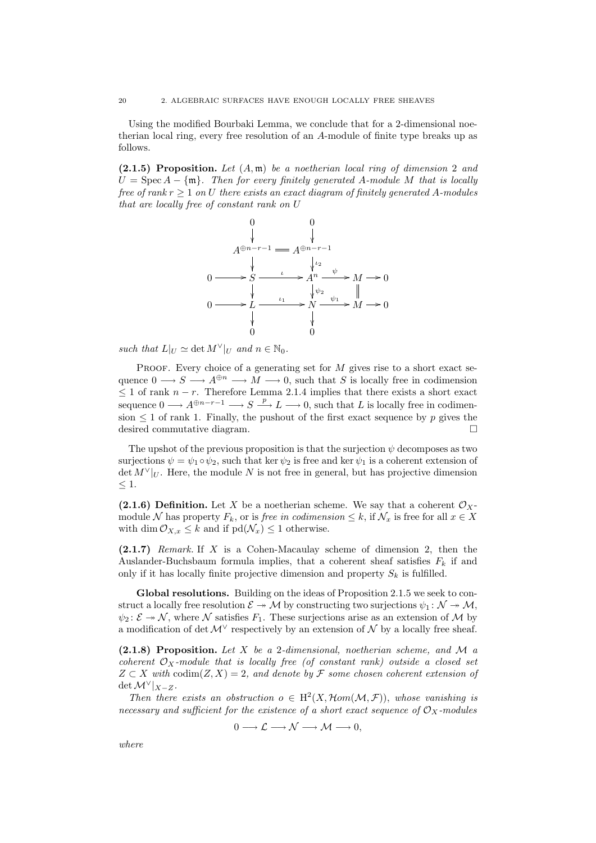Using the modified Bourbaki Lemma, we conclude that for a 2-dimensional noetherian local ring, every free resolution of an A-module of finite type breaks up as follows.

 $(2.1.5)$  Proposition. Let  $(A, \mathfrak{m})$  be a noetherian local ring of dimension 2 and  $U = \operatorname{Spec} A - \{\mathfrak{m}\}\.$  Then for every finitely generated A-module M that is locally free of rank  $r \geq 1$  on U there exists an exact diagram of finitely generated A-modules that are locally free of constant rank on U



such that  $L|_U \simeq \det M^{\vee}|_U$  and  $n \in \mathbb{N}_0$ .

PROOF. Every choice of a generating set for  $M$  gives rise to a short exact sequence  $0 \longrightarrow S \longrightarrow A^{\oplus n} \longrightarrow M \longrightarrow 0$ , such that S is locally free in codimension  $\leq 1$  of rank  $n-r$ . Therefore Lemma 2.1.4 implies that there exists a short exact sequence  $0 \longrightarrow A^{\oplus n-r-1} \longrightarrow S \stackrel{p}{\longrightarrow} L \longrightarrow 0$ , such that L is locally free in codimension  $\leq 1$  of rank 1. Finally, the pushout of the first exact sequence by p gives the desired commutative diagram.

The upshot of the previous proposition is that the surjection  $\psi$  decomposes as two surjections  $\psi = \psi_1 \circ \psi_2$ , such that ker  $\psi_2$  is free and ker  $\psi_1$  is a coherent extension of  $\det M^{\vee}|_U$ . Here, the module N is not free in general, but has projective dimension  $\leq 1$ .

(2.1.6) Definition. Let X be a noetherian scheme. We say that a coherent  $\mathcal{O}_X$ module N has property  $F_k$ , or is *free in codimension*  $\leq k$ , if  $\mathcal{N}_x$  is free for all  $x \in X$ with dim  $\mathcal{O}_{X,x} \leq k$  and if  $\text{pd}(\mathcal{N}_x) \leq 1$  otherwise.

 $(2.1.7)$  Remark. If X is a Cohen-Macaulay scheme of dimension 2, then the Auslander-Buchsbaum formula implies, that a coherent sheaf satisfies  $F_k$  if and only if it has locally finite projective dimension and property  $S_k$  is fulfilled.

Global resolutions. Building on the ideas of Proposition 2.1.5 we seek to construct a locally free resolution  $\mathcal{E} \to \mathcal{M}$  by constructing two surjections  $\psi_1 \colon \mathcal{N} \to \mathcal{M}$ ,  $\psi_2$ :  $\mathcal{E} \to \mathcal{N}$ , where  $\mathcal{N}$  satisfies  $F_1$ . These surjections arise as an extension of  $\mathcal{M}$  by a modification of det  $\mathcal{M}^{\vee}$  respectively by an extension of  $\mathcal{N}$  by a locally free sheaf.

(2.1.8) Proposition. Let X be a 2-dimensional, noetherian scheme, and M a coherent  $\mathcal{O}_X$ -module that is locally free (of constant rank) outside a closed set  $Z \subset X$  with codim(Z, X) = 2, and denote by F some chosen coherent extension of  $\det \mathcal{M}^{\vee}|_{X-Z}.$ 

Then there exists an obstruction  $o \in H^2(X, \mathcal{H}om(\mathcal{M}, \mathcal{F}))$ , whose vanishing is necessary and sufficient for the existence of a short exact sequence of  $\mathcal{O}_X$ -modules

$$
0 \longrightarrow \mathcal{L} \longrightarrow \mathcal{N} \longrightarrow \mathcal{M} \longrightarrow 0,
$$

where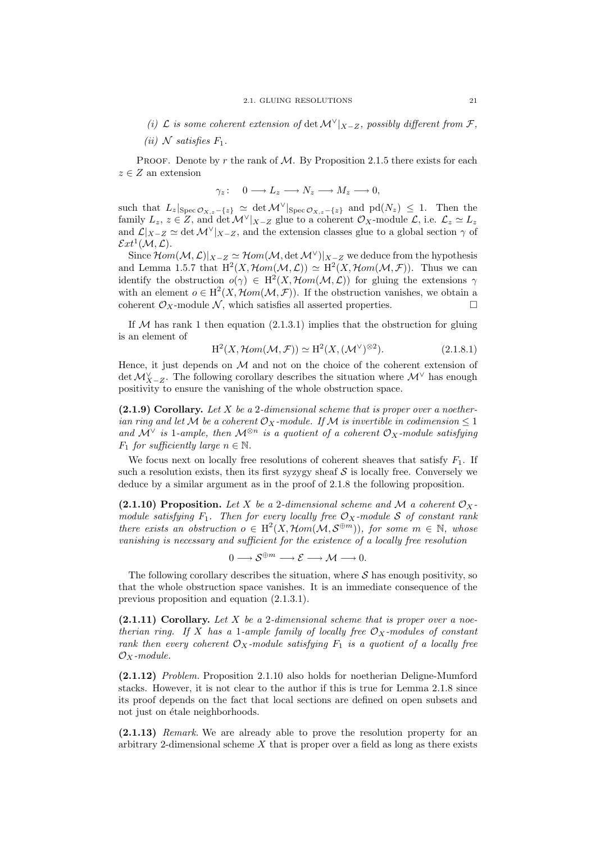- (i)  $\mathcal L$  is some coherent extension of det  $\mathcal{M}^{\vee}|_{X-Z}$ , possibly different from  $\mathcal F$ ,
- (ii) N satisfies  $F_1$ .

PROOF. Denote by r the rank of  $M$ . By Proposition 2.1.5 there exists for each  $z \in Z$  an extension

$$
\gamma_z: \quad 0 \longrightarrow L_z \longrightarrow N_z \longrightarrow M_z \longrightarrow 0,
$$

such that  $L_z|_{\text{Spec } \mathcal{O}_{X,z}-\{z\}} \simeq \det \mathcal{M}^{\vee}|_{\text{Spec } \mathcal{O}_{X,z}-\{z\}}$  and  $\text{pd}(N_z) \leq 1$ . Then the family  $L_z, z \in Z$ , and  $\det \mathcal{M}^{\vee}|_{X-Z}$  glue to a coherent  $\mathcal{O}_X$ -module  $\mathcal{L}$ , i.e.  $\mathcal{L}_z \simeq L_z$ and  $\mathcal{L}|_{X-Z} \simeq \det \mathcal{M}^{\vee}|_{X-Z}$ , and the extension classes glue to a global section  $\gamma$  of  $\mathcal{E}xt^1(\mathcal{M},\mathcal{L}).$ 

Since  $\mathcal{H}om(\mathcal{M},\mathcal{L})|_{X-Z} \simeq \mathcal{H}om(\mathcal{M},\det \mathcal{M}^{\vee})|_{X-Z}$  we deduce from the hypothesis and Lemma 1.5.7 that  $H^2(X, \mathcal{H}om(\mathcal{M}, \mathcal{L})) \simeq H^2(X, \mathcal{H}om(\mathcal{M}, \mathcal{F}))$ . Thus we can identify the obstruction  $o(\gamma) \in H^2(X, \mathcal{H}om(\mathcal{M}, \mathcal{L}))$  for gluing the extensions  $\gamma$ with an element  $o \in H^2(X, \mathcal{H}om(\mathcal{M}, \mathcal{F}))$ . If the obstruction vanishes, we obtain a coherent  $\mathcal{O}_X$ -module  $\mathcal{N}$ , which satisfies all asserted properties.

If  $M$  has rank 1 then equation (2.1.3.1) implies that the obstruction for gluing is an element of

$$
H2(X, \mathcal{H}om(\mathcal{M}, \mathcal{F})) \simeq H2(X, (\mathcal{M}^{\vee})^{\otimes 2}).
$$
\n(2.1.8.1)

Hence, it just depends on  $M$  and not on the choice of the coherent extension of det  $\mathcal{M}_{X-Z}^{\vee}$ . The following corollary describes the situation where  $\mathcal{M}^{\vee}$  has enough positivity to ensure the vanishing of the whole obstruction space.

 $(2.1.9)$  Corollary. Let X be a 2-dimensional scheme that is proper over a noetherian ring and let M be a coherent  $\mathcal{O}_X$ -module. If M is invertible in codimension  $\leq 1$ and  $\mathcal{M}^{\vee}$  is 1-ample, then  $\mathcal{M}^{\otimes n}$  is a quotient of a coherent  $\mathcal{O}_X$ -module satisfying  $F_1$  for sufficiently large  $n \in \mathbb{N}$ .

We focus next on locally free resolutions of coherent sheaves that satisfy  $F_1$ . If such a resolution exists, then its first syzygy sheaf  $S$  is locally free. Conversely we deduce by a similar argument as in the proof of 2.1.8 the following proposition.

(2.1.10) Proposition. Let X be a 2-dimensional scheme and M a coherent  $\mathcal{O}_X$ module satisfying  $F_1$ . Then for every locally free  $\mathcal{O}_X$ -module S of constant rank there exists an obstruction  $o \in H^2(X, \mathcal{H}om(\mathcal{M}, \mathcal{S}^{\oplus m}))$ , for some  $m \in \mathbb{N}$ , whose vanishing is necessary and sufficient for the existence of a locally free resolution

 $0 \longrightarrow \mathcal{S}^{\oplus m} \longrightarrow \mathcal{E} \longrightarrow \mathcal{M} \longrightarrow 0.$ 

The following corollary describes the situation, where  $S$  has enough positivity, so that the whole obstruction space vanishes. It is an immediate consequence of the previous proposition and equation (2.1.3.1).

 $(2.1.11)$  Corollary. Let X be a 2-dimensional scheme that is proper over a noetherian ring. If X has a 1-ample family of locally free  $\mathcal{O}_X$ -modules of constant rank then every coherent  $\mathcal{O}_X$ -module satisfying  $F_1$  is a quotient of a locally free  $\mathcal{O}_X$ -module.

(2.1.12) Problem. Proposition 2.1.10 also holds for noetherian Deligne-Mumford stacks. However, it is not clear to the author if this is true for Lemma 2.1.8 since its proof depends on the fact that local sections are defined on open subsets and not just on étale neighborhoods.

(2.1.13) Remark. We are already able to prove the resolution property for an arbitrary 2-dimensional scheme  $X$  that is proper over a field as long as there exists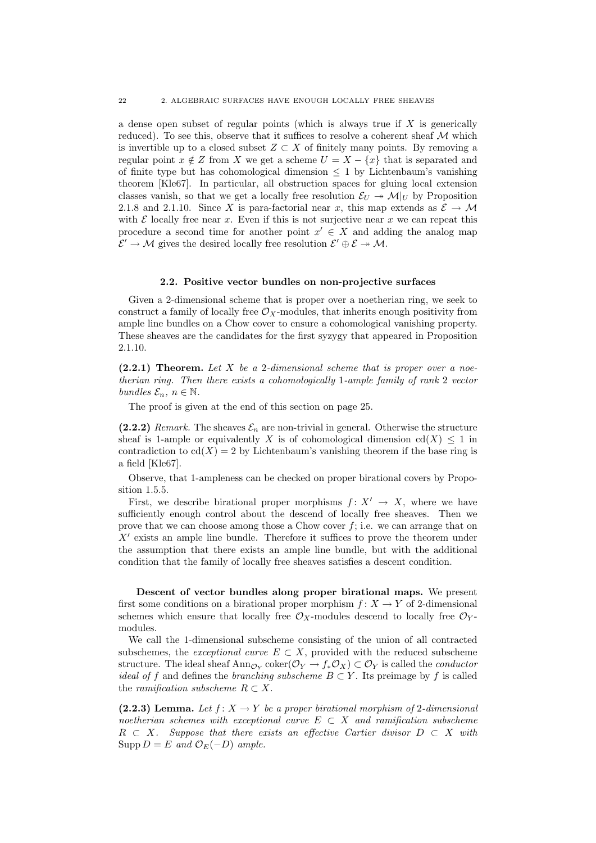a dense open subset of regular points (which is always true if  $X$  is generically reduced). To see this, observe that it suffices to resolve a coherent sheaf  $M$  which is invertible up to a closed subset  $Z \subset X$  of finitely many points. By removing a regular point  $x \notin Z$  from X we get a scheme  $U = X - \{x\}$  that is separated and of finite type but has cohomological dimension  $\leq 1$  by Lichtenbaum's vanishing theorem [Kle67]. In particular, all obstruction spaces for gluing local extension classes vanish, so that we get a locally free resolution  $\mathcal{E}_U \to \mathcal{M}|_U$  by Proposition 2.1.8 and 2.1.10. Since X is para-factorial near x, this map extends as  $\mathcal{E} \to \mathcal{M}$ with  $\mathcal E$  locally free near x. Even if this is not surjective near x we can repeat this procedure a second time for another point  $x' \in X$  and adding the analog map  $\mathcal{E}' \to \mathcal{M}$  gives the desired locally free resolution  $\mathcal{E}' \oplus \mathcal{E} \to \mathcal{M}$ .

#### 2.2. Positive vector bundles on non-projective surfaces

Given a 2-dimensional scheme that is proper over a noetherian ring, we seek to construct a family of locally free  $\mathcal{O}_X$ -modules, that inherits enough positivity from ample line bundles on a Chow cover to ensure a cohomological vanishing property. These sheaves are the candidates for the first syzygy that appeared in Proposition 2.1.10.

 $(2.2.1)$  Theorem. Let X be a 2-dimensional scheme that is proper over a noetherian ring. Then there exists a cohomologically 1-ample family of rank 2 vector bundles  $\mathcal{E}_n$ ,  $n \in \mathbb{N}$ .

The proof is given at the end of this section on page 25.

(2.2.2) Remark. The sheaves  $\mathcal{E}_n$  are non-trivial in general. Otherwise the structure sheaf is 1-ample or equivalently X is of cohomological dimension  $cd(X) \leq 1$  in contradiction to  $cd(X) = 2$  by Lichtenbaum's vanishing theorem if the base ring is a field [Kle67].

Observe, that 1-ampleness can be checked on proper birational covers by Proposition 1.5.5.

First, we describe birational proper morphisms  $f: X' \to X$ , where we have sufficiently enough control about the descend of locally free sheaves. Then we prove that we can choose among those a Chow cover  $f$ ; i.e. we can arrange that on  $X'$  exists an ample line bundle. Therefore it suffices to prove the theorem under the assumption that there exists an ample line bundle, but with the additional condition that the family of locally free sheaves satisfies a descent condition.

Descent of vector bundles along proper birational maps. We present first some conditions on a birational proper morphism  $f: X \to Y$  of 2-dimensional schemes which ensure that locally free  $\mathcal{O}_X$ -modules descend to locally free  $\mathcal{O}_Y$ modules.

We call the 1-dimensional subscheme consisting of the union of all contracted subschemes, the *exceptional curve*  $E \subset X$ , provided with the reduced subscheme structure. The ideal sheaf  $\text{Ann}_{\mathcal{O}_Y} \text{coker}(\mathcal{O}_Y \to f_* \mathcal{O}_X) \subset \mathcal{O}_Y$  is called the *conductor ideal of f* and defines the *branching subscheme*  $B \subset Y$ . Its preimage by f is called the *ramification subscheme*  $R \subset X$ .

(2.2.3) Lemma. Let  $f: X \to Y$  be a proper birational morphism of 2-dimensional noetherian schemes with exceptional curve  $E \subset X$  and ramification subscheme  $R \subset X$ . Suppose that there exists an effective Cartier divisor  $D \subset X$  with Supp  $D = E$  and  $\mathcal{O}_E(-D)$  ample.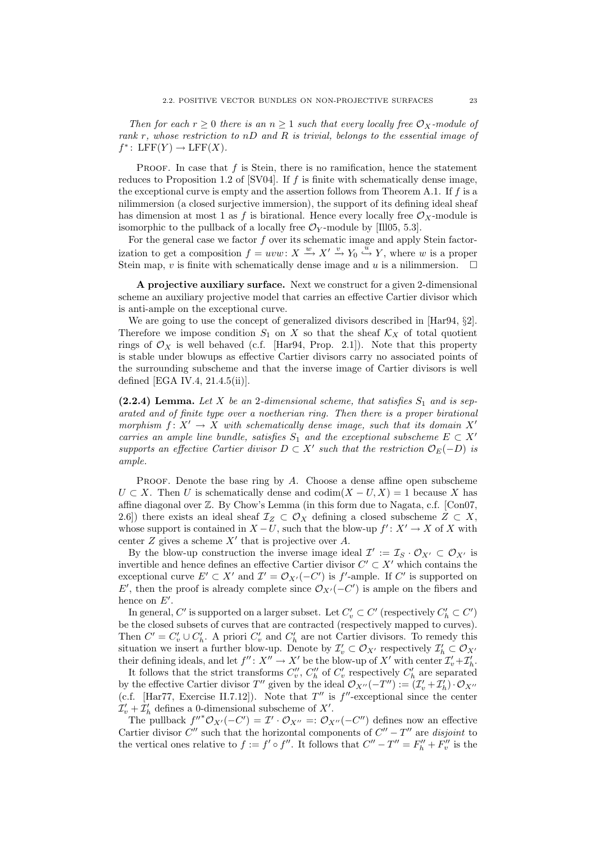Then for each  $r \geq 0$  there is an  $n \geq 1$  such that every locally free  $\mathcal{O}_X$ -module of rank r, whose restriction to  $nD$  and R is trivial, belongs to the essential image of  $f^*$ : LFF $(Y) \to \text{LFF}(X)$ .

PROOF. In case that  $f$  is Stein, there is no ramification, hence the statement reduces to Proposition 1.2 of  $|SVO4|$ . If f is finite with schematically dense image, the exceptional curve is empty and the assertion follows from Theorem A.1. If  $f$  is a nilimmersion (a closed surjective immersion), the support of its defining ideal sheaf has dimension at most 1 as f is birational. Hence every locally free  $\mathcal{O}_X$ -module is isomorphic to the pullback of a locally free  $\mathcal{O}_Y$ -module by [Ill05, 5.3].

For the general case we factor  $f$  over its schematic image and apply Stein factorization to get a composition  $f = uvw \colon X \stackrel{w}{\longrightarrow} X' \stackrel{v}{\longrightarrow} Y_0 \stackrel{u}{\longrightarrow} Y$ , where w is a proper Stein map, v is finite with schematically dense image and u is a nilimmersion.  $\Box$ 

A projective auxiliary surface. Next we construct for a given 2-dimensional scheme an auxiliary projective model that carries an effective Cartier divisor which is anti-ample on the exceptional curve.

We are going to use the concept of generalized divisors described in [Har94, §2]. Therefore we impose condition  $S_1$  on X so that the sheaf  $\mathcal{K}_X$  of total quotient rings of  $\mathcal{O}_X$  is well behaved (c.f. [Har94, Prop. 2.1]). Note that this property is stable under blowups as effective Cartier divisors carry no associated points of the surrounding subscheme and that the inverse image of Cartier divisors is well defined [EGA IV.4, 21.4.5(ii)].

(2.2.4) Lemma. Let X be an 2-dimensional scheme, that satisfies  $S_1$  and is separated and of finite type over a noetherian ring. Then there is a proper birational morphism  $f: X' \to X$  with schematically dense image, such that its domain X<sup>1</sup> carries an ample line bundle, satisfies  $S_1$  and the exceptional subscheme  $E \subset X'$ supports an effective Cartier divisor  $D \subset X'$  such that the restriction  $\mathcal{O}_E(-D)$  is ample.

PROOF. Denote the base ring by  $A$ . Choose a dense affine open subscheme  $U \subset X$ . Then U is schematically dense and  $\text{codim}(X - U, X) = 1$  because X has affine diagonal over  $\mathbb Z$ . By Chow's Lemma (in this form due to Nagata, c.f. [Con07, 2.6]) there exists an ideal sheaf  $\mathcal{I}_Z \subset \mathcal{O}_X$  defining a closed subscheme  $Z \subset X$ , whose support is contained in  $X-U$ , such that the blow-up  $f' : X' \to X$  of X with center  $Z$  gives a scheme  $X'$  that is projective over  $A$ .

By the blow-up construction the inverse image ideal  $\mathcal{I}' := \mathcal{I}_S \cdot \mathcal{O}_{X'} \subset \mathcal{O}_{X'}$  is invertible and hence defines an effective Cartier divisor  $C' \subset X'$  which contains the exceptional curve  $E' \subset X'$  and  $\mathcal{I}' = \mathcal{O}_{X'}(-C')$  is f'-ample. If C' is supported on E', then the proof is already complete since  $\mathcal{O}_{X'}(-C')$  is ample on the fibers and hence on  $E'$ .

In general,  $C'$  is supported on a larger subset. Let  $C'_v \subset C'$  (respectively  $C'_h \subset C'$ ) be the closed subsets of curves that are contracted (respectively mapped to curves). Then  $C' = C'_v \cup C'_h$ . A priori  $C'_v$  and  $C'_h$  are not Cartier divisors. To remedy this situation we insert a further blow-up. Denote by  $\mathcal{I}'_v \subset \mathcal{O}_{X'}$  respectively  $\mathcal{I}'_h \subset \mathcal{O}_{X'}$ their defining ideals, and let  $f'' : X'' \to X'$  be the blow-up of X' with center  $\mathcal{I}'_v + \mathcal{I}'_h$ .

It follows that the strict transforms  $C_v''$ ,  $C_h''$  of  $C_v'$  respectively  $C_h'$  are separated by the effective Cartier divisor T'' given by the ideal  $\mathcal{O}_{X''}(-T'') := (\mathcal{I}'_v + \mathcal{I}'_h) \cdot \mathcal{O}_{X''}$ (c.f. [Har77, Exercise II.7.12]). Note that  $T''$  is  $f''$ -exceptional since the center  $\mathcal{I}'_v + \mathcal{I}'_h$  defines a 0-dimensional subscheme of X'.

The pullback  $f''^* \mathcal{O}_{X'}(-C') = \mathcal{I'} \cdot \mathcal{O}_{X''} =: \mathcal{O}_{X''}(-C'')$  defines now an effective Cartier divisor  $C''$  such that the horizontal components of  $C'' - T''$  are disjoint to the vertical ones relative to  $f := f' \circ f''$ . It follows that  $C'' - T'' = F''_h + F''_v$  is the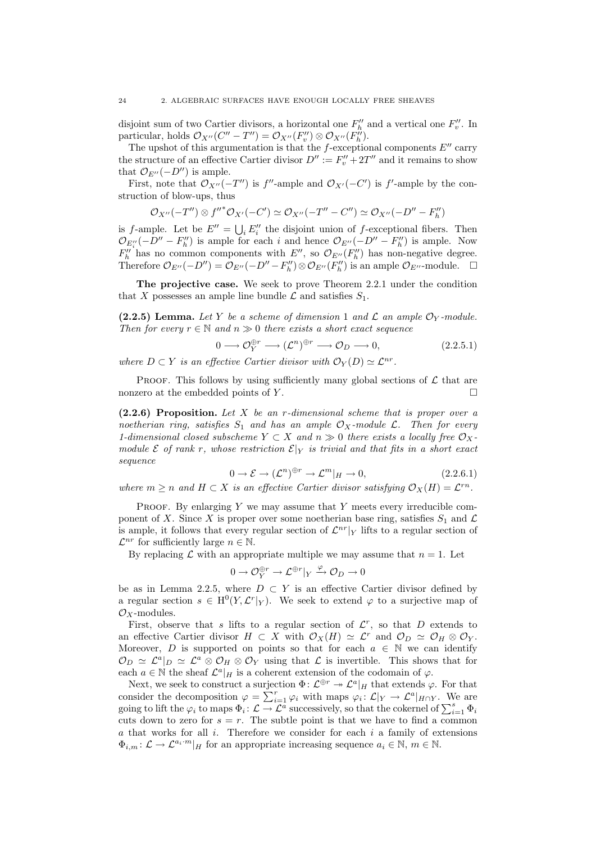disjoint sum of two Cartier divisors, a horizontal one  $F''_h$  and a vertical one  $F''_v$ . In particular, holds  $\mathcal{O}_{X''}(C'' - T'') = \mathcal{O}_{X''}(F''_v) \otimes \mathcal{O}_{X''}(F''_h)$ .

The upshot of this argumentation is that the  $f$ -exceptional components  $E''$  carry the structure of an effective Cartier divisor  $D'' := F''_v + 2T''$  and it remains to show that  $\mathcal{O}_{E''}(-D'')$  is ample.

First, note that  $\mathcal{O}_{X''}(-T'')$  is f''-ample and  $\mathcal{O}_{X'}(-C')$  is f'-ample by the construction of blow-ups, thus

$$
\mathcal{O}_{X''}(-T'')\otimes {f''}^*\mathcal{O}_{X'}(-C')\simeq \mathcal{O}_{X''}(-T''-C'')\simeq \mathcal{O}_{X''}(-D''-F''_h)
$$

is f-ample. Let be  $E'' = \bigcup_i E''_i$  the disjoint union of f-exceptional fibers. Then  $\mathcal{O}_{E_i''}(-D'' - F_h'')$  is ample for each i and hence  $\mathcal{O}_{E''}(-D'' - F_h'')$  is ample. Now  $F''_h$  has no common components with  $E''$ , so  $\mathcal{O}_{E''}(F''_h)$  has non-negative degree. Therefore  $\mathcal{O}_{E''}(-D'') = \mathcal{O}_{E''}(-D'' - F''_h) \otimes \mathcal{O}_{E''}(F''_h)$  is an ample  $\mathcal{O}_{E''}$ -module.  $\Box$ 

The projective case. We seek to prove Theorem 2.2.1 under the condition that X possesses an ample line bundle  $\mathcal L$  and satisfies  $S_1$ .

(2.2.5) Lemma. Let Y be a scheme of dimension 1 and  $\mathcal L$  an ample  $\mathcal O_Y$ -module. Then for every  $r \in \mathbb{N}$  and  $n \gg 0$  there exists a short exact sequence

$$
0 \longrightarrow \mathcal{O}_{Y}^{\oplus r} \longrightarrow (\mathcal{L}^{n})^{\oplus r} \longrightarrow \mathcal{O}_{D} \longrightarrow 0, \qquad (2.2.5.1)
$$

where  $D \subset Y$  is an effective Cartier divisor with  $\mathcal{O}_Y(D) \simeq \mathcal{L}^{nr}$ .

PROOF. This follows by using sufficiently many global sections of  $\mathcal L$  that are nonzero at the embedded points of  $Y$ .

 $(2.2.6)$  Proposition. Let X be an r-dimensional scheme that is proper over a noetherian ring, satisfies  $S_1$  and has an ample  $\mathcal{O}_X$ -module  $\mathcal{L}$ . Then for every 1-dimensional closed subscheme  $Y \subset X$  and  $n \gg 0$  there exists a locally free  $\mathcal{O}_X$ module E of rank r, whose restriction  $\mathcal{E}|_Y$  is trivial and that fits in a short exact sequence

$$
0 \to \mathcal{E} \to (\mathcal{L}^n)^{\oplus r} \to \mathcal{L}^m|_H \to 0,
$$
\n(2.2.6.1)

where  $m \geq n$  and  $H \subset X$  is an effective Cartier divisor satisfying  $\mathcal{O}_X(H) = \mathcal{L}^{rn}$ .

PROOF. By enlarging  $Y$  we may assume that  $Y$  meets every irreducible component of X. Since X is proper over some noetherian base ring, satisfies  $S_1$  and  $\mathcal L$ is ample, it follows that every regular section of  $\mathcal{L}^{nr}|_Y$  lifts to a regular section of  $\mathcal{L}^{nr}$  for sufficiently large  $n \in \mathbb{N}$ .

By replacing  $\mathcal L$  with an appropriate multiple we may assume that  $n = 1$ . Let

$$
0 \to \mathcal{O}_{Y}^{\oplus r} \to \mathcal{L}^{\oplus r}|_{Y} \xrightarrow{\varphi} \mathcal{O}_{D} \to 0
$$

be as in Lemma 2.2.5, where  $D \subset Y$  is an effective Cartier divisor defined by a regular section  $s \in H^0(Y, \mathcal{L}^r|_Y)$ . We seek to extend  $\varphi$  to a surjective map of  $\mathcal{O}_X$ -modules.

First, observe that s lifts to a regular section of  $\mathcal{L}^r$ , so that D extends to an effective Cartier divisor  $H \subset X$  with  $\mathcal{O}_X(H) \simeq \mathcal{L}^r$  and  $\mathcal{O}_D \simeq \mathcal{O}_H \otimes \mathcal{O}_Y$ . Moreover, D is supported on points so that for each  $a \in \mathbb{N}$  we can identify  $\mathcal{O}_D \simeq \mathcal{L}^a|_D \simeq \mathcal{L}^a \otimes \mathcal{O}_H \otimes \mathcal{O}_Y$  using that  $\mathcal L$  is invertible. This shows that for each  $a \in \mathbb{N}$  the sheaf  $\mathcal{L}^a|_H$  is a coherent extension of the codomain of  $\varphi$ .

Next, we seek to construct a surjection  $\Phi: \mathcal{L}^{\oplus r} \to \mathcal{L}^a|_H$  that extends  $\varphi$ . For that consider the decomposition  $\varphi = \sum_{i=1}^r \varphi_i$  with maps  $\varphi_i : \mathcal{L}|_Y \to \mathcal{L}^a|_{H \cap Y}$ . We are going to lift the  $\varphi_i$  to maps  $\Phi_i: \mathcal{L} \to \mathcal{L}^a$  successively, so that the cokernel of  $\sum_{i=1}^s \Phi_i$ cuts down to zero for  $s = r$ . The subtle point is that we have to find a common  $a$  that works for all  $i$ . Therefore we consider for each  $i$  a family of extensions  $\Phi_{i,m} : \mathcal{L} \to \mathcal{L}^{a_i \cdot m}|_H$  for an appropriate increasing sequence  $a_i \in \mathbb{N}, m \in \mathbb{N}$ .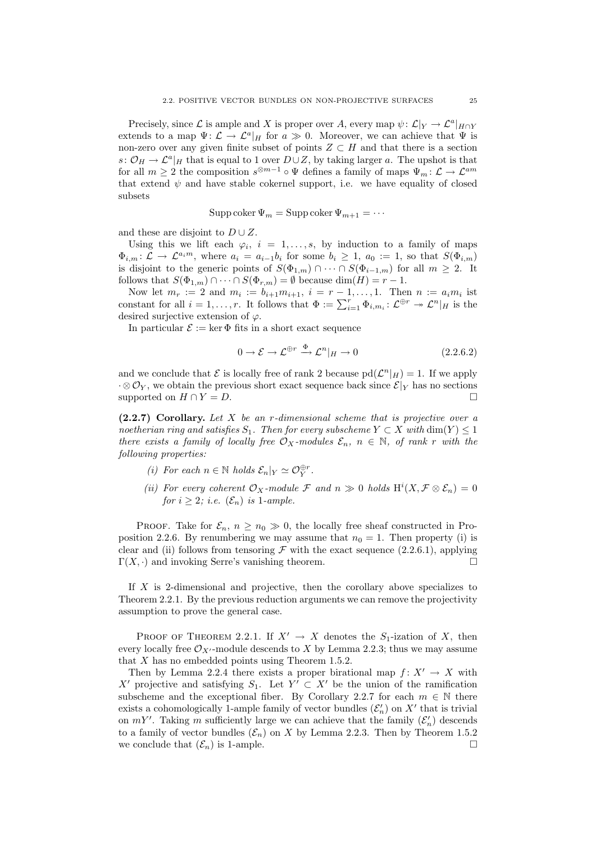Precisely, since  $\mathcal L$  is ample and X is proper over A, every map  $\psi: \mathcal L|_Y \to \mathcal L^a|_{H \cap Y}$ extends to a map  $\Psi: \mathcal{L} \to \mathcal{L}^a|_H$  for  $a \gg 0$ . Moreover, we can achieve that  $\Psi$  is non-zero over any given finite subset of points  $Z \subset H$  and that there is a section  $s: \mathcal{O}_H \to \mathcal{L}^a|_H$  that is equal to 1 over  $D \cup Z$ , by taking larger a. The upshot is that for all  $m \geq 2$  the composition  $s^{\otimes m-1} \circ \Psi$  defines a family of maps  $\Psi_m : \mathcal{L} \to \mathcal{L}^{am}$ that extend  $\psi$  and have stable cokernel support, i.e. we have equality of closed subsets

$$
Supp \, coker \, \Psi_m = Supp \, coker \, \Psi_{m+1} = \cdots
$$

and these are disjoint to  $D \cup Z$ .

Using this we lift each  $\varphi_i$ ,  $i = 1, \ldots, s$ , by induction to a family of maps  $\Phi_{i,m} : \mathcal{L} \to \mathcal{L}^{a_i m}$ , where  $a_i = a_{i-1}b_i$  for some  $b_i \geq 1$ ,  $a_0 := 1$ , so that  $S(\Phi_{i,m})$ is disjoint to the generic points of  $S(\Phi_{1,m}) \cap \cdots \cap S(\Phi_{i-1,m})$  for all  $m \geq 2$ . It follows that  $S(\Phi_{1,m}) \cap \cdots \cap S(\Phi_{r,m}) = \emptyset$  because  $\dim(H) = r - 1$ .

Now let  $m_r := 2$  and  $m_i := b_{i+1} m_{i+1}, i = r - 1, ..., 1$ . Then  $n := a_i m_i$  ist constant for all  $i = 1, ..., r$ . It follows that  $\Phi := \sum_{i=1}^{r} \Phi_{i,m_i} : \mathcal{L}^{\oplus r} \to \mathcal{L}^n|_H$  is the desired surjective extension of  $\varphi$ .

In particular  $\mathcal{E} := \ker \Phi$  fits in a short exact sequence

$$
0 \to \mathcal{E} \to \mathcal{L}^{\oplus r} \xrightarrow{\Phi} \mathcal{L}^n|_H \to 0
$$
\n(2.2.6.2)

and we conclude that  $\mathcal E$  is locally free of rank 2 because  $\text{pd}(\mathcal L^n|_H) = 1$ . If we apply  $\cdot \otimes \mathcal{O}_Y$ , we obtain the previous short exact sequence back since  $\mathcal{E}|_Y$  has no sections supported on  $H \cap Y = D$ .

 $(2.2.7)$  Corollary. Let X be an r-dimensional scheme that is projective over a noetherian ring and satisfies  $S_1$ . Then for every subscheme  $Y \subset X$  with  $\dim(Y) \leq 1$ there exists a family of locally free  $\mathcal{O}_X$ -modules  $\mathcal{E}_n$ ,  $n \in \mathbb{N}$ , of rank r with the following properties:

- (i) For each  $n \in \mathbb{N}$  holds  $\mathcal{E}_n|_Y \simeq \mathcal{O}_Y^{\oplus r}$ .
- (ii) For every coherent  $\mathcal{O}_X$ -module  $\mathcal F$  and  $n \gg 0$  holds  $H^i(X, \mathcal{F} \otimes \mathcal{E}_n) = 0$ for  $i \geq 2$ ; i.e.  $(\mathcal{E}_n)$  is 1-ample.

PROOF. Take for  $\mathcal{E}_n$ ,  $n \geq n_0 \gg 0$ , the locally free sheaf constructed in Proposition 2.2.6. By renumbering we may assume that  $n_0 = 1$ . Then property (i) is clear and (ii) follows from tensoring  $\mathcal F$  with the exact sequence (2.2.6.1), applying  $\Gamma(X, \cdot)$  and invoking Serre's vanishing theorem.

If X is 2-dimensional and projective, then the corollary above specializes to Theorem 2.2.1. By the previous reduction arguments we can remove the projectivity assumption to prove the general case.

PROOF OF THEOREM 2.2.1. If  $X' \to X$  denotes the S<sub>1</sub>-ization of X, then every locally free  $\mathcal{O}_{X'}$ -module descends to X by Lemma 2.2.3; thus we may assume that  $X$  has no embedded points using Theorem 1.5.2.

Then by Lemma 2.2.4 there exists a proper birational map  $f: X' \to X$  with X' projective and satisfying  $S_1$ . Let  $Y' \subset X'$  be the union of the ramification subscheme and the exceptional fiber. By Corollary 2.2.7 for each  $m \in \mathbb{N}$  there exists a cohomologically 1-ample family of vector bundles  $(\mathcal{E}'_n)$  on X' that is trivial on  $mY'$ . Taking m sufficiently large we can achieve that the family  $(\mathcal{E}'_n)$  descends to a family of vector bundles  $(\mathcal{E}_n)$  on X by Lemma 2.2.3. Then by Theorem 1.5.2 we conclude that  $(\mathcal{E}_n)$  is 1-ample.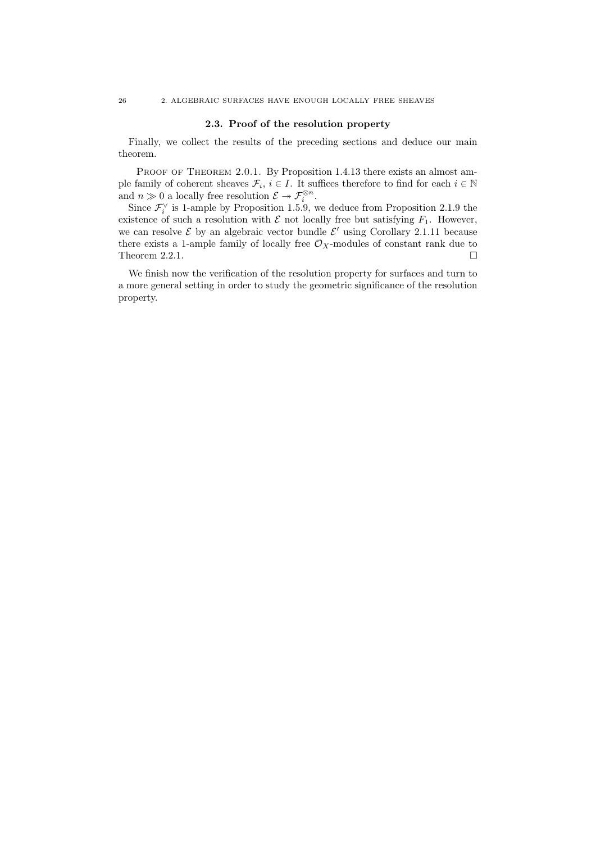#### 2.3. Proof of the resolution property

Finally, we collect the results of the preceding sections and deduce our main theorem.

PROOF OF THEOREM 2.0.1. By Proposition 1.4.13 there exists an almost ample family of coherent sheaves  $\mathcal{F}_i, i \in I$ . It suffices therefore to find for each  $i \in \mathbb{N}$ and  $n \gg 0$  a locally free resolution  $\mathcal{E} \to \mathcal{F}_i^{\otimes n}$ .

Since  $\mathcal{F}_i^{\vee}$  is 1-ample by Proposition 1.5.9, we deduce from Proposition 2.1.9 the existence of such a resolution with  $\mathcal E$  not locally free but satisfying  $F_1$ . However, we can resolve  $\mathcal E$  by an algebraic vector bundle  $\mathcal E'$  using Corollary 2.1.11 because there exists a 1-ample family of locally free  $\mathcal{O}_X$ -modules of constant rank due to Theorem 2.2.1.  $\Box$ 

We finish now the verification of the resolution property for surfaces and turn to a more general setting in order to study the geometric significance of the resolution property.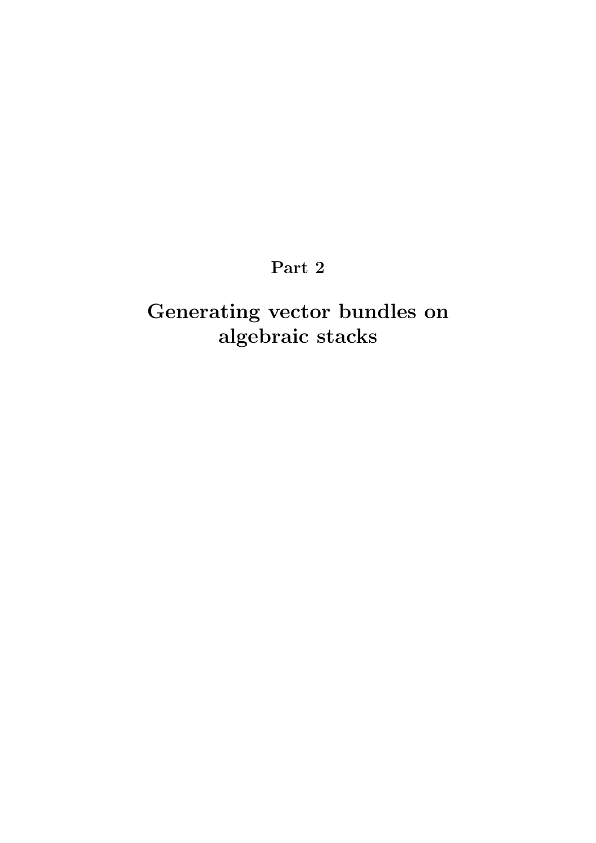## Part 2

# Generating vector bundles on algebraic stacks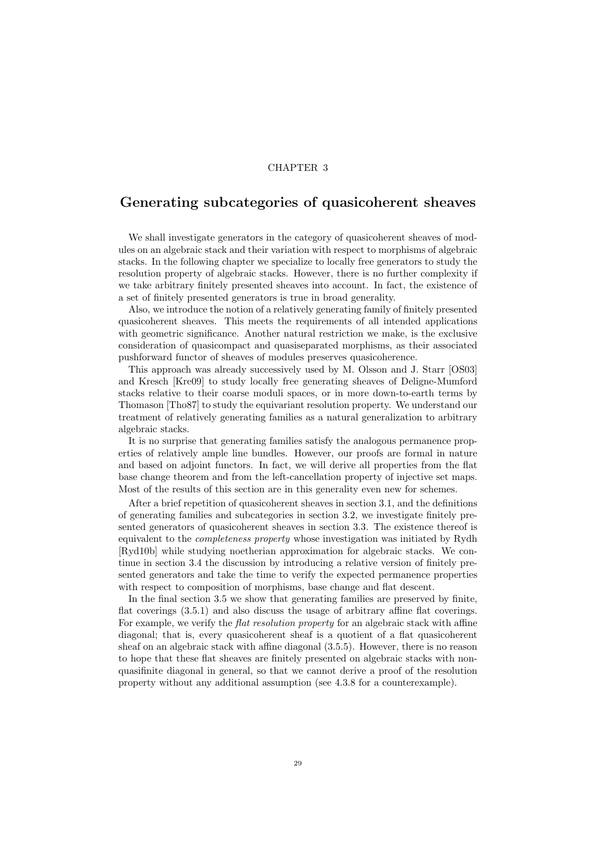#### CHAPTER 3

## Generating subcategories of quasicoherent sheaves

We shall investigate generators in the category of quasicoherent sheaves of modules on an algebraic stack and their variation with respect to morphisms of algebraic stacks. In the following chapter we specialize to locally free generators to study the resolution property of algebraic stacks. However, there is no further complexity if we take arbitrary finitely presented sheaves into account. In fact, the existence of a set of finitely presented generators is true in broad generality.

Also, we introduce the notion of a relatively generating family of finitely presented quasicoherent sheaves. This meets the requirements of all intended applications with geometric significance. Another natural restriction we make, is the exclusive consideration of quasicompact and quasiseparated morphisms, as their associated pushforward functor of sheaves of modules preserves quasicoherence.

This approach was already successively used by M. Olsson and J. Starr [OS03] and Kresch [Kre09] to study locally free generating sheaves of Deligne-Mumford stacks relative to their coarse moduli spaces, or in more down-to-earth terms by Thomason [Tho87] to study the equivariant resolution property. We understand our treatment of relatively generating families as a natural generalization to arbitrary algebraic stacks.

It is no surprise that generating families satisfy the analogous permanence properties of relatively ample line bundles. However, our proofs are formal in nature and based on adjoint functors. In fact, we will derive all properties from the flat base change theorem and from the left-cancellation property of injective set maps. Most of the results of this section are in this generality even new for schemes.

After a brief repetition of quasicoherent sheaves in section 3.1, and the definitions of generating families and subcategories in section 3.2, we investigate finitely presented generators of quasicoherent sheaves in section 3.3. The existence thereof is equivalent to the completeness property whose investigation was initiated by Rydh [Ryd10b] while studying noetherian approximation for algebraic stacks. We continue in section 3.4 the discussion by introducing a relative version of finitely presented generators and take the time to verify the expected permanence properties with respect to composition of morphisms, base change and flat descent.

In the final section 3.5 we show that generating families are preserved by finite, flat coverings (3.5.1) and also discuss the usage of arbitrary affine flat coverings. For example, we verify the *flat resolution property* for an algebraic stack with affine diagonal; that is, every quasicoherent sheaf is a quotient of a flat quasicoherent sheaf on an algebraic stack with affine diagonal (3.5.5). However, there is no reason to hope that these flat sheaves are finitely presented on algebraic stacks with nonquasifinite diagonal in general, so that we cannot derive a proof of the resolution property without any additional assumption (see 4.3.8 for a counterexample).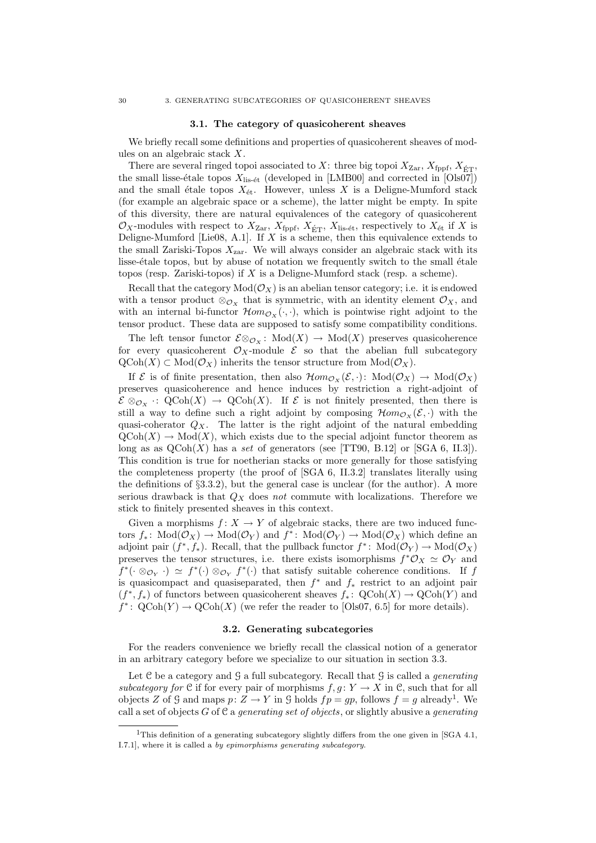#### 3.1. The category of quasicoherent sheaves

We briefly recall some definitions and properties of quasicoherent sheaves of modules on an algebraic stack X.

There are several ringed topoi associated to X: three big topoi  $X_{\text{Zar}}$ ,  $X_{\text{fppf}}$ ,  $X_{\text{ETP}}$ the small lisse-étale topos  $X_{\text{lis-\'et}}$  (developed in [LMB00] and corrected in [Ols07]) and the small étale topos  $X_{\text{\'et}}$ . However, unless X is a Deligne-Mumford stack (for example an algebraic space or a scheme), the latter might be empty. In spite of this diversity, there are natural equivalences of the category of quasicoherent  $\mathcal{O}_X$ -modules with respect to  $X_{\text{Zar}}$ ,  $X_{\text{fppf}}$ ,  $X_{\text{fcr}}$ ,  $X_{\text{lis-\'et}}$ , respectively to  $X_{\text{\'et}}$  if X is Deligne-Mumford [Lie08, A.1]. If  $X$  is a scheme, then this equivalence extends to the small Zariski-Topos  $X_{\text{zar}}$ . We will always consider an algebraic stack with its lisse- $\acute{e}$ tale topos, but by abuse of notation we frequently switch to the small  $\acute{e}$ tale topos (resp. Zariski-topos) if  $X$  is a Deligne-Mumford stack (resp. a scheme).

Recall that the category  $Mod(\mathcal{O}_X)$  is an abelian tensor category; i.e. it is endowed with a tensor product  $\otimes_{\mathcal{O}_X}$  that is symmetric, with an identity element  $\mathcal{O}_X$ , and with an internal bi-functor  $\mathcal{H}om_{\mathcal{O}_X}(\cdot, \cdot)$ , which is pointwise right adjoint to the tensor product. These data are supposed to satisfy some compatibility conditions.

The left tensor functor  $\mathcal{E} \otimes_{\mathcal{O}_X}$ : Mod $(X) \to \text{Mod}(X)$  preserves quasicoherence for every quasicoherent  $\mathcal{O}_X$ -module  $\mathcal E$  so that the abelian full subcategory  $\mathrm{QCoh}(X) \subset \mathrm{Mod}(\mathcal{O}_X)$  inherits the tensor structure from  $\mathrm{Mod}(\mathcal{O}_X)$ .

If  $\mathcal E$  is of finite presentation, then also  $\mathcal Hom_{\mathcal O_X}(\mathcal E, \cdot)$ :  $Mod(\mathcal O_X) \to Mod(\mathcal O_X)$ preserves quasicoherence and hence induces by restriction a right-adjoint of  $\mathcal{E} \otimes_{\mathcal{O}_{\mathcal{X}}} \colon \mathrm{QCoh}(X) \to \mathrm{QCoh}(X)$ . If  $\mathcal E$  is not finitely presented, then there is still a way to define such a right adjoint by composing  $\mathcal{H}om_{\mathcal{O}_{Y}}(\mathcal{E},\cdot)$  with the quasi-coherator  $Q_X$ . The latter is the right adjoint of the natural embedding  $QCoh(X) \to Mod(X)$ , which exists due to the special adjoint functor theorem as long as as  $QCoh(X)$  has a set of generators (see [TT90, B.12] or [SGA 6, II.3]). This condition is true for noetherian stacks or more generally for those satisfying the completeness property (the proof of [SGA 6, II.3.2] translates literally using the definitions of  $\S 3.3.2$ ), but the general case is unclear (for the author). A more serious drawback is that  $Q_X$  does not commute with localizations. Therefore we stick to finitely presented sheaves in this context.

Given a morphisms  $f: X \to Y$  of algebraic stacks, there are two induced functors  $f_*\colon \text{Mod}(\mathcal{O}_X) \to \text{Mod}(\mathcal{O}_Y)$  and  $f^*\colon \text{Mod}(\mathcal{O}_Y) \to \text{Mod}(\mathcal{O}_X)$  which define an adjoint pair  $(f^*, f_*)$ . Recall, that the pullback functor  $f^*: Mod(\mathcal{O}_Y) \to Mod(\mathcal{O}_X)$ preserves the tensor structures, i.e. there exists isomorphisms  $f^* \mathcal{O}_X \simeq \mathcal{O}_Y$  and  $f^*(\cdot \otimes_{\mathcal{O}_Y} \cdot) \simeq f^*(\cdot) \otimes_{\mathcal{O}_Y} f^*(\cdot)$  that satisfy suitable coherence conditions. If f is quasicompact and quasiseparated, then  $f^*$  and  $f_*$  restrict to an adjoint pair  $(f^*, f_*)$  of functors between quasicoherent sheaves  $f_*: \text{QCoh}(X) \to \text{QCoh}(Y)$  and  $f^* \colon \text{QCoh}(Y) \to \text{QCoh}(X)$  (we refer the reader to [Ols07, 6.5] for more details).

#### 3.2. Generating subcategories

For the readers convenience we briefly recall the classical notion of a generator in an arbitrary category before we specialize to our situation in section 3.3.

Let  $C$  be a category and  $G$  a full subcategory. Recall that  $G$  is called a *generating* subcategory for C if for every pair of morphisms  $f, g: Y \to X$  in C, such that for all objects Z of G and maps  $p: Z \to Y$  in G holds  $fp = gp$ , follows  $f = g$  already<sup>1</sup>. We call a set of objects  $G$  of  $\mathfrak C$  a *generating set of objects*, or slightly abusive a *generating* 

<sup>&</sup>lt;sup>1</sup>This definition of a generating subcategory slightly differs from the one given in [SGA 4.1, I.7.1], where it is called a by epimorphisms generating subcategory.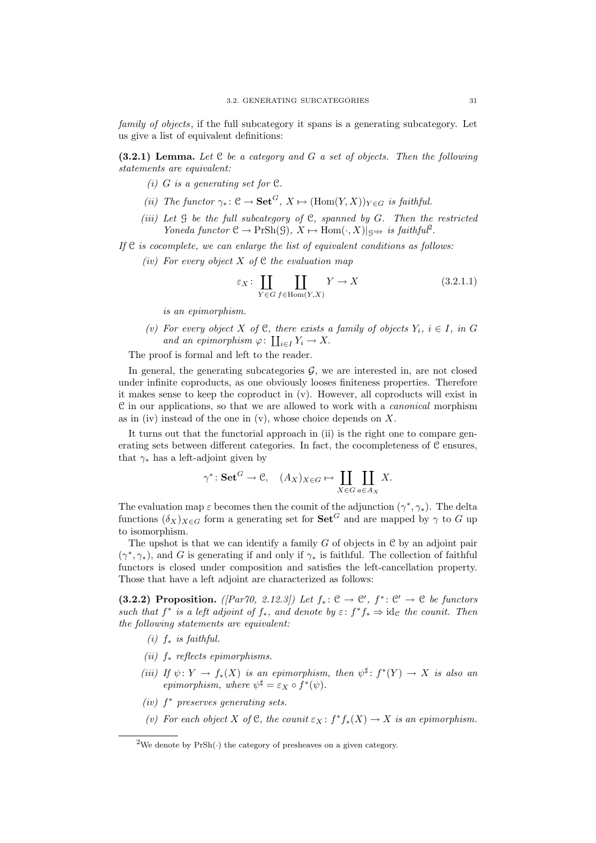family of objects, if the full subcategory it spans is a generating subcategory. Let us give a list of equivalent definitions:

 $(3.2.1)$  Lemma. Let C be a category and G a set of objects. Then the following statements are equivalent:

- (i) G is a generating set for  $\mathfrak{C}$ .
- (ii) The functor  $\gamma_* \colon \mathcal{C} \to \mathbf{Set}^G$ ,  $X \mapsto (\text{Hom}(Y, X))_{Y \in G}$  is faithful.
- (iii) Let  $\mathcal G$  be the full subcategory of  $\mathcal C$ , spanned by  $G$ . Then the restricted Yoneda functor  $C \to PrSh(\mathcal{G}), X \mapsto Hom(\cdot, X)|_{\mathcal{G}^{opp}}$  is faithful<sup>2</sup>.

If  $C$  is cocomplete, we can enlarge the list of equivalent conditions as follows:

(iv) For every object X of  $C$  the evaluation map

$$
\varepsilon_X \colon \coprod_{Y \in G} \coprod_{f \in \text{Hom}(Y,X)} Y \to X \tag{3.2.1.1}
$$

is an epimorphism.

(v) For every object X of C, there exists a family of objects  $Y_i$ ,  $i \in I$ , in G and an epimorphism  $\varphi: \coprod_{i \in I} Y_i \to X$ .

The proof is formal and left to the reader.

In general, the generating subcategories  $\mathcal{G}$ , we are interested in, are not closed under infinite coproducts, as one obviously looses finiteness properties. Therefore it makes sense to keep the coproduct in (v). However, all coproducts will exist in C in our applications, so that we are allowed to work with a canonical morphism as in (iv) instead of the one in  $(v)$ , whose choice depends on X.

It turns out that the functorial approach in (ii) is the right one to compare generating sets between different categories. In fact, the cocompleteness of C ensures, that  $\gamma_*$  has a left-adjoint given by

$$
\gamma^* \colon \mathbf{Set}^G \to \mathcal{C}, \quad (A_X)_{X \in G} \mapsto \coprod_{X \in G} \coprod_{a \in A_X} X.
$$

The evaluation map  $\varepsilon$  becomes then the counit of the adjunction  $(\gamma^*, \gamma_*)$ . The delta functions  $(\delta_X)_{X\in G}$  form a generating set for  $\mathbf{Set}^G$  and are mapped by  $\gamma$  to G up to isomorphism.

The upshot is that we can identify a family  $G$  of objects in  $C$  by an adjoint pair  $(\gamma^*, \gamma_*)$ , and G is generating if and only if  $\gamma_*$  is faithful. The collection of faithful functors is closed under composition and satisfies the left-cancellation property. Those that have a left adjoint are characterized as follows:

(3.2.2) Proposition. ([Par70, 2.12.3]) Let  $f_*: \mathcal{C} \to \mathcal{C}'$ ,  $f^*: \mathcal{C}' \to \mathcal{C}$  be functors such that  $f^*$  is a left adjoint of  $f_*$ , and denote by  $\varepsilon$ :  $f^*f_* \Rightarrow id_{\mathcal{C}}$  the counit. Then the following statements are equivalent:

- (i)  $f_*$  is faithful.
- (ii)  $f_*$  reflects epimorphisms.
- (iii) If  $\psi: Y \to f_*(X)$  is an epimorphism, then  $\psi^{\sharp}: f^*(Y) \to X$  is also an epimorphism, where  $\psi^{\sharp} = \varepsilon_X \circ f^*(\psi)$ .
- (iv) f <sup>∗</sup> preserves generating sets.
- (v) For each object X of C, the counit  $\varepsilon_X : f^*f_*(X) \to X$  is an epimorphism.

<sup>&</sup>lt;sup>2</sup>We denote by  $PrSh(\cdot)$  the category of presheaves on a given category.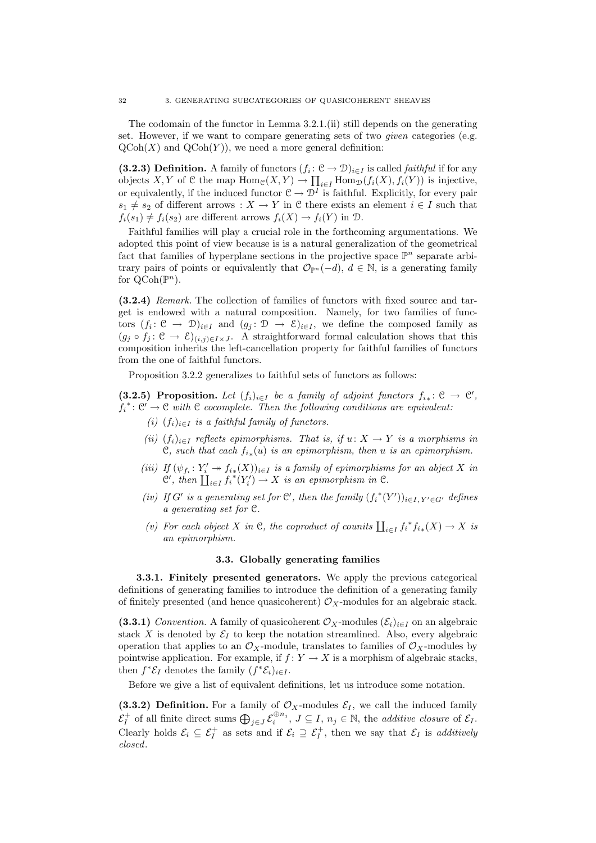The codomain of the functor in Lemma 3.2.1.(ii) still depends on the generating set. However, if we want to compare generating sets of two given categories (e.g.  $\mathrm{QCoh}(X)$  and  $\mathrm{QCoh}(Y)$ , we need a more general definition:

(3.2.3) Definition. A family of functors  $(f_i: \mathcal{C} \to \mathcal{D})_{i \in I}$  is called *faithful* if for any objects X, Y of C the map  $\text{Hom}_{\mathcal{C}}(X, Y) \to \prod_{i \in I} \text{Hom}_{\mathcal{D}}(f_i(X), f_i(Y))$  is injective, or equivalently, if the induced functor  $C \to \mathcal{D}^I$  is faithful. Explicitly, for every pair  $s_1 \neq s_2$  of different arrows :  $X \to Y$  in C there exists an element  $i \in I$  such that  $f_i(s_1) \neq f_i(s_2)$  are different arrows  $f_i(X) \to f_i(Y)$  in  $\mathcal{D}$ .

Faithful families will play a crucial role in the forthcoming argumentations. We adopted this point of view because is is a natural generalization of the geometrical fact that families of hyperplane sections in the projective space  $\mathbb{P}^n$  separate arbitrary pairs of points or equivalently that  $\mathcal{O}_{\mathbb{P}^n}(-d)$ ,  $d \in \mathbb{N}$ , is a generating family for  $\text{QCoh}(\mathbb{P}^n)$ .

(3.2.4) Remark. The collection of families of functors with fixed source and target is endowed with a natural composition. Namely, for two families of functors  $(f_i: \mathcal{C} \to \mathcal{D})_{i \in I}$  and  $(g_j: \mathcal{D} \to \mathcal{E})_{i \in I}$ , we define the composed family as  $(g_j \circ f_j : \mathcal{C} \to \mathcal{E})_{(i,j)\in I\times J}$ . A straightforward formal calculation shows that this composition inherits the left-cancellation property for faithful families of functors from the one of faithful functors.

Proposition 3.2.2 generalizes to faithful sets of functors as follows:

(3.2.5) Proposition. Let  $(f_i)_{i\in I}$  be a family of adjoint functors  $f_{i_*}: \mathfrak{C} \to \mathfrak{C}'$ ,  $f_i^* \colon \mathfrak{C}' \to \mathfrak{C}$  with  $\mathfrak{C}$  cocomplete. Then the following conditions are equivalent:

- (i)  $(f_i)_{i\in I}$  is a faithful family of functors.
- (ii)  $(f_i)_{i\in I}$  reflects epimorphisms. That is, if  $u: X \to Y$  is a morphisms in  $\mathfrak{C}$ , such that each  $f_{i*}(u)$  is an epimorphism, then u is an epimorphism.
- (iii) If  $(\psi_{f_i}: Y_i' \to f_{i*}(X))_{i \in I}$  is a family of epimorphisms for an abject X in  $\mathcal{C}'$ , then  $\coprod_{i\in I} f_i^*(Y'_i) \to X$  is an epimorphism in  $\mathcal{C}$ .
- (iv) If G' is a generating set for  $\mathcal{C}'$ , then the family  $(f_i^*(Y'))_{i\in I, Y'\in G'}$  defines a generating set for C.
- (v) For each object X in C, the coproduct of counits  $\coprod_{i\in I} f_i^* f_{i*}(X) \to X$  is an epimorphism.

#### 3.3. Globally generating families

3.3.1. Finitely presented generators. We apply the previous categorical definitions of generating families to introduce the definition of a generating family of finitely presented (and hence quasicoherent)  $\mathcal{O}_X$ -modules for an algebraic stack.

(3.3.1) Convention. A family of quasicoherent  $\mathcal{O}_X$ -modules  $(\mathcal{E}_i)_{i\in I}$  on an algebraic stack X is denoted by  $\mathcal{E}_I$  to keep the notation streamlined. Also, every algebraic operation that applies to an  $\mathcal{O}_X$ -module, translates to families of  $\mathcal{O}_X$ -modules by pointwise application. For example, if  $f: Y \to X$  is a morphism of algebraic stacks, then  $f^*\mathcal{E}_I$  denotes the family  $(f^*\mathcal{E}_i)_{i\in I}$ .

Before we give a list of equivalent definitions, let us introduce some notation.

(3.3.2) Definition. For a family of  $\mathcal{O}_X$ -modules  $\mathcal{E}_I$ , we call the induced family  $\mathcal{E}_I^+$  of all finite direct sums  $\bigoplus_{j\in J} \mathcal{E}_i^{\oplus n_j}$ ,  $J\subseteq I$ ,  $n_j\in\mathbb{N}$ , the *additive closure* of  $\mathcal{E}_I$ . Clearly holds  $\mathcal{E}_i \subseteq \mathcal{E}_I^+$  as sets and if  $\mathcal{E}_i \supseteq \mathcal{E}_I^+$ , then we say that  $\mathcal{E}_I$  is *additively* closed.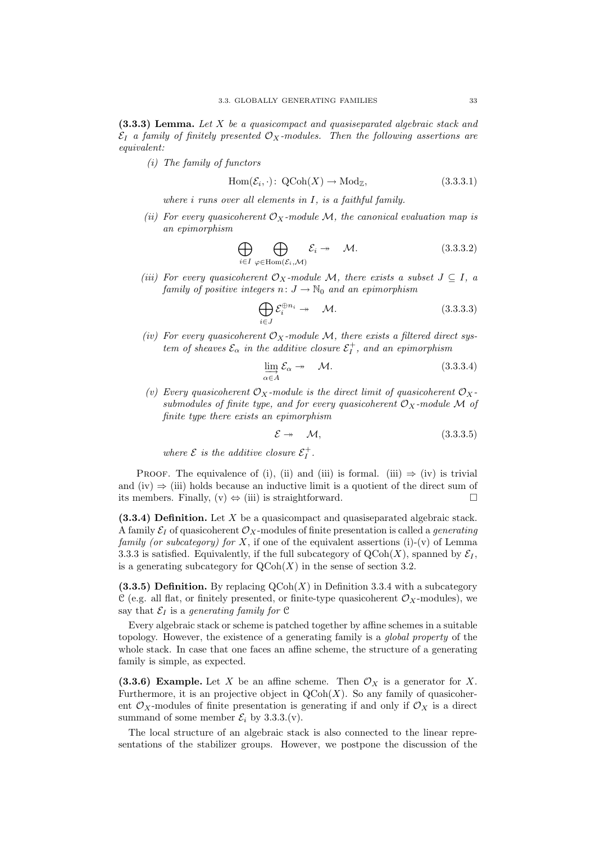$(3.3.3)$  Lemma. Let X be a quasicompact and quasiseparated algebraic stack and  $\mathcal{E}_I$  a family of finitely presented  $\mathcal{O}_X$ -modules. Then the following assertions are equivalent:

(i) The family of functors

$$
Hom(\mathcal{E}_i, \cdot): QCoh(X) \to Mod_{\mathbb{Z}}, \tag{3.3.3.1}
$$

where i runs over all elements in I, is a faithful family.

(ii) For every quasicoherent  $\mathcal{O}_X$ -module M, the canonical evaluation map is an epimorphism

$$
\bigoplus_{i \in I} \bigoplus_{\varphi \in \text{Hom}(\mathcal{E}_i, \mathcal{M})} \mathcal{E}_i \twoheadrightarrow \mathcal{M}.
$$
\n(3.3.3.2)

(iii) For every quasicoherent  $\mathcal{O}_X$ -module M, there exists a subset  $J \subseteq I$ , a family of positive integers  $n: J \to \mathbb{N}_0$  and an epimorphism

$$
\bigoplus_{i \in J} \mathcal{E}_i^{\oplus n_i} \twoheadrightarrow \mathcal{M}.
$$
\n(3.3.3.3)

(iv) For every quasicoherent  $\mathcal{O}_X$ -module M, there exists a filtered direct system of sheaves  $\mathcal{E}_{\alpha}$  in the additive closure  $\mathcal{E}_{I}^{+}$ , and an epimorphism

$$
\varinjlim_{\alpha \in A} \mathcal{E}_{\alpha} \to \mathcal{M}.
$$
\n(3.3.3.4)

(v) Every quasicoherent  $\mathcal{O}_X$ -module is the direct limit of quasicoherent  $\mathcal{O}_X$ submodules of finite type, and for every quasicoherent  $\mathcal{O}_X$ -module M of finite type there exists an epimorphism

$$
\mathcal{E} \to \mathcal{M},\tag{3.3.3.5}
$$

where  $\mathcal{E}$  is the additive closure  $\mathcal{E}_I^+$ .

PROOF. The equivalence of (i), (ii) and (iii) is formal. (iii)  $\Rightarrow$  (iv) is trivial and (iv)  $\Rightarrow$  (iii) holds because an inductive limit is a quotient of the direct sum of its members. Finally,  $(v) \Leftrightarrow$  (iii) is straightforward.

 $(3.3.4)$  Definition. Let X be a quasicompact and quasiseparated algebraic stack. A family  $\mathcal{E}_I$  of quasicoherent  $\mathcal{O}_X$ -modules of finite presentation is called a *generating* family (or subcategory) for X, if one of the equivalent assertions (i)-(v) of Lemma 3.3.3 is satisfied. Equivalently, if the full subcategory of  $\mathrm{QCoh}(X)$ , spanned by  $\mathcal{E}_I$ , is a generating subcategory for  $\mathrm{QCoh}(X)$  in the sense of section 3.2.

(3.3.5) Definition. By replacing  $\mathrm{QCoh}(X)$  in Definition 3.3.4 with a subcategory C (e.g. all flat, or finitely presented, or finite-type quasicoherent  $\mathcal{O}_X$ -modules), we say that  $\mathcal{E}_I$  is a generating family for  $\mathfrak C$ 

Every algebraic stack or scheme is patched together by affine schemes in a suitable topology. However, the existence of a generating family is a global property of the whole stack. In case that one faces an affine scheme, the structure of a generating family is simple, as expected.

(3.3.6) Example. Let X be an affine scheme. Then  $\mathcal{O}_X$  is a generator for X. Furthermore, it is an projective object in  $\mathrm{QCoh}(X)$ . So any family of quasicoherent  $\mathcal{O}_X$ -modules of finite presentation is generating if and only if  $\mathcal{O}_X$  is a direct summand of some member  $\mathcal{E}_i$  by 3.3.3.(v).

The local structure of an algebraic stack is also connected to the linear representations of the stabilizer groups. However, we postpone the discussion of the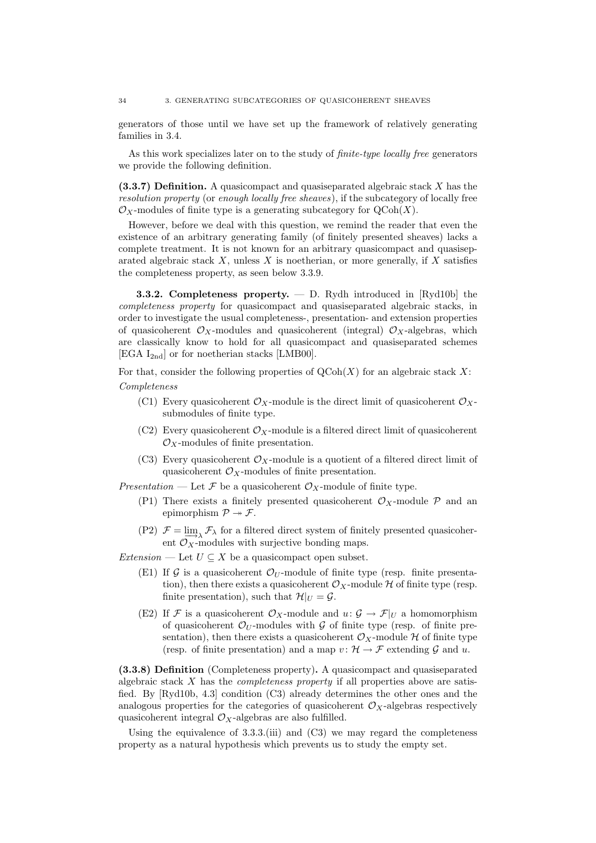generators of those until we have set up the framework of relatively generating families in 3.4.

As this work specializes later on to the study of finite-type locally free generators we provide the following definition.

 $(3.3.7)$  Definition. A quasicompact and quasiseparated algebraic stack X has the resolution property (or enough locally free sheaves), if the subcategory of locally free  $\mathcal{O}_X$ -modules of finite type is a generating subcategory for  $\mathrm{QCoh}(X)$ .

However, before we deal with this question, we remind the reader that even the existence of an arbitrary generating family (of finitely presented sheaves) lacks a complete treatment. It is not known for an arbitrary quasicompact and quasiseparated algebraic stack X, unless X is noetherian, or more generally, if X satisfies the completeness property, as seen below 3.3.9.

**3.3.2. Completeness property.**  $-$  D. Rydh introduced in [Ryd10b] the completeness property for quasicompact and quasiseparated algebraic stacks, in order to investigate the usual completeness-, presentation- and extension properties of quasicoherent  $\mathcal{O}_X$ -modules and quasicoherent (integral)  $\mathcal{O}_X$ -algebras, which are classically know to hold for all quasicompact and quasiseparated schemes [EGA  $I_{2nd}$ ] or for noetherian stacks [LMB00].

For that, consider the following properties of  $\mathrm{QCoh}(X)$  for an algebraic stack X: Completeness

- (C1) Every quasicoherent  $\mathcal{O}_X$ -module is the direct limit of quasicoherent  $\mathcal{O}_X$ submodules of finite type.
- (C2) Every quasicoherent  $\mathcal{O}_X$ -module is a filtered direct limit of quasicoherent  $\mathcal{O}_X$ -modules of finite presentation.
- (C3) Every quasicoherent  $\mathcal{O}_X$ -module is a quotient of a filtered direct limit of quasicoherent  $\mathcal{O}_X$ -modules of finite presentation.

Presentation — Let F be a quasicoherent  $\mathcal{O}_X$ -module of finite type.

- (P1) There exists a finitely presented quasicoherent  $\mathcal{O}_X$ -module  $\mathcal P$  and an epimorphism  $\mathcal{P} \rightarrow \mathcal{F}$ .
- (P2)  $\mathcal{F} = \lim_{n \to \infty} \mathcal{F}_{\lambda}$  for a filtered direct system of finitely presented quasicoherent  $\mathcal{O}_X$ -modules with surjective bonding maps.

Extension — Let  $U \subseteq X$  be a quasicompact open subset.

- (E1) If G is a quasicoherent  $\mathcal{O}_U$ -module of finite type (resp. finite presentation), then there exists a quasicoherent  $\mathcal{O}_X$ -module  $\mathcal H$  of finite type (resp. finite presentation), such that  $\mathcal{H}|_U = \mathcal{G}$ .
- (E2) If F is a quasicoherent  $\mathcal{O}_X$ -module and  $u: \mathcal{G} \to \mathcal{F}|_U$  a homomorphism of quasicoherent  $\mathcal{O}_U$ -modules with  $\mathcal G$  of finite type (resp. of finite presentation), then there exists a quasicoherent  $\mathcal{O}_X$ -module H of finite type (resp. of finite presentation) and a map  $v: \mathcal{H} \to \mathcal{F}$  extending  $\mathcal{G}$  and  $u$ .

(3.3.8) Definition (Completeness property). A quasicompact and quasiseparated algebraic stack  $X$  has the *completeness property* if all properties above are satisfied. By [Ryd10b, 4.3] condition (C3) already determines the other ones and the analogous properties for the categories of quasicoherent  $\mathcal{O}_X$ -algebras respectively quasicoherent integral  $\mathcal{O}_X$ -algebras are also fulfilled.

Using the equivalence of  $3.3.3$ .(iii) and  $(C3)$  we may regard the completeness property as a natural hypothesis which prevents us to study the empty set.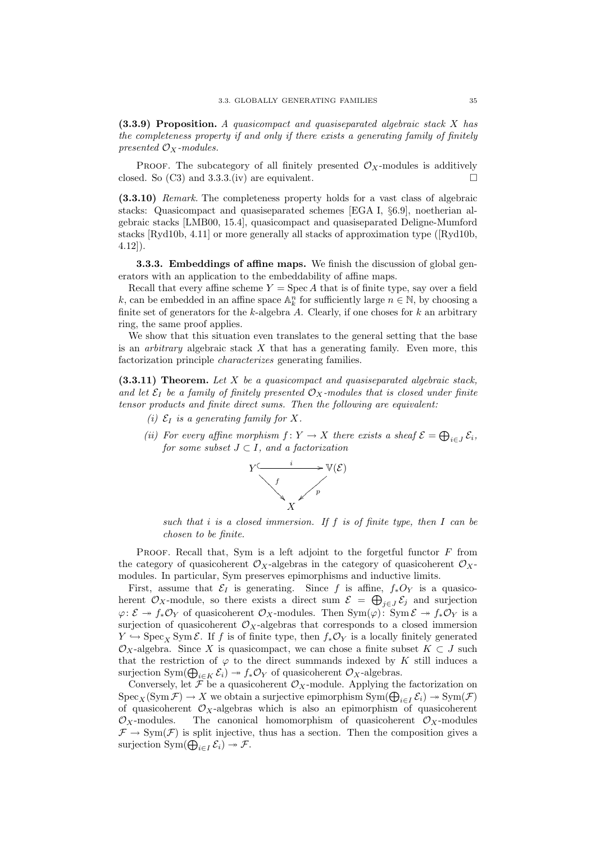$(3.3.9)$  Proposition. A quasicompact and quasiseparated algebraic stack X has the completeness property if and only if there exists a generating family of finitely presented  $\mathcal{O}_X$ -modules.

PROOF. The subcategory of all finitely presented  $\mathcal{O}_X$ -modules is additively closed. So (C3) and 3.3.3.(iv) are equivalent.

(3.3.10) Remark. The completeness property holds for a vast class of algebraic stacks: Quasicompact and quasiseparated schemes [EGA I, §6.9], noetherian algebraic stacks [LMB00, 15.4], quasicompact and quasiseparated Deligne-Mumford stacks [Ryd10b, 4.11] or more generally all stacks of approximation type ([Ryd10b, 4.12]).

**3.3.3.** Embeddings of affine maps. We finish the discussion of global generators with an application to the embeddability of affine maps.

Recall that every affine scheme  $Y = \text{Spec } A$  that is of finite type, say over a field k, can be embedded in an affine space  $\mathbb{A}_k^n$  for sufficiently large  $n \in \mathbb{N}$ , by choosing a finite set of generators for the k-algebra  $A$ . Clearly, if one choses for  $k$  an arbitrary ring, the same proof applies.

We show that this situation even translates to the general setting that the base is an *arbitrary* algebraic stack  $X$  that has a generating family. Even more, this factorization principle characterizes generating families.

 $(3.3.11)$  Theorem. Let X be a quasicompact and quasiseparated algebraic stack, and let  $\mathcal{E}_I$  be a family of finitely presented  $\mathcal{O}_X$ -modules that is closed under finite tensor products and finite direct sums. Then the following are equivalent:

- (i)  $\mathcal{E}_I$  is a generating family for X.
- (ii) For every affine morphism  $f: Y \to X$  there exists a sheaf  $\mathcal{E} = \bigoplus_{i \in J} \mathcal{E}_i$ , for some subset  $J \subset I$ , and a factorization



such that i is a closed immersion. If f is of finite type, then  $I$  can be chosen to be finite.

PROOF. Recall that, Sym is a left adjoint to the forgetful functor  $F$  from the category of quasicoherent  $\mathcal{O}_X$ -algebras in the category of quasicoherent  $\mathcal{O}_X$ modules. In particular, Sym preserves epimorphisms and inductive limits.

First, assume that  $\mathcal{E}_I$  is generating. Since f is affine,  $f_*O_Y$  is a quasicoherent  $\mathcal{O}_X$ -module, so there exists a direct sum  $\mathcal{E} = \bigoplus_{j \in J} \mathcal{E}_j$  and surjection  $\varphi\colon \mathcal{E} \to f_*\mathcal{O}_Y$  of quasicoherent  $\mathcal{O}_X$ -modules. Then  $\text{Sym}(\varphi)$ :  $\text{Sym}\,\mathcal{E} \to f_*\mathcal{O}_Y$  is a surjection of quasicoherent  $\mathcal{O}_X$ -algebras that corresponds to a closed immersion  $Y \hookrightarrow \text{Spec}_X \text{Sym }\mathcal{E}$ . If f is of finite type, then  $f_*\mathcal{O}_Y$  is a locally finitely generated  $\mathcal{O}_X$ -algebra. Since X is quasicompact, we can chose a finite subset  $K \subset J$  such that the restriction of  $\varphi$  to the direct summands indexed by K still induces a surjection Sym $(\bigoplus_{i\in K} \mathcal{E}_i) \to f_*\mathcal{O}_Y$  of quasicoherent  $\mathcal{O}_X$ -algebras.

Conversely, let  $\mathcal{F}$  be a quasicoherent  $\mathcal{O}_X$ -module. Applying the factorization on  $\mathrm{Spec}_X(\mathrm{Sym}\,\mathcal{F})\to X$  we obtain a surjective epimorphism  $\mathrm{Sym}(\bigoplus_{i\in I}\mathcal{E}_i)\twoheadrightarrow \mathrm{Sym}(\mathcal{F})$ of quasicoherent  $\mathcal{O}_X$ -algebras which is also an epimorphism of quasicoherent  $\mathcal{O}_X$ -modules. The canonical homomorphism of quasicoherent  $\mathcal{O}_X$ -modules  $\mathcal{F} \to \text{Sym}(\mathcal{F})$  is split injective, thus has a section. Then the composition gives a surjection  $\text{Sym}(\bigoplus_{i\in I} \mathcal{E}_i) \to \mathcal{F}.$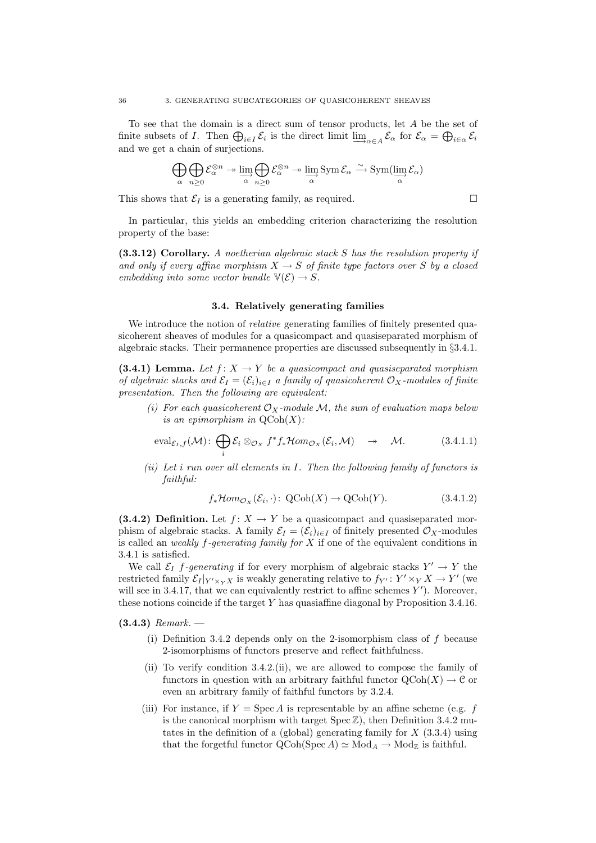To see that the domain is a direct sum of tensor products, let A be the set of finite subsets of I. Then  $\bigoplus_{i\in I} \mathcal{E}_i$  is the direct limit  $\lim_{\Delta \to \alpha \in A} \mathcal{E}_\alpha$  for  $\mathcal{E}_\alpha = \bigoplus_{i\in \alpha} \mathcal{E}_i$ and we get a chain of surjections.

$$
\bigoplus_{\alpha} \bigoplus_{n\geq 0} \mathcal{E}_{\alpha}^{\otimes n} \twoheadrightarrow \varinjlim_{\alpha} \bigoplus_{n\geq 0} \mathcal{E}_{\alpha}^{\otimes n} \twoheadrightarrow \varinjlim_{\alpha} \mathrm{Sym} \, \mathcal{E}_{\alpha} \xrightarrow{\sim} \mathrm{Sym}(\varinjlim_{\alpha} \mathcal{E}_{\alpha})
$$

This shows that  $\mathcal{E}_I$  is a generating family, as required.  $\Box$ 

In particular, this yields an embedding criterion characterizing the resolution property of the base:

 $(3.3.12)$  Corollary. A noetherian algebraic stack S has the resolution property if and only if every affine morphism  $X \to S$  of finite type factors over S by a closed embedding into some vector bundle  $\mathbb{V}(\mathcal{E}) \to S$ .

#### 3.4. Relatively generating families

We introduce the notion of *relative* generating families of finitely presented quasicoherent sheaves of modules for a quasicompact and quasiseparated morphism of algebraic stacks. Their permanence properties are discussed subsequently in §3.4.1.

(3.4.1) Lemma. Let  $f: X \to Y$  be a quasicompact and quasiseparated morphism of algebraic stacks and  $\mathcal{E}_I = (\mathcal{E}_i)_{i \in I}$  a family of quasicoherent  $\mathcal{O}_X$ -modules of finite presentation. Then the following are equivalent:

(i) For each quasicoherent  $\mathcal{O}_X$ -module  $\mathcal{M}$ , the sum of evaluation maps below is an epimorphism in  $\mathrm{QCoh}(X)$ :

$$
\text{eval}_{\mathcal{E}_I,f}(\mathcal{M})\colon \bigoplus_i \mathcal{E}_i \otimes_{\mathcal{O}_X} f^*f_*\mathcal{H}om_{\mathcal{O}_X}(\mathcal{E}_i,\mathcal{M}) \quad \twoheadrightarrow \quad \mathcal{M}.\tag{3.4.1.1}
$$

(ii) Let i run over all elements in  $I$ . Then the following family of functors is faithful:

$$
f_*\mathcal{H}om_{\mathcal{O}_X}(\mathcal{E}_i, \cdot): \ \mathrm{QCoh}(X) \to \mathrm{QCoh}(Y). \tag{3.4.1.2}
$$

(3.4.2) Definition. Let  $f: X \to Y$  be a quasicompact and quasiseparated morphism of algebraic stacks. A family  $\mathcal{E}_I = (\mathcal{E}_i)_{i \in I}$  of finitely presented  $\mathcal{O}_X$ -modules is called an *weakly f-generating family for*  $X$  if one of the equivalent conditions in 3.4.1 is satisfied.

We call  $\mathcal{E}_I$  f-generating if for every morphism of algebraic stacks  $Y' \to Y$  the restricted family  $\mathcal{E}_I|_{Y' \times_Y X}$  is weakly generating relative to  $f_{Y'} : Y' \times_Y X \to Y'$  (we will see in 3.4.17, that we can equivalently restrict to affine schemes  $Y'$ ). Moreover, these notions coincide if the target Y has quasiaffine diagonal by Proposition 3.4.16.

 $(3.4.3)$  Remark.  $-$ 

- (i) Definition 3.4.2 depends only on the 2-isomorphism class of  $f$  because 2-isomorphisms of functors preserve and reflect faithfulness.
- (ii) To verify condition 3.4.2.(ii), we are allowed to compose the family of functors in question with an arbitrary faithful functor  $\mathrm{QCoh}(X) \to \mathcal{C}$  or even an arbitrary family of faithful functors by 3.2.4.
- (iii) For instance, if  $Y = \text{Spec } A$  is representable by an affine scheme (e.g. f is the canonical morphism with target  $Spec Z$ ), then Definition 3.4.2 mutates in the definition of a (global) generating family for  $X$  (3.3.4) using that the forgetful functor  $QCoh(Spec A) \simeq Mod_A \rightarrow Mod_{\mathbb{Z}}$  is faithful.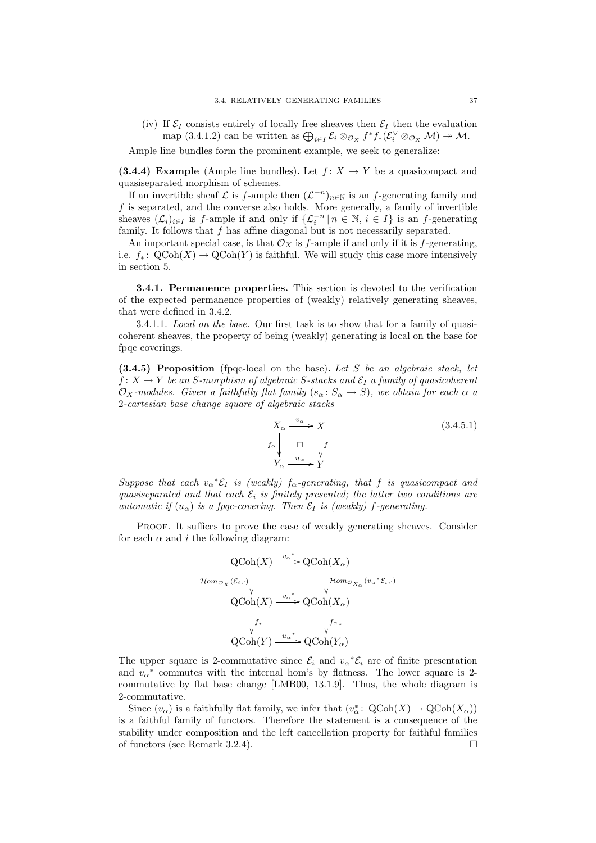(iv) If  $\mathcal{E}_I$  consists entirely of locally free sheaves then  $\mathcal{E}_I$  then the evaluation map  $(3.4.1.2)$  can be written as  $\bigoplus_{i\in I} \mathcal{E}_i \otimes_{\mathcal{O}_X} f^* f_* (\mathcal{E}_i^{\vee} \otimes_{\mathcal{O}_X} \mathcal{M}) \to \mathcal{M}$ .

Ample line bundles form the prominent example, we seek to generalize:

(3.4.4) Example (Ample line bundles). Let  $f: X \to Y$  be a quasicompact and quasiseparated morphism of schemes.

If an invertible sheaf  $\mathcal L$  is f-ample then  $(\mathcal L^{-n})_{n\in\mathbb N}$  is an f-generating family and f is separated, and the converse also holds. More generally, a family of invertible sheaves  $(\mathcal{L}_i)_{i\in I}$  is f-ample if and only if  $\{\mathcal{L}_i^{-n}\,|\,n\in\mathbb{N},\,i\in I\}$  is an f-generating family. It follows that  $f$  has affine diagonal but is not necessarily separated.

An important special case, is that  $\mathcal{O}_X$  is f-ample if and only if it is f-generating, i.e.  $f_*: \text{QCoh}(X) \to \text{QCoh}(Y)$  is faithful. We will study this case more intensively in section 5.

3.4.1. Permanence properties. This section is devoted to the verification of the expected permanence properties of (weakly) relatively generating sheaves, that were defined in 3.4.2.

3.4.1.1. Local on the base. Our first task is to show that for a family of quasicoherent sheaves, the property of being (weakly) generating is local on the base for fpqc coverings.

 $(3.4.5)$  Proposition (fpqc-local on the base). Let S be an algebraic stack, let  $f: X \to Y$  be an S-morphism of algebraic S-stacks and  $\mathcal{E}_I$  a family of quasicoherent  $\mathcal{O}_X$ -modules. Given a faithfully flat family  $(s_\alpha: S_\alpha \to S)$ , we obtain for each  $\alpha$  a 2-cartesian base change square of algebraic stacks

$$
X_{\alpha} \xrightarrow{v_{\alpha}} X
$$
\n
$$
f_{\alpha} \downarrow \qquad \qquad \Box \downarrow
$$
\n
$$
Y_{\alpha} \xrightarrow{u_{\alpha}} Y
$$
\n
$$
(3.4.5.1)
$$

Suppose that each  $v_{\alpha} * \mathcal{E}_I$  is (weakly)  $f_{\alpha}$ -generating, that f is quasicompact and quasiseparated and that each  $\mathcal{E}_i$  is finitely presented; the latter two conditions are automatic if  $(u_{\alpha})$  is a fpqc-covering. Then  $\mathcal{E}_I$  is (weakly) f-generating.

PROOF. It suffices to prove the case of weakly generating sheaves. Consider for each  $\alpha$  and i the following diagram:

$$
\begin{array}{c}\n\text{QCoh}(X) \xrightarrow{v_{\alpha}^*} \text{QCoh}(X_{\alpha}) \\
\text{Hom}_{\mathcal{O}_X}(\varepsilon_i, \cdot) \downarrow \qquad \qquad \downarrow \text{Hom}_{\mathcal{O}_{X_{\alpha}}}(v_{\alpha}^* \varepsilon_i, \cdot) \\
\text{QCoh}(X) \xrightarrow{v_{\alpha}^*} \text{QCoh}(X_{\alpha}) \\
\downarrow f_* \qquad \qquad \downarrow f_{\alpha*} \\
\text{QCoh}(Y) \xrightarrow{u_{\alpha}^*} \text{QCoh}(Y_{\alpha})\n\end{array}
$$

The upper square is 2-commutative since  $\mathcal{E}_i$  and  $v_\alpha^* \mathcal{E}_i$  are of finite presentation and  $v_\alpha^*$  commutes with the internal hom's by flatness. The lower square is 2commutative by flat base change [LMB00, 13.1.9]. Thus, the whole diagram is 2-commutative.

Since  $(v_\alpha)$  is a faithfully flat family, we infer that  $(v_\alpha^* \colon \text{QCoh}(X) \to \text{QCoh}(X_\alpha))$ is a faithful family of functors. Therefore the statement is a consequence of the stability under composition and the left cancellation property for faithful families of functors (see Remark 3.2.4).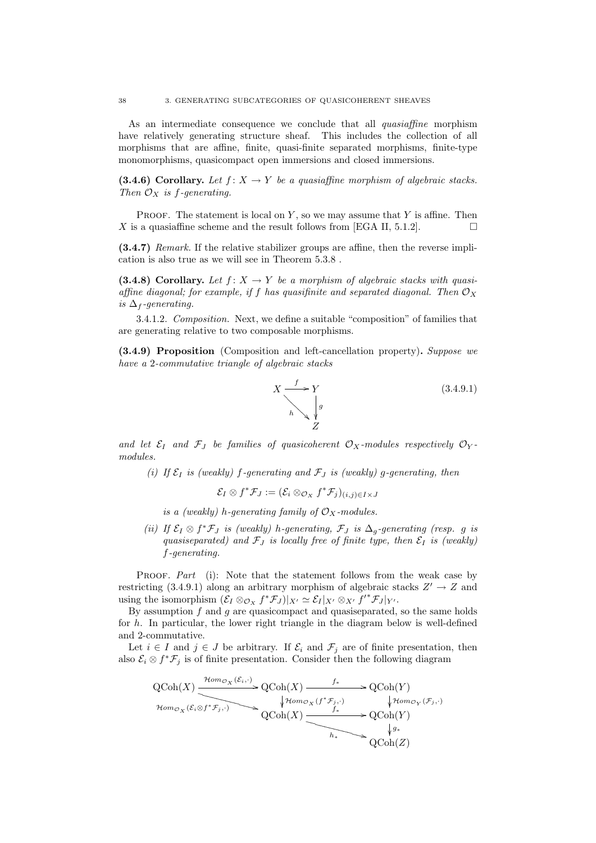As an intermediate consequence we conclude that all quasiaffine morphism have relatively generating structure sheaf. This includes the collection of all morphisms that are affine, finite, quasi-finite separated morphisms, finite-type monomorphisms, quasicompact open immersions and closed immersions.

(3.4.6) Corollary. Let  $f: X \to Y$  be a quasiaffine morphism of algebraic stacks. Then  $\mathcal{O}_X$  is f-generating.

**PROOF.** The statement is local on Y, so we may assume that Y is affine. Then X is a quasiaffine scheme and the result follows from [EGA II, 5.1.2].

(3.4.7) Remark. If the relative stabilizer groups are affine, then the reverse implication is also true as we will see in Theorem 5.3.8 .

(3.4.8) Corollary. Let  $f: X \to Y$  be a morphism of algebraic stacks with quasiaffine diagonal; for example, if f has quasifinite and separated diagonal. Then  $\mathcal{O}_X$ is  $\Delta_f$ -generating.

3.4.1.2. Composition. Next, we define a suitable "composition" of families that are generating relative to two composable morphisms.

(3.4.9) Proposition (Composition and left-cancellation property). Suppose we have a 2-commutative triangle of algebraic stacks



and let  $\mathcal{E}_I$  and  $\mathcal{F}_J$  be families of quasicoherent  $\mathcal{O}_X$ -modules respectively  $\mathcal{O}_Y$ modules.

(i) If  $\mathcal{E}_I$  is (weakly) f-generating and  $\mathcal{F}_J$  is (weakly) g-generating, then

$$
\mathcal{E}_I \otimes f^* \mathcal{F}_J := (\mathcal{E}_i \otimes_{\mathcal{O}_X} f^* \mathcal{F}_j)_{(i,j) \in I \times J}
$$

- is a (weakly) h-generating family of  $\mathcal{O}_X$ -modules.
- (ii) If  $\mathcal{E}_I \otimes f^* \mathcal{F}_J$  is (weakly) h-generating,  $\mathcal{F}_J$  is  $\Delta_g$ -generating (resp. g is quasiseparated) and  $\mathcal{F}_J$  is locally free of finite type, then  $\mathcal{E}_I$  is (weakly) f-generating.

PROOF. Part (i): Note that the statement follows from the weak case by restricting (3.4.9.1) along an arbitrary morphism of algebraic stacks  $Z' \to Z$  and using the isomorphism  $(\mathcal{E}_I \otimes_{\mathcal{O}_X} f^* \mathcal{F}_J)|_{X'} \simeq \mathcal{E}_I|_{X'} \otimes_{X'} f'^* \mathcal{F}_J|_{Y'}.$ 

By assumption  $f$  and  $g$  are quasicompact and quasiseparated, so the same holds for h. In particular, the lower right triangle in the diagram below is well-defined and 2-commutative.

Let  $i \in I$  and  $j \in J$  be arbitrary. If  $\mathcal{E}_i$  and  $\mathcal{F}_j$  are of finite presentation, then also  $\mathcal{E}_i \otimes f^* \mathcal{F}_j$  is of finite presentation. Consider then the following diagram

$$
\operatorname{QCoh}(X) \xrightarrow{\operatorname{\mathcal{H}om}_{\mathcal{O}_X}(\mathcal{E}_i, \cdot)} \operatorname{QCoh}(X) \xrightarrow{f_*} \operatorname{QCoh}(Y)
$$
  
\n
$$
\operatorname{\mathcal{H}om}_{\mathcal{O}_X}(\mathcal{E}_i \otimes f^* \mathcal{F}_j, \cdot) \xrightarrow{\varphi \operatorname{\mathcal{H}om}_{\mathcal{O}_X}(\mathcal{F}_j, \cdot)} \operatorname{QCoh}(X) \xrightarrow{f_*} \operatorname{QCoh}(Y)
$$
  
\n
$$
\operatorname{QCoh}(X) \xrightarrow{f_*} \operatorname{QCoh}(Y)
$$
  
\n
$$
\downarrow g_*
$$
  
\n
$$
\operatorname{QCoh}(Z)
$$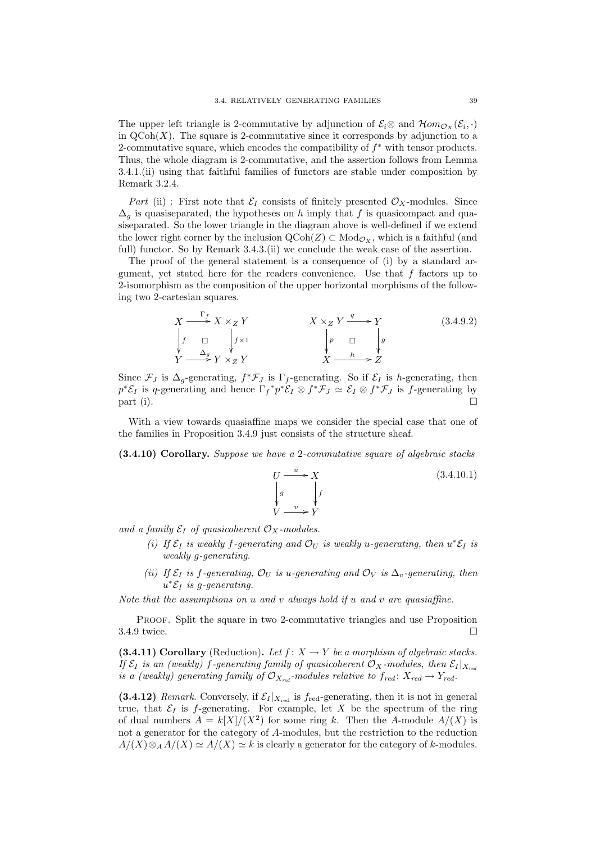The upper left triangle is 2-commutative by adjunction of  $\mathcal{E}_i \otimes$  and  $\mathcal{H}om_{\mathcal{O}_X}(\mathcal{E}_i, \cdot)$ in  $\mathrm{QCoh}(X)$ . The square is 2-commutative since it corresponds by adjunction to a 2-commutative square, which encodes the compatibility of  $f^*$  with tensor products. Thus, the whole diagram is 2-commutative, and the assertion follows from Lemma 3.4.1.(ii) using that faithful families of functors are stable under composition by Remark 3.2.4.

Part (ii) : First note that  $\mathcal{E}_I$  consists of finitely presented  $\mathcal{O}_X$ -modules. Since  $\Delta_q$  is quasiseparated, the hypotheses on h imply that f is quasicompact and quasiseparated. So the lower triangle in the diagram above is well-defined if we extend the lower right corner by the inclusion  $\mathrm{QCoh}(Z) \subset \mathrm{Mod}_{\mathcal{O}_X}$ , which is a faithful (and full) functor. So by Remark 3.4.3.(ii) we conclude the weak case of the assertion.

The proof of the general statement is a consequence of (i) by a standard argument, yet stated here for the readers convenience. Use that  $f$  factors up to 2-isomorphism as the composition of the upper horizontal morphisms of the following two 2-cartesian squares.

$$
X \xrightarrow{\Gamma_f} X \times_Z Y
$$
\n
$$
\downarrow f \qquad \qquad X \times_Z Y \xrightarrow{\qquad q} Y
$$
\n
$$
\downarrow f \qquad \qquad \downarrow f \times 1
$$
\n
$$
Y \xrightarrow{\Delta_g} Y \times_Z Y
$$
\n
$$
\downarrow g \qquad \qquad \downarrow g
$$
\n
$$
X \xrightarrow{\qquad q} Y \qquad \qquad \downarrow g
$$
\n
$$
\downarrow g
$$
\n
$$
X \xrightarrow{\qquad h} Z
$$
\n
$$
(3.4.9.2)
$$

Since  $\mathcal{F}_J$  is  $\Delta_g$ -generating,  $f^*\mathcal{F}_J$  is  $\Gamma_f$ -generating. So if  $\mathcal{E}_I$  is *h*-generating, then  $p^*\mathcal{E}_I$  is q-generating and hence  $\Gamma_f^* p^*\mathcal{E}_I \otimes f^*\mathcal{F}_J \simeq \mathcal{E}_I \otimes f^*\mathcal{F}_J$  is f-generating by  $part (i).$ 

With a view towards quasiaffine maps we consider the special case that one of the families in Proposition 3.4.9 just consists of the structure sheaf.

(3.4.10) Corollary. Suppose we have a 2-commutative square of algebraic stacks

$$
U \xrightarrow{u} X
$$
  
\n
$$
\downarrow g
$$
  
\n
$$
V \xrightarrow{v} Y
$$
  
\n(3.4.10.1)

and a family  $\mathcal{E}_I$  of quasicoherent  $\mathcal{O}_X$ -modules.

- (i) If  $\mathcal{E}_I$  is weakly f-generating and  $\mathcal{O}_U$  is weakly u-generating, then  $u^*\mathcal{E}_I$  is weakly g-generating.
- (ii) If  $\mathcal{E}_I$  is f-generating,  $\mathcal{O}_U$  is u-generating and  $\mathcal{O}_V$  is  $\Delta_v$ -generating, then  $u^*\mathcal{E}_I$  is g-generating.

Note that the assumptions on  $u$  and  $v$  always hold if  $u$  and  $v$  are quasiaffine.

Proof. Split the square in two 2-commutative triangles and use Proposition  $3.4.9$  twice.

(3.4.11) Corollary (Reduction). Let  $f: X \to Y$  be a morphism of algebraic stacks. If  $\mathcal{E}_I$  is an (weakly) f-generating family of quasicoherent  $\mathcal{O}_X$ -modules, then  $\mathcal{E}_I |_{X_{rel}}$ is a (weakly) generating family of  $\mathcal{O}_{X_{red}}$ -modules relative to  $f_{red}: X_{red} \to Y_{red}$ .

(3.4.12) Remark. Conversely, if  $\mathcal{E}_I |_{X_{\text{red}}}$  is  $f_{\text{red}}$ -generating, then it is not in general true, that  $\mathcal{E}_I$  is f-generating. For example, let X be the spectrum of the ring of dual numbers  $A = k[X]/(X^2)$  for some ring k. Then the A-module  $A/(X)$  is not a generator for the category of A-modules, but the restriction to the reduction  $A/(X) \otimes_A A/(X) \simeq A/(X) \simeq k$  is clearly a generator for the category of k-modules.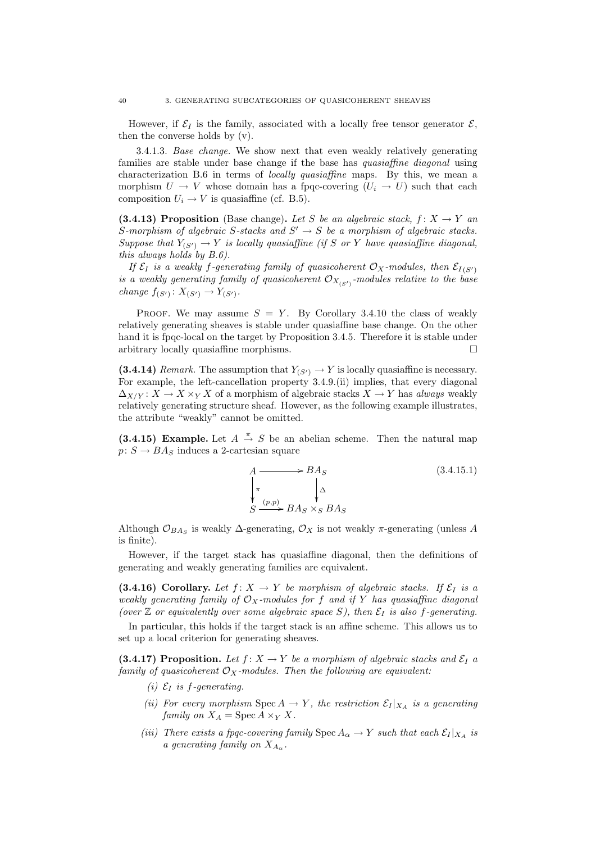However, if  $\mathcal{E}_I$  is the family, associated with a locally free tensor generator  $\mathcal{E}$ , then the converse holds by (v).

3.4.1.3. Base change. We show next that even weakly relatively generating families are stable under base change if the base has quasiaffine diagonal using characterization B.6 in terms of locally quasiaffine maps. By this, we mean a morphism  $U \to V$  whose domain has a fpqc-covering  $(U_i \to U)$  such that each composition  $U_i \rightarrow V$  is quasiaffine (cf. B.5).

(3.4.13) Proposition (Base change). Let S be an algebraic stack,  $f: X \to Y$  and S-morphism of algebraic S-stacks and  $S' \rightarrow S$  be a morphism of algebraic stacks. Suppose that  $Y_{(S')} \to Y$  is locally quasiaffine (if S or Y have quasiaffine diagonal, this always holds by B.6).

If  $\mathcal{E}_I$  is a weakly f-generating family of quasicoherent  $\mathcal{O}_X$ -modules, then  $\mathcal{E}_{I(S')}$ is a weakly generating family of quasicoherent  $\mathcal{O}_{X_{(S')}}$ -modules relative to the base change  $f_{(S')} : X_{(S')} \to Y_{(S')}$ .

PROOF. We may assume  $S = Y$ . By Corollary 3.4.10 the class of weakly relatively generating sheaves is stable under quasiaffine base change. On the other hand it is fpqc-local on the target by Proposition 3.4.5. Therefore it is stable under arbitrary locally quasiaffine morphisms.

(3.4.14) Remark. The assumption that  $Y_{(S')} \to Y$  is locally quasiaffine is necessary. For example, the left-cancellation property 3.4.9.(ii) implies, that every diagonal  $\Delta_{X/Y}: X \to X \times_Y X$  of a morphism of algebraic stacks  $X \to Y$  has always weakly relatively generating structure sheaf. However, as the following example illustrates, the attribute "weakly" cannot be omitted.

(3.4.15) Example. Let  $A \stackrel{\pi}{\rightarrow} S$  be an abelian scheme. Then the natural map  $p: S \to BA_S$  induces a 2-cartesian square

$$
A \longrightarrow B A_S
$$
\n
$$
\downarrow^{\pi} \qquad \downarrow^{\Delta}
$$
\n
$$
S \xrightarrow{(p,p)} BA_S \times_S BA_S
$$
\n
$$
(3.4.15.1)
$$

Although  $\mathcal{O}_{BA_S}$  is weakly  $\Delta$ -generating,  $\mathcal{O}_X$  is not weakly  $\pi$ -generating (unless A is finite).

However, if the target stack has quasiaffine diagonal, then the definitions of generating and weakly generating families are equivalent.

(3.4.16) Corollary. Let  $f: X \to Y$  be morphism of algebraic stacks. If  $\mathcal{E}_I$  is a weakly generating family of  $\mathcal{O}_X$ -modules for f and if Y has quasiaffine diagonal (over  $\mathbb Z$  or equivalently over some algebraic space S), then  $\mathcal E_I$  is also f-generating.

In particular, this holds if the target stack is an affine scheme. This allows us to set up a local criterion for generating sheaves.

(3.4.17) Proposition. Let  $f: X \to Y$  be a morphism of algebraic stacks and  $\mathcal{E}_I$  a family of quasicoherent  $\mathcal{O}_X$ -modules. Then the following are equivalent:

- (i)  $\mathcal{E}_I$  is f-generating.
- (ii) For every morphism Spec  $A \to Y$ , the restriction  $\mathcal{E}_I |_{X_A}$  is a generating family on  $X_A$  = Spec  $A \times_Y X$ .
- (iii) There exists a fpqc-covering family Spec  $A_{\alpha} \to Y$  such that each  $\mathcal{E}_I|_{X_A}$  is a generating family on  $X_{A_\alpha}$ .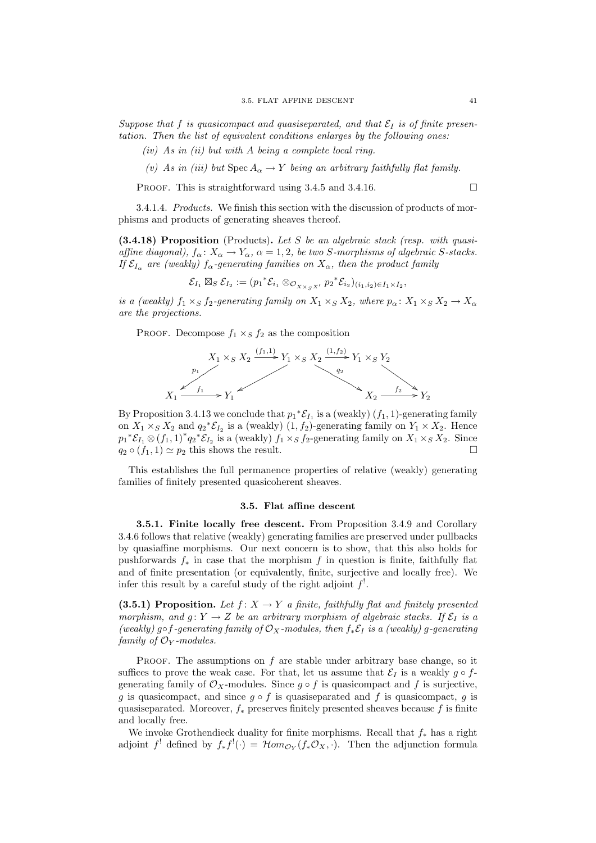Suppose that f is quasicompact and quasiseparated, and that  $\mathcal{E}_I$  is of finite presentation. Then the list of equivalent conditions enlarges by the following ones:

 $(iv)$  As in (ii) but with A being a complete local ring.

(v) As in (iii) but  $\text{Spec } A_{\alpha} \to Y$  being an arbitrary faithfully flat family.

PROOF. This is straightforward using 3.4.5 and 3.4.16.

3.4.1.4. Products. We finish this section with the discussion of products of morphisms and products of generating sheaves thereof.

 $(3.4.18)$  Proposition (Products). Let S be an algebraic stack (resp. with quasiaffine diagonal),  $f_{\alpha} : X_{\alpha} \to Y_{\alpha}$ ,  $\alpha = 1, 2$ , be two S-morphisms of algebraic S-stacks. If  $\mathcal{E}_{I_{\alpha}}$  are (weakly)  $f_{\alpha}$ -generating families on  $X_{\alpha}$ , then the product family

 $\mathcal{E}_{I_1} \boxtimes_S \mathcal{E}_{I_2} := (p_1^* \mathcal{E}_{i_1} \otimes_{\mathcal{O}_{X \times_S X'}} p_2^* \mathcal{E}_{i_2})_{(i_1, i_2) \in I_1 \times I_2},$ 

is a (weakly)  $f_1 \times_S f_2$ -generating family on  $X_1 \times_S X_2$ , where  $p_{\alpha} \colon X_1 \times_S X_2 \to X_{\alpha}$ are the projections.

PROOF. Decompose  $f_1 \times_S f_2$  as the composition



By Proposition 3.4.13 we conclude that  $p_1^* \mathcal{E}_{I_1}$  is a (weakly)  $(f_1, 1)$ -generating family on  $X_1 \times_S X_2$  and  $q_2^* \mathcal{E}_{I_2}$  is a (weakly)  $(1, f_2)$ -generating family on  $Y_1 \times X_2$ . Hence  $p_1^*{\mathcal{E}}_{I_1} \otimes (f_1, 1)^* q_2^* {\mathcal{E}}_{I_2}$  is a (weakly)  $f_1 \times_S f_2$ -generating family on  $X_1 \times_S X_2$ . Since  $q_2 \circ (f_1, 1) \simeq p_2$  this shows the result.

This establishes the full permanence properties of relative (weakly) generating families of finitely presented quasicoherent sheaves.

#### 3.5. Flat affine descent

3.5.1. Finite locally free descent. From Proposition 3.4.9 and Corollary 3.4.6 follows that relative (weakly) generating families are preserved under pullbacks by quasiaffine morphisms. Our next concern is to show, that this also holds for pushforwards  $f_*$  in case that the morphism f in question is finite, faithfully flat and of finite presentation (or equivalently, finite, surjective and locally free). We infer this result by a careful study of the right adjoint  $f^!$ .

(3.5.1) Proposition. Let  $f: X \to Y$  a finite, faithfully flat and finitely presented morphism, and  $g: Y \to Z$  be an arbitrary morphism of algebraic stacks. If  $\mathcal{E}_I$  is a (weakly) g∘f-generating family of  $\mathcal{O}_X$ -modules, then  $f_*\mathcal{E}_I$  is a (weakly) g-generating family of  $\mathcal{O}_Y$ -modules.

PROOF. The assumptions on  $f$  are stable under arbitrary base change, so it suffices to prove the weak case. For that, let us assume that  $\mathcal{E}_I$  is a weakly  $g \circ f$ generating family of  $\mathcal{O}_X$ -modules. Since  $q \circ f$  is quasicompact and f is surjective, q is quasicompact, and since  $q \circ f$  is quasiseparated and f is quasicompact, q is quasiseparated. Moreover,  $f_*$  preserves finitely presented sheaves because f is finite and locally free.

We invoke Grothendieck duality for finite morphisms. Recall that  $f_*$  has a right adjoint f<sup>!</sup> defined by  $f_* f'(\cdot) = \mathcal{H}om_{\mathcal{O}_Y}(f_* \mathcal{O}_X, \cdot)$ . Then the adjunction formula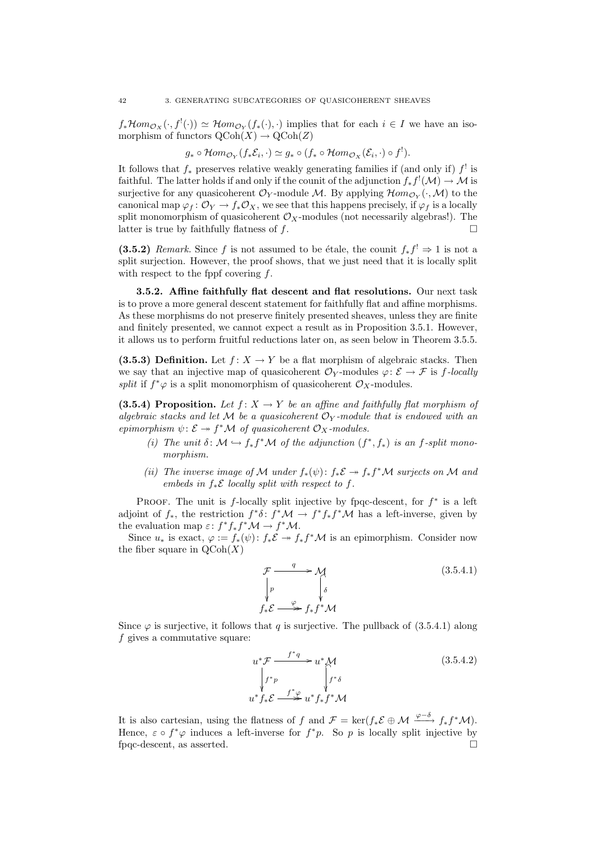$f_*\mathcal{H}om_{\mathcal{O}_X}(\cdot, f^{!}(\cdot)) \simeq \mathcal{H}om_{\mathcal{O}_Y}(f_*(\cdot), \cdot)$  implies that for each  $i \in I$  we have an isomorphism of functors  $\mathrm{QCoh}(X) \to \mathrm{QCoh}(Z)$ 

$$
g_* \circ \mathcal{H}om_{\mathcal{O}_Y}(f_*\mathcal{E}_i,\cdot) \simeq g_* \circ (f_* \circ \mathcal{H}om_{\mathcal{O}_X}(\mathcal{E}_i,\cdot) \circ f^!).
$$

It follows that  $f_*$  preserves relative weakly generating families if (and only if)  $f^!$  is faithful. The latter holds if and only if the counit of the adjunction  $f_* f^!(\mathcal{M}) \to \mathcal{M}$  is surjective for any quasicoherent  $\mathcal{O}_Y$ -module M. By applying  $\mathcal{H}om_{\mathcal{O}_Y}(\cdot,\mathcal{M})$  to the canonical map  $\varphi_f: \mathcal{O}_Y \to f_*\mathcal{O}_X$ , we see that this happens precisely, if  $\varphi_f$  is a locally split monomorphism of quasicoherent  $\mathcal{O}_X$ -modules (not necessarily algebras!). The latter is true by faithfully flatness of  $f$ .

(3.5.2) Remark. Since f is not assumed to be étale, the counit  $f_* f' \Rightarrow 1$  is not a split surjection. However, the proof shows, that we just need that it is locally split with respect to the fppf covering  $f$ .

3.5.2. Affine faithfully flat descent and flat resolutions. Our next task is to prove a more general descent statement for faithfully flat and affine morphisms. As these morphisms do not preserve finitely presented sheaves, unless they are finite and finitely presented, we cannot expect a result as in Proposition 3.5.1. However, it allows us to perform fruitful reductions later on, as seen below in Theorem 3.5.5.

(3.5.3) Definition. Let  $f: X \to Y$  be a flat morphism of algebraic stacks. Then we say that an injective map of quasicoherent  $\mathcal{O}_Y$ -modules  $\varphi: \mathcal{E} \to \mathcal{F}$  is f-locally *split* if  $f^*\varphi$  is a split monomorphism of quasicoherent  $\mathcal{O}_X$ -modules.

(3.5.4) Proposition. Let  $f: X \to Y$  be an affine and faithfully flat morphism of algebraic stacks and let M be a quasicoherent  $\mathcal{O}_Y$ -module that is endowed with an epimorphism  $\psi \colon \mathcal{E} \to f^* \mathcal{M}$  of quasicoherent  $\mathcal{O}_X$ -modules.

- (i) The unit  $\delta: \mathcal{M} \hookrightarrow f_* f^* \mathcal{M}$  of the adjunction  $(f^*, f_*)$  is an f-split monomorphism.
- (ii) The inverse image of M under  $f_*(\psi)$ :  $f_*\mathcal{E} \to f_*f^*\mathcal{M}$  surjects on M and embeds in  $f_*\mathcal{E}$  locally split with respect to f.

PROOF. The unit is  $f$ -locally split injective by fpqc-descent, for  $f^*$  is a left adjoint of  $f_*$ , the restriction  $f^*\delta: f^*\mathcal{M} \to f^*f_*f^*\mathcal{M}$  has a left-inverse, given by the evaluation map  $\varepsilon: f^* f_* f^* M \to f^* M$ .

Since  $u_*$  is exact,  $\varphi := f_*(\psi) : f_* \check{\mathcal{E}} \to f_* f^* \mathcal{M}$  is an epimorphism. Consider now the fiber square in  $\mathrm{QCoh}(X)$ 

$$
\mathcal{F} \xrightarrow{\quad q \quad} \mathcal{M}
$$
\n
$$
\downarrow p \qquad \qquad \downarrow \delta
$$
\n
$$
f_* \mathcal{E} \xrightarrow{\quad \varphi \quad} f_* f^* \mathcal{M}
$$
\n(3.5.4.1)

Since  $\varphi$  is surjective, it follows that q is surjective. The pullback of (3.5.4.1) along f gives a commutative square:

$$
u^*\mathcal{F} \xrightarrow{f^*q} u^*\mathcal{M}
$$
  
\n
$$
\downarrow f^*p \qquad \qquad \downarrow f^*\delta
$$
  
\n
$$
u^*f_*\mathcal{E} \xrightarrow{f^*\varphi} u^*f_*f^*\mathcal{M}
$$
  
\n(3.5.4.2)

It is also cartesian, using the flatness of f and  $\mathcal{F} = \ker(f_*\mathcal{E} \oplus \mathcal{M} \xrightarrow{\varphi-\delta} f_*f^*\mathcal{M})$ . Hence,  $\varepsilon \circ f^* \varphi$  induces a left-inverse for  $f^*p$ . So p is locally split injective by fpqc-descent, as asserted.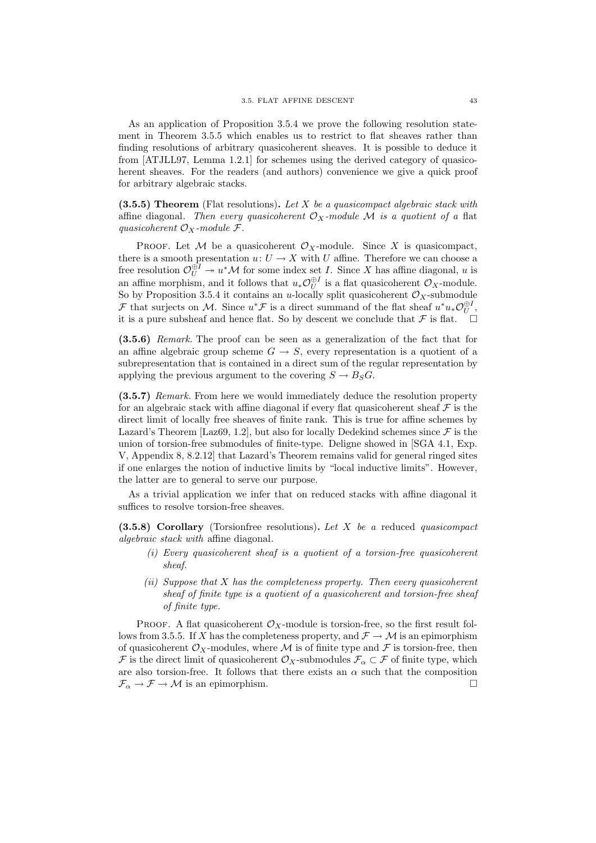As an application of Proposition 3.5.4 we prove the following resolution statement in Theorem 3.5.5 which enables us to restrict to flat sheaves rather than finding resolutions of arbitrary quasicoherent sheaves. It is possible to deduce it from [ATJLL97, Lemma 1.2.1] for schemes using the derived category of quasicoherent sheaves. For the readers (and authors) convenience we give a quick proof for arbitrary algebraic stacks.

(3.5.5) Theorem (Flat resolutions). Let X be a quasicompact algebraic stack with affine diagonal. Then every quasicoherent  $\mathcal{O}_X$ -module M is a quotient of a flat quasicoherent  $\mathcal{O}_X$ -module  $\mathcal{F}$ .

PROOF. Let M be a quasicoherent  $\mathcal{O}_X$ -module. Since X is quasicompact, there is a smooth presentation  $u: U \to X$  with U affine. Therefore we can choose a free resolution  $\mathcal{O}_U^{\oplus I} \twoheadrightarrow u^* \mathcal{M}$  for some index set I. Since X has affine diagonal, u is an affine morphism, and it follows that  $u_*\mathcal{O}_U^{\oplus I}$  is a flat quasicoherent  $\mathcal{O}_X$ -module. So by Proposition 3.5.4 it contains an u-locally split quasicoherent  $\mathcal{O}_X$ -submodule F that surjects on M. Since  $u^*\mathcal{F}$  is a direct summand of the flat sheaf  $u^*u_*\mathcal{O}_U^{\oplus I}$ , it is a pure subsheaf and hence flat. So by descent we conclude that  $\mathcal F$  is flat.  $\Box$ 

(3.5.6) Remark. The proof can be seen as a generalization of the fact that for an affine algebraic group scheme  $G \rightarrow S$ , every representation is a quotient of a subrepresentation that is contained in a direct sum of the regular representation by applying the previous argument to the covering  $S \to B_S G$ .

(3.5.7) Remark. From here we would immediately deduce the resolution property for an algebraic stack with affine diagonal if every flat quasicoherent sheaf  $\mathcal F$  is the direct limit of locally free sheaves of finite rank. This is true for affine schemes by Lazard's Theorem [Laz69, 1.2], but also for locally Dedekind schemes since  $\mathcal F$  is the union of torsion-free submodules of finite-type. Deligne showed in [SGA 4.1, Exp. V, Appendix 8, 8.2.12] that Lazard's Theorem remains valid for general ringed sites if one enlarges the notion of inductive limits by "local inductive limits". However, the latter are to general to serve our purpose.

As a trivial application we infer that on reduced stacks with affine diagonal it suffices to resolve torsion-free sheaves.

 $(3.5.8)$  Corollary (Torsionfree resolutions). Let X be a reduced quasicompact algebraic stack with affine diagonal.

- (i) Every quasicoherent sheaf is a quotient of a torsion-free quasicoherent sheaf.
- (ii) Suppose that  $X$  has the completeness property. Then every quasicoherent sheaf of finite type is a quotient of a quasicoherent and torsion-free sheaf of finite type.

PROOF. A flat quasicoherent  $\mathcal{O}_X$ -module is torsion-free, so the first result follows from 3.5.5. If X has the completeness property, and  $\mathcal{F} \to \mathcal{M}$  is an epimorphism of quasicoherent  $\mathcal{O}_X$ -modules, where  $\mathcal M$  is of finite type and  $\mathcal F$  is torsion-free, then F is the direct limit of quasicoherent  $\mathcal{O}_X$ -submodules  $\mathcal{F}_\alpha \subset \mathcal{F}$  of finite type, which are also torsion-free. It follows that there exists an  $\alpha$  such that the composition  $\mathcal{F}_{\alpha} \to \mathcal{F} \to \mathcal{M}$  is an epimorphism.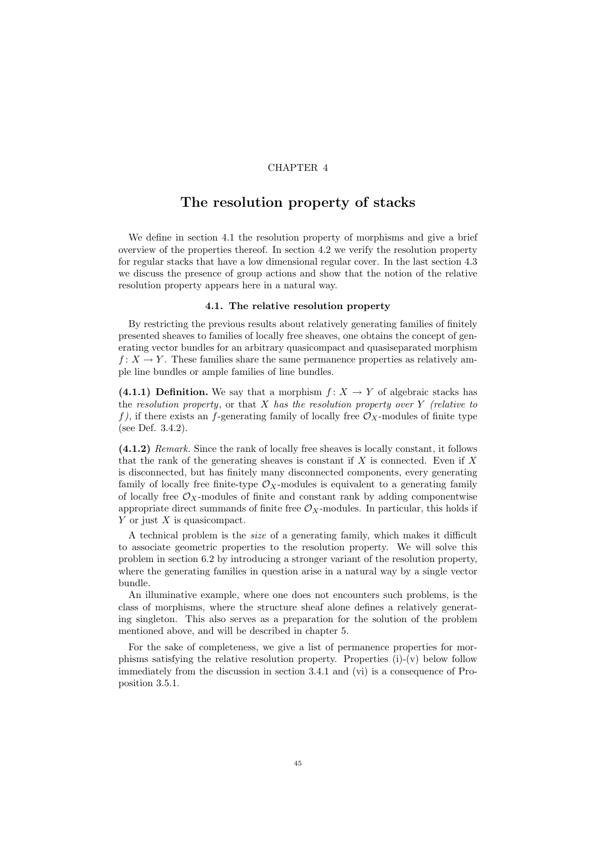#### CHAPTER 4

## The resolution property of stacks

We define in section 4.1 the resolution property of morphisms and give a brief overview of the properties thereof. In section 4.2 we verify the resolution property for regular stacks that have a low dimensional regular cover. In the last section 4.3 we discuss the presence of group actions and show that the notion of the relative resolution property appears here in a natural way.

#### 4.1. The relative resolution property

By restricting the previous results about relatively generating families of finitely presented sheaves to families of locally free sheaves, one obtains the concept of generating vector bundles for an arbitrary quasicompact and quasiseparated morphism  $f: X \to Y$ . These families share the same permanence properties as relatively ample line bundles or ample families of line bundles.

(4.1.1) Definition. We say that a morphism  $f: X \to Y$  of algebraic stacks has the resolution property, or that  $X$  has the resolution property over Y (relative to f), if there exists an f-generating family of locally free  $\mathcal{O}_X$ -modules of finite type (see Def. 3.4.2).

(4.1.2) Remark. Since the rank of locally free sheaves is locally constant, it follows that the rank of the generating sheaves is constant if X is connected. Even if X is disconnected, but has finitely many disconnected components, every generating family of locally free finite-type  $\mathcal{O}_X$ -modules is equivalent to a generating family of locally free  $\mathcal{O}_X$ -modules of finite and constant rank by adding componentwise appropriate direct summands of finite free  $\mathcal{O}_X$ -modules. In particular, this holds if  $Y$  or just  $X$  is quasicompact.

A technical problem is the size of a generating family, which makes it difficult to associate geometric properties to the resolution property. We will solve this problem in section 6.2 by introducing a stronger variant of the resolution property, where the generating families in question arise in a natural way by a single vector bundle.

An illuminative example, where one does not encounters such problems, is the class of morphisms, where the structure sheaf alone defines a relatively generating singleton. This also serves as a preparation for the solution of the problem mentioned above, and will be described in chapter 5.

For the sake of completeness, we give a list of permanence properties for morphisms satisfying the relative resolution property. Properties  $(i)-(v)$  below follow immediately from the discussion in section 3.4.1 and (vi) is a consequence of Proposition 3.5.1.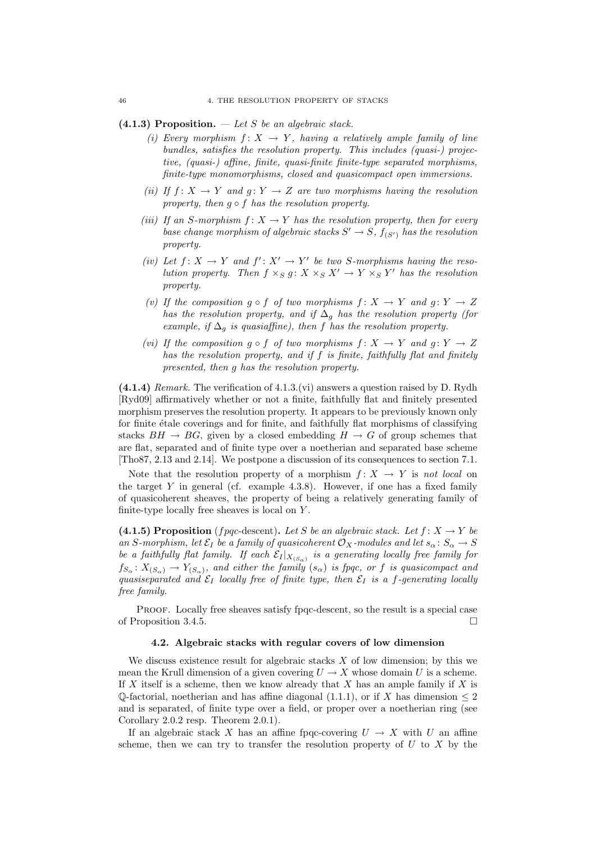### (4.1.3) Proposition.  $-\text{ Let } S$  be an algebraic stack.

- (i) Every morphism  $f: X \rightarrow Y$ , having a relatively ample family of line bundles, satisfies the resolution property. This includes (quasi-) projective, (quasi-) affine, finite, quasi-finite finite-type separated morphisms, finite-type monomorphisms, closed and quasicompact open immersions.
- (ii) If  $f: X \to Y$  and  $g: Y \to Z$  are two morphisms having the resolution property, then  $q \circ f$  has the resolution property.
- (iii) If an S-morphism  $f: X \to Y$  has the resolution property, then for every base change morphism of algebraic stacks  $S' \to S$ ,  $f_{(S')}$  has the resolution property.
- (iv) Let  $f: X \to Y$  and  $f': X' \to Y'$  be two S-morphisms having the resolution property. Then  $f \times_S g: X \times_S X' \to Y \times_S Y'$  has the resolution property.
- (v) If the composition  $g \circ f$  of two morphisms  $f: X \to Y$  and  $g: Y \to Z$ has the resolution property, and if  $\Delta_g$  has the resolution property (for example, if  $\Delta_g$  is quasiaffine), then f has the resolution property.
- (vi) If the composition  $g \circ f$  of two morphisms  $f: X \to Y$  and  $g: Y \to Z$ has the resolution property, and if f is finite, faithfully flat and finitely presented, then g has the resolution property.

 $(4.1.4)$  Remark. The verification of  $4.1.3$ . (vi) answers a question raised by D. Rydh [Ryd09] affirmatively whether or not a finite, faithfully flat and finitely presented morphism preserves the resolution property. It appears to be previously known only for finite  $\acute{e}$ tale coverings and for finite, and faithfully flat morphisms of classifying stacks  $BH \rightarrow BG$ , given by a closed embedding  $H \rightarrow G$  of group schemes that are flat, separated and of finite type over a noetherian and separated base scheme [Tho87, 2.13 and 2.14]. We postpone a discussion of its consequences to section 7.1.

Note that the resolution property of a morphism  $f: X \to Y$  is not local on the target  $Y$  in general (cf. example 4.3.8). However, if one has a fixed family of quasicoherent sheaves, the property of being a relatively generating family of finite-type locally free sheaves is local on Y .

(4.1.5) Proposition (f pqc-descent). Let S be an algebraic stack. Let  $f: X \to Y$  be an S-morphism, let  $\mathcal{E}_I$  be a family of quasicoherent  $\mathcal{O}_X$ -modules and let  $s_\alpha: S_\alpha \to S$ be a faithfully flat family. If each  $\mathcal{E}_I |_{X_{(S_\alpha)}}$  is a generating locally free family for  $f_{S_\alpha}: X_{(S_\alpha)} \to Y_{(S_\alpha)}$ , and either the family  $(s_\alpha)$  is fpqc, or f is quasicompact and quasiseparated and  $\mathcal{E}_I$  locally free of finite type, then  $\mathcal{E}_I$  is a f-generating locally free family.

Proof. Locally free sheaves satisfy fpqc-descent, so the result is a special case of Proposition 3.4.5.

#### 4.2. Algebraic stacks with regular covers of low dimension

We discuss existence result for algebraic stacks  $X$  of low dimension; by this we mean the Krull dimension of a given covering  $U \to X$  whose domain U is a scheme. If X itself is a scheme, then we know already that X has an ample family if X is  $\mathbb{O}$ -factorial, noetherian and has affine diagonal (1.1.1), or if X has dimension  $\leq 2$ and is separated, of finite type over a field, or proper over a noetherian ring (see Corollary 2.0.2 resp. Theorem 2.0.1).

If an algebraic stack X has an affine fpqc-covering  $U \rightarrow X$  with U an affine scheme, then we can try to transfer the resolution property of  $U$  to  $X$  by the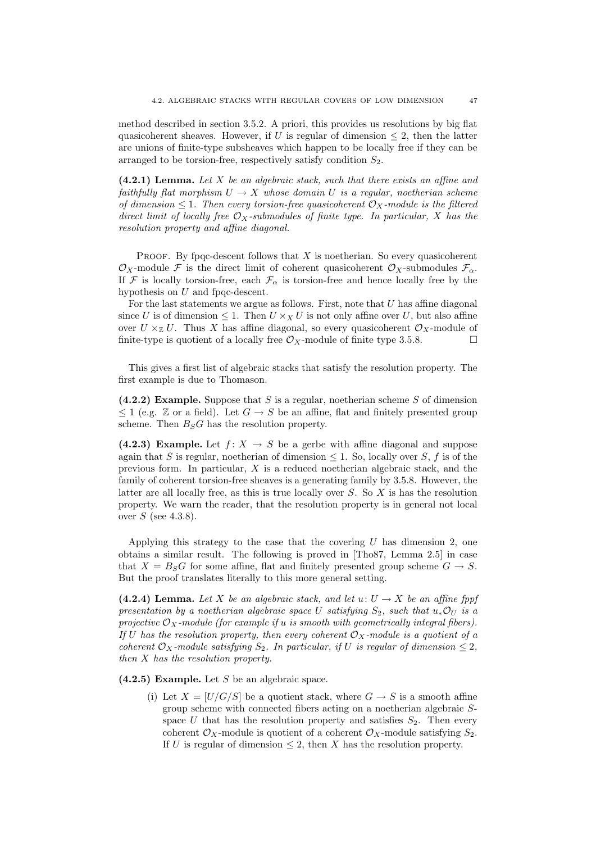method described in section 3.5.2. A priori, this provides us resolutions by big flat quasicoherent sheaves. However, if U is regular of dimension  $\leq 2$ , then the latter are unions of finite-type subsheaves which happen to be locally free if they can be arranged to be torsion-free, respectively satisfy condition  $S_2$ .

 $(4.2.1)$  Lemma. Let X be an algebraic stack, such that there exists an affine and faithfully flat morphism  $U \to X$  whose domain U is a regular, noetherian scheme of dimension  $\leq 1$ . Then every torsion-free quasicoherent  $\mathcal{O}_X$ -module is the filtered direct limit of locally free  $\mathcal{O}_X$ -submodules of finite type. In particular, X has the resolution property and affine diagonal.

PROOF. By fpqc-descent follows that  $X$  is noetherian. So every quasicoherent  $\mathcal{O}_X$ -module F is the direct limit of coherent quasicoherent  $\mathcal{O}_X$ -submodules  $\mathcal{F}_{\alpha}$ . If F is locally torsion-free, each  $\mathcal{F}_{\alpha}$  is torsion-free and hence locally free by the hypothesis on U and fpqc-descent.

For the last statements we argue as follows. First, note that  $U$  has affine diagonal since U is of dimension  $\leq 1$ . Then  $U \times_X U$  is not only affine over U, but also affine over  $U \times_{\mathbb{Z}} U$ . Thus X has affine diagonal, so every quasicoherent  $\mathcal{O}_X$ -module of finite-type is quotient of a locally free  $\mathcal{O}_X$ -module of finite type 3.5.8.

This gives a first list of algebraic stacks that satisfy the resolution property. The first example is due to Thomason.

(4.2.2) Example. Suppose that  $S$  is a regular, noetherian scheme  $S$  of dimension  $\leq 1$  (e.g. Z or a field). Let  $G \to S$  be an affine, flat and finitely presented group scheme. Then  $B_sG$  has the resolution property.

(4.2.3) Example. Let  $f: X \rightarrow S$  be a gerbe with affine diagonal and suppose again that S is regular, noetherian of dimension  $\leq 1$ . So, locally over S, f is of the previous form. In particular, X is a reduced noetherian algebraic stack, and the family of coherent torsion-free sheaves is a generating family by 3.5.8. However, the latter are all locally free, as this is true locally over  $S$ . So  $X$  is has the resolution property. We warn the reader, that the resolution property is in general not local over  $S$  (see 4.3.8).

Applying this strategy to the case that the covering  $U$  has dimension 2, one obtains a similar result. The following is proved in [Tho87, Lemma 2.5] in case that  $X = B_S G$  for some affine, flat and finitely presented group scheme  $G \rightarrow S$ . But the proof translates literally to this more general setting.

(4.2.4) Lemma. Let X be an algebraic stack, and let  $u: U \to X$  be an affine fppf presentation by a noetherian algebraic space U satisfying  $S_2$ , such that  $u_*\mathcal{O}_U$  is a projective  $\mathcal{O}_X$ -module (for example if u is smooth with geometrically integral fibers). If U has the resolution property, then every coherent  $\mathcal{O}_X$ -module is a quotient of a coherent  $\mathcal{O}_X$ -module satisfying  $S_2$ . In particular, if U is regular of dimension  $\leq 2$ , then X has the resolution property.

 $(4.2.5)$  Example. Let S be an algebraic space.

(i) Let  $X = [U/G/S]$  be a quotient stack, where  $G \rightarrow S$  is a smooth affine group scheme with connected fibers acting on a noetherian algebraic Sspace U that has the resolution property and satisfies  $S_2$ . Then every coherent  $\mathcal{O}_X$ -module is quotient of a coherent  $\mathcal{O}_X$ -module satisfying  $S_2$ . If U is regular of dimension  $\leq$  2, then X has the resolution property.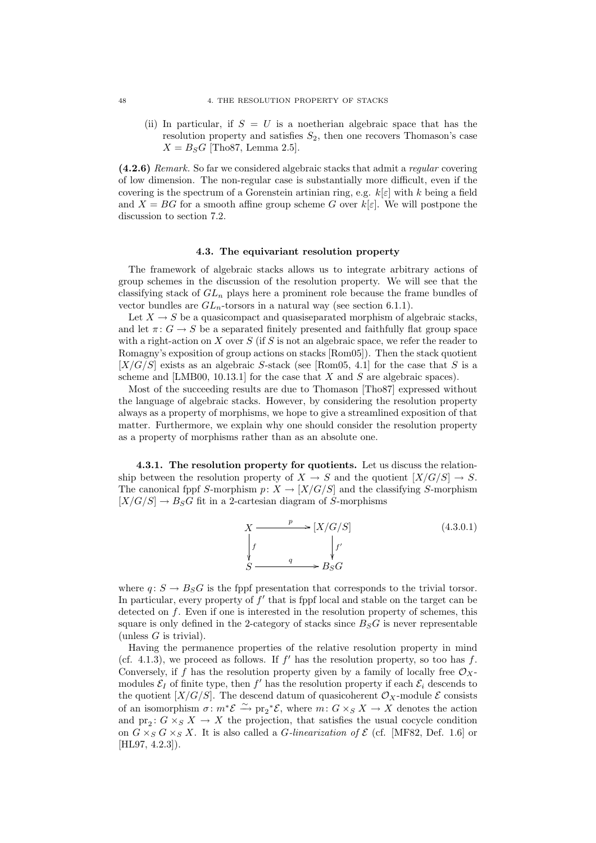(ii) In particular, if  $S = U$  is a noetherian algebraic space that has the resolution property and satisfies  $S_2$ , then one recovers Thomason's case  $X = B_S G$  [Tho87, Lemma 2.5].

(4.2.6) Remark. So far we considered algebraic stacks that admit a regular covering of low dimension. The non-regular case is substantially more difficult, even if the covering is the spectrum of a Gorenstein artinian ring, e.g.  $k[\varepsilon]$  with k being a field and  $X = BG$  for a smooth affine group scheme G over  $k[\varepsilon]$ . We will postpone the discussion to section 7.2.

#### 4.3. The equivariant resolution property

The framework of algebraic stacks allows us to integrate arbitrary actions of group schemes in the discussion of the resolution property. We will see that the classifying stack of  $GL_n$  plays here a prominent role because the frame bundles of vector bundles are  $GL_n$ -torsors in a natural way (see section 6.1.1).

Let  $X \to S$  be a quasicompact and quasiseparated morphism of algebraic stacks. and let  $\pi: G \to S$  be a separated finitely presented and faithfully flat group space with a right-action on  $X$  over  $S$  (if  $S$  is not an algebraic space, we refer the reader to Romagny's exposition of group actions on stacks [Rom05]). Then the stack quotient  $[X/G/S]$  exists as an algebraic S-stack (see [Rom05, 4.1] for the case that S is a scheme and [LMB00, 10.13.1] for the case that  $X$  and  $S$  are algebraic spaces).

Most of the succeeding results are due to Thomason [Tho87] expressed without the language of algebraic stacks. However, by considering the resolution property always as a property of morphisms, we hope to give a streamlined exposition of that matter. Furthermore, we explain why one should consider the resolution property as a property of morphisms rather than as an absolute one.

4.3.1. The resolution property for quotients. Let us discuss the relationship between the resolution property of  $X \to S$  and the quotient  $[X/G/S] \to S$ . The canonical fppf S-morphism  $p: X \to [X/G/S]$  and the classifying S-morphism  $[X/G/S] \to B_S G$  fit in a 2-cartesian diagram of S-morphisms

$$
X \xrightarrow{p} [X/G/S]
$$
\n
$$
\downarrow f
$$
\n
$$
S \xrightarrow{q} B_S G
$$
\n(4.3.0.1)

where  $q: S \to B_S G$  is the fppf presentation that corresponds to the trivial torsor. In particular, every property of  $f'$  that is fppf local and stable on the target can be detected on f. Even if one is interested in the resolution property of schemes, this square is only defined in the 2-category of stacks since  $B_S G$  is never representable (unless  $G$  is trivial).

Having the permanence properties of the relative resolution property in mind (cf. 4.1.3), we proceed as follows. If  $f'$  has the resolution property, so too has  $f$ . Conversely, if f has the resolution property given by a family of locally free  $\mathcal{O}_X$ . modules  $\mathcal{E}_I$  of finite type, then  $f'$  has the resolution property if each  $\mathcal{E}_i$  descends to the quotient  $[X/G/S]$ . The descend datum of quasicoherent  $\mathcal{O}_X$ -module  $\mathcal E$  consists of an isomorphism  $\sigma: m^*{\mathcal{E}} \xrightarrow{\sim} \text{pr}_2{}^*{\mathcal{E}}$ , where  $m: G \times_S X \to X$  denotes the action and  $pr_2: G \times_S X \to X$  the projection, that satisfies the usual cocycle condition on  $G \times_S G \times_S X$ . It is also called a *G*-linearization of  $\mathcal{E}$  (cf. [MF82, Def. 1.6] or [HL97, 4.2.3]).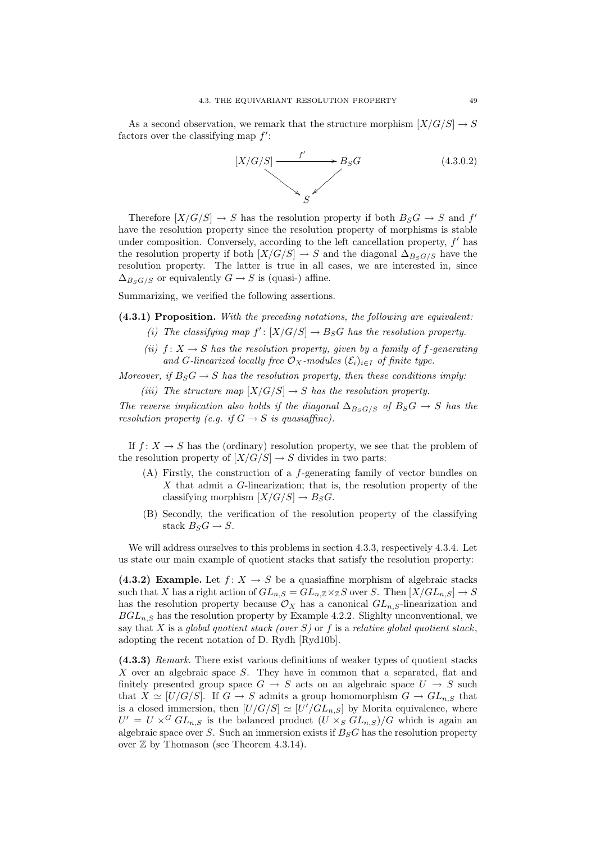As a second observation, we remark that the structure morphism  $[X/G/S] \to S$ factors over the classifying map  $f'$ :



Therefore  $[X/G/S] \to S$  has the resolution property if both  $B_S G \to S$  and  $f'$ have the resolution property since the resolution property of morphisms is stable under composition. Conversely, according to the left cancellation property,  $f'$  has the resolution property if both  $[X/G/S] \to S$  and the diagonal  $\Delta_{B_S G/S}$  have the resolution property. The latter is true in all cases, we are interested in, since  $\Delta_{B_S G/S}$  or equivalently  $G \to S$  is (quasi-) affine.

Summarizing, we verified the following assertions.

 $(4.3.1)$  Proposition. With the preceding notations, the following are equivalent:

- (i) The classifying map  $f' : [X/G/S] \to B_S G$  has the resolution property.
- (ii)  $f: X \to S$  has the resolution property, given by a family of f-generating and G-linearized locally free  $\mathcal{O}_X$ -modules  $(\mathcal{E}_i)_{i\in I}$  of finite type.

Moreover, if  $B_S G \to S$  has the resolution property, then these conditions imply:

(iii) The structure map  $[X/G/S] \to S$  has the resolution property.

The reverse implication also holds if the diagonal  $\Delta_{B_sG/S}$  of  $B_SG \rightarrow S$  has the resolution property (e.g. if  $G \rightarrow S$  is quasiaffine).

If  $f: X \to S$  has the (ordinary) resolution property, we see that the problem of the resolution property of  $[X/G/S] \to S$  divides in two parts:

- (A) Firstly, the construction of a f-generating family of vector bundles on  $X$  that admit a  $G$ -linearization; that is, the resolution property of the classifying morphism  $[X/G/S] \to B_S G$ .
- (B) Secondly, the verification of the resolution property of the classifying stack  $B_S G \to S$ .

We will address ourselves to this problems in section 4.3.3, respectively 4.3.4. Let us state our main example of quotient stacks that satisfy the resolution property:

(4.3.2) Example. Let  $f: X \to S$  be a quasiaffine morphism of algebraic stacks such that X has a right action of  $GL_{n,S} = GL_{n,\mathbb{Z}} \times_{\mathbb{Z}} S$  over S. Then  $[X/GL_{n,S}] \to S$ has the resolution property because  $\mathcal{O}_X$  has a canonical  $GL_{n,S}$ -linearization and  $BGL_{n,S}$  has the resolution property by Example 4.2.2. Slighlty unconventional, we say that  $X$  is a global quotient stack (over  $S$ ) or  $f$  is a relative global quotient stack. adopting the recent notation of D. Rydh [Ryd10b].

(4.3.3) Remark. There exist various definitions of weaker types of quotient stacks X over an algebraic space S. They have in common that a separated, flat and finitely presented group space  $G \rightarrow S$  acts on an algebraic space  $U \rightarrow S$  such that  $X \simeq [U/G/S]$ . If  $G \to S$  admits a group homomorphism  $G \to GL_{n,S}$  that is a closed immersion, then  $[U/G/S] \simeq [U'/GL_{n,S}]$  by Morita equivalence, where  $U' = U \times^G GL_{n,S}$  is the balanced product  $(U \times_S GL_{n,S})/G$  which is again an algebraic space over S. Such an immersion exists if  $B_S G$  has the resolution property over  $\mathbb Z$  by Thomason (see Theorem 4.3.14).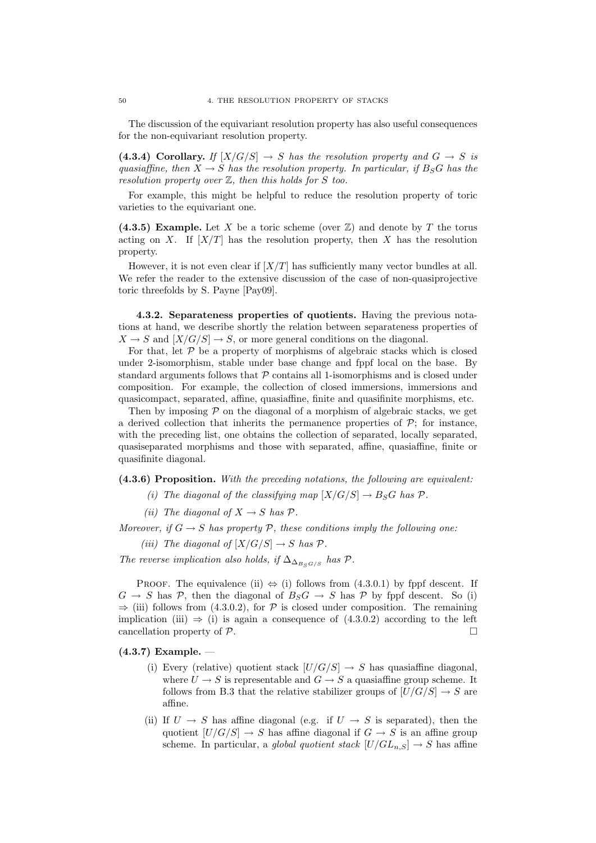The discussion of the equivariant resolution property has also useful consequences for the non-equivariant resolution property.

(4.3.4) Corollary. If  $[X/G/S] \to S$  has the resolution property and  $G \to S$  is quasiaffine, then  $X \to S$  has the resolution property. In particular, if  $B_S G$  has the resolution property over  $Z$ , then this holds for S too.

For example, this might be helpful to reduce the resolution property of toric varieties to the equivariant one.

(4.3.5) Example. Let X be a toric scheme (over  $\mathbb{Z}$ ) and denote by T the torus acting on X. If  $[X/T]$  has the resolution property, then X has the resolution property.

However, it is not even clear if  $[X/T]$  has sufficiently many vector bundles at all. We refer the reader to the extensive discussion of the case of non-quasiprojective toric threefolds by S. Payne [Pay09].

4.3.2. Separateness properties of quotients. Having the previous notations at hand, we describe shortly the relation between separateness properties of  $X \to S$  and  $[X/G/S] \to S$ , or more general conditions on the diagonal.

For that, let  $\mathcal P$  be a property of morphisms of algebraic stacks which is closed under 2-isomorphism, stable under base change and fppf local on the base. By standard arguments follows that  $P$  contains all 1-isomorphisms and is closed under composition. For example, the collection of closed immersions, immersions and quasicompact, separated, affine, quasiaffine, finite and quasifinite morphisms, etc.

Then by imposing  $P$  on the diagonal of a morphism of algebraic stacks, we get a derived collection that inherits the permanence properties of  $\mathcal{P}$ ; for instance, with the preceding list, one obtains the collection of separated, locally separated, quasiseparated morphisms and those with separated, affine, quasiaffine, finite or quasifinite diagonal.

(4.3.6) Proposition. With the preceding notations, the following are equivalent:

- (i) The diagonal of the classifying map  $[X/G/S] \to B_S G$  has  $\mathcal{P}$ .
- (ii) The diagonal of  $X \to S$  has  $\mathcal{P}$ .

Moreover, if  $G \to S$  has property  $P$ , these conditions imply the following one:

(iii) The diagonal of  $[X/G/S] \rightarrow S$  has  $\mathcal{P}$ .

The reverse implication also holds, if  $\Delta_{\Delta_{B_S G/S}}$  has  $\mathcal{P}$ .

PROOF. The equivalence (ii)  $\Leftrightarrow$  (i) follows from (4.3.0.1) by fppf descent. If  $G \to S$  has P, then the diagonal of  $B_S G \to S$  has P by fppf descent. So (i)  $\Rightarrow$  (iii) follows from (4.3.0.2), for P is closed under composition. The remaining implication (iii)  $\Rightarrow$  (i) is again a consequence of (4.3.0.2) according to the left cancellation property of P.

#### (4.3.7) Example. —

- (i) Every (relative) quotient stack  $[U/G/S] \rightarrow S$  has quasiaffine diagonal, where  $U \rightarrow S$  is representable and  $G \rightarrow S$  a quasiaffine group scheme. It follows from B.3 that the relative stabilizer groups of  $[U/G/S] \to S$  are affine.
- (ii) If  $U \to S$  has affine diagonal (e.g. if  $U \to S$  is separated), then the quotient  $[U/G/S] \to S$  has affine diagonal if  $G \to S$  is an affine group scheme. In particular, a *global quotient stack*  $[U/GL_{n,S}] \to S$  has affine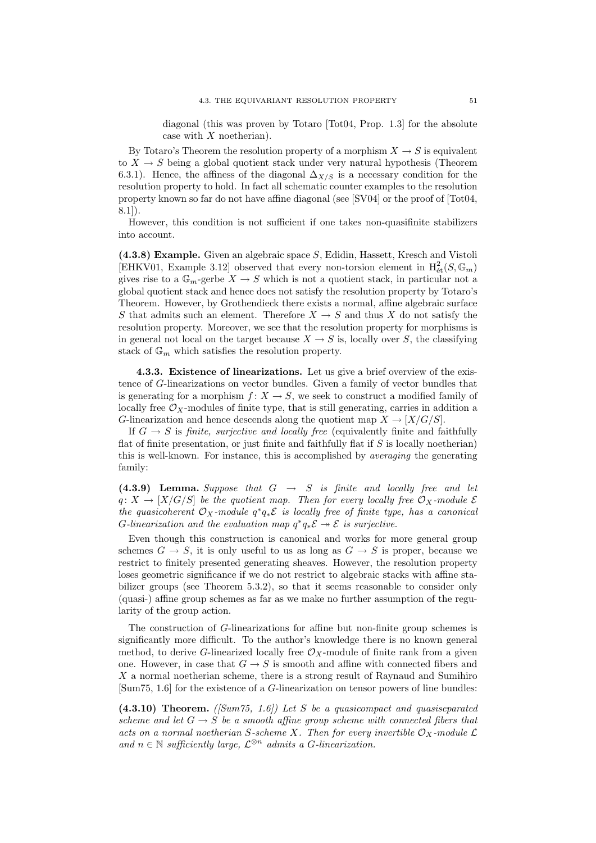diagonal (this was proven by Totaro [Tot04, Prop. 1.3] for the absolute case with  $X$  noetherian).

By Totaro's Theorem the resolution property of a morphism  $X \to S$  is equivalent to  $X \to S$  being a global quotient stack under very natural hypothesis (Theorem 6.3.1). Hence, the affiness of the diagonal  $\Delta_{X/S}$  is a necessary condition for the resolution property to hold. In fact all schematic counter examples to the resolution property known so far do not have affine diagonal (see [SV04] or the proof of [Tot04, 8.1]).

However, this condition is not sufficient if one takes non-quasifinite stabilizers into account.

(4.3.8) Example. Given an algebraic space S, Edidin, Hassett, Kresch and Vistoli [EHKV01, Example 3.12] observed that every non-torsion element in  $H^2_{\text{\'et}}(S, \mathbb{G}_m)$ gives rise to a  $\mathbb{G}_m$ -gerbe  $X \to S$  which is not a quotient stack, in particular not a global quotient stack and hence does not satisfy the resolution property by Totaro's Theorem. However, by Grothendieck there exists a normal, affine algebraic surface S that admits such an element. Therefore  $X \to S$  and thus X do not satisfy the resolution property. Moreover, we see that the resolution property for morphisms is in general not local on the target because  $X \to S$  is, locally over S, the classifying stack of  $\mathbb{G}_m$  which satisfies the resolution property.

4.3.3. Existence of linearizations. Let us give a brief overview of the existence of G-linearizations on vector bundles. Given a family of vector bundles that is generating for a morphism  $f: X \to S$ , we seek to construct a modified family of locally free  $\mathcal{O}_X$ -modules of finite type, that is still generating, carries in addition a G-linearization and hence descends along the quotient map  $X \to [X/G/S]$ .

If  $G \to S$  is finite, surjective and locally free (equivalently finite and faithfully flat of finite presentation, or just finite and faithfully flat if  $S$  is locally noetherian) this is well-known. For instance, this is accomplished by averaging the generating family:

(4.3.9) Lemma. Suppose that  $G \rightarrow S$  is finite and locally free and let  $q: X \to [X/G/S]$  be the quotient map. Then for every locally free  $\mathcal{O}_X$ -module  $\mathcal E$ the quasicoherent  $\mathcal{O}_X$ -module  $q^*q_*\mathcal{E}$  is locally free of finite type, has a canonical G-linearization and the evaluation map  $q^*q_*\mathcal{E} \rightarrow \mathcal{E}$  is surjective.

Even though this construction is canonical and works for more general group schemes  $G \to S$ , it is only useful to us as long as  $G \to S$  is proper, because we restrict to finitely presented generating sheaves. However, the resolution property loses geometric significance if we do not restrict to algebraic stacks with affine stabilizer groups (see Theorem 5.3.2), so that it seems reasonable to consider only (quasi-) affine group schemes as far as we make no further assumption of the regularity of the group action.

The construction of G-linearizations for affine but non-finite group schemes is significantly more difficult. To the author's knowledge there is no known general method, to derive G-linearized locally free  $\mathcal{O}_X$ -module of finite rank from a given one. However, in case that  $G \to S$  is smooth and affine with connected fibers and X a normal noetherian scheme, there is a strong result of Raynaud and Sumihiro [Sum75, 1.6] for the existence of a G-linearization on tensor powers of line bundles:

 $(4.3.10)$  Theorem. ([Sum75, 1.6]) Let S be a quasicompact and quasiseparated scheme and let  $G \to S$  be a smooth affine group scheme with connected fibers that acts on a normal noetherian S-scheme X. Then for every invertible  $\mathcal{O}_X$ -module  $\mathcal L$ and  $n \in \mathbb{N}$  sufficiently large,  $\mathcal{L}^{\otimes n}$  admits a G-linearization.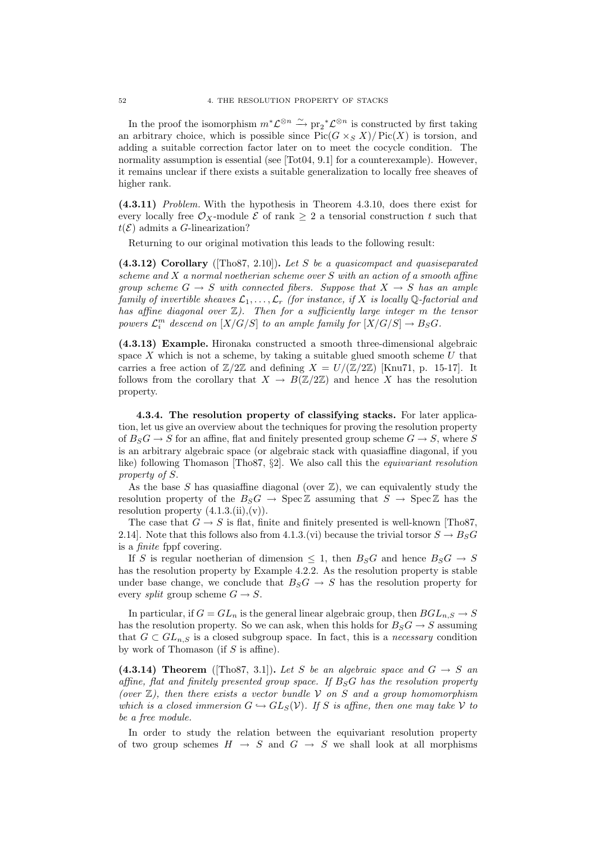In the proof the isomorphism  $m^* \mathcal{L}^{\otimes n} \xrightarrow{\sim} \text{pr}_2^* \mathcal{L}^{\otimes n}$  is constructed by first taking an arbitrary choice, which is possible since  $Pic(G \times_S X)/Pic(X)$  is torsion, and adding a suitable correction factor later on to meet the cocycle condition. The normality assumption is essential (see  $[Tot04, 9.1]$  for a counterexample). However, it remains unclear if there exists a suitable generalization to locally free sheaves of higher rank.

(4.3.11) Problem. With the hypothesis in Theorem 4.3.10, does there exist for every locally free  $\mathcal{O}_X$ -module  $\mathcal E$  of rank  $\geq 2$  a tensorial construction t such that  $t(\mathcal{E})$  admits a G-linearization?

Returning to our original motivation this leads to the following result:

 $(4.3.12)$  Corollary ([Tho87, 2.10]). Let S be a quasicompact and quasiseparated scheme and X a normal noetherian scheme over S with an action of a smooth affine group scheme  $G \to S$  with connected fibers. Suppose that  $X \to S$  has an ample family of invertible sheaves  $\mathcal{L}_1, \ldots, \mathcal{L}_r$  (for instance, if X is locally Q-factorial and has affine diagonal over  $\mathbb{Z}$ ). Then for a sufficiently large integer m the tensor powers  $\mathcal{L}_i^m$  descend on  $[X/G/S]$  to an ample family for  $[X/G/S] \to B_S G$ .

(4.3.13) Example. Hironaka constructed a smooth three-dimensional algebraic space  $X$  which is not a scheme, by taking a suitable glued smooth scheme  $U$  that carries a free action of  $\mathbb{Z}/2\mathbb{Z}$  and defining  $X = U/(\mathbb{Z}/2\mathbb{Z})$  [Knu71, p. 15-17]. It follows from the corollary that  $X \to B(\mathbb{Z}/2\mathbb{Z})$  and hence X has the resolution property.

4.3.4. The resolution property of classifying stacks. For later application, let us give an overview about the techniques for proving the resolution property of  $B_S G \to S$  for an affine, flat and finitely presented group scheme  $G \to S$ , where S is an arbitrary algebraic space (or algebraic stack with quasiaffine diagonal, if you like) following Thomason [Tho87, §2]. We also call this the equivariant resolution property of S.

As the base  $S$  has quasiaffine diagonal (over  $\mathbb{Z}$ ), we can equivalently study the resolution property of the  $B_S G \to \text{Spec} \mathbb{Z}$  assuming that  $S \to \text{Spec} \mathbb{Z}$  has the resolution property  $(4.1.3.(\text{ii}),(\text{v}))$ .

The case that  $G \to S$  is flat, finite and finitely presented is well-known [Tho87, 2.14]. Note that this follows also from 4.1.3.(vi) because the trivial torsor  $S \to B_S G$ is a finite fppf covering.

If S is regular noetherian of dimension  $\leq$  1, then  $B_S G$  and hence  $B_S G \rightarrow S$ has the resolution property by Example 4.2.2. As the resolution property is stable under base change, we conclude that  $B_S G \rightarrow S$  has the resolution property for every *split* group scheme  $G \rightarrow S$ .

In particular, if  $G = GL_n$  is the general linear algebraic group, then  $BGL_{n,S} \to S$ has the resolution property. So we can ask, when this holds for  $B_S G \to S$  assuming that  $G \subset GL_{n,S}$  is a closed subgroup space. In fact, this is a *necessary* condition by work of Thomason (if  $S$  is affine).

(4.3.14) Theorem ([Tho87, 3.1]). Let S be an algebraic space and  $G \rightarrow S$  an affine, flat and finitely presented group space. If  $B_S G$  has the resolution property (over  $\mathbb{Z}$ ), then there exists a vector bundle V on S and a group homomorphism which is a closed immersion  $G \hookrightarrow GL_S(\mathcal{V})$ . If S is affine, then one may take V to be a free module.

In order to study the relation between the equivariant resolution property of two group schemes  $H \to S$  and  $G \to S$  we shall look at all morphisms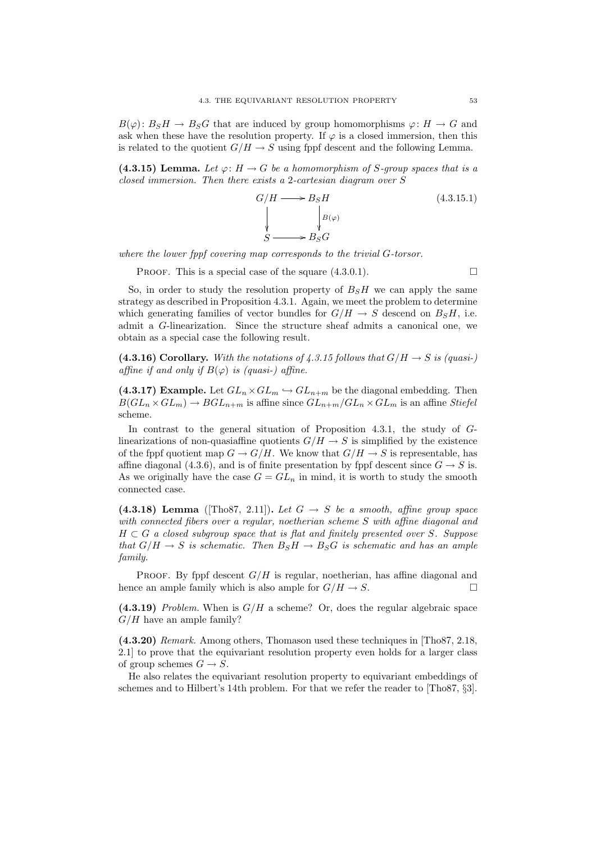$B(\varphi): B<sub>S</sub>H \to B<sub>S</sub>G$  that are induced by group homomorphisms  $\varphi: H \to G$  and ask when these have the resolution property. If  $\varphi$  is a closed immersion, then this is related to the quotient  $G/H \to S$  using fppf descent and the following Lemma.

(4.3.15) Lemma. Let  $\varphi: H \to G$  be a homomorphism of S-group spaces that is a closed immersion. Then there exists a 2-cartesian diagram over S

$$
G/H \longrightarrow B_S H
$$
\n
$$
\downarrow B(\varphi)
$$
\n
$$
S \longrightarrow B_S G
$$
\n(4.3.15.1)

where the lower fppf covering map corresponds to the trivial G-torsor.

PROOF. This is a special case of the square  $(4.3.0.1)$ .

So, in order to study the resolution property of  $B<sub>S</sub>H$  we can apply the same strategy as described in Proposition 4.3.1. Again, we meet the problem to determine which generating families of vector bundles for  $G/H \to S$  descend on  $B_S H$ , i.e. admit a G-linearization. Since the structure sheaf admits a canonical one, we obtain as a special case the following result.

(4.3.16) Corollary. With the notations of 4.3.15 follows that  $G/H \to S$  is (quasi-) affine if and only if  $B(\varphi)$  is (quasi-) affine.

(4.3.17) Example. Let  $GL_n \times GL_m \hookrightarrow GL_{n+m}$  be the diagonal embedding. Then  $B(GL_n \times GL_m) \to BGL_{n+m}$  is affine since  $GL_{n+m}/GL_n \times GL_m$  is an affine Stiefel scheme.

In contrast to the general situation of Proposition 4.3.1, the study of Glinearizations of non-quasiaffine quotients  $G/H \to S$  is simplified by the existence of the fppf quotient map  $G \to G/H$ . We know that  $G/H \to S$  is representable, has affine diagonal (4.3.6), and is of finite presentation by fppf descent since  $G \to S$  is. As we originally have the case  $G = GL_n$  in mind, it is worth to study the smooth connected case.

(4.3.18) Lemma ([Tho87, 2.11]). Let  $G \rightarrow S$  be a smooth, affine group space with connected fibers over a regular, noetherian scheme S with affine diagonal and  $H \subset G$  a closed subgroup space that is flat and finitely presented over S. Suppose that  $G/H \to S$  is schematic. Then  $B_S H \to B_S G$  is schematic and has an ample family.

PROOF. By fppf descent  $G/H$  is regular, noetherian, has affine diagonal and hence an ample family which is also ample for  $G/H \to S$ .

(4.3.19) Problem. When is  $G/H$  a scheme? Or, does the regular algebraic space  $G/H$  have an ample family?

(4.3.20) Remark. Among others, Thomason used these techniques in [Tho87, 2.18, 2.1] to prove that the equivariant resolution property even holds for a larger class of group schemes  $G \rightarrow S$ .

He also relates the equivariant resolution property to equivariant embeddings of schemes and to Hilbert's 14th problem. For that we refer the reader to [Tho87, §3].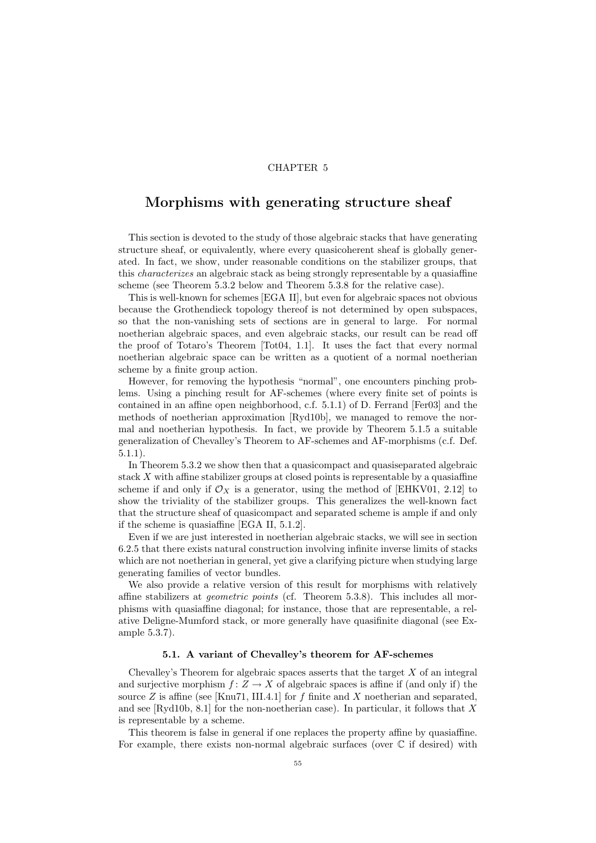## CHAPTER 5

# Morphisms with generating structure sheaf

This section is devoted to the study of those algebraic stacks that have generating structure sheaf, or equivalently, where every quasicoherent sheaf is globally generated. In fact, we show, under reasonable conditions on the stabilizer groups, that this characterizes an algebraic stack as being strongly representable by a quasiaffine scheme (see Theorem 5.3.2 below and Theorem 5.3.8 for the relative case).

This is well-known for schemes [EGA II], but even for algebraic spaces not obvious because the Grothendieck topology thereof is not determined by open subspaces, so that the non-vanishing sets of sections are in general to large. For normal noetherian algebraic spaces, and even algebraic stacks, our result can be read off the proof of Totaro's Theorem [Tot04, 1.1]. It uses the fact that every normal noetherian algebraic space can be written as a quotient of a normal noetherian scheme by a finite group action.

However, for removing the hypothesis "normal", one encounters pinching problems. Using a pinching result for AF-schemes (where every finite set of points is contained in an affine open neighborhood, c.f. 5.1.1) of D. Ferrand [Fer03] and the methods of noetherian approximation [Ryd10b], we managed to remove the normal and noetherian hypothesis. In fact, we provide by Theorem 5.1.5 a suitable generalization of Chevalley's Theorem to AF-schemes and AF-morphisms (c.f. Def. 5.1.1).

In Theorem 5.3.2 we show then that a quasicompact and quasiseparated algebraic stack  $X$  with affine stabilizer groups at closed points is representable by a quasiaffine scheme if and only if  $\mathcal{O}_X$  is a generator, using the method of [EHKV01, 2.12] to show the triviality of the stabilizer groups. This generalizes the well-known fact that the structure sheaf of quasicompact and separated scheme is ample if and only if the scheme is quasiaffine [EGA II, 5.1.2].

Even if we are just interested in noetherian algebraic stacks, we will see in section 6.2.5 that there exists natural construction involving infinite inverse limits of stacks which are not noetherian in general, yet give a clarifying picture when studying large generating families of vector bundles.

We also provide a relative version of this result for morphisms with relatively affine stabilizers at geometric points (cf. Theorem 5.3.8). This includes all morphisms with quasiaffine diagonal; for instance, those that are representable, a relative Deligne-Mumford stack, or more generally have quasifinite diagonal (see Example 5.3.7).

### 5.1. A variant of Chevalley's theorem for AF-schemes

Chevalley's Theorem for algebraic spaces asserts that the target  $X$  of an integral and surjective morphism  $f: Z \to X$  of algebraic spaces is affine if (and only if) the source Z is affine (see [Knu71, III.4.1] for f finite and X noetherian and separated, and see  $[\text{Ryd10b}, 8.1]$  for the non-noetherian case). In particular, it follows that X is representable by a scheme.

This theorem is false in general if one replaces the property affine by quasiaffine. For example, there exists non-normal algebraic surfaces (over  $\mathbb C$  if desired) with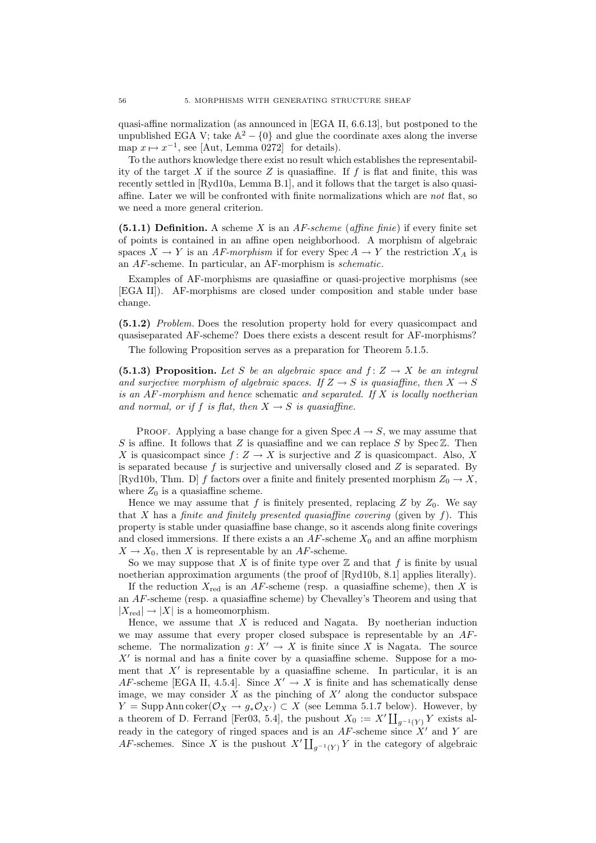quasi-affine normalization (as announced in [EGA II, 6.6.13], but postponed to the unpublished EGA V; take  $\mathbb{A}^2 - \{0\}$  and glue the coordinate axes along the inverse map  $x \mapsto x^{-1}$ , see [Aut, Lemma 0272] for details).

To the authors knowledge there exist no result which establishes the representability of the target X if the source Z is quasiaffine. If f is flat and finite, this was recently settled in [Ryd10a, Lemma B.1], and it follows that the target is also quasiaffine. Later we will be confronted with finite normalizations which are not flat, so we need a more general criterion.

(5.1.1) Definition. A scheme X is an  $AF\text{-}scheme$  (affine finie) if every finite set of points is contained in an affine open neighborhood. A morphism of algebraic spaces  $X \to Y$  is an AF-morphism if for every Spec  $A \to Y$  the restriction  $X_A$  is an AF-scheme. In particular, an AF-morphism is schematic.

Examples of AF-morphisms are quasiaffine or quasi-projective morphisms (see [EGA II]). AF-morphisms are closed under composition and stable under base change.

(5.1.2) Problem. Does the resolution property hold for every quasicompact and quasiseparated AF-scheme? Does there exists a descent result for AF-morphisms?

The following Proposition serves as a preparation for Theorem 5.1.5.

(5.1.3) Proposition. Let S be an algebraic space and  $f: Z \to X$  be an integral and surjective morphism of algebraic spaces. If  $Z \to S$  is quasiaffine, then  $X \to S$ is an  $AF$ -morphism and hence schematic and separated. If  $X$  is locally noetherian and normal, or if f is flat, then  $X \to S$  is quasiaffine.

PROOF. Applying a base change for a given Spec  $A \rightarrow S$ , we may assume that S is affine. It follows that Z is quasiaffine and we can replace S by  $\text{Spec } \mathbb{Z}$ . Then X is quasicompact since  $f: Z \to X$  is surjective and Z is quasicompact. Also, X is separated because  $f$  is surjective and universally closed and  $Z$  is separated. By [Ryd10b, Thm. D] f factors over a finite and finitely presented morphism  $Z_0 \rightarrow X$ , where  $Z_0$  is a quasiaffine scheme.

Hence we may assume that f is finitely presented, replacing Z by  $Z_0$ . We say that X has a finite and finitely presented quasiaffine covering (given by  $f$ ). This property is stable under quasiaffine base change, so it ascends along finite coverings and closed immersions. If there exists a an  $AF$ -scheme  $X_0$  and an affine morphism  $X \to X_0$ , then X is representable by an AF-scheme.

So we may suppose that X is of finite type over  $\mathbb Z$  and that f is finite by usual noetherian approximation arguments (the proof of [Ryd10b, 8.1] applies literally).

If the reduction  $X_{\text{red}}$  is an AF-scheme (resp. a quasiaffine scheme), then X is an AF-scheme (resp. a quasiaffine scheme) by Chevalley's Theorem and using that  $|X_{\text{red}}| \rightarrow |X|$  is a homeomorphism.

Hence, we assume that  $X$  is reduced and Nagata. By noetherian induction we may assume that every proper closed subspace is representable by an  $AF$ scheme. The normalization  $g: X' \to X$  is finite since X is Nagata. The source  $X'$  is normal and has a finite cover by a quasiaffine scheme. Suppose for a moment that  $X'$  is representable by a quasiaffine scheme. In particular, it is an AF-scheme [EGA II, 4.5.4]. Since  $X' \to X$  is finite and has schematically dense image, we may consider  $X$  as the pinching of  $X'$  along the conductor subspace  $Y = \text{Supp Ann coker}(\mathcal{O}_X \to g_*\mathcal{O}_{X'}) \subset X$  (see Lemma 5.1.7 below). However, by a theorem of D. Ferrand [Fer03, 5.4], the pushout  $X_0 := X' \coprod_{g^{-1}(Y)} Y$  exists already in the category of ringed spaces and is an  $AF$ -scheme since  $X'$  and Y are AF-schemes. Since X is the pushout  $X' \coprod_{g^{-1}(Y)} Y$  in the category of algebraic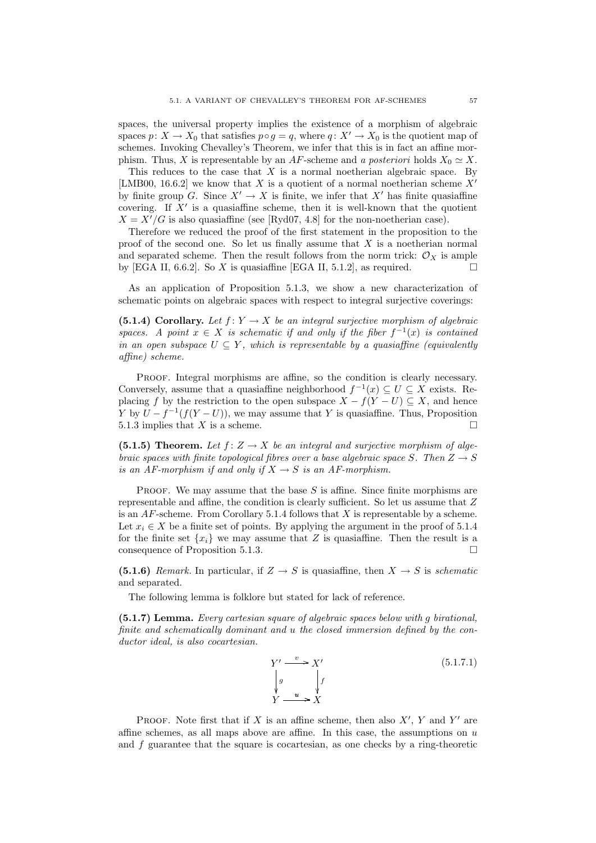spaces, the universal property implies the existence of a morphism of algebraic spaces  $p: X \to X_0$  that satisfies  $p \circ q = q$ , where  $q: X' \to X_0$  is the quotient map of schemes. Invoking Chevalley's Theorem, we infer that this is in fact an affine morphism. Thus, X is representable by an AF-scheme and a posteriori holds  $X_0 \simeq X$ .

This reduces to the case that  $X$  is a normal noetherian algebraic space. By [LMB00, 16.6.2] we know that X is a quotient of a normal noetherian scheme  $X'$ by finite group G. Since  $X' \to X$  is finite, we infer that X' has finite quasiaffine covering. If  $X'$  is a quasiaffine scheme, then it is well-known that the quotient  $X = X'/G$  is also quasiaffine (see [Ryd07, 4.8] for the non-noetherian case).

Therefore we reduced the proof of the first statement in the proposition to the proof of the second one. So let us finally assume that  $X$  is a noetherian normal and separated scheme. Then the result follows from the norm trick:  $\mathcal{O}_X$  is ample by [EGA II, 6.6.2]. So X is quasiaffine [EGA II, 5.1.2], as required.  $\square$ 

As an application of Proposition 5.1.3, we show a new characterization of schematic points on algebraic spaces with respect to integral surjective coverings:

(5.1.4) Corollary. Let  $f: Y \to X$  be an integral surjective morphism of algebraic spaces. A point  $x \in X$  is schematic if and only if the fiber  $f^{-1}(x)$  is contained in an open subspace  $U \subseteq Y$ , which is representable by a quasiaffine (equivalently affine) scheme.

PROOF. Integral morphisms are affine, so the condition is clearly necessary. Conversely, assume that a quasiaffine neighborhood  $f^{-1}(x) \subseteq U \subseteq X$  exists. Replacing f by the restriction to the open subspace  $X - f(Y - U) \subseteq X$ , and hence Y by  $U - f^{-1}(f(Y-U))$ , we may assume that Y is quasiaffine. Thus, Proposition 5.1.3 implies that X is a scheme.

(5.1.5) Theorem. Let  $f: Z \to X$  be an integral and surjective morphism of algebraic spaces with finite topological fibres over a base algebraic space S. Then  $Z \rightarrow S$ is an AF-morphism if and only if  $X \to S$  is an AF-morphism.

PROOF. We may assume that the base  $S$  is affine. Since finite morphisms are representable and affine, the condition is clearly sufficient. So let us assume that Z is an  $AF$ -scheme. From Corollary 5.1.4 follows that X is representable by a scheme. Let  $x_i \in X$  be a finite set of points. By applying the argument in the proof of 5.1.4 for the finite set  ${x_i}$  we may assume that Z is quasiaffine. Then the result is a consequence of Proposition 5.1.3.

(5.1.6) Remark. In particular, if  $Z \rightarrow S$  is quasiaffine, then  $X \rightarrow S$  is schematic and separated.

The following lemma is folklore but stated for lack of reference.

(5.1.7) Lemma. Every cartesian square of algebraic spaces below with g birational, finite and schematically dominant and u the closed immersion defined by the conductor ideal, is also cocartesian.

$$
Y' \xrightarrow{v} X'
$$
  
\n
$$
\downarrow g
$$
  
\n
$$
Y \xrightarrow{u} X
$$
  
\n
$$
(5.1.7.1)
$$
  
\n
$$
Y \xrightarrow{u} X
$$

PROOF. Note first that if X is an affine scheme, then also  $X'$ , Y and Y' are affine schemes, as all maps above are affine. In this case, the assumptions on  $u$ and f guarantee that the square is cocartesian, as one checks by a ring-theoretic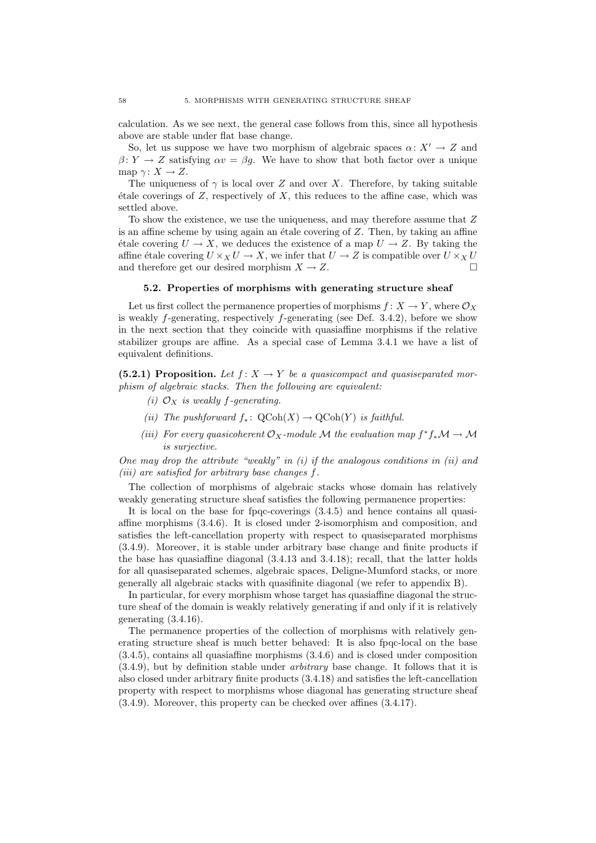calculation. As we see next, the general case follows from this, since all hypothesis above are stable under flat base change.

So, let us suppose we have two morphism of algebraic spaces  $\alpha: X' \to Z$  and  $\beta: Y \to Z$  satisfying  $\alpha v = \beta g$ . We have to show that both factor over a unique map  $\gamma: X \to Z$ .

The uniqueness of  $\gamma$  is local over Z and over X. Therefore, by taking suitable  $\acute{e}$ tale coverings of Z, respectively of X, this reduces to the affine case, which was settled above.

To show the existence, we use the uniqueness, and may therefore assume that Z is an affine scheme by using again an étale covering of  $Z$ . Then, by taking an affine  $\phi$  etale covering  $U \to X$ , we deduces the existence of a map  $U \to Z$ . By taking the affine étale covering  $U \times_X U \to X$ , we infer that  $U \to Z$  is compatible over  $U \times_X U$ <br>and therefore get our desired morphism  $X \to Z$ . and therefore get our desired morphism  $X \to Z$ .

### 5.2. Properties of morphisms with generating structure sheaf

Let us first collect the permanence properties of morphisms  $f: X \to Y$ , where  $\mathcal{O}_X$ is weakly f-generating, respectively f-generating (see Def. 3.4.2), before we show in the next section that they coincide with quasiaffine morphisms if the relative stabilizer groups are affine. As a special case of Lemma 3.4.1 we have a list of equivalent definitions.

(5.2.1) Proposition. Let  $f: X \to Y$  be a quasicompact and quasiseparated morphism of algebraic stacks. Then the following are equivalent:

- (i)  $\mathcal{O}_X$  is weakly f-generating.
- (ii) The pushforward  $f_*\colon \text{QCoh}(X) \to \text{QCoh}(Y)$  is faithful.
- (iii) For every quasicoherent  $\mathcal{O}_X$ -module M the evaluation map  $f^*f_*\mathcal{M} \to \mathcal{M}$ is surjective.

One may drop the attribute "weakly" in  $(i)$  if the analogous conditions in  $(ii)$  and (iii) are satisfied for arbitrary base changes f.

The collection of morphisms of algebraic stacks whose domain has relatively weakly generating structure sheaf satisfies the following permanence properties:

It is local on the base for fpqc-coverings  $(3.4.5)$  and hence contains all quasiaffine morphisms (3.4.6). It is closed under 2-isomorphism and composition, and satisfies the left-cancellation property with respect to quasiseparated morphisms (3.4.9). Moreover, it is stable under arbitrary base change and finite products if the base has quasiaffine diagonal (3.4.13 and 3.4.18); recall, that the latter holds for all quasiseparated schemes, algebraic spaces, Deligne-Mumford stacks, or more generally all algebraic stacks with quasifinite diagonal (we refer to appendix B).

In particular, for every morphism whose target has quasiaffine diagonal the structure sheaf of the domain is weakly relatively generating if and only if it is relatively generating (3.4.16).

The permanence properties of the collection of morphisms with relatively generating structure sheaf is much better behaved: It is also fpqc-local on the base (3.4.5), contains all quasiaffine morphisms (3.4.6) and is closed under composition (3.4.9), but by definition stable under arbitrary base change. It follows that it is also closed under arbitrary finite products (3.4.18) and satisfies the left-cancellation property with respect to morphisms whose diagonal has generating structure sheaf (3.4.9). Moreover, this property can be checked over affines (3.4.17).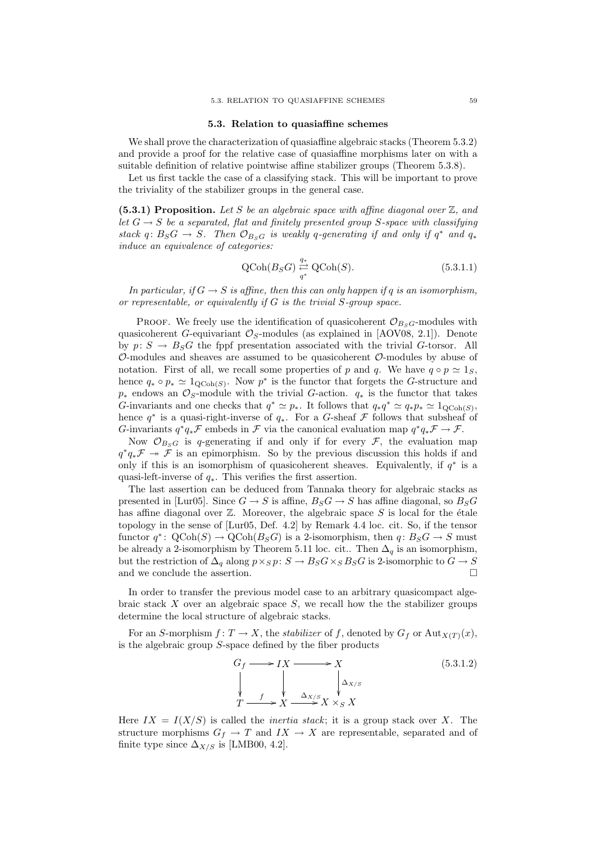#### 5.3. Relation to quasiaffine schemes

We shall prove the characterization of quasiaffine algebraic stacks (Theorem 5.3.2) and provide a proof for the relative case of quasiaffine morphisms later on with a suitable definition of relative pointwise affine stabilizer groups (Theorem 5.3.8).

Let us first tackle the case of a classifying stack. This will be important to prove the triviality of the stabilizer groups in the general case.

(5.3.1) Proposition. Let S be an algebraic space with affine diagonal over  $\mathbb{Z}$ , and let  $G \rightarrow S$  be a separated, flat and finitely presented group S-space with classifying stack q:  $B_S G \rightarrow S$ . Then  $\mathcal{O}_{B_S G}$  is weakly q-generating if and only if  $q^*$  and  $q_*$ induce an equivalence of categories:

$$
\text{QCoh}(B_S G) \stackrel{q_*}{\underset{q^*}{\rightleftharpoons}} \text{QCoh}(S). \tag{5.3.1.1}
$$

In particular, if  $G \to S$  is affine, then this can only happen if q is an isomorphism, or representable, or equivalently if  $G$  is the trivial  $S$ -group space.

PROOF. We freely use the identification of quasicoherent  $\mathcal{O}_{B_SG}$ -modules with quasicoherent G-equivariant  $\mathcal{O}_S$ -modules (as explained in [AOV08, 2.1]). Denote by  $p: S \to B_S G$  the fppf presentation associated with the trivial G-torsor. All  $\mathcal{O}\text{-modules}$  and sheaves are assumed to be quasicoherent  $\mathcal{O}\text{-modules}$  by abuse of notation. First of all, we recall some properties of p and q. We have  $q \circ p \simeq 1_S$ . hence  $q_* \circ p_* \simeq 1_{\text{QCoh}(S)}$ . Now  $p^*$  is the functor that forgets the G-structure and  $p_*$  endows an  $\mathcal{O}_S$ -module with the trivial G-action.  $q_*$  is the functor that takes G-invariants and one checks that  $q^* \simeq p_*$ . It follows that  $q_*q^* \simeq q_*p_* \simeq 1_{\text{QCoh}(S)}$ , hence  $q^*$  is a quasi-right-inverse of  $q_*$ . For a G-sheaf  $\mathcal F$  follows that subsheaf of G-invariants  $q^*q_*\mathcal{F}$  embeds in  $\mathcal F$  via the canonical evaluation map  $q^*q_*\mathcal{F} \to \mathcal{F}$ .

Now  $\mathcal{O}_{B_S G}$  is q-generating if and only if for every  $\mathcal{F}$ , the evaluation map  $q^*q_*\mathcal{F} \rightarrow \tilde{\mathcal{F}}$  is an epimorphism. So by the previous discussion this holds if and only if this is an isomorphism of quasicoherent sheaves. Equivalently, if  $q^*$  is a quasi-left-inverse of  $q_*$ . This verifies the first assertion.

The last assertion can be deduced from Tannaka theory for algebraic stacks as presented in [Lur05]. Since  $G \to S$  is affine,  $B_S G \to S$  has affine diagonal, so  $B_S G$ has affine diagonal over  $\mathbb Z$ . Moreover, the algebraic space S is local for the étale topology in the sense of [Lur05, Def. 4.2] by Remark 4.4 loc. cit. So, if the tensor functor  $q^* \colon \text{QCoh}(S) \to \text{QCoh}(B_S G)$  is a 2-isomorphism, then  $q: B_S G \to S$  must be already a 2-isomorphism by Theorem 5.11 loc. cit.. Then  $\Delta_q$  is an isomorphism, but the restriction of  $\Delta_q$  along  $p \times_S p: S \to B_S G \times_S B_S G$  is 2-isomorphic to  $G \to S$ and we conclude the assertion.

In order to transfer the previous model case to an arbitrary quasicompact algebraic stack  $X$  over an algebraic space  $S$ , we recall how the the stabilizer groups determine the local structure of algebraic stacks.

For an S-morphism  $f: T \to X$ , the *stabilizer* of f, denoted by  $G_f$  or  $\text{Aut}_{X(T)}(x)$ , is the algebraic group  $S$ -space defined by the fiber products



Here  $IX = I(X/S)$  is called the *inertia stack*; it is a group stack over X. The structure morphisms  $G_f \to T$  and  $IX \to X$  are representable, separated and of finite type since  $\Delta_{X/S}$  is [LMB00, 4.2].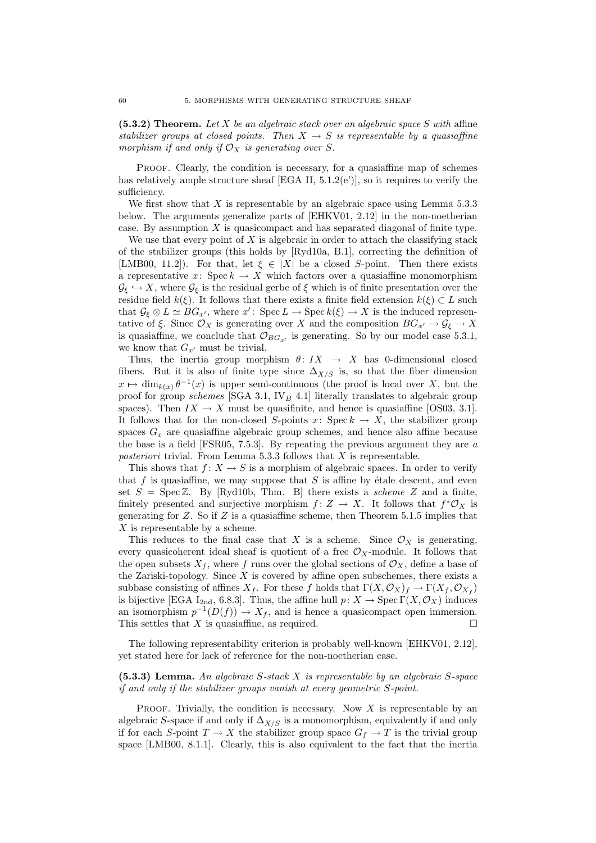$(5.3.2)$  Theorem. Let X be an algebraic stack over an algebraic space S with affine stabilizer groups at closed points. Then  $X \to S$  is representable by a quasiaffine morphism if and only if  $\mathcal{O}_X$  is generating over S.

PROOF. Clearly, the condition is necessary, for a quasiaffine map of schemes has relatively ample structure sheaf [EGA II, 5.1.2(e')], so it requires to verify the sufficiency.

We first show that  $X$  is representable by an algebraic space using Lemma 5.3.3 below. The arguments generalize parts of [EHKV01, 2.12] in the non-noetherian case. By assumption  $X$  is quasicompact and has separated diagonal of finite type.

We use that every point of  $X$  is algebraic in order to attach the classifying stack of the stabilizer groups (this holds by [Ryd10a, B.1], correcting the definition of [LMB00, 11.2]). For that, let  $\xi \in |X|$  be a closed S-point. Then there exists a representative x: Spec  $k \to X$  which factors over a quasiaffine monomorphism  $\mathcal{G}_{\xi} \hookrightarrow X$ , where  $\mathcal{G}_{\xi}$  is the residual gerbe of  $\xi$  which is of finite presentation over the residue field  $k(\xi)$ . It follows that there exists a finite field extension  $k(\xi) \subset L$  such that  $\mathcal{G}_{\xi} \otimes L \simeq BG_{x'}$ , where  $x' \colon \text{Spec } L \to \text{Spec } k(\xi) \to X$  is the induced representative of  $\xi$ . Since  $\mathcal{O}_X$  is generating over X and the composition  $BG_{x'} \to \mathcal{G}_{\xi} \to X$ is quasiaffine, we conclude that  $\mathcal{O}_{BG_{x'}}$  is generating. So by our model case 5.3.1, we know that  $G_{x'}$  must be trivial.

Thus, the inertia group morphism  $\theta: IX \to X$  has 0-dimensional closed fibers. But it is also of finite type since  $\Delta_{X/S}$  is, so that the fiber dimension  $x \mapsto \dim_{k(x)} \theta^{-1}(x)$  is upper semi-continuous (the proof is local over X, but the proof for group schemes [SGA 3.1,  $IV_B$  4.1] literally translates to algebraic group spaces). Then  $IX \to X$  must be quasifinite, and hence is quasiaffine [OS03, 3.1]. It follows that for the non-closed S-points  $x: \text{Spec } k \to X$ , the stabilizer group spaces  $G_x$  are quasiaffine algebraic group schemes, and hence also affine because the base is a field [FSR05, 7.5.3]. By repeating the previous argument they are a posteriori trivial. From Lemma 5.3.3 follows that  $X$  is representable.

This shows that  $f: X \to S$  is a morphism of algebraic spaces. In order to verify that f is quasiaffine, we may suppose that  $S$  is affine by étale descent, and even set  $S = \text{Spec } \mathbb{Z}$ . By [Ryd10b, Thm. B] there exists a *scheme Z* and a finite, finitely presented and surjective morphism  $f: Z \to X$ . It follows that  $f^* \mathcal{O}_X$  is generating for  $Z$ . So if  $Z$  is a quasiaffine scheme, then Theorem 5.1.5 implies that X is representable by a scheme.

This reduces to the final case that X is a scheme. Since  $\mathcal{O}_X$  is generating, every quasicoherent ideal sheaf is quotient of a free  $\mathcal{O}_X$ -module. It follows that the open subsets  $X_f$ , where f runs over the global sections of  $\mathcal{O}_X$ , define a base of the Zariski-topology. Since  $X$  is covered by affine open subschemes, there exists a subbase consisting of affines  $X_f$ . For these f holds that  $\Gamma(X, \mathcal{O}_X)_f \to \Gamma(X_f, \mathcal{O}_{X_f})$ is bijective [EGA I<sub>2nd</sub>, 6.8.3]. Thus, the affine hull  $p: X \to \operatorname{Spec} \Gamma(X, \mathcal{O}_X)$  induces an isomorphism  $p^{-1}(D(f)) \to X_f$ , and is hence a quasicompact open immersion. This settles that X is quasiaffine, as required.  $\square$ 

The following representability criterion is probably well-known [EHKV01, 2.12], yet stated here for lack of reference for the non-noetherian case.

 $(5.3.3)$  Lemma. An algebraic S-stack X is representable by an algebraic S-space if and only if the stabilizer groups vanish at every geometric S-point.

PROOF. Trivially, the condition is necessary. Now  $X$  is representable by an algebraic S-space if and only if  $\Delta_{X/S}$  is a monomorphism, equivalently if and only if for each S-point  $T \to X$  the stabilizer group space  $G_f \to T$  is the trivial group space [LMB00, 8.1.1]. Clearly, this is also equivalent to the fact that the inertia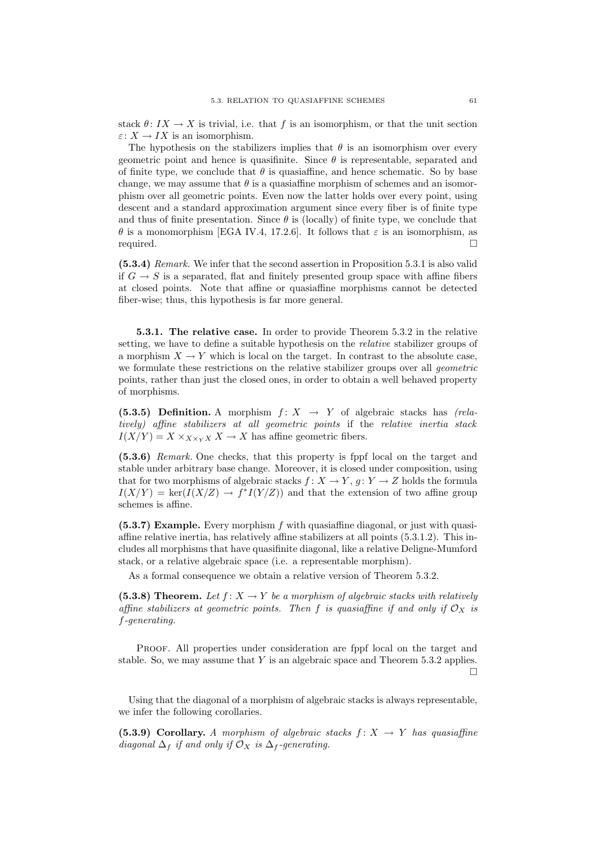stack  $\theta: IX \to X$  is trivial, i.e. that f is an isomorphism, or that the unit section  $\varepsilon: X \to IX$  is an isomorphism.

The hypothesis on the stabilizers implies that  $\theta$  is an isomorphism over every geometric point and hence is quasifinite. Since  $\theta$  is representable, separated and of finite type, we conclude that  $\theta$  is quasiaffine, and hence schematic. So by base change, we may assume that  $\theta$  is a quasiaffine morphism of schemes and an isomorphism over all geometric points. Even now the latter holds over every point, using descent and a standard approximation argument since every fiber is of finite type and thus of finite presentation. Since  $\theta$  is (locally) of finite type, we conclude that θ is a monomorphism [EGA IV.4, 17.2.6]. It follows that ε is an isomorphism, as required.

(5.3.4) Remark. We infer that the second assertion in Proposition 5.3.1 is also valid if  $G \to S$  is a separated, flat and finitely presented group space with affine fibers at closed points. Note that affine or quasiaffine morphisms cannot be detected fiber-wise; thus, this hypothesis is far more general.

5.3.1. The relative case. In order to provide Theorem 5.3.2 in the relative setting, we have to define a suitable hypothesis on the relative stabilizer groups of a morphism  $X \to Y$  which is local on the target. In contrast to the absolute case, we formulate these restrictions on the relative stabilizer groups over all *geometric* points, rather than just the closed ones, in order to obtain a well behaved property of morphisms.

(5.3.5) Definition. A morphism  $f: X \rightarrow Y$  of algebraic stacks has (relatively) affine stabilizers at all geometric points if the relative inertia stack  $I(X/Y) = X \times_{X \times_Y X} X \to X$  has affine geometric fibers.

(5.3.6) Remark. One checks, that this property is fppf local on the target and stable under arbitrary base change. Moreover, it is closed under composition, using that for two morphisms of algebraic stacks  $f: X \to Y, g: Y \to Z$  holds the formula  $I(X/Y) = \ker(I(X/Z) \to f^*I(Y/Z))$  and that the extension of two affine group schemes is affine.

 $(5.3.7)$  Example. Every morphism f with quasiaffine diagonal, or just with quasiaffine relative inertia, has relatively affine stabilizers at all points (5.3.1.2). This includes all morphisms that have quasifinite diagonal, like a relative Deligne-Mumford stack, or a relative algebraic space (i.e. a representable morphism).

As a formal consequence we obtain a relative version of Theorem 5.3.2.

(5.3.8) Theorem. Let  $f: X \to Y$  be a morphism of algebraic stacks with relatively affine stabilizers at geometric points. Then f is quasiaffine if and only if  $\mathcal{O}_X$  is f-generating.

Proof. All properties under consideration are fppf local on the target and stable. So, we may assume that  $Y$  is an algebraic space and Theorem 5.3.2 applies.  $\Box$ 

Using that the diagonal of a morphism of algebraic stacks is always representable, we infer the following corollaries.

(5.3.9) Corollary. A morphism of algebraic stacks  $f: X \rightarrow Y$  has quasiaffine diagonal  $\Delta_f$  if and only if  $\mathcal{O}_X$  is  $\Delta_f$ -generating.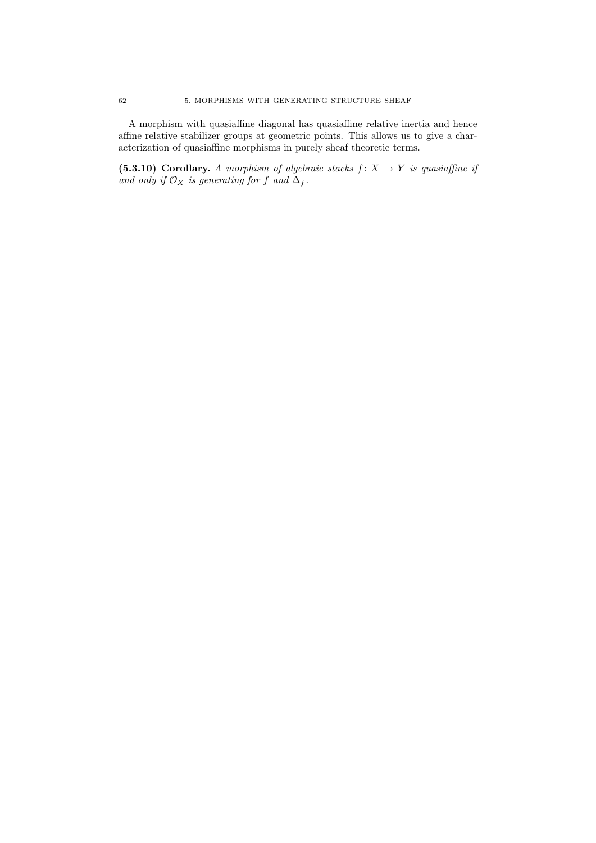A morphism with quasiaffine diagonal has quasiaffine relative inertia and hence affine relative stabilizer groups at geometric points. This allows us to give a characterization of quasiaffine morphisms in purely sheaf theoretic terms.

(5.3.10) Corollary. A morphism of algebraic stacks  $f: X \rightarrow Y$  is quasiaffine if and only if  $\mathcal{O}_X$  is generating for f and  $\Delta_f$ .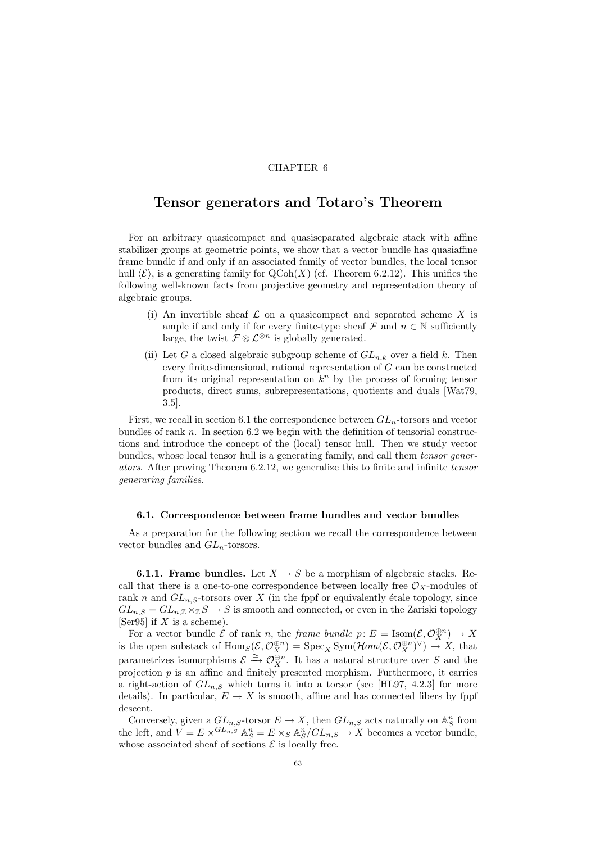## CHAPTER 6

## Tensor generators and Totaro's Theorem

For an arbitrary quasicompact and quasiseparated algebraic stack with affine stabilizer groups at geometric points, we show that a vector bundle has quasiaffine frame bundle if and only if an associated family of vector bundles, the local tensor hull  $\langle \mathcal{E} \rangle$ , is a generating family for  $\mathrm{QCoh}(X)$  (cf. Theorem 6.2.12). This unifies the following well-known facts from projective geometry and representation theory of algebraic groups.

- (i) An invertible sheaf  $\mathcal L$  on a quasicompact and separated scheme X is ample if and only if for every finite-type sheaf  $\mathcal F$  and  $n \in \mathbb N$  sufficiently large, the twist  $\mathcal{F} \otimes \mathcal{L}^{\otimes n}$  is globally generated.
- (ii) Let G a closed algebraic subgroup scheme of  $GL_{n,k}$  over a field k. Then every finite-dimensional, rational representation of G can be constructed from its original representation on  $k^n$  by the process of forming tensor products, direct sums, subrepresentations, quotients and duals [Wat79, 3.5].

First, we recall in section 6.1 the correspondence between  $GL_n$ -torsors and vector bundles of rank  $n$ . In section 6.2 we begin with the definition of tensorial constructions and introduce the concept of the (local) tensor hull. Then we study vector bundles, whose local tensor hull is a generating family, and call them tensor generators. After proving Theorem 6.2.12, we generalize this to finite and infinite tensor generaring families.

#### 6.1. Correspondence between frame bundles and vector bundles

As a preparation for the following section we recall the correspondence between vector bundles and  $GL_n$ -torsors.

**6.1.1. Frame bundles.** Let  $X \to S$  be a morphism of algebraic stacks. Recall that there is a one-to-one correspondence between locally free  $\mathcal{O}_X$ -modules of rank n and  $GL_{n,S}$ -torsors over X (in the fppf or equivalently étale topology, since  $GL_{n,S} = GL_{n,\mathbb{Z}} \times_{\mathbb{Z}} S \to S$  is smooth and connected, or even in the Zariski topology [Ser95] if  $X$  is a scheme).

For a vector bundle  $\mathcal E$  of rank n, the frame bundle  $p: E = \text{Isom}(\mathcal E, \mathcal O_X^{\oplus n}) \to X$ is the open substack of  $\text{Hom}_S(\mathcal{E}, \mathcal{O}_X^{\oplus n}) = \text{Spec}_X \text{Sym}(\text{Hom}(\mathcal{E}, \mathcal{O}_X^{\oplus n})^{\vee}) \to X$ , that parametrizes isomorphisms  $\mathcal{E} \xrightarrow{\simeq} \mathcal{O}_{X}^{\oplus n}$ . It has a natural structure over S and the projection  $p$  is an affine and finitely presented morphism. Furthermore, it carries a right-action of  $GL_{n,S}$  which turns it into a torsor (see [HL97, 4.2.3] for more details). In particular,  $E \to X$  is smooth, affine and has connected fibers by fppf descent.

Conversely, given a  $GL_{n,S}$ -torsor  $E \to X$ , then  $GL_{n,S}$  acts naturally on  $\mathbb{A}_S^n$  from the left, and  $V = E \times G^{L_{n,S}}$   $\mathbb{A}_{S}^{n} = E \times_{S} \mathbb{A}_{S}^{n}/GL_{n,S} \rightarrow X$  becomes a vector bundle, whose associated sheaf of sections  $\mathcal E$  is locally free.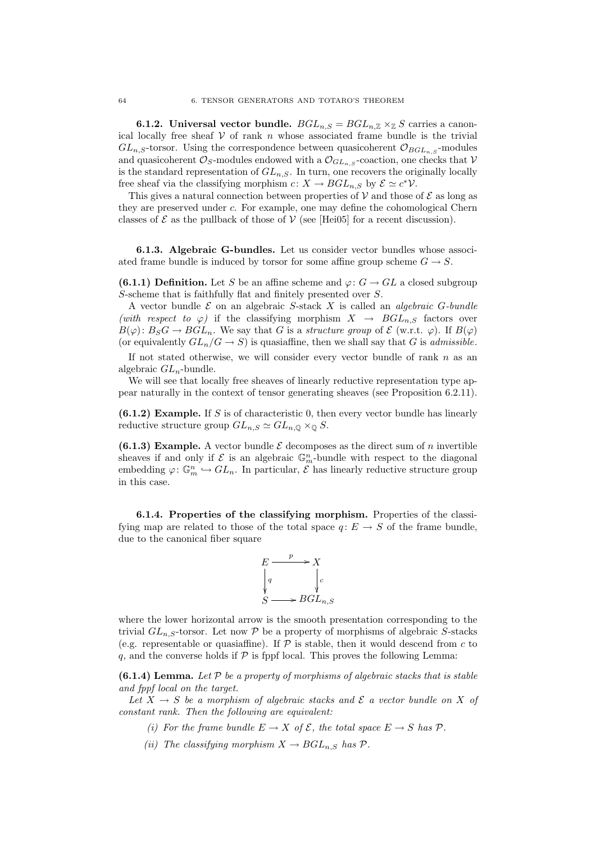**6.1.2.** Universal vector bundle.  $BGL_{n,S} = BGL_{n,\mathbb{Z}} \times_{\mathbb{Z}} S$  carries a canonical locally free sheaf  $V$  of rank n whose associated frame bundle is the trivial  $GL_{n,S}$ -torsor. Using the correspondence between quasicoherent  $\mathcal{O}_{BGL_{n,S}}$ -modules and quasicoherent  $\mathcal{O}_S$ -modules endowed with a  $\mathcal{O}_{GL_n, S}$ -coaction, one checks that  $\mathcal V$ is the standard representation of  $GL_{n,S}$ . In turn, one recovers the originally locally free sheaf via the classifying morphism  $c \colon X \to BGL_{n,S}$  by  $\mathcal{E} \simeq c^* \mathcal{V}$ .

This gives a natural connection between properties of  $V$  and those of  $\mathcal E$  as long as they are preserved under c. For example, one may define the cohomological Chern classes of  $\mathcal E$  as the pullback of those of  $\mathcal V$  (see [Hei05] for a recent discussion).

6.1.3. Algebraic G-bundles. Let us consider vector bundles whose associated frame bundle is induced by torsor for some affine group scheme  $G \rightarrow S$ .

(6.1.1) Definition. Let S be an affine scheme and  $\varphi: G \to GL$  a closed subgroup S-scheme that is faithfully flat and finitely presented over S.

A vector bundle  $\mathcal E$  on an algebraic S-stack X is called an *algebraic G-bundle* (with respect to  $\varphi$ ) if the classifying morphism  $X \to BGL_{n,S}$  factors over  $B(\varphi): B_S G \to BGL_n$ . We say that G is a structure group of E (w.r.t.  $\varphi$ ). If  $B(\varphi)$ (or equivalently  $GL_n/G \to S$ ) is quasiaffine, then we shall say that G is *admissible*.

If not stated otherwise, we will consider every vector bundle of rank  $n$  as an algebraic  $GL_n$ -bundle.

We will see that locally free sheaves of linearly reductive representation type appear naturally in the context of tensor generating sheaves (see Proposition 6.2.11).

 $(6.1.2)$  Example. If S is of characteristic 0, then every vector bundle has linearly reductive structure group  $GL_{n,S} \simeq GL_{n,\mathbb{Q}} \times_{\mathbb{Q}} S$ .

(6.1.3) Example. A vector bundle  $\mathcal E$  decomposes as the direct sum of n invertible sheaves if and only if  $\mathcal E$  is an algebraic  $\mathbb G_m^n$ -bundle with respect to the diagonal embedding  $\varphi: \mathbb{G}_m^n \hookrightarrow GL_n$ . In particular,  $\mathcal{E}$  has linearly reductive structure group in this case.

6.1.4. Properties of the classifying morphism. Properties of the classifying map are related to those of the total space  $q: E \to S$  of the frame bundle. due to the canonical fiber square



where the lower horizontal arrow is the smooth presentation corresponding to the trivial  $GL_{n,S}$ -torsor. Let now P be a property of morphisms of algebraic S-stacks (e.g. representable or quasiaffine). If  $P$  is stable, then it would descend from  $c$  to q, and the converse holds if  $P$  is fppf local. This proves the following Lemma:

(6.1.4) Lemma. Let  $P$  be a property of morphisms of algebraic stacks that is stable and fppf local on the target.

Let  $X \to S$  be a morphism of algebraic stacks and  $\mathcal E$  a vector bundle on X of constant rank. Then the following are equivalent:

- (i) For the frame bundle  $E \to X$  of  $\mathcal{E}$ , the total space  $E \to S$  has  $\mathcal{P}$ .
- (ii) The classifying morphism  $X \to BGL_{n,S}$  has  $\mathcal{P}$ .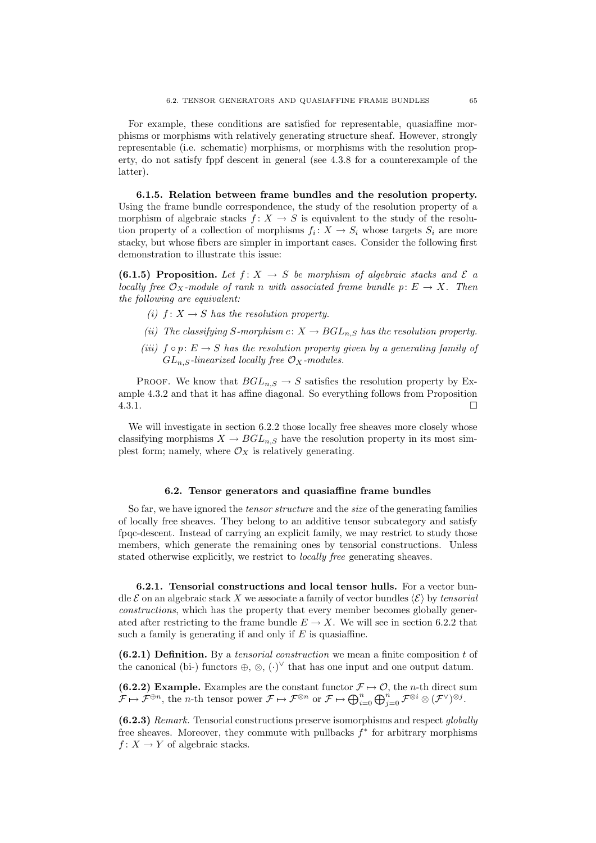For example, these conditions are satisfied for representable, quasiaffine morphisms or morphisms with relatively generating structure sheaf. However, strongly representable (i.e. schematic) morphisms, or morphisms with the resolution property, do not satisfy fppf descent in general (see 4.3.8 for a counterexample of the latter).

6.1.5. Relation between frame bundles and the resolution property. Using the frame bundle correspondence, the study of the resolution property of a morphism of algebraic stacks  $f: X \to S$  is equivalent to the study of the resolution property of a collection of morphisms  $f_i: X \to S_i$  whose targets  $S_i$  are more stacky, but whose fibers are simpler in important cases. Consider the following first demonstration to illustrate this issue:

(6.1.5) Proposition. Let  $f: X \rightarrow S$  be morphism of algebraic stacks and  $\mathcal E$  a locally free  $\mathcal{O}_X$ -module of rank n with associated frame bundle  $p: E \to X$ . Then the following are equivalent:

- (i)  $f: X \rightarrow S$  has the resolution property.
- (ii) The classifying S-morphism c:  $X \to BGL_{n,S}$  has the resolution property.
- (iii)  $f \circ p: E \to S$  has the resolution property given by a generating family of  $GL_{n,S}$ -linearized locally free  $\mathcal{O}_X$ -modules.

PROOF. We know that  $BGL_{n,S} \to S$  satisfies the resolution property by Example 4.3.2 and that it has affine diagonal. So everything follows from Proposition  $4.3.1.$ 

We will investigate in section 6.2.2 those locally free sheaves more closely whose classifying morphisms  $X \to BGL_{n,S}$  have the resolution property in its most simplest form; namely, where  $\mathcal{O}_X$  is relatively generating.

### 6.2. Tensor generators and quasiaffine frame bundles

So far, we have ignored the tensor structure and the size of the generating families of locally free sheaves. They belong to an additive tensor subcategory and satisfy fpqc-descent. Instead of carrying an explicit family, we may restrict to study those members, which generate the remaining ones by tensorial constructions. Unless stated otherwise explicitly, we restrict to locally free generating sheaves.

6.2.1. Tensorial constructions and local tensor hulls. For a vector bundle  $\mathcal E$  on an algebraic stack X we associate a family of vector bundles  $\langle \mathcal E \rangle$  by tensorial constructions, which has the property that every member becomes globally generated after restricting to the frame bundle  $E \to X$ . We will see in section 6.2.2 that such a family is generating if and only if  $E$  is quasiaffine.

 $(6.2.1)$  Definition. By a tensorial construction we mean a finite composition t of the canonical (bi-) functors  $\oplus$ ,  $\otimes$ ,  $(\cdot)^{\vee}$  that has one input and one output datum.

(6.2.2) Example. Examples are the constant functor  $\mathcal{F} \mapsto \mathcal{O}$ , the *n*-th direct sum  $\mathcal{F} \mapsto \mathcal{F}^{\oplus n}$ , the *n*-th tensor power  $\mathcal{F} \mapsto \mathcal{F}^{\otimes n}$  or  $\mathcal{F} \mapsto \bigoplus_{i=0}^{n} \bigoplus_{j=0}^{n} \mathcal{F}^{\otimes i} \otimes (\mathcal{F}^{\vee})^{\otimes j}$ .

 $(6.2.3)$  Remark. Tensorial constructions preserve isomorphisms and respect globally free sheaves. Moreover, they commute with pullbacks  $f^*$  for arbitrary morphisms  $f: X \to Y$  of algebraic stacks.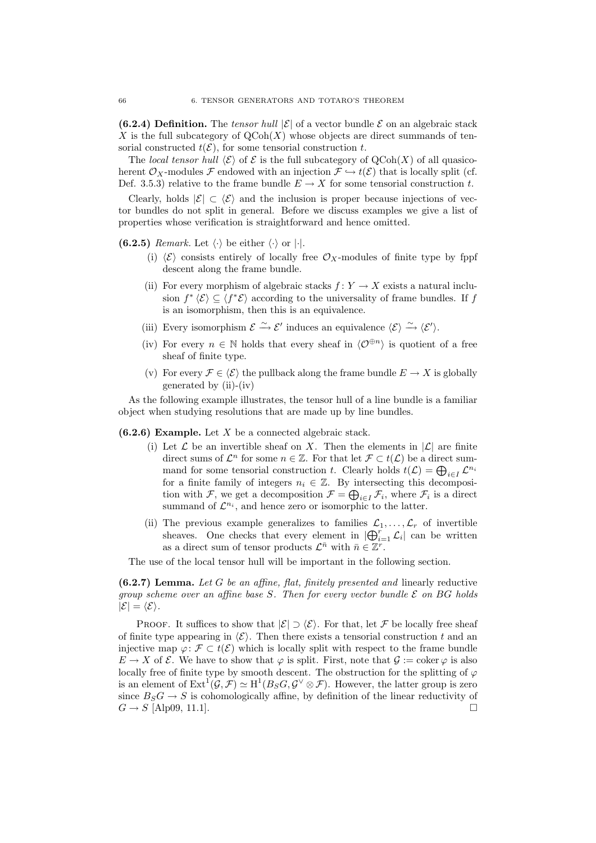(6.2.4) Definition. The tensor hull  $|\mathcal{E}|$  of a vector bundle  $\mathcal E$  on an algebraic stack X is the full subcategory of  $QCoh(X)$  whose objects are direct summands of tensorial constructed  $t(\mathcal{E})$ , for some tensorial construction t.

The local tensor hull  $\langle \mathcal{E} \rangle$  of  $\mathcal{E}$  is the full subcategory of QCoh(X) of all quasicoherent  $\mathcal{O}_Y$ -modules F endowed with an injection  $\mathcal{F} \hookrightarrow t(\mathcal{E})$  that is locally split (cf. Def. 3.5.3) relative to the frame bundle  $E \to X$  for some tensorial construction t.

Clearly, holds  $|\mathcal{E}| \subset \langle \mathcal{E} \rangle$  and the inclusion is proper because injections of vector bundles do not split in general. Before we discuss examples we give a list of properties whose verification is straightforward and hence omitted.

(6.2.5) Remark. Let  $\langle \cdot \rangle$  be either  $\langle \cdot \rangle$  or  $|\cdot|$ .

- (i)  $\langle \mathcal{E} \rangle$  consists entirely of locally free  $\mathcal{O}_X$ -modules of finite type by fppf descent along the frame bundle.
- (ii) For every morphism of algebraic stacks  $f: Y \to X$  exists a natural inclusion  $f^* \langle \mathcal{E} \rangle \subseteq \langle f^* \mathcal{E} \rangle$  according to the universality of frame bundles. If f is an isomorphism, then this is an equivalence.
- (iii) Every isomorphism  $\mathcal{E} \xrightarrow{\sim} \mathcal{E}'$  induces an equivalence  $\langle \mathcal{E} \rangle \xrightarrow{\sim} \langle \mathcal{E}' \rangle$ .
- (iv) For every  $n \in \mathbb{N}$  holds that every sheaf in  $\langle \mathcal{O}^{\oplus n} \rangle$  is quotient of a free sheaf of finite type.
- (v) For every  $\mathcal{F} \in \langle \mathcal{E} \rangle$  the pullback along the frame bundle  $E \to X$  is globally generated by (ii)-(iv)

As the following example illustrates, the tensor hull of a line bundle is a familiar object when studying resolutions that are made up by line bundles.

 $(6.2.6)$  Example. Let X be a connected algebraic stack.

- (i) Let  $\mathcal L$  be an invertible sheaf on X. Then the elements in  $|\mathcal L|$  are finite direct sums of  $\mathcal{L}^n$  for some  $n \in \mathbb{Z}$ . For that let  $\mathcal{F} \subset t(\mathcal{L})$  be a direct summand for some tensorial construction t. Clearly holds  $t(\mathcal{L}) = \bigoplus_{i \in I} \mathcal{L}^{n_i}$ for a finite family of integers  $n_i \in \mathbb{Z}$ . By intersecting this decomposition with F, we get a decomposition  $\mathcal{F} = \bigoplus_{i \in I} \mathcal{F}_i$ , where  $\mathcal{F}_i$  is a direct summand of  $\mathcal{L}^{n_i}$ , and hence zero or isomorphic to the latter.
- (ii) The previous example generalizes to families  $\mathcal{L}_1, \ldots, \mathcal{L}_r$  of invertible sheaves. One checks that every element in  $|\bigoplus_{i=1}^r \mathcal{L}_i|$  can be written as a direct sum of tensor products  $\mathcal{L}^{\bar{n}}$  with  $\bar{n} \in \mathbb{Z}^r$ .

The use of the local tensor hull will be important in the following section.

 $(6.2.7)$  Lemma. Let G be an affine, flat, finitely presented and linearly reductive group scheme over an affine base S. Then for every vector bundle  $\mathcal E$  on BG holds  $|\mathcal{E}| = \langle \mathcal{E} \rangle$ .

PROOF. It suffices to show that  $|\mathcal{E}| \supset \langle \mathcal{E} \rangle$ . For that, let F be locally free sheaf of finite type appearing in  $\langle \mathcal{E} \rangle$ . Then there exists a tensorial construction t and an injective map  $\varphi: \mathcal{F} \subset t(\mathcal{E})$  which is locally split with respect to the frame bundle  $E \to X$  of  $\mathcal E$ . We have to show that  $\varphi$  is split. First, note that  $\mathcal G := \mathrm{coker}\,\varphi$  is also locally free of finite type by smooth descent. The obstruction for the splitting of  $\varphi$ is an element of  $\text{Ext}^1(\mathcal{G}, \mathcal{F}) \simeq \text{H}^1(B_S G, \mathcal{G}^{\vee} \otimes \mathcal{F})$ . However, the latter group is zero since  $B_S G \to S$  is cohomologically affine, by definition of the linear reductivity of  $G \rightarrow S$  [Alp09, 11.1].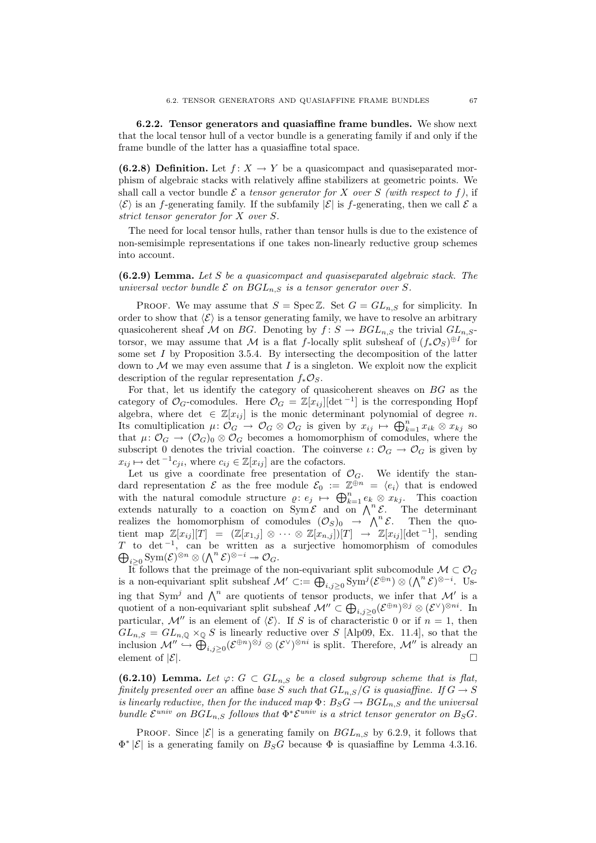6.2.2. Tensor generators and quasiaffine frame bundles. We show next that the local tensor hull of a vector bundle is a generating family if and only if the frame bundle of the latter has a quasiaffine total space.

(6.2.8) Definition. Let  $f: X \to Y$  be a quasicompact and quasiseparated morphism of algebraic stacks with relatively affine stabilizers at geometric points. We shall call a vector bundle  $\mathcal E$  a tensor generator for X over S (with respect to f), if  $\langle \mathcal{E} \rangle$  is an f-generating family. If the subfamily  $|\mathcal{E}|$  is f-generating, then we call  $\mathcal{E}$  a strict tensor generator for X over S.

The need for local tensor hulls, rather than tensor hulls is due to the existence of non-semisimple representations if one takes non-linearly reductive group schemes into account.

 $(6.2.9)$  Lemma. Let S be a quasicompact and quasiseparated algebraic stack. The universal vector bundle  $\mathcal E$  on  $BGL_{n,S}$  is a tensor generator over S.

PROOF. We may assume that  $S = \text{Spec } \mathbb{Z}$ . Set  $G = GL_{n,S}$  for simplicity. In order to show that  $\langle \mathcal{E} \rangle$  is a tensor generating family, we have to resolve an arbitrary quasicoherent sheaf M on BG. Denoting by  $f: S \to BGL_{n,S}$  the trivial  $GL_{n,S}$ torsor, we may assume that M is a flat f-locally split subsheaf of  $(f_*\mathcal{O}_S)^{\oplus I}$  for some set  $I$  by Proposition 3.5.4. By intersecting the decomposition of the latter down to  $M$  we may even assume that  $I$  is a singleton. We exploit now the explicit description of the regular representation  $f_*\mathcal{O}_S$ .

For that, let us identify the category of quasicoherent sheaves on BG as the category of  $\mathcal{O}_G$ -comodules. Here  $\mathcal{O}_G = \mathbb{Z}[x_{ij}][\det^{-1}]$  is the corresponding Hopf algebra, where det  $\in \mathbb{Z}[x_{ij}]$  is the monic determinant polynomial of degree n. Its comultiplication  $\mu: \mathcal{O}_G \to \mathcal{O}_G \otimes \mathcal{O}_G$  is given by  $x_{ij} \mapsto \bigoplus_{k=1}^n x_{ik} \otimes x_{kj}$  so that  $\mu: \mathcal{O}_G \to (\mathcal{O}_G)_0 \otimes \mathcal{O}_G$  becomes a homomorphism of comodules, where the subscript 0 denotes the trivial coaction. The coinverse  $\iota: \mathcal{O}_G \to \mathcal{O}_G$  is given by  $x_{ij} \mapsto \det^{-1} c_{ji}$ , where  $c_{ij} \in \mathbb{Z}[x_{ij}]$  are the cofactors.

Let us give a coordinate free presentation of  $\mathcal{O}_G$ . We identify the standard representation  $\mathcal E$  as the free module  $\mathcal E_0 := \mathbb Z^{\oplus n} = \langle e_i \rangle$  that is endowed with the natural comodule structure  $\varrho: e_j \mapsto \bigoplus_{k=1}^n e_k \otimes x_{kj}$ . This coaction extends naturally to a coaction on  $\overline{\text{Sym}}\mathcal{E}$  and on  $\overline{\bigwedge}^n \mathcal{E}$ . The determinant realizes the homomorphism of comodules  $(\mathcal{O}_S)_0 \to \Lambda^n \mathcal{E}$ . Then the quotient map  $\mathbb{Z}[x_{ij}][T] = (\mathbb{Z}[x_{1,j}] \otimes \cdots \otimes \mathbb{Z}[x_{n,j}])[T] \rightarrow \mathbb{Z}[x_{ij}][\det^{-1}],$  sending T to det<sup>-1</sup>, can be written as a surjective homomorphism of comodules  $\bigoplus_{i\geq 0} \text{Sym}(\mathcal{E})^{\otimes n} \otimes (\bigwedge^n \mathcal{E})^{\otimes -i} \twoheadrightarrow \mathcal{O}_G.$ 

It follows that the preimage of the non-equivariant split subcomodule  $\mathcal{M} \subset \mathcal{O}_G$ is a non-equivariant split subsheaf  $\mathcal{M}' \subset := \bigoplus_{i,j \geq 0} \text{Sym}^j (\mathcal{E}^{\oplus n}) \otimes (\bigwedge^n \mathcal{E})^{\otimes -i}$ . Using that Sym<sup>j</sup> and  $\bigwedge^n$  are quotients of tensor products, we infer that M' is a quotient of a non-equivariant split subsheaf  $\mathcal{M}'' \subset \bigoplus_{i,j \geq 0} (\mathcal{E}^{\oplus n})^{\otimes j} \otimes (\mathcal{E}^{\vee})^{\otimes ni}$ . In particular, M'' is an element of  $\langle \mathcal{E} \rangle$ . If S is of characteristic 0 or if  $n = 1$ , then  $GL_{n,S} = GL_{n,0} \times_{\mathbb{Q}} S$  is linearly reductive over S [Alp09, Ex. 11.4], so that the inclusion  $\mathcal{M}'' \hookrightarrow \bigoplus_{i,j\geq 0} (\mathcal{E}^{\oplus n})^{\otimes j} \otimes (\mathcal{E}^{\vee})^{\otimes ni}$  is split. Therefore,  $\mathcal{M}''$  is already an element of  $|\mathcal{E}|$ .

**(6.2.10)** Lemma. Let  $\varphi: G \subset GL_{n,S}$  be a closed subgroup scheme that is flat, finitely presented over an affine base S such that  $GL_{n,S}/G$  is quasiaffine. If  $G \to S$ is linearly reductive, then for the induced map  $\Phi: B_S G \to BGL_{n,S}$  and the universal bundle  $\mathcal{E}^{univ}$  on  $BGL_{n,S}$  follows that  $\Phi^*\mathcal{E}^{univ}$  is a strict tensor generator on  $B_SG$ .

PROOF. Since  $|\mathcal{E}|$  is a generating family on  $BGL_{n,S}$  by 6.2.9, it follows that  $\Phi^*$  | $\mathcal{E}$ | is a generating family on  $B_S G$  because  $\Phi$  is quasiaffine by Lemma 4.3.16.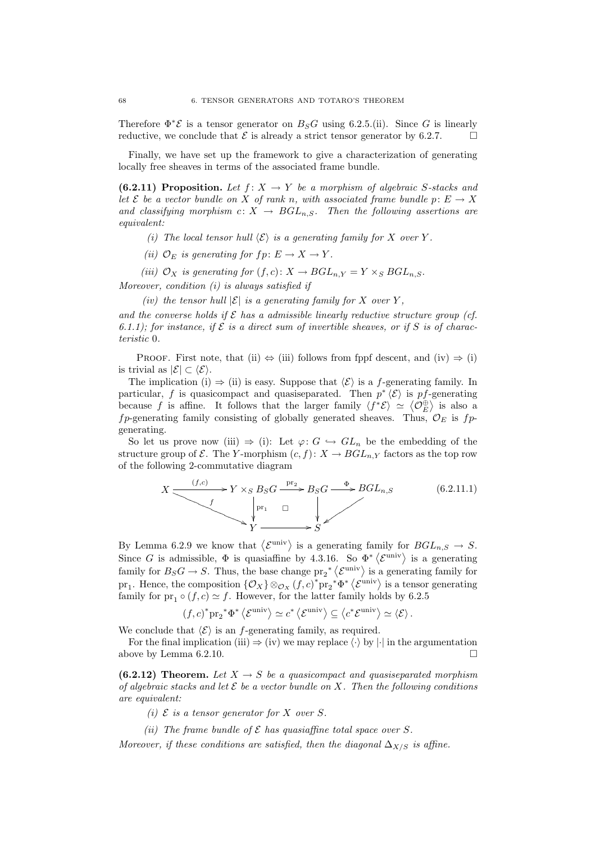Therefore  $\Phi^* \mathcal{E}$  is a tensor generator on  $B_S G$  using 6.2.5.(ii). Since G is linearly reductive, we conclude that  $\mathcal E$  is already a strict tensor generator by 6.2.7.

Finally, we have set up the framework to give a characterization of generating locally free sheaves in terms of the associated frame bundle.

(6.2.11) Proposition. Let  $f: X \to Y$  be a morphism of algebraic S-stacks and let E be a vector bundle on X of rank n, with associated frame bundle  $p: E \to X$ and classifying morphism  $c: X \rightarrow BGL_{n,S}$ . Then the following assertions are equivalent:

(i) The local tensor hull  $\langle \mathcal{E} \rangle$  is a generating family for X over Y.

(ii)  $\mathcal{O}_E$  is generating for  $fp \colon E \to X \to Y$ .

(iii)  $\mathcal{O}_X$  is generating for  $(f, c): X \to BGL_{n, Y} = Y \times_S BGL_{n, S}$ .

Moreover, condition (i) is always satisfied if

(iv) the tensor hull  $|\mathcal{E}|$  is a generating family for X over Y,

and the converse holds if  $\mathcal E$  has a admissible linearly reductive structure group (cf. 6.1.1); for instance, if  $\mathcal E$  is a direct sum of invertible sheaves, or if  $S$  is of characteristic 0.

PROOF. First note, that (ii)  $\Leftrightarrow$  (iii) follows from fppf descent, and (iv)  $\Rightarrow$  (i) is trivial as  $|\mathcal{E}| \subset \langle \mathcal{E} \rangle$ .

The implication (i)  $\Rightarrow$  (ii) is easy. Suppose that  $\langle \mathcal{E} \rangle$  is a f-generating family. In particular, f is quasicompact and quasiseparated. Then  $p^* \langle \mathcal{E} \rangle$  is pf-generating because f is affine. It follows that the larger family  $\langle f^* \mathcal{E} \rangle \simeq \langle \mathcal{O}_E^{\oplus} \rangle$  is also a fp-generating family consisting of globally generated sheaves. Thus,  $\mathcal{O}_E$  is fpgenerating.

So let us prove now (iii)  $\Rightarrow$  (i): Let  $\varphi: G \hookrightarrow GL_n$  be the embedding of the structure group of  $\mathcal E$ . The Y-morphism  $(c, f): X \to BGL_{n,Y}$  factors as the top row of the following 2-commutative diagram

$$
X \xrightarrow{\qquad (f,c)} Y \times_S B_S G \xrightarrow{\text{pr}_2} B_S G \xrightarrow{\Phi} BGL_{n,S} \tag{6.2.11.1}
$$
\n
$$
Y \xrightarrow{\qquad \qquad \downarrow} Y \xrightarrow{\qquad \qquad \downarrow} Y
$$

By Lemma 6.2.9 we know that  $\langle \mathcal{E}^{\text{univ}} \rangle$  is a generating family for  $BGL_{n,S} \to S$ . Since G is admissible,  $\Phi$  is quasiaffine by 4.3.16. So  $\Phi^* \langle \mathcal{E}^{\text{univ}} \rangle$  is a generating family for  $B_S G \to S$ . Thus, the base change  $pr_2^* \langle \mathcal{E}^{\text{univ}} \rangle$  is a generating family for pr<sub>1</sub>. Hence, the composition  $\{\mathcal{O}_X\}\otimes_{\mathcal{O}_X}(f,c)^*$  pr<sub>2</sub><sup>\*</sup> $\Phi^*\langle \mathcal{E}^{\text{univ}} \rangle$  is a tensor generating family for pr<sub>1</sub>  $\circ$  (*f, c*)  $\approx$  *f.* However, for the latter family holds by 6.2.5

$$
(f,c)^* \text{pr}_2^* \Phi^* \left\langle \mathcal{E}^{\text{univ}} \right\rangle \simeq c^* \left\langle \mathcal{E}^{\text{univ}} \right\rangle \subseteq \left\langle c^* \mathcal{E}^{\text{univ}} \right\rangle \simeq \left\langle \mathcal{E} \right\rangle.
$$

We conclude that  $\langle \mathcal{E} \rangle$  is an f-generating family, as required.

For the final implication (iii)  $\Rightarrow$  (iv) we may replace  $\langle \cdot \rangle$  by  $|\cdot|$  in the argumentation above by Lemma 6.2.10.

(6.2.12) Theorem. Let  $X \to S$  be a quasicompact and quasiseparated morphism of algebraic stacks and let  $\mathcal E$  be a vector bundle on X. Then the following conditions are equivalent:

(i)  $\mathcal E$  is a tensor generator for X over S.

(ii) The frame bundle of  $\mathcal E$  has quasiaffine total space over S.

Moreover, if these conditions are satisfied, then the diagonal  $\Delta_{X/S}$  is affine.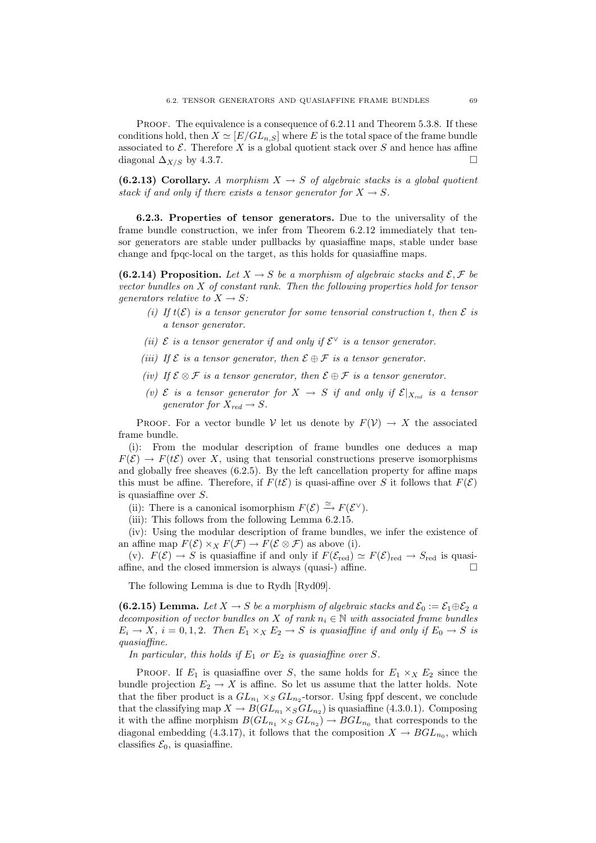PROOF. The equivalence is a consequence of 6.2.11 and Theorem 5.3.8. If these conditions hold, then  $X \simeq [E/GL_{n,S}]$  where E is the total space of the frame bundle associated to  $\mathcal E$ . Therefore X is a global quotient stack over S and hence has affine diagonal  $\Delta_{X/S}$  by 4.3.7.

(6.2.13) Corollary. A morphism  $X \to S$  of algebraic stacks is a global quotient stack if and only if there exists a tensor generator for  $X \to S$ .

6.2.3. Properties of tensor generators. Due to the universality of the frame bundle construction, we infer from Theorem 6.2.12 immediately that tensor generators are stable under pullbacks by quasiaffine maps, stable under base change and fpqc-local on the target, as this holds for quasiaffine maps.

(6.2.14) Proposition. Let  $X \to S$  be a morphism of algebraic stacks and  $\mathcal{E}, \mathcal{F}$  be vector bundles on X of constant rank. Then the following properties hold for tensor generators relative to  $X \to S$ :

- (i) If  $t(\mathcal{E})$  is a tensor generator for some tensorial construction t, then  $\mathcal E$  is a tensor generator.
- (ii)  $\mathcal E$  is a tensor generator if and only if  $\mathcal E^\vee$  is a tensor generator.
- (iii) If  $\mathcal E$  is a tensor generator, then  $\mathcal E \oplus \mathcal F$  is a tensor generator.
- (iv) If  $\mathcal{E} \otimes \mathcal{F}$  is a tensor generator, then  $\mathcal{E} \oplus \mathcal{F}$  is a tensor generator.
- (v)  $\mathcal E$  is a tensor generator for  $X \to S$  if and only if  $\mathcal E|_{X_{red}}$  is a tensor generator for  $X_{\text{red}} \to S$ .

PROOF. For a vector bundle V let us denote by  $F(V) \to X$  the associated frame bundle.

(i): From the modular description of frame bundles one deduces a map  $F(\mathcal{E}) \to F(t\mathcal{E})$  over X, using that tensorial constructions preserve isomorphisms and globally free sheaves (6.2.5). By the left cancellation property for affine maps this must be affine. Therefore, if  $F(t\mathcal{E})$  is quasi-affine over S it follows that  $F(\mathcal{E})$ is quasiaffine over S.

(ii): There is a canonical isomorphism  $F(\mathcal{E}) \xrightarrow{\simeq} F(\mathcal{E}^{\vee})$ .

(iii): This follows from the following Lemma 6.2.15.

(iv): Using the modular description of frame bundles, we infer the existence of an affine map  $F(\mathcal{E}) \times_X F(\mathcal{F}) \to F(\mathcal{E} \otimes \mathcal{F})$  as above (i).

(v).  $F(\mathcal{E}) \to S$  is quasiaffine if and only if  $F(\mathcal{E}_{red}) \simeq F(\mathcal{E})_{red} \to S_{red}$  is quasiaffine, and the closed immersion is always (quasi-) affine.  $\square$ 

The following Lemma is due to Rydh [Ryd09].

(6.2.15) Lemma. Let  $X \to S$  be a morphism of algebraic stacks and  $\mathcal{E}_0 := \mathcal{E}_1 \oplus \mathcal{E}_2$  a decomposition of vector bundles on X of rank  $n_i \in \mathbb{N}$  with associated frame bundles  $E_i \to X$ ,  $i = 0, 1, 2$ . Then  $E_1 \times_X E_2 \to S$  is quasiaffine if and only if  $E_0 \to S$  is quasiaffine.

In particular, this holds if  $E_1$  or  $E_2$  is quasiaffine over S.

PROOF. If  $E_1$  is quasiaffine over S, the same holds for  $E_1 \times_X E_2$  since the bundle projection  $E_2 \to X$  is affine. So let us assume that the latter holds. Note that the fiber product is a  $GL_{n_1} \times_S GL_{n_2}$ -torsor. Using fppf descent, we conclude that the classifying map  $X \to B(GL_{n_1} \times_S GL_{n_2})$  is quasiaffine (4.3.0.1). Composing it with the affine morphism  $B(GL_{n_1} \times_S GL_{n_2}) \to BGL_{n_0}$  that corresponds to the diagonal embedding (4.3.17), it follows that the composition  $X \to BGL_{n_0}$ , which classifies  $\mathcal{E}_0$ , is quasiaffine.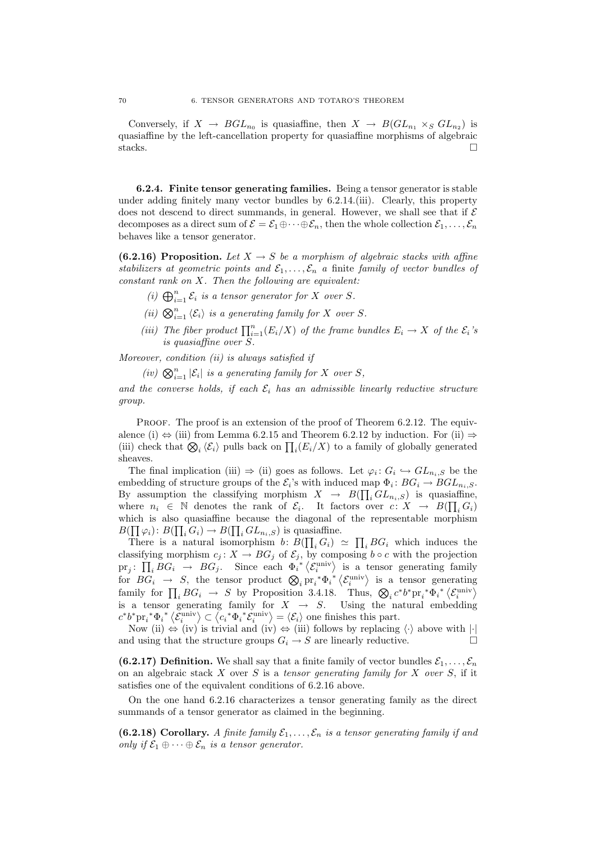Conversely, if  $X \to BGL_{n_0}$  is quasiaffine, then  $X \to B(GL_{n_1} \times_S GL_{n_2})$  is quasiaffine by the left-cancellation property for quasiaffine morphisms of algebraic stacks.  $\Box$ 

6.2.4. Finite tensor generating families. Being a tensor generator is stable under adding finitely many vector bundles by 6.2.14.(iii). Clearly, this property does not descend to direct summands, in general. However, we shall see that if  $\mathcal E$ decomposes as a direct sum of  $\mathcal{E} = \mathcal{E}_1 \oplus \cdots \oplus \mathcal{E}_n$ , then the whole collection  $\mathcal{E}_1, \ldots, \mathcal{E}_n$ behaves like a tensor generator.

(6.2.16) Proposition. Let  $X \to S$  be a morphism of algebraic stacks with affine stabilizers at geometric points and  $\mathcal{E}_1, \ldots, \mathcal{E}_n$  a finite family of vector bundles of  $constant$  rank on  $X$ . Then the following are equivalent:

- (i)  $\bigoplus_{i=1}^n \mathcal{E}_i$  is a tensor generator for X over S.
- (ii)  $\bigotimes_{i=1}^n \langle \mathcal{E}_i \rangle$  is a generating family for X over S.
- (iii) The fiber product  $\prod_{i=1}^{n} (E_i/X)$  of the frame bundles  $E_i \to X$  of the  $\mathcal{E}_i$ 's is quasiaffine over S.

Moreover, condition (ii) is always satisfied if

(iv)  $\bigotimes_{i=1}^n |\mathcal{E}_i|$  is a generating family for X over S,

and the converse holds, if each  $\mathcal{E}_i$  has an admissible linearly reductive structure group.

PROOF. The proof is an extension of the proof of Theorem 6.2.12. The equivalence (i)  $\Leftrightarrow$  (iii) from Lemma 6.2.15 and Theorem 6.2.12 by induction. For (ii)  $\Rightarrow$ (iii) check that  $\bigotimes_i \langle \mathcal{E}_i \rangle$  pulls back on  $\prod_i (E_i/X)$  to a family of globally generated sheaves.

The final implication (iii)  $\Rightarrow$  (ii) goes as follows. Let  $\varphi_i: G_i \hookrightarrow GL_{n_i,S}$  be the embedding of structure groups of the  $\mathcal{E}_i$ 's with induced map  $\Phi_i: BG_i \to BGL_{n_i,S}$ . By assumption the classifying morphism  $X \to B(\prod_i GL_{n_i,S})$  is quasiaffine, where  $n_i \in \mathbb{N}$  denotes the rank of  $\mathcal{E}_i$ . It factors over  $c: X \to B(\prod_i G_i)$ which is also quasiaffine because the diagonal of the representable morphism  $B(\prod \varphi_i): B(\prod_i G_i) \to B(\prod_i GL_{n_i,S})$  is quasiaffine.

There is a natural isomorphism  $b: B(\prod_i G_i) \simeq \prod_i BG_i$  which induces the classifying morphism  $c_j: X \to BG_j$  of  $\mathcal{E}_j$ , by composing  $b \circ c$  with the projection  $\text{pr}_j: \prod_i BG_i \rightarrow BG_j$ . Since each  $\Phi_i^{**}\langle \mathcal{E}_i^{\text{univ}} \rangle$  is a tensor generating family for  $BG_i \rightarrow S$ , the tensor product  $\bigotimes_i \text{pr}_i^* \Phi_i^* \langle \mathcal{E}_i^{\text{univ}} \rangle$  is a tensor generating family for  $\prod_i BG_i \rightarrow S$  by Proposition 3.4.18. Thus,  $\bigotimes_i c^* b^* \text{pr}_i^* \Phi_i^* \langle \mathcal{E}_i^{\text{univ}} \rangle$ is a tensor generating family for  $X \rightarrow S$ . Using the natural embedding  $c^*b^*pr_i^*\Phi_i^* \langle \mathcal{E}_i^{\text{univ}} \rangle \subset \langle c_i^*\Phi_i^* \mathcal{E}_i^{\text{univ}} \rangle = \langle \mathcal{E}_i \rangle$  one finishes this part.

Now (ii)  $\Leftrightarrow$  (iv) is trivial and (iv)  $\Leftrightarrow$  (iii) follows by replacing  $\langle \cdot \rangle$  above with  $|\cdot|$ and using that the structure groups  $G_i \to S$  are linearly reductive.

(6.2.17) Definition. We shall say that a finite family of vector bundles  $\mathcal{E}_1, \ldots, \mathcal{E}_n$ on an algebraic stack  $X$  over  $S$  is a tensor generating family for  $X$  over  $S$ , if it satisfies one of the equivalent conditions of 6.2.16 above.

On the one hand 6.2.16 characterizes a tensor generating family as the direct summands of a tensor generator as claimed in the beginning.

(6.2.18) Corollary. A finite family  $\mathcal{E}_1, \ldots, \mathcal{E}_n$  is a tensor generating family if and only if  $\mathcal{E}_1 \oplus \cdots \oplus \mathcal{E}_n$  is a tensor generator.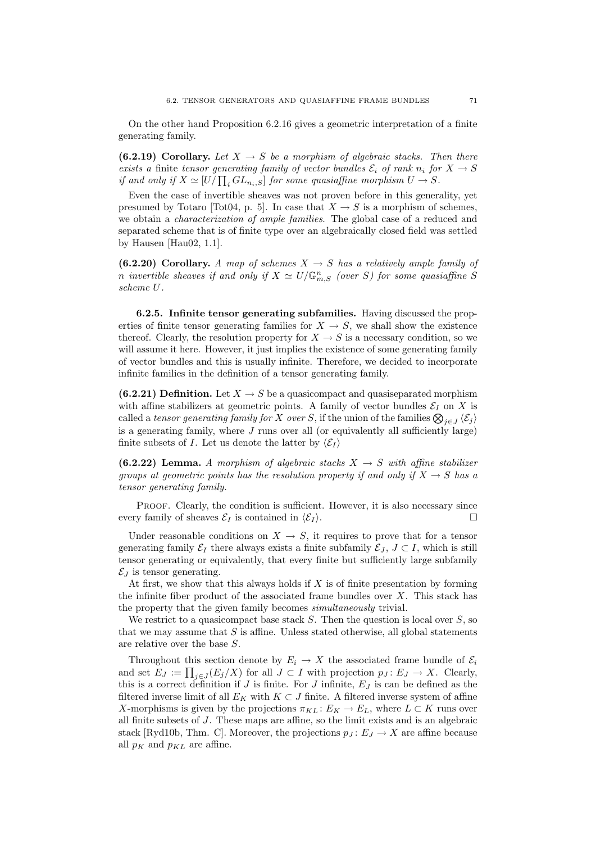On the other hand Proposition 6.2.16 gives a geometric interpretation of a finite generating family.

(6.2.19) Corollary. Let  $X \to S$  be a morphism of algebraic stacks. Then there exists a finite tensor generating family of vector bundles  $\mathcal{E}_i$  of rank  $n_i$  for  $X \to S$ if and only if  $X \simeq [U/\prod_i GL_{n_i,S}]$  for some quasiaffine morphism  $U \to S$ .

Even the case of invertible sheaves was not proven before in this generality, yet presumed by Totaro [Tot04, p. 5]. In case that  $X \to S$  is a morphism of schemes, we obtain a *characterization of ample families*. The global case of a reduced and separated scheme that is of finite type over an algebraically closed field was settled by Hausen [Hau02, 1.1].

(6.2.20) Corollary. A map of schemes  $X \rightarrow S$  has a relatively ample family of n invertible sheaves if and only if  $X \simeq U/\mathbb{G}_{m,S}^n$  (over S) for some quasiaffine S scheme U.

6.2.5. Infinite tensor generating subfamilies. Having discussed the properties of finite tensor generating families for  $X \to S$ , we shall show the existence thereof. Clearly, the resolution property for  $X \to S$  is a necessary condition, so we will assume it here. However, it just implies the existence of some generating family of vector bundles and this is usually infinite. Therefore, we decided to incorporate infinite families in the definition of a tensor generating family.

(6.2.21) Definition. Let  $X \to S$  be a quasicompact and quasiseparated morphism with affine stabilizers at geometric points. A family of vector bundles  $\mathcal{E}_I$  on X is called a *tensor generating family for* X *over* S, if the union of the families  $\bigotimes_{j\in J}\langle \mathcal{E}_j\rangle$ is a generating family, where  $J$  runs over all (or equivalently all sufficiently large) finite subsets of I. Let us denote the latter by  $\langle \mathcal{E}_I \rangle$ 

(6.2.22) Lemma. A morphism of algebraic stacks  $X \to S$  with affine stabilizer groups at geometric points has the resolution property if and only if  $X \to S$  has a tensor generating family.

PROOF. Clearly, the condition is sufficient. However, it is also necessary since every family of sheaves  $\mathcal{E}_I$  is contained in  $\langle \mathcal{E}_I \rangle$ .

Under reasonable conditions on  $X \to S$ , it requires to prove that for a tensor generating family  $\mathcal{E}_I$  there always exists a finite subfamily  $\mathcal{E}_I$ ,  $J \subset I$ , which is still tensor generating or equivalently, that every finite but sufficiently large subfamily  $\mathcal{E}_I$  is tensor generating.

At first, we show that this always holds if  $X$  is of finite presentation by forming the infinite fiber product of the associated frame bundles over  $X$ . This stack has the property that the given family becomes simultaneously trivial.

We restrict to a quasicompact base stack  $S$ . Then the question is local over  $S$ , so that we may assume that  $S$  is affine. Unless stated otherwise, all global statements are relative over the base S.

Throughout this section denote by  $E_i \to X$  the associated frame bundle of  $\mathcal{E}_i$ and set  $E_J := \prod_{j \in J} (E_j/X)$  for all  $J \subset I$  with projection  $p_J : E_J \to X$ . Clearly, this is a correct definition if J is finite. For J infinite,  $E<sub>J</sub>$  is can be defined as the filtered inverse limit of all  $E_K$  with  $K \subset J$  finite. A filtered inverse system of affine X-morphisms is given by the projections  $\pi_{KL} : E_K \to E_L$ , where  $L \subset K$  runs over all finite subsets of J. These maps are affine, so the limit exists and is an algebraic stack [Ryd10b, Thm. C]. Moreover, the projections  $p_J : E_J \to X$  are affine because all  $p_K$  and  $p_{KL}$  are affine.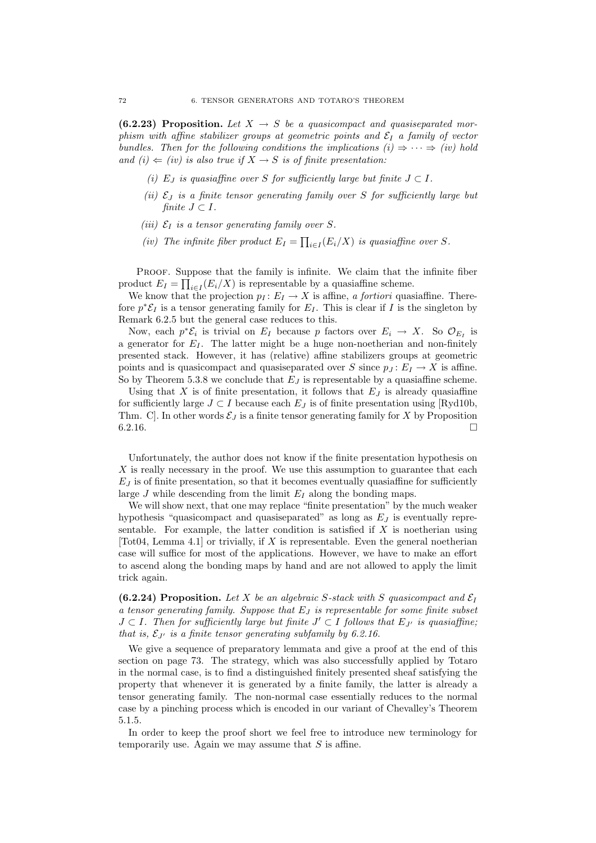(6.2.23) Proposition. Let  $X \rightarrow S$  be a quasicompact and quasiseparated morphism with affine stabilizer groups at geometric points and  $\mathcal{E}_I$  a family of vector bundles. Then for the following conditions the implications  $(i) \Rightarrow \cdots \Rightarrow (iv)$  hold and (i)  $\Leftarrow$  (iv) is also true if  $X \rightarrow S$  is of finite presentation:

- (i) E<sub>J</sub> is quasiaffine over S for sufficiently large but finite  $J \subset I$ .
- (ii)  $\mathcal{E}_J$  is a finite tensor generating family over S for sufficiently large but finite  $J \subset I$ .
- (iii)  $\mathcal{E}_I$  is a tensor generating family over S.
- (iv) The infinite fiber product  $E_I = \prod_{i \in I} (E_i/X)$  is quasiaffine over S.

PROOF. Suppose that the family is infinite. We claim that the infinite fiber product  $E_I = \prod_{i \in I} (E_i/X)$  is representable by a quasiaffine scheme.

We know that the projection  $p_I : E_I \to X$  is affine, a fortiori quasiaffine. Therefore  $p^*\mathcal{E}_I$  is a tensor generating family for  $E_I$ . This is clear if I is the singleton by Remark 6.2.5 but the general case reduces to this.

Now, each  $p^*\mathcal{E}_i$  is trivial on  $E_I$  because p factors over  $E_i \to X$ . So  $\mathcal{O}_{E_I}$  is a generator for  $E_I$ . The latter might be a huge non-noetherian and non-finitely presented stack. However, it has (relative) affine stabilizers groups at geometric points and is quasicompact and quasiseparated over S since  $p_I: E_I \to X$  is affine. So by Theorem 5.3.8 we conclude that  $E_J$  is representable by a quasiaffine scheme.

Using that X is of finite presentation, it follows that  $E_J$  is already quasiaffine for sufficiently large  $J \subset I$  because each  $E_J$  is of finite presentation using [Ryd10b, Thm. C. In other words  $\mathcal{E}_J$  is a finite tensor generating family for X by Proposition  $6.2.16.$ 

Unfortunately, the author does not know if the finite presentation hypothesis on  $X$  is really necessary in the proof. We use this assumption to guarantee that each  $E_J$  is of finite presentation, so that it becomes eventually quasiaffine for sufficiently large J while descending from the limit  $E_I$  along the bonding maps.

We will show next, that one may replace "finite presentation" by the much weaker hypothesis "quasicompact and quasiseparated" as long as  $E_J$  is eventually representable. For example, the latter condition is satisfied if  $X$  is noetherian using [Tot04, Lemma 4.1] or trivially, if  $X$  is representable. Even the general noetherian case will suffice for most of the applications. However, we have to make an effort to ascend along the bonding maps by hand and are not allowed to apply the limit trick again.

(6.2.24) Proposition. Let X be an algebraic S-stack with S quasicompact and  $\mathcal{E}_I$ a tensor generating family. Suppose that  $E_J$  is representable for some finite subset  $J \subset I$ . Then for sufficiently large but finite  $J' \subset I$  follows that  $E_{J'}$  is quasiaffine; that is,  $\mathcal{E}_{J'}$  is a finite tensor generating subfamily by 6.2.16.

We give a sequence of preparatory lemmata and give a proof at the end of this section on page 73. The strategy, which was also successfully applied by Totaro in the normal case, is to find a distinguished finitely presented sheaf satisfying the property that whenever it is generated by a finite family, the latter is already a tensor generating family. The non-normal case essentially reduces to the normal case by a pinching process which is encoded in our variant of Chevalley's Theorem 5.1.5.

In order to keep the proof short we feel free to introduce new terminology for temporarily use. Again we may assume that  $S$  is affine.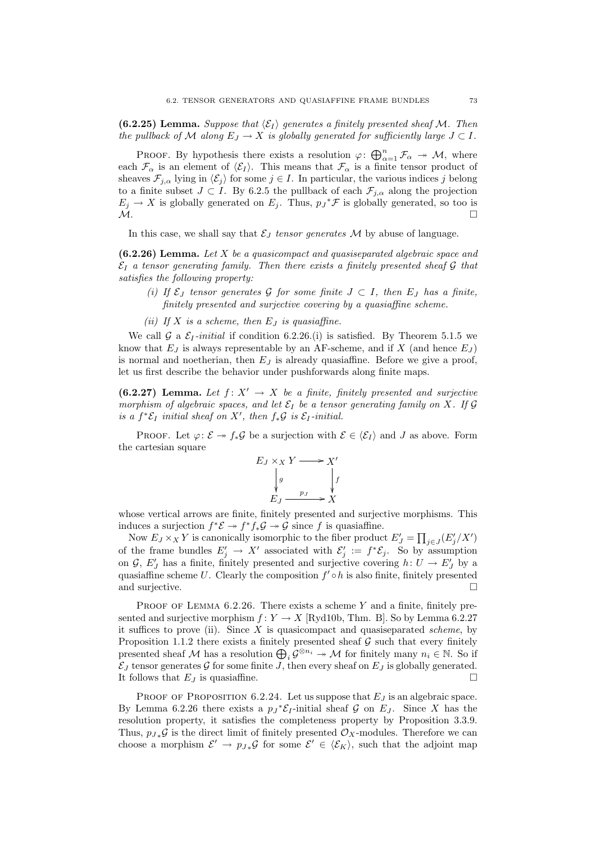(6.2.25) Lemma. Suppose that  $\langle \mathcal{E}_I \rangle$  generates a finitely presented sheaf M. Then the pullback of M along  $E_J \to X$  is globally generated for sufficiently large  $J \subset I$ .

PROOF. By hypothesis there exists a resolution  $\varphi: \bigoplus_{\alpha=1}^n \mathcal{F}_\alpha \to \mathcal{M}$ , where each  $\mathcal{F}_{\alpha}$  is an element of  $\langle \mathcal{E}_I \rangle$ . This means that  $\mathcal{F}_{\alpha}$  is a finite tensor product of sheaves  $\mathcal{F}_{i,\alpha}$  lying in  $\langle \mathcal{E}_i \rangle$  for some  $j \in I$ . In particular, the various indices j belong to a finite subset  $J \subset I$ . By 6.2.5 the pullback of each  $\mathcal{F}_{j,\alpha}$  along the projection  $E_j \to X$  is globally generated on  $E_j$ . Thus,  $p_j^* \mathcal{F}$  is globally generated, so too is  $\mathcal{M}.$ 

In this case, we shall say that  $\mathcal{E}_J$  tensor generates M by abuse of language.

 $(6.2.26)$  Lemma. Let X be a quasicompact and quasiseparated algebraic space and  $\mathcal{E}_I$  a tensor generating family. Then there exists a finitely presented sheaf G that satisfies the following property:

- (i) If  $\mathcal{E}_J$  tensor generates G for some finite  $J \subset I$ , then  $E_J$  has a finite, finitely presented and surjective covering by a quasiaffine scheme.
- (ii) If  $X$  is a scheme, then  $E_J$  is quasiaffine.

We call G a  $\mathcal{E}_I$ -initial if condition 6.2.26.(i) is satisfied. By Theorem 5.1.5 we know that  $E_J$  is always representable by an AF-scheme, and if X (and hence  $E_J$ ) is normal and noetherian, then  $E_J$  is already quasiaffine. Before we give a proof, let us first describe the behavior under pushforwards along finite maps.

(6.2.27) Lemma. Let  $f: X' \to X$  be a finite, finitely presented and surjective morphism of algebraic spaces, and let  $\mathcal{E}_I$  be a tensor generating family on X. If G is a  $f^* \mathcal{E}_I$  initial sheaf on X', then  $f_*\mathcal{G}$  is  $\mathcal{E}_I$ -initial.

PROOF. Let  $\varphi: \mathcal{E} \to f_*\mathcal{G}$  be a surjection with  $\mathcal{E} \in \langle \mathcal{E}_I \rangle$  and J as above. Form the cartesian square

$$
E_J \times_X Y \longrightarrow X'
$$
  
\n
$$
\downarrow g
$$
  
\n
$$
E_J \xrightarrow{p_J} X
$$

whose vertical arrows are finite, finitely presented and surjective morphisms. This induces a surjection  $f^*{\mathcal{E}} \to f^*f_*{\mathcal{G}} \to {\mathcal{G}}$  since f is quasiaffine.

Now  $E_J \times_X Y$  is canonically isomorphic to the fiber product  $E'_J = \prod_{j \in J} (E'_j / X')$ of the frame bundles  $E'_j \to X'$  associated with  $\mathcal{E}'_j := f^* \mathcal{E}_j$ . So by assumption on  $\mathcal{G}, E'_J$  has a finite, finitely presented and surjective covering  $h: U \to E'_J$  by a quasiaffine scheme U. Clearly the composition  $f' \circ h$  is also finite, finitely presented and surjective.  $\Box$ 

PROOF OF LEMMA  $6.2.26$ . There exists a scheme Y and a finite, finitely presented and surjective morphism  $f: Y \to X$  [Ryd10b, Thm. B]. So by Lemma 6.2.27 it suffices to prove (ii). Since  $X$  is quasicompact and quasiseparated scheme, by Proposition 1.1.2 there exists a finitely presented sheaf  $\mathcal G$  such that every finitely presented sheaf M has a resolution  $\bigoplus_i \mathcal{G}^{\otimes n_i} \to \mathcal{M}$  for finitely many  $n_i \in \mathbb{N}$ . So if  $\mathcal{E}_J$  tensor generates  $\mathcal G$  for some finite J, then every sheaf on  $E_J$  is globally generated. It follows that  $E_J$  is quasiaffine.

PROOF OF PROPOSITION 6.2.24. Let us suppose that  $E_J$  is an algebraic space. By Lemma 6.2.26 there exists a  $p_J^* \mathcal{E}_I$ -initial sheaf  $\mathcal G$  on  $E_J$ . Since X has the resolution property, it satisfies the completeness property by Proposition 3.3.9. Thus,  $p_J \mathcal{G}$  is the direct limit of finitely presented  $\mathcal{O}_X$ -modules. Therefore we can choose a morphism  $\mathcal{E}' \to p_{J*} \mathcal{G}$  for some  $\mathcal{E}' \in \langle \mathcal{E}_K \rangle$ , such that the adjoint map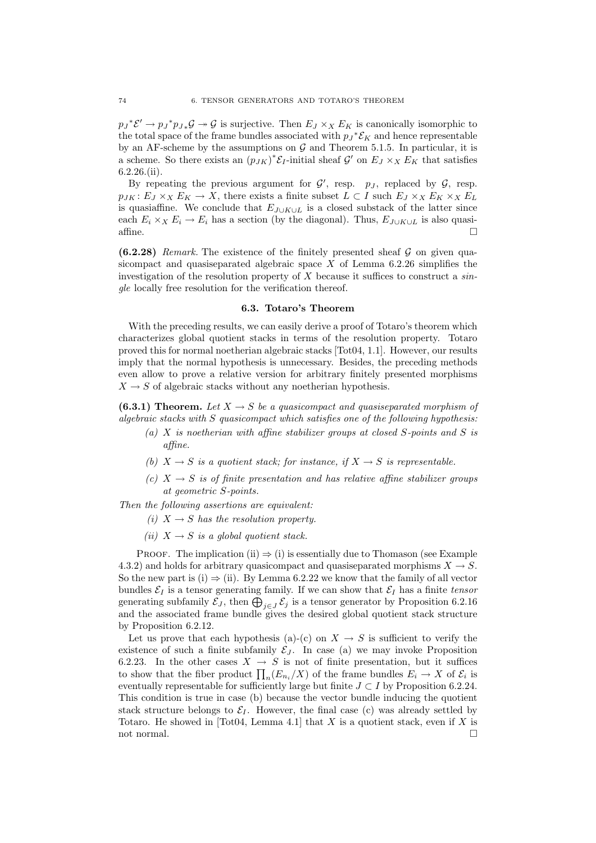$p_J^*{\mathcal{E}}' \to p_J^*p_{J*}{\mathcal{G}} \to {\mathcal{G}}$  is surjective. Then  $E_J \times_X E_K$  is canonically isomorphic to the total space of the frame bundles associated with  $p_J^* \mathcal{E}_K$  and hence representable by an AF-scheme by the assumptions on  $G$  and Theorem 5.1.5. In particular, it is a scheme. So there exists an  $(p_{JK})^* \mathcal{E}_I$ -initial sheaf G' on  $E_J \times_X E_K$  that satisfies 6.2.26.(ii).

By repeating the previous argument for  $G'$ , resp.  $p_J$ , replaced by  $G$ , resp.  $p_{JK}$ :  $E_J \times_X E_K \to X$ , there exists a finite subset  $L \subset I$  such  $E_J \times_X E_K \times_X E_L$ is quasiaffine. We conclude that  $E_{J\cup K\cup L}$  is a closed substack of the latter since each  $E_i \times_X E_i \to E_i$  has a section (by the diagonal). Thus,  $E_{J\cup K\cup L}$  is also quasi- $\Box$ affine.

 $(6.2.28)$  Remark. The existence of the finitely presented sheaf G on given quasicompact and quasiseparated algebraic space  $X$  of Lemma 6.2.26 simplifies the investigation of the resolution property of  $X$  because it suffices to construct a single locally free resolution for the verification thereof.

#### 6.3. Totaro's Theorem

With the preceding results, we can easily derive a proof of Totaro's theorem which characterizes global quotient stacks in terms of the resolution property. Totaro proved this for normal noetherian algebraic stacks [Tot04, 1.1]. However, our results imply that the normal hypothesis is unnecessary. Besides, the preceding methods even allow to prove a relative version for arbitrary finitely presented morphisms  $X \rightarrow S$  of algebraic stacks without any noetherian hypothesis.

(6.3.1) Theorem. Let  $X \to S$  be a quasicompact and quasiseparated morphism of algebraic stacks with S quasicompact which satisfies one of the following hypothesis:

- (a) X is noetherian with affine stabilizer groups at closed S-points and S is affine.
- (b)  $X \rightarrow S$  is a quotient stack; for instance, if  $X \rightarrow S$  is representable.
- (c)  $X \rightarrow S$  is of finite presentation and has relative affine stabilizer groups at geometric S-points.

Then the following assertions are equivalent:

- (i)  $X \rightarrow S$  has the resolution property.
- (ii)  $X \rightarrow S$  is a global quotient stack.

PROOF. The implication (ii)  $\Rightarrow$  (i) is essentially due to Thomason (see Example 4.3.2) and holds for arbitrary quasicompact and quasiseparated morphisms  $X \to S$ . So the new part is (i)  $\Rightarrow$  (ii). By Lemma 6.2.22 we know that the family of all vector bundles  $\mathcal{E}_I$  is a tensor generating family. If we can show that  $\mathcal{E}_I$  has a finite tensor generating subfamily  $\mathcal{E}_J$ , then  $\bigoplus_{j\in J} \mathcal{E}_j$  is a tensor generator by Proposition 6.2.16 and the associated frame bundle gives the desired global quotient stack structure by Proposition 6.2.12.

Let us prove that each hypothesis (a)-(c) on  $X \to S$  is sufficient to verify the existence of such a finite subfamily  $\mathcal{E}_J$ . In case (a) we may invoke Proposition 6.2.23. In the other cases  $X \rightarrow S$  is not of finite presentation, but it suffices to show that the fiber product  $\prod_n (E_{n_i}/X)$  of the frame bundles  $E_i \to X$  of  $\mathcal{E}_i$  is eventually representable for sufficiently large but finite  $J \subset I$  by Proposition 6.2.24. This condition is true in case (b) because the vector bundle inducing the quotient stack structure belongs to  $\mathcal{E}_I$ . However, the final case (c) was already settled by Totaro. He showed in [Tot04, Lemma 4.1] that X is a quotient stack, even if X is not normal.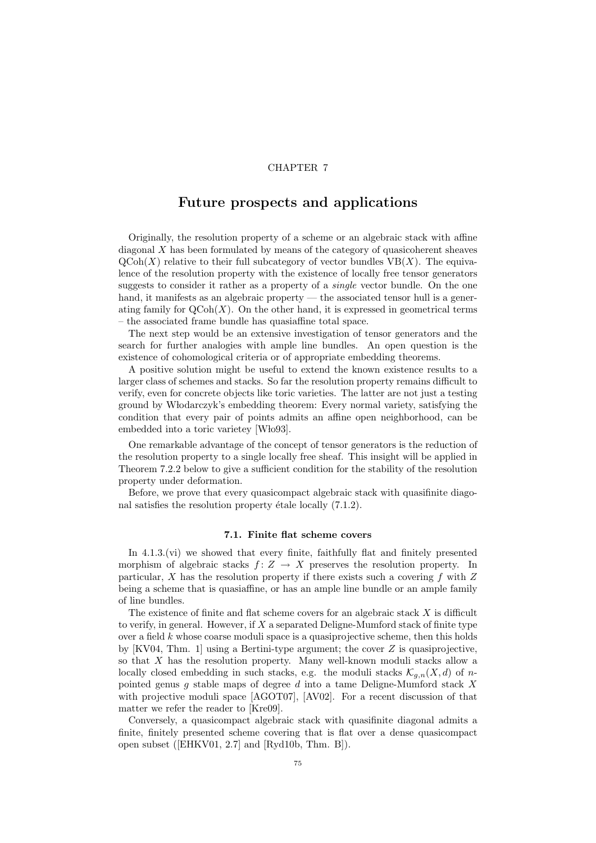## CHAPTER 7

# Future prospects and applications

Originally, the resolution property of a scheme or an algebraic stack with affine diagonal X has been formulated by means of the category of quasicoherent sheaves  $\mathrm{QCoh}(X)$  relative to their full subcategory of vector bundles  $\mathrm{VB}(X)$ . The equivalence of the resolution property with the existence of locally free tensor generators suggests to consider it rather as a property of a single vector bundle. On the one hand, it manifests as an algebraic property — the associated tensor hull is a generating family for  $\text{QCoh}(X)$ . On the other hand, it is expressed in geometrical terms – the associated frame bundle has quasiaffine total space.

The next step would be an extensive investigation of tensor generators and the search for further analogies with ample line bundles. An open question is the existence of cohomological criteria or of appropriate embedding theorems.

A positive solution might be useful to extend the known existence results to a larger class of schemes and stacks. So far the resolution property remains difficult to verify, even for concrete objects like toric varieties. The latter are not just a testing ground by W lodarczyk's embedding theorem: Every normal variety, satisfying the condition that every pair of points admits an affine open neighborhood, can be embedded into a toric varietey [Wło93].

One remarkable advantage of the concept of tensor generators is the reduction of the resolution property to a single locally free sheaf. This insight will be applied in Theorem 7.2.2 below to give a sufficient condition for the stability of the resolution property under deformation.

Before, we prove that every quasicompact algebraic stack with quasifinite diagonal satisfies the resolution property étale locally  $(7.1.2)$ .

### 7.1. Finite flat scheme covers

In 4.1.3.(vi) we showed that every finite, faithfully flat and finitely presented morphism of algebraic stacks  $f: Z \to X$  preserves the resolution property. In particular,  $X$  has the resolution property if there exists such a covering  $f$  with  $Z$ being a scheme that is quasiaffine, or has an ample line bundle or an ample family of line bundles.

The existence of finite and flat scheme covers for an algebraic stack X is difficult to verify, in general. However, if  $X$  a separated Deligne-Mumford stack of finite type over a field  $k$  whose coarse moduli space is a quasiprojective scheme, then this holds by  $[KV04, Thm. 1]$  using a Bertini-type argument; the cover Z is quasiprojective. so that  $X$  has the resolution property. Many well-known moduli stacks allow a locally closed embedding in such stacks, e.g. the moduli stacks  $\mathcal{K}_{g,n}(X, d)$  of npointed genus q stable maps of degree  $d$  into a tame Deligne-Mumford stack X with projective moduli space [AGOT07], [AV02]. For a recent discussion of that matter we refer the reader to [Kre09].

Conversely, a quasicompact algebraic stack with quasifinite diagonal admits a finite, finitely presented scheme covering that is flat over a dense quasicompact open subset ([EHKV01, 2.7] and [Ryd10b, Thm. B]).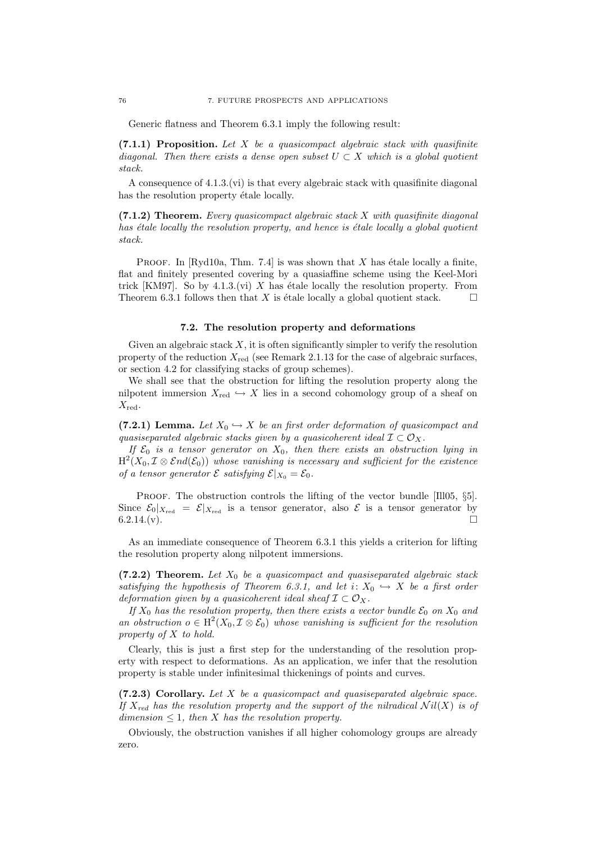Generic flatness and Theorem 6.3.1 imply the following result:

 $(7.1.1)$  Proposition. Let X be a quasicompact algebraic stack with quasifinite diagonal. Then there exists a dense open subset  $U \subset X$  which is a global quotient stack.

A consequence of  $4.1.3$ . (vi) is that every algebraic stack with quasifinite diagonal has the resolution property étale locally.

 $(7.1.2)$  Theorem. Every quasicompact algebraic stack X with quasifinite diagonal has  $\emph{\'e}tale locally the resolution property, and hence is étale locally a global quotient$ stack.

PROOF. In  $\lbrack \text{Rvd10a}, \text{Thm. 7.4} \rbrack$  is was shown that X has étale locally a finite, flat and finitely presented covering by a quasiaffine scheme using the Keel-Mori trick [KM97]. So by 4.1.3.(vi) X has étale locally the resolution property. From Theorem 6.3.1 follows then that X is étale locally a global quotient stack.  $\square$ 

### 7.2. The resolution property and deformations

Given an algebraic stack  $X$ , it is often significantly simpler to verify the resolution property of the reduction  $X_{\text{red}}$  (see Remark 2.1.13 for the case of algebraic surfaces, or section 4.2 for classifying stacks of group schemes).

We shall see that the obstruction for lifting the resolution property along the nilpotent immersion  $X_{\text{red}} \hookrightarrow X$  lies in a second cohomology group of a sheaf on  $X_{\rm red}$ .

(7.2.1) Lemma. Let  $X_0 \hookrightarrow X$  be an first order deformation of quasicompact and quasiseparated algebraic stacks given by a quasicoherent ideal  $\mathcal{I} \subset \mathcal{O}_X$ .

If  $\mathcal{E}_0$  is a tensor generator on  $X_0$ , then there exists an obstruction lying in  $\text{H}^2\hskip-2pt \left(X_0,\mathcal I\otimes \mathcal End(\mathcal E_0)\right)$  whose vanishing is necessary and sufficient for the existence of a tensor generator  $\mathcal E$  satisfying  $\mathcal E|_{X_0} = \mathcal E_0$ .

PROOF. The obstruction controls the lifting of the vector bundle [Ill05,  $\S5$ ]. Since  $\mathcal{E}_0|_{X_{\text{red}}} = \mathcal{E}|_{X_{\text{red}}}$  is a tensor generator, also  $\mathcal E$  is a tensor generator by  $6.2.14(v)$ .

As an immediate consequence of Theorem 6.3.1 this yields a criterion for lifting the resolution property along nilpotent immersions.

(7.2.2) Theorem. Let  $X_0$  be a quasicompact and quasiseparated algebraic stack satisfying the hypothesis of Theorem 6.3.1, and let  $i: X_0 \hookrightarrow X$  be a first order deformation given by a quasicoherent ideal sheaf  $\mathcal{I} \subset \mathcal{O}_X$ .

If  $X_0$  has the resolution property, then there exists a vector bundle  $\mathcal{E}_0$  on  $X_0$  and an obstruction  $o \in H^2(X_0, \mathcal{I} \otimes \mathcal{E}_0)$  whose vanishing is sufficient for the resolution property of X to hold.

Clearly, this is just a first step for the understanding of the resolution property with respect to deformations. As an application, we infer that the resolution property is stable under infinitesimal thickenings of points and curves.

 $(7.2.3)$  Corollary. Let  $X$  be a quasicompact and quasiseparated algebraic space. If  $X_{red}$  has the resolution property and the support of the nilradical  $Nil(X)$  is of dimension  $\leq 1$ , then X has the resolution property.

Obviously, the obstruction vanishes if all higher cohomology groups are already zero.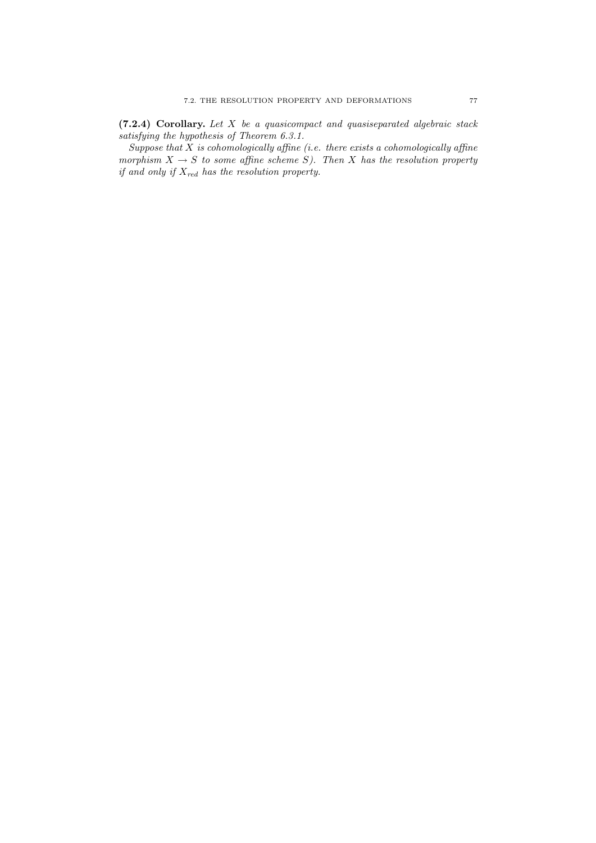(7.2.4) Corollary. Let X be a quasicompact and quasiseparated algebraic stack satisfying the hypothesis of Theorem 6.3.1.

Suppose that  $\overline{X}$  is cohomologically affine (i.e. there exists a cohomologically affine morphism  $X \to S$  to some affine scheme S). Then X has the resolution property if and only if  $X_{red}$  has the resolution property.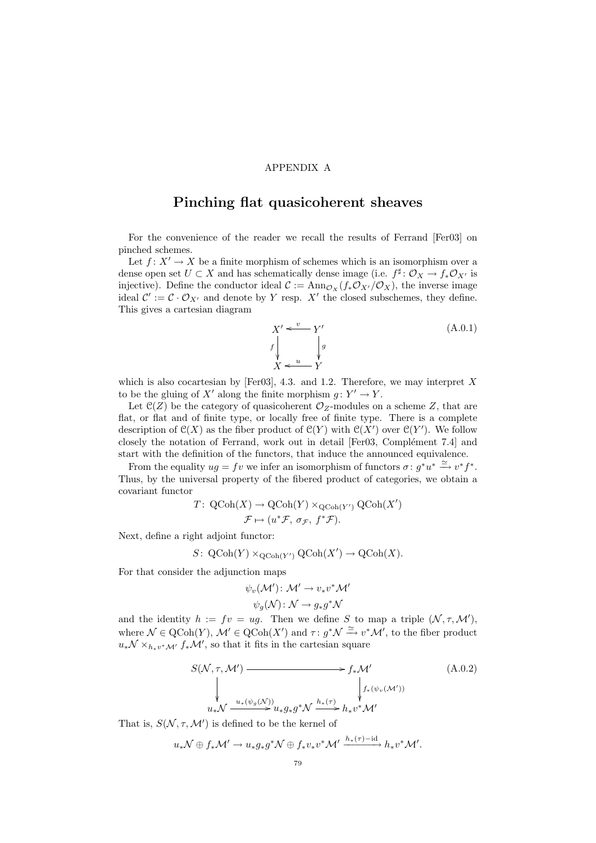## APPENDIX A

# Pinching flat quasicoherent sheaves

For the convenience of the reader we recall the results of Ferrand [Fer03] on pinched schemes.

Let  $f: X' \to X$  be a finite morphism of schemes which is an isomorphism over a dense open set  $U \subset X$  and has schematically dense image (i.e.  $f^{\sharp} \colon \mathcal{O}_X \to f_* \mathcal{O}_{X'}$  is injective). Define the conductor ideal  $\mathcal{C} := \text{Ann}_{\mathcal{O}_X}(f_*\mathcal{O}_{X'}/\mathcal{O}_X)$ , the inverse image ideal  $\mathcal{C}' := \mathcal{C} \cdot \mathcal{O}_{X'}$  and denote by Y resp. X' the closed subschemes, they define. This gives a cartesian diagram

$$
X' \xleftarrow{v} Y'
$$
  
\n
$$
f \downarrow g
$$
  
\n
$$
X \xleftarrow{u} Y
$$
  
\n(A.0.1)

which is also cocartesian by [Fer03], 4.3. and 1.2. Therefore, we may interpret  $X$ to be the gluing of X' along the finite morphism  $g: Y' \to Y$ .

Let  $\mathcal{C}(Z)$  be the category of quasicoherent  $\mathcal{O}_Z$ -modules on a scheme Z, that are flat, or flat and of finite type, or locally free of finite type. There is a complete description of  $\mathcal{C}(X)$  as the fiber product of  $\mathcal{C}(Y)$  with  $\mathcal{C}(X')$  over  $\mathcal{C}(Y')$ . We follow closely the notation of Ferrand, work out in detail  $[For 03, Complément 7.4]$  and start with the definition of the functors, that induce the announced equivalence.

From the equality  $ug = fv$  we infer an isomorphism of functors  $\sigma : g^*u^* \stackrel{\simeq}{\longrightarrow} v^*f^*$ . Thus, by the universal property of the fibered product of categories, we obtain a covariant functor

$$
T: \text{QCoh}(X) \to \text{QCoh}(Y) \times_{\text{QCoh}(Y')} \text{QCoh}(X')
$$

$$
\mathcal{F} \mapsto (u^*\mathcal{F}, \sigma_{\mathcal{F}}, f^*\mathcal{F}).
$$

Next, define a right adjoint functor:

$$
S\colon \operatorname{QCoh}(Y)\times_{\operatorname{QCoh}(Y')}\operatorname{QCoh}(X')\to \operatorname{QCoh}(X).
$$

For that consider the adjunction maps

$$
\psi_v(\mathcal{M}'): \mathcal{M}' \to v_* v^* \mathcal{M}'
$$

$$
\psi_g(\mathcal{N}): \mathcal{N} \to g_* g^* \mathcal{N}
$$

and the identity  $h := fv = ug$ . Then we define S to map a triple  $(N, \tau, M')$ , where  $\mathcal{N} \in \mathrm{QCoh}(Y)$ ,  $\mathcal{M}' \in \mathrm{QCoh}(X')$  and  $\tau : g^* \mathcal{N} \xrightarrow{\simeq} v^* \mathcal{M}'$ , to the fiber product  $u_*\mathcal{N} \times_{h_*v^*\mathcal{M}'} f_*\mathcal{M}'$ , so that it fits in the cartesian square

$$
S(\mathcal{N}, \tau, \mathcal{M}') \longrightarrow f_*\mathcal{M}'
$$
\n
$$
\downarrow f_* (\psi_v(\mathcal{M}'))
$$
\n
$$
u_*\mathcal{N} \xrightarrow{u_*(\psi_g(\mathcal{N}))} u_* g_* g^* \mathcal{N} \xrightarrow{h_*(\tau)} h_* v^* \mathcal{M}'
$$
\n
$$
(A.0.2)
$$

That is,  $S(N, \tau, M')$  is defined to be the kernel of

$$
u_*\mathcal{N} \oplus f_*\mathcal{M}' \to u_*g_*g^*\mathcal{N} \oplus f_*v_*v^*\mathcal{M}' \xrightarrow{h_*(\tau)-\mathrm{id}} h_*v^*\mathcal{M}'.
$$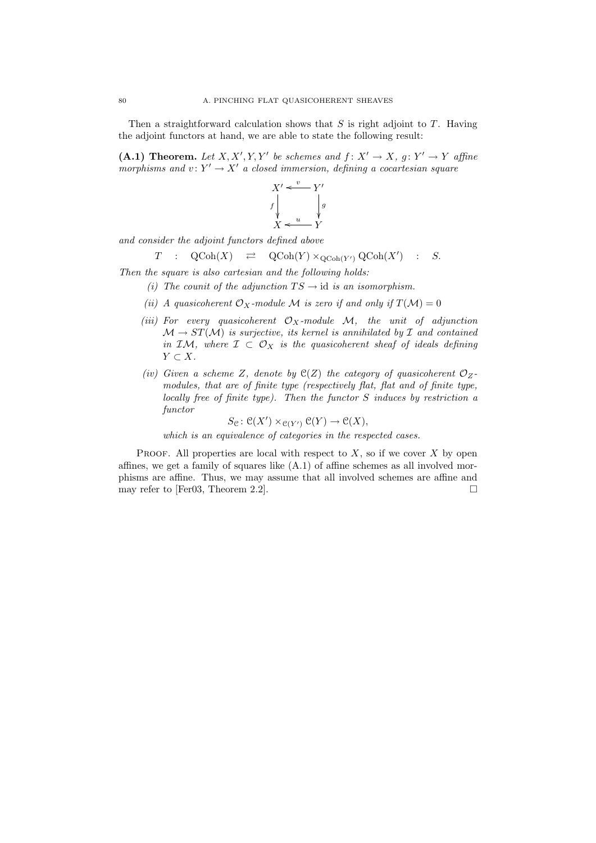Then a straightforward calculation shows that  $S$  is right adjoint to  $T$ . Having the adjoint functors at hand, we are able to state the following result:

(A.1) Theorem. Let X, X', Y, Y' be schemes and  $f: X' \to X$ ,  $g: Y' \to Y$  affine morphisms and  $v: Y' \to X'$  a closed immersion, defining a cocartesian square



and consider the adjoint functors defined above

$$
T : \operatorname{QCoh}(X) \quad \rightleftarrows \quad \operatorname{QCoh}(Y) \times_{\operatorname{QCoh}(Y')} \operatorname{QCoh}(X') \quad : \quad S.
$$

Then the square is also cartesian and the following holds:

- (i) The counit of the adjunction  $TS \rightarrow id$  is an isomorphism.
- (ii) A quasicoherent  $\mathcal{O}_X$ -module M is zero if and only if  $T(\mathcal{M}) = 0$
- (iii) For every quasicoherent  $\mathcal{O}_X$ -module  $\mathcal{M}$ , the unit of adjunction  $\mathcal{M} \to ST(\mathcal{M})$  is surjective, its kernel is annihilated by  $\mathcal I$  and contained in IM, where  $\mathcal{I} \subset \mathcal{O}_X$  is the quasicoherent sheaf of ideals defining  $Y \subset X$ .
- (iv) Given a scheme Z, denote by  $\mathfrak{C}(Z)$  the category of quasicoherent  $\mathcal{O}_Z$ modules, that are of finite type (respectively flat, flat and of finite type, locally free of finite type). Then the functor S induces by restriction a functor

$$
S_{\mathcal{C}}\colon \mathcal{C}(X') \times_{\mathcal{C}(Y')} \mathcal{C}(Y) \to \mathcal{C}(X),
$$

which is an equivalence of categories in the respected cases.

PROOF. All properties are local with respect to  $X$ , so if we cover  $X$  by open affines, we get a family of squares like (A.1) of affine schemes as all involved morphisms are affine. Thus, we may assume that all involved schemes are affine and may refer to [Fer03, Theorem 2.2].  $\square$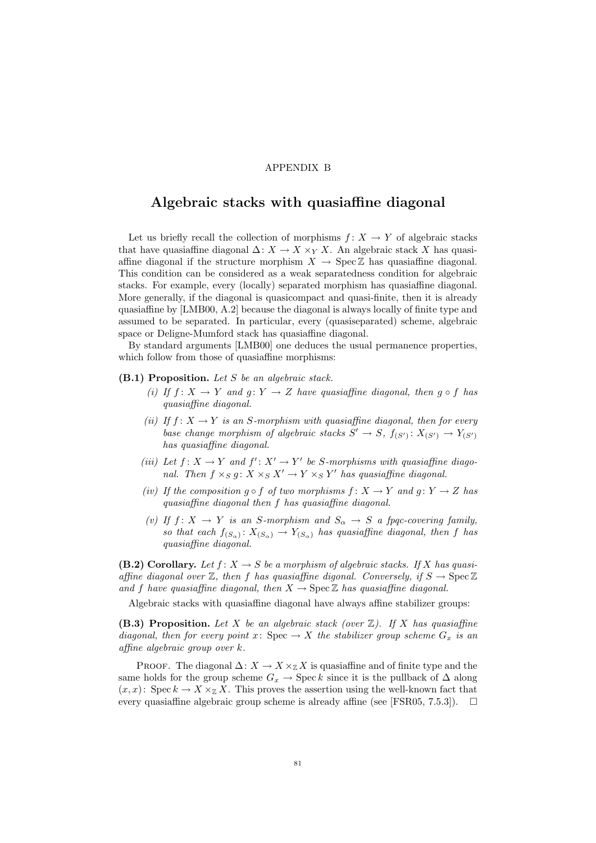### APPENDIX B

## Algebraic stacks with quasiaffine diagonal

Let us briefly recall the collection of morphisms  $f: X \to Y$  of algebraic stacks that have quasiaffine diagonal  $\Delta: X \to X \times_Y X$ . An algebraic stack X has quasiaffine diagonal if the structure morphism  $X \to \text{Spec } \mathbb{Z}$  has quasiaffine diagonal. This condition can be considered as a weak separatedness condition for algebraic stacks. For example, every (locally) separated morphism has quasiaffine diagonal. More generally, if the diagonal is quasicompact and quasi-finite, then it is already quasiaffine by [LMB00, A.2] because the diagonal is always locally of finite type and assumed to be separated. In particular, every (quasiseparated) scheme, algebraic space or Deligne-Mumford stack has quasiaffine diagonal.

By standard arguments [LMB00] one deduces the usual permanence properties, which follow from those of quasiaffine morphisms:

### $(B.1)$  Proposition. Let S be an algebraic stack.

- (i) If  $f: X \to Y$  and  $g: Y \to Z$  have quasiaffine diagonal, then  $g \circ f$  has quasiaffine diagonal.
- (ii) If  $f: X \to Y$  is an S-morphism with quasiaffine diagonal, then for every base change morphism of algebraic stacks  $S' \to S$ ,  $f_{(S')} : X_{(S')} \to Y_{(S')}$ has quasiaffine diagonal.
- (iii) Let  $f: X \to Y$  and  $f': X' \to Y'$  be S-morphisms with quasiaffine diagonal. Then  $f \times_S g: X \times_S X' \to Y \times_S Y'$  has quasiaffine diagonal.
- (iv) If the composition  $q \circ f$  of two morphisms  $f: X \to Y$  and  $q: Y \to Z$  has quasiaffine diagonal then f has quasiaffine diagonal.
- (v) If  $f: X \to Y$  is an S-morphism and  $S_{\alpha} \to S$  a fpqc-covering family, so that each  $f_{(S_{\alpha})}: X_{(S_{\alpha})} \to Y_{(S_{\alpha})}$  has quasiaffine diagonal, then f has quasiaffine diagonal.

(B.2) Corollary. Let  $f: X \to S$  be a morphism of algebraic stacks. If X has quasiaffine diagonal over  $\mathbb{Z}$ , then f has quasiaffine digonal. Conversely, if  $S \to \text{Spec } \mathbb{Z}$ and f have quasiaffine diagonal, then  $X \to \text{Spec } \mathbb{Z}$  has quasiaffine diagonal.

Algebraic stacks with quasiaffine diagonal have always affine stabilizer groups:

(B.3) Proposition. Let X be an algebraic stack (over  $\mathbb{Z}$ ). If X has quasiaffine diagonal, then for every point x: Spec  $\rightarrow X$  the stabilizer group scheme  $G_x$  is an affine algebraic group over k.

PROOF. The diagonal  $\Delta: X \to X \times_{\mathbb{Z}} X$  is quasiaffine and of finite type and the same holds for the group scheme  $G_x \rightarrow \text{Spec } k$  since it is the pullback of  $\Delta$  along  $(x, x)$ : Spec  $k \to X \times_{\mathbb{Z}} X$ . This proves the assertion using the well-known fact that every quasiaffine algebraic group scheme is already affine (see [FSR05, 7.5.3]).  $\square$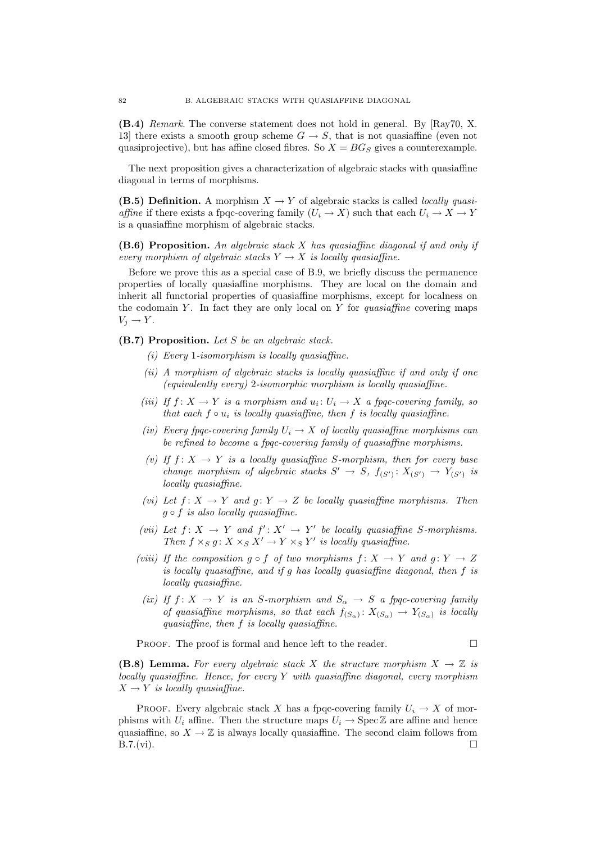(B.4) Remark. The converse statement does not hold in general. By [Ray70, X. 13] there exists a smooth group scheme  $G \to S$ , that is not quasiaffine (even not quasiprojective), but has affine closed fibres. So  $X = BG_S$  gives a counterexample.

The next proposition gives a characterization of algebraic stacks with quasiaffine diagonal in terms of morphisms.

(B.5) Definition. A morphism  $X \to Y$  of algebraic stacks is called *locally quasi*affine if there exists a fpqc-covering family  $(U_i \to X)$  such that each  $U_i \to X \to Y$ is a quasiaffine morphism of algebraic stacks.

 $(B.6)$  Proposition. An algebraic stack X has quasiaffine diagonal if and only if every morphism of algebraic stacks  $Y \to X$  is locally quasiaffine.

Before we prove this as a special case of B.9, we briefly discuss the permanence properties of locally quasiaffine morphisms. They are local on the domain and inherit all functorial properties of quasiaffine morphisms, except for localness on the codomain Y. In fact they are only local on Y for quasiaffine covering maps  $V_j \to Y$ .

(B.7) Proposition. Let S be an algebraic stack.

- (i) Every 1-isomorphism is locally quasiaffine.
- (ii) A morphism of algebraic stacks is locally quasiaffine if and only if one (equivalently every) 2-isomorphic morphism is locally quasiaffine.
- (iii) If  $f: X \to Y$  is a morphism and  $u_i: U_i \to X$  a fpqc-covering family, so that each  $f \circ u_i$  is locally quasiaffine, then  $f$  is locally quasiaffine.
- (iv) Every fpqc-covering family  $U_i \to X$  of locally quasiaffine morphisms can be refined to become a fpqc-covering family of quasiaffine morphisms.
- (v) If  $f: X \to Y$  is a locally quasiaffine S-morphism, then for every base change morphism of algebraic stacks  $S' \to S$ ,  $f_{(S')} : X_{(S')} \to Y_{(S')}$  is locally quasiaffine.
- (vi) Let  $f: X \to Y$  and  $g: Y \to Z$  be locally quasiaffine morphisms. Then  $g \circ f$  is also locally quasiaffine.
- (vii) Let  $f: X \to Y$  and  $f': X' \to Y'$  be locally quasiaffine S-morphisms. Then  $f \times_S g \colon X \times_S X' \to Y \times_S Y'$  is locally quasiaffine.
- (viii) If the composition  $g \circ f$  of two morphisms  $f: X \to Y$  and  $g: Y \to Z$ is locally quasiaffine, and if g has locally quasiaffine diagonal, then f is locally quasiaffine.
- (ix) If  $f: X \to Y$  is an S-morphism and  $S_{\alpha} \to S$  a fpqc-covering family of quasiaffine morphisms, so that each  $f_{(S_{\alpha})}: X_{(S_{\alpha})} \to Y_{(S_{\alpha})}$  is locally quasiaffine, then f is locally quasiaffine.

PROOF. The proof is formal and hence left to the reader.  $\Box$ 

(B.8) Lemma. For every algebraic stack X the structure morphism  $X \to \mathbb{Z}$  is  $locally quasiaffine. Hence, for every Y with quasiaffine diagonal, every morphism$  $X \rightarrow Y$  is locally quasiaffine.

PROOF. Every algebraic stack X has a fpqc-covering family  $U_i \to X$  of morphisms with  $U_i$  affine. Then the structure maps  $U_i \rightarrow \text{Spec } \mathbb{Z}$  are affine and hence quasiaffine, so  $X \to \mathbb{Z}$  is always locally quasiaffine. The second claim follows from  $B.7.(vi)$ .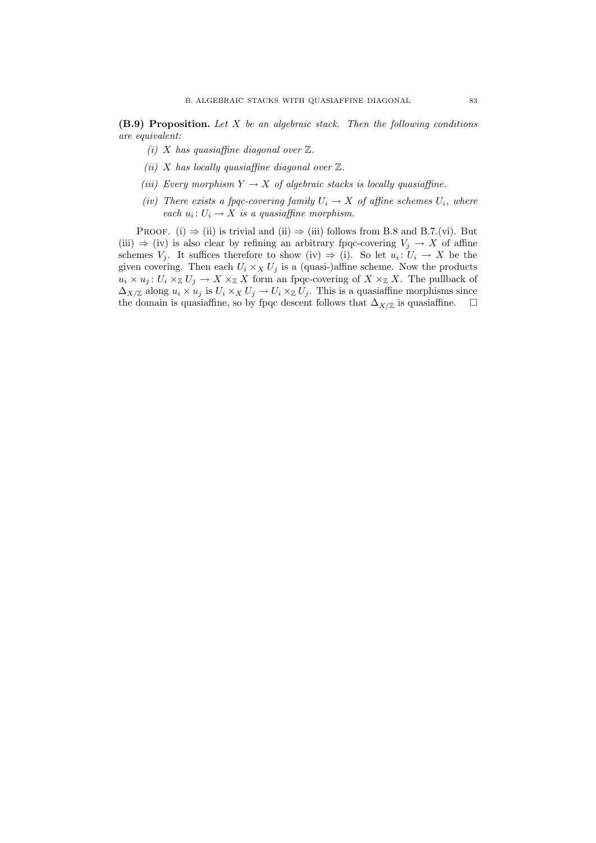$(B.9)$  Proposition. Let X be an algebraic stack. Then the following conditions are equivalent:

- (i) X has quasiaffine diagonal over  $\mathbb{Z}$ .
- (ii) X has locally quasiaffine diagonal over  $\mathbb{Z}$ .
- (iii) Every morphism  $Y \to X$  of algebraic stacks is locally quasiaffine.
- (iv) There exists a fpqc-covering family  $U_i \rightarrow X$  of affine schemes  $U_i$ , where each  $u_i: U_i \to X$  is a quasiaffine morphism.

PROOF. (i)  $\Rightarrow$  (ii) is trivial and (ii)  $\Rightarrow$  (iii) follows from B.8 and B.7.(vi). But (iii)  $\Rightarrow$  (iv) is also clear by refining an arbitrary fpqc-covering  $V_j \rightarrow X$  of affine schemes  $V_j$ . It suffices therefore to show (iv)  $\Rightarrow$  (i). So let  $u_i: U_i \to X$  be the given covering. Then each  $U_i \times_X U_j$  is a (quasi-)affine scheme. Now the products  $u_i \times u_j : U_i \times \mathbb{Z} U_j \to X \times \mathbb{Z} X$  form an fpqc-covering of  $X \times \mathbb{Z} X$ . The pullback of  $\Delta_{X/\mathbb{Z}}$  along  $u_i \times u_j$  is  $U_i \times_X U_j \to U_i \times_Z U_j$ . This is a quasiaffine morphisms since the domain is quasiaffine, so by fpqc descent follows that  $\Delta_{X/\mathbb{Z}}$  is quasiaffine.  $\Box$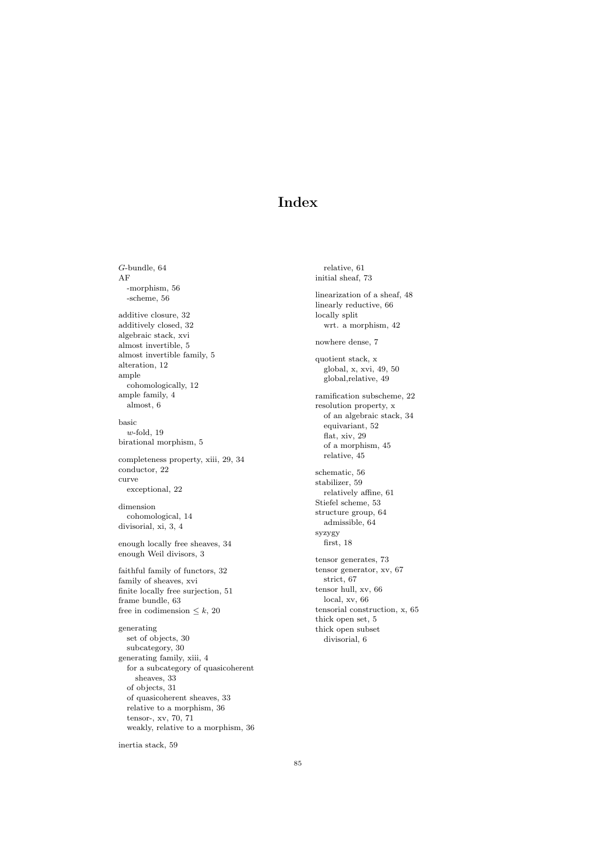# Index

G-bundle, 64 AF -morphism, 56 -scheme, 56 additive closure, 32 additively closed, 32 algebraic stack, xvi almost invertible, 5 almost invertible family, 5 alteration, 12 ample cohomologically, 12 ample family, 4 almost, 6 basic  $w$ -fold, 19 birational morphism, 5 completeness property, xiii, 29, 34 conductor, 22 curve exceptional, 22 dimension cohomological, 14 divisorial, xi, 3, 4 enough locally free sheaves, 34 enough Weil divisors, 3 faithful family of functors, 32 family of sheaves, xvi finite locally free surjection, 51 frame bundle, 63 free in codimension  $\leq k$ , 20 generating set of objects, 30 subcategory, 30 generating family, xiii, 4 for a subcategory of quasicoherent sheaves, 33 of objects, 31 of quasicoherent sheaves, 33 relative to a morphism, 36 tensor-, xv, 70, 71 weakly, relative to a morphism, 36

relative, 61 initial sheaf, 73 linearization of a sheaf, 48 linearly reductive, 66 locally split wrt. a morphism, 42 nowhere dense, 7 quotient stack, x global, x, xvi, 49, 50 global,relative, 49 ramification subscheme, 22 resolution property, x of an algebraic stack, 34 equivariant, 52 flat, xiv, 29 of a morphism, 45 relative, 45 schematic, 56 stabilizer, 59 relatively affine, 61 Stiefel scheme, 53 structure group, 64 admissible, 64 syzygy first, 18 tensor generates, 73 tensor generator, xv, 67 strict, 67 tensor hull, xv, 66 local, xv, 66 tensorial construction, x, 65 thick open set, 5 thick open subset divisorial, 6

inertia stack, 59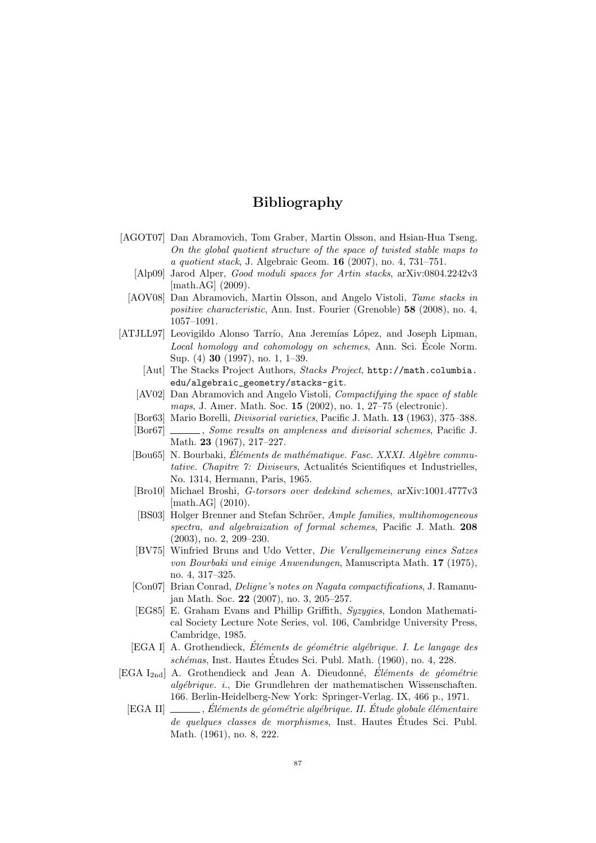- [AGOT07] Dan Abramovich, Tom Graber, Martin Olsson, and Hsian-Hua Tseng, On the global quotient structure of the space of twisted stable maps to a quotient stack, J. Algebraic Geom. 16 (2007), no. 4, 731–751.
	- [Alp09] Jarod Alper, Good moduli spaces for Artin stacks, arXiv:0804.2242v3 [math.AG] (2009).
	- [AOV08] Dan Abramovich, Martin Olsson, and Angelo Vistoli, Tame stacks in positive characteristic, Ann. Inst. Fourier (Grenoble) 58 (2008), no. 4, 1057–1091.
- [ATJLL97] Leovigildo Alonso Tarrío, Ana Jeremías López, and Joseph Lipman, Local homology and cohomology on schemes, Ann. Sci. Ecole Norm. Sup. (4) 30 (1997), no. 1, 1–39.
	- [Aut] The Stacks Project Authors, Stacks Project, http://math.columbia. edu/algebraic\_geometry/stacks-git.
	- [AV02] Dan Abramovich and Angelo Vistoli, Compactifying the space of stable maps, J. Amer. Math. Soc. 15 (2002), no. 1, 27–75 (electronic).
	- [Bor63] Mario Borelli, Divisorial varieties, Pacific J. Math. 13 (1963), 375–388.
	- [Bor67]  $\ldots$ , Some results on ampleness and divisorial schemes, Pacific J. Math. 23 (1967), 217–227.
	- $[Bou65]$  N. Bourbaki, Eléments de mathématique. Fasc. XXXI. Algèbre commutative. Chapitre 7: Diviseurs, Actualités Scientifiques et Industrielles, No. 1314, Hermann, Paris, 1965.
	- [Bro10] Michael Broshi, G-torsors over dedekind schemes, arXiv:1001.4777v3 [math.AG] (2010).
	- [BS03] Holger Brenner and Stefan Schröer, Ample families, multihomogeneous spectra, and algebraization of formal schemes, Pacific J. Math. 208 (2003), no. 2, 209–230.
	- [BV75] Winfried Bruns and Udo Vetter, Die Verallgemeinerung eines Satzes von Bourbaki und einige Anwendungen, Manuscripta Math. 17 (1975), no. 4, 317–325.
	- [Con07] Brian Conrad, Deligne's notes on Nagata compactifications, J. Ramanujan Math. Soc. 22 (2007), no. 3, 205–257.
	- [EG85] E. Graham Evans and Phillip Griffith, Syzygies, London Mathematical Society Lecture Note Series, vol. 106, Cambridge University Press, Cambridge, 1985.
	- [EGA I] A. Grothendieck, Éléments de géométrie algébrique. I. Le langage des schémas, Inst. Hautes Études Sci. Publ. Math. (1960), no. 4, 228.
- [EGA I<sub>2nd</sub>] A. Grothendieck and Jean A. Dieudonné, Éléments de géométrie alg´ebrique. i., Die Grundlehren der mathematischen Wissenschaften. 166. Berlin-Heidelberg-New York: Springer-Verlag. IX, 466 p., 1971.
	- [EGA II] , Éléments de géométrie algébrique. II. Étude globale élémentaire de quelques classes de morphismes, Inst. Hautes Études Sci. Publ. Math. (1961), no. 8, 222.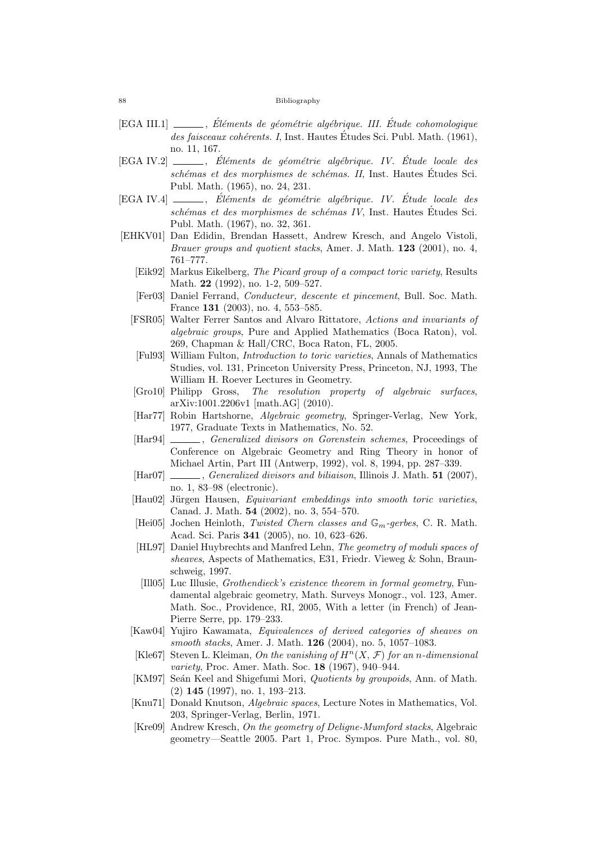- $[EGA III.1] \_\_$ , Éléments de géométrie algébrique. III. Étude cohomologique des faisceaux cohérents. I, Inst. Hautes Études Sci. Publ. Math. (1961), no. 11, 167.
- [EGA IV.2] \_\_\_\_, Éléments de géométrie algébrique. IV. Étude locale des schémas et des morphismes de schémas. II, Inst. Hautes Études Sci. Publ. Math. (1965), no. 24, 231.
- [EGA IV.4]  $\qquad \qquad$ , Eléments de géométrie algébrique. IV. Etude locale des schémas et des morphismes de schémas IV, Inst. Hautes Études Sci. Publ. Math. (1967), no. 32, 361.
- [EHKV01] Dan Edidin, Brendan Hassett, Andrew Kresch, and Angelo Vistoli, Brauer groups and quotient stacks, Amer. J. Math. 123 (2001), no. 4, 761–777.
	- [Eik92] Markus Eikelberg, The Picard group of a compact toric variety, Results Math. 22 (1992), no. 1-2, 509–527.
	- [Fer03] Daniel Ferrand, Conducteur, descente et pincement, Bull. Soc. Math. France 131 (2003), no. 4, 553–585.
	- [FSR05] Walter Ferrer Santos and Alvaro Rittatore, Actions and invariants of algebraic groups, Pure and Applied Mathematics (Boca Raton), vol. 269, Chapman & Hall/CRC, Boca Raton, FL, 2005.
	- [Ful93] William Fulton, Introduction to toric varieties, Annals of Mathematics Studies, vol. 131, Princeton University Press, Princeton, NJ, 1993, The William H. Roever Lectures in Geometry.
	- [Gro10] Philipp Gross, The resolution property of algebraic surfaces, arXiv:1001.2206v1 [math.AG] (2010).
	- [Har77] Robin Hartshorne, Algebraic geometry, Springer-Verlag, New York, 1977, Graduate Texts in Mathematics, No. 52.
	- [Har94] , Generalized divisors on Gorenstein schemes, Proceedings of Conference on Algebraic Geometry and Ring Theory in honor of Michael Artin, Part III (Antwerp, 1992), vol. 8, 1994, pp. 287–339.
	- [Har07] , Generalized divisors and biliaison, Illinois J. Math. 51 (2007), no. 1, 83–98 (electronic).
	- [Hau02] Jürgen Hausen, *Equivariant embeddings into smooth toric varieties*, Canad. J. Math. 54 (2002), no. 3, 554–570.
	- [Hei05] Jochen Heinloth, Twisted Chern classes and  $\mathbb{G}_m$ -gerbes, C. R. Math. Acad. Sci. Paris 341 (2005), no. 10, 623–626.
	- [HL97] Daniel Huybrechts and Manfred Lehn, The geometry of moduli spaces of sheaves, Aspects of Mathematics, E31, Friedr. Vieweg & Sohn, Braunschweig, 1997.
	- [Ill05] Luc Illusie, Grothendieck's existence theorem in formal geometry, Fundamental algebraic geometry, Math. Surveys Monogr., vol. 123, Amer. Math. Soc., Providence, RI, 2005, With a letter (in French) of Jean-Pierre Serre, pp. 179–233.
	- [Kaw04] Yujiro Kawamata, Equivalences of derived categories of sheaves on smooth stacks, Amer. J. Math. 126 (2004), no. 5, 1057–1083.
	- [Kle67] Steven L. Kleiman, On the vanishing of  $H<sup>n</sup>(X, \mathcal{F})$  for an n-dimensional variety, Proc. Amer. Math. Soc. 18 (1967), 940–944.
	- [KM97] Seán Keel and Shigefumi Mori, *Quotients by groupoids*, Ann. of Math. (2) 145 (1997), no. 1, 193–213.
	- [Knu71] Donald Knutson, Algebraic spaces, Lecture Notes in Mathematics, Vol. 203, Springer-Verlag, Berlin, 1971.
	- [Kre09] Andrew Kresch, On the geometry of Deligne-Mumford stacks, Algebraic geometry—Seattle 2005. Part 1, Proc. Sympos. Pure Math., vol. 80,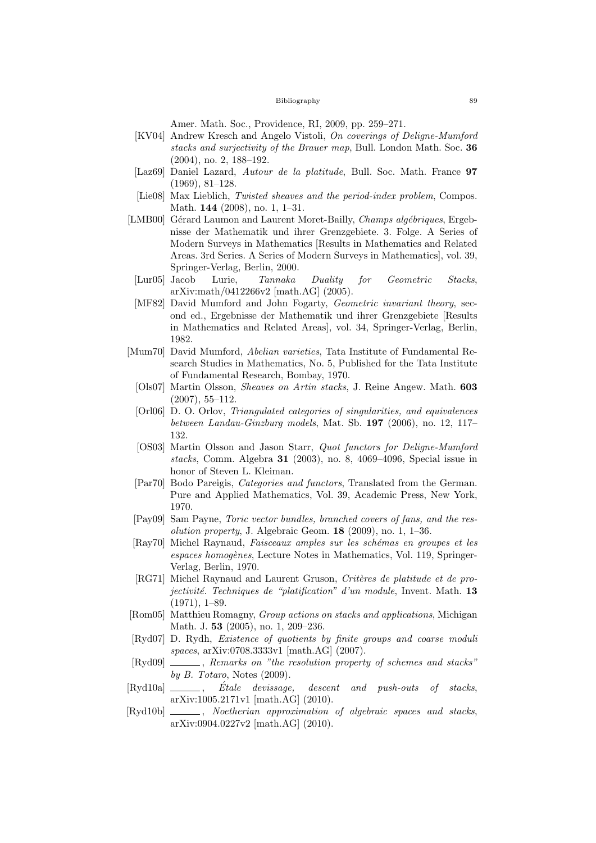Amer. Math. Soc., Providence, RI, 2009, pp. 259–271.

- [KV04] Andrew Kresch and Angelo Vistoli, On coverings of Deligne-Mumford stacks and surjectivity of the Brauer map, Bull. London Math. Soc. 36 (2004), no. 2, 188–192.
- [Laz69] Daniel Lazard, Autour de la platitude, Bull. Soc. Math. France 97 (1969), 81–128.
- [Lie08] Max Lieblich, Twisted sheaves and the period-index problem, Compos. Math. 144 (2008), no. 1, 1–31.
- [LMB00] Gérard Laumon and Laurent Moret-Bailly, *Champs algébriques*, Ergebnisse der Mathematik und ihrer Grenzgebiete. 3. Folge. A Series of Modern Surveys in Mathematics [Results in Mathematics and Related Areas. 3rd Series. A Series of Modern Surveys in Mathematics], vol. 39, Springer-Verlag, Berlin, 2000.
- [Lur05] Jacob Lurie, Tannaka Duality for Geometric Stacks, arXiv:math/0412266v2 [math.AG] (2005).
- [MF82] David Mumford and John Fogarty, Geometric invariant theory, second ed., Ergebnisse der Mathematik und ihrer Grenzgebiete [Results in Mathematics and Related Areas], vol. 34, Springer-Verlag, Berlin, 1982.
- [Mum70] David Mumford, Abelian varieties, Tata Institute of Fundamental Research Studies in Mathematics, No. 5, Published for the Tata Institute of Fundamental Research, Bombay, 1970.
	- [Ols07] Martin Olsson, Sheaves on Artin stacks, J. Reine Angew. Math. 603 (2007), 55–112.
	- [Orl06] D. O. Orlov, Triangulated categories of singularities, and equivalences between Landau-Ginzburg models, Mat. Sb. 197 (2006), no. 12, 117– 132.
	- [OS03] Martin Olsson and Jason Starr, Quot functors for Deligne-Mumford stacks, Comm. Algebra 31 (2003), no. 8, 4069–4096, Special issue in honor of Steven L. Kleiman.
	- [Par70] Bodo Pareigis, Categories and functors, Translated from the German. Pure and Applied Mathematics, Vol. 39, Academic Press, New York, 1970.
- [Pay09] Sam Payne, Toric vector bundles, branched covers of fans, and the resolution property, J. Algebraic Geom.  $18$  (2009), no. 1, 1–36.
- [Ray70] Michel Raynaud, Faisceaux amples sur les schémas en groupes et les espaces homogènes, Lecture Notes in Mathematics, Vol. 119, Springer-Verlag, Berlin, 1970.
- [RG71] Michel Raynaud and Laurent Gruson, Critères de platitude et de projectivité. Techniques de "platification" d'un module, Invent. Math.  $13$ (1971), 1–89.
- [Rom05] Matthieu Romagny, Group actions on stacks and applications, Michigan Math. J. 53 (2005), no. 1, 209–236.
- [Ryd07] D. Rydh, Existence of quotients by finite groups and coarse moduli spaces, arXiv:0708.3333v1 [math.AG] (2007).
- [Ryd09]  $\_\_\_\_\_\$ , Remarks on "the resolution property of schemes and stacks" by  $B.$  Totaro, Notes  $(2009)$ .
- $[Rvd10a] \longrightarrow$ , Etale devissage, descent and push-outs of stacks. arXiv:1005.2171v1 [math.AG] (2010).
- [Ryd10b] \_\_\_\_, Noetherian approximation of algebraic spaces and stacks, arXiv:0904.0227v2 [math.AG] (2010).